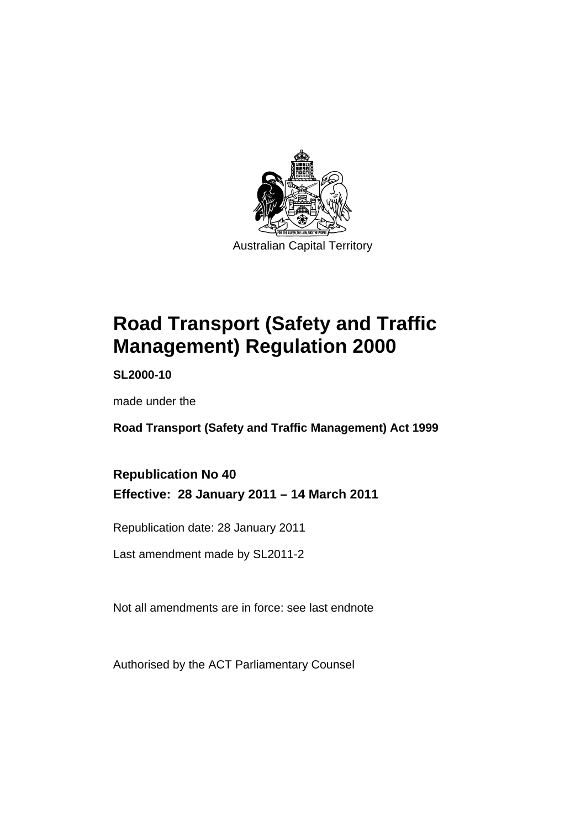

# **[Road Transport \(Safety and Traffic](#page-10-0)  [Management\) Regulation 2000](#page-10-0)**

**SL2000-10** 

made under the

**[Road Transport \(Safety and Traffic Management\) Act 1999](#page-10-0)** 

### **Republication No 40 Effective: 28 January 2011 – 14 March 2011**

Republication date: 28 January 2011

Last amendment made by SL2011-2

Not all amendments are in force: see last endnote

Authorised by the ACT Parliamentary Counsel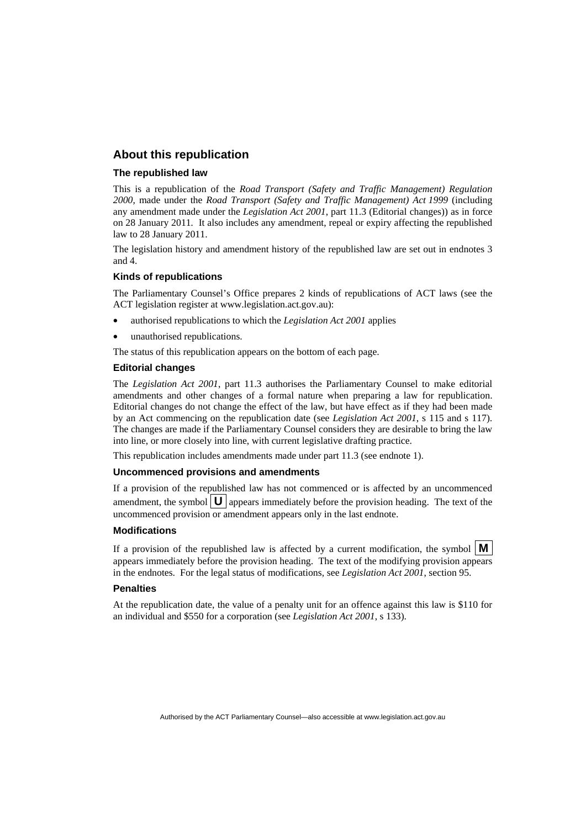#### **About this republication**

#### **The republished law**

This is a republication of the *Road Transport (Safety and Traffic Management) Regulation 2000*, made under the *[Road Transport \(Safety and Traffic Management\) Act 1999](#page-10-0)* (including any amendment made under the *Legislation Act 2001*, part 11.3 (Editorial changes)) as in force on 28 January 2011*.* It also includes any amendment, repeal or expiry affecting the republished law to 28 January 2011.

The legislation history and amendment history of the republished law are set out in endnotes 3 and 4.

#### **Kinds of republications**

The Parliamentary Counsel's Office prepares 2 kinds of republications of ACT laws (see the ACT legislation register at www.legislation.act.gov.au):

- authorised republications to which the *Legislation Act 2001* applies
- unauthorised republications.

The status of this republication appears on the bottom of each page.

#### **Editorial changes**

The *Legislation Act 2001*, part 11.3 authorises the Parliamentary Counsel to make editorial amendments and other changes of a formal nature when preparing a law for republication. Editorial changes do not change the effect of the law, but have effect as if they had been made by an Act commencing on the republication date (see *Legislation Act 2001*, s 115 and s 117). The changes are made if the Parliamentary Counsel considers they are desirable to bring the law into line, or more closely into line, with current legislative drafting practice.

This republication includes amendments made under part 11.3 (see endnote 1).

#### **Uncommenced provisions and amendments**

If a provision of the republished law has not commenced or is affected by an uncommenced amendment, the symbol  $\mathbf{U}$  appears immediately before the provision heading. The text of the uncommenced provision or amendment appears only in the last endnote.

#### **Modifications**

If a provision of the republished law is affected by a current modification, the symbol  $\vert \mathbf{M} \vert$ appears immediately before the provision heading. The text of the modifying provision appears in the endnotes. For the legal status of modifications, see *Legislation Act 2001*, section 95.

#### **Penalties**

At the republication date, the value of a penalty unit for an offence against this law is \$110 for an individual and \$550 for a corporation (see *Legislation Act 2001*, s 133).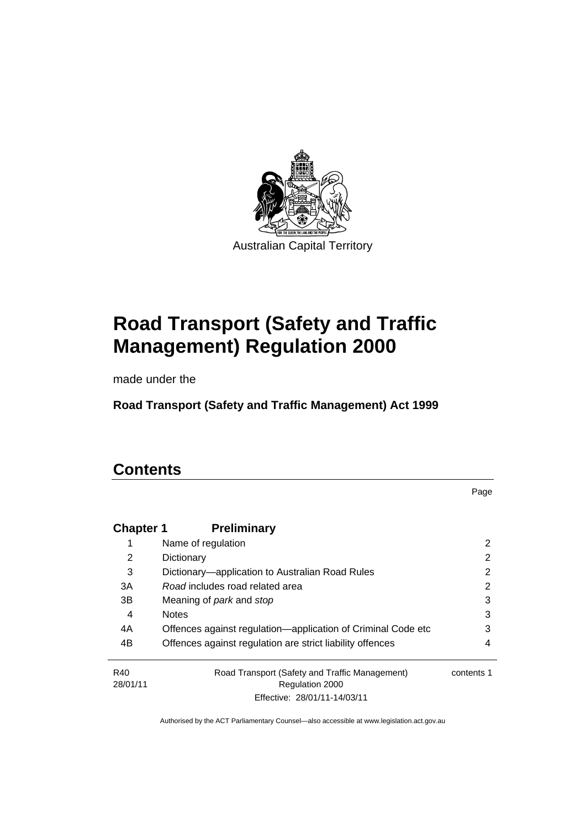

# **[Road Transport \(Safety and Traffic](#page-10-0)  [Management\) Regulation 2000](#page-10-0)**

made under the

**[Road Transport \(Safety and Traffic Management\) Act 1999](#page-10-0)** 

## **Contents**

Page

| <b>Chapter 1</b> | <b>Preliminary</b>                                           |            |
|------------------|--------------------------------------------------------------|------------|
| 1                | Name of regulation                                           | 2          |
| 2                | Dictionary                                                   | 2          |
| 3                | Dictionary—application to Australian Road Rules              | 2          |
| 3A               | Road includes road related area                              | 2          |
| 3B               | Meaning of <i>park</i> and <i>stop</i>                       | 3          |
| 4                | <b>Notes</b>                                                 | 3          |
| 4A               | Offences against regulation—application of Criminal Code etc | 3          |
| 4B               | Offences against regulation are strict liability offences    | 4          |
| R40              | Road Transport (Safety and Traffic Management)               | contents 1 |
| 28/01/11         | Regulation 2000                                              |            |
|                  | Effective: 28/01/11-14/03/11                                 |            |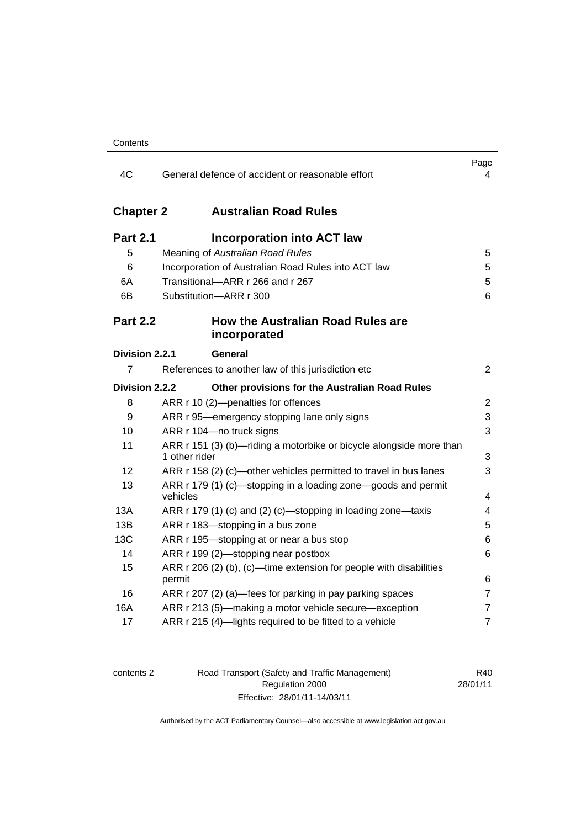| 4C                                    | General defence of accident or reasonable effort                                                                                                                                           | Page<br>4        |
|---------------------------------------|--------------------------------------------------------------------------------------------------------------------------------------------------------------------------------------------|------------------|
| <b>Chapter 2</b>                      | <b>Australian Road Rules</b>                                                                                                                                                               |                  |
| <b>Part 2.1</b><br>5<br>6<br>6A<br>6B | <b>Incorporation into ACT law</b><br>Meaning of Australian Road Rules<br>Incorporation of Australian Road Rules into ACT law<br>Transitional-ARR r 266 and r 267<br>Substitution-ARR r 300 | 5<br>5<br>5<br>6 |
| <b>Part 2.2</b>                       | <b>How the Australian Road Rules are</b><br>incorporated                                                                                                                                   |                  |
| Division 2.2.1                        | General                                                                                                                                                                                    |                  |
| 7                                     | References to another law of this jurisdiction etc                                                                                                                                         | $\overline{2}$   |
| Division 2.2.2                        | Other provisions for the Australian Road Rules                                                                                                                                             |                  |
| 8                                     | ARR r 10 (2)-penalties for offences                                                                                                                                                        | $\overline{2}$   |
| 9                                     | ARR r 95-emergency stopping lane only signs                                                                                                                                                | 3                |
| 10                                    | ARR r 104-no truck signs                                                                                                                                                                   | 3                |
| 11                                    | ARR r 151 (3) (b)—riding a motorbike or bicycle alongside more than<br>1 other rider                                                                                                       | 3                |
| 12                                    | ARR r 158 (2) (c)—other vehicles permitted to travel in bus lanes                                                                                                                          | 3                |
| 13                                    | ARR r 179 (1) (c)—stopping in a loading zone—goods and permit<br>vehicles                                                                                                                  | 4                |
| 13A                                   | ARR r 179 (1) (c) and (2) (c)—stopping in loading zone—taxis                                                                                                                               | 4                |
| 13B                                   | ARR r 183-stopping in a bus zone                                                                                                                                                           | 5                |
| 13C                                   | ARR r 195-stopping at or near a bus stop                                                                                                                                                   | 6                |
| 14                                    | ARR r 199 (2)-stopping near postbox                                                                                                                                                        | 6                |
| 15                                    | ARR r 206 (2) (b), (c)—time extension for people with disabilities<br>permit                                                                                                               | 6                |
| 16                                    | ARR r 207 (2) (a)—fees for parking in pay parking spaces                                                                                                                                   | 7                |
| 16A                                   | ARR r 213 (5)-making a motor vehicle secure-exception                                                                                                                                      | 7                |
| 17                                    | ARR r 215 (4)-lights required to be fitted to a vehicle                                                                                                                                    | $\overline{7}$   |

| contents 2 |
|------------|
|------------|

2 Road Transport (Safety and Traffic Management) Regulation 2000 Effective: 28/01/11-14/03/11

R40 28/01/11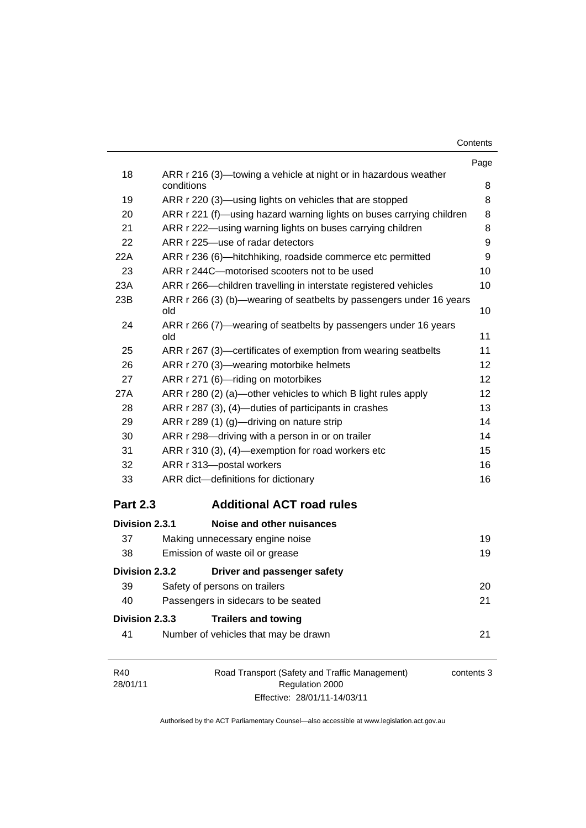| Contents |  |
|----------|--|
|----------|--|

|                 |                                                                               | Page |
|-----------------|-------------------------------------------------------------------------------|------|
| 18              | ARR r 216 (3)—towing a vehicle at night or in hazardous weather<br>conditions | 8    |
| 19              | ARR r 220 (3)—using lights on vehicles that are stopped                       | 8    |
| 20              | ARR r 221 (f)—using hazard warning lights on buses carrying children          | 8    |
| 21              | ARR r 222—using warning lights on buses carrying children                     | 8    |
| 22              | ARR r 225-use of radar detectors                                              | 9    |
| 22A             | ARR r 236 (6)—hitchhiking, roadside commerce etc permitted                    | 9    |
| 23              | ARR r 244C-motorised scooters not to be used                                  | 10   |
| 23A             | ARR r 266-children travelling in interstate registered vehicles               | 10   |
| 23B             | ARR r 266 (3) (b)—wearing of seatbelts by passengers under 16 years<br>old    | 10   |
| 24              | ARR r 266 (7)—wearing of seatbelts by passengers under 16 years<br>old        | 11   |
| 25              | ARR r 267 (3)—certificates of exemption from wearing seatbelts                | 11   |
| 26              | ARR r 270 (3)—wearing motorbike helmets                                       | 12   |
| 27              | ARR r 271 (6)-riding on motorbikes                                            | 12   |
| 27A             | ARR r 280 (2) (a)—other vehicles to which B light rules apply                 | 12   |
| 28              | ARR r 287 (3), (4)—duties of participants in crashes                          | 13   |
| 29              | ARR r 289 (1) (g)—driving on nature strip                                     | 14   |
| 30              | ARR r 298-driving with a person in or on trailer                              | 14   |
| 31              | ARR r 310 (3), (4)—exemption for road workers etc                             | 15   |
| 32              | ARR r 313-postal workers                                                      | 16   |
| 33              | ARR dict-definitions for dictionary                                           | 16   |
| <b>Part 2.3</b> | <b>Additional ACT road rules</b>                                              |      |
| Division 2.3.1  | Noise and other nuisances                                                     |      |
| 37              | Making unnecessary engine noise                                               | 19   |
| 38              | Emission of waste oil or grease                                               | 19   |
| Division 2.3.2  | Driver and passenger safety                                                   |      |
| 39              | Safety of persons on trailers                                                 | 20   |
| 40              | Passengers in sidecars to be seated                                           | 21   |
| Division 2.3.3  | <b>Trailers and towing</b>                                                    |      |
| 41              | Number of vehicles that may be drawn                                          | 21   |
|                 | $\Gamma$ reseaseut (Cefetus and Treffic Menegrapes)                           |      |

| R40      | Road Transport (Safety and Traffic Management) | contents 3 |
|----------|------------------------------------------------|------------|
| 28/01/11 | Regulation 2000                                |            |
|          | Effective: 28/01/11-14/03/11                   |            |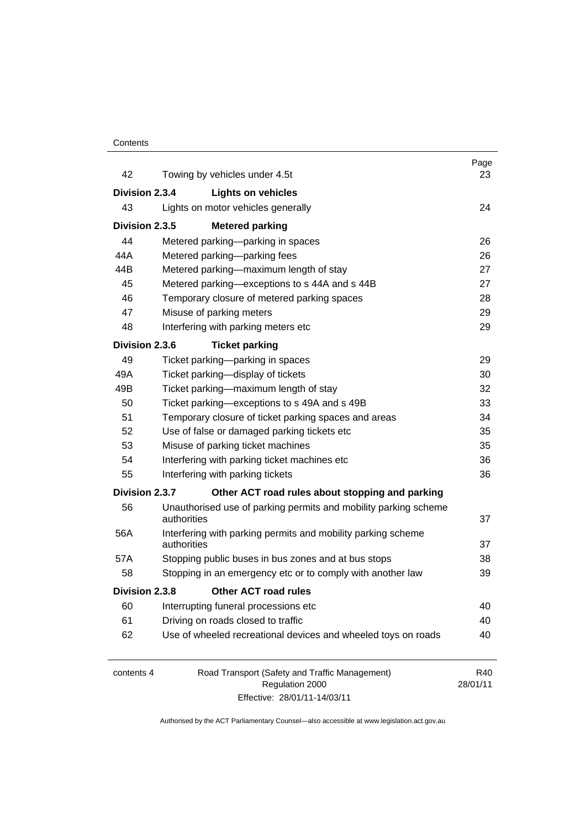#### **Contents**

| 42             | Towing by vehicles under 4.5t                                                  | Page<br>23      |
|----------------|--------------------------------------------------------------------------------|-----------------|
| Division 2.3.4 | <b>Lights on vehicles</b>                                                      |                 |
| 43             | Lights on motor vehicles generally                                             | 24              |
| Division 2.3.5 |                                                                                |                 |
| 44             | <b>Metered parking</b>                                                         |                 |
| 44A            | Metered parking-parking in spaces                                              | 26<br>26        |
| 44B            | Metered parking-parking fees<br>Metered parking-maximum length of stay         | 27              |
| 45             | Metered parking-exceptions to s 44A and s 44B                                  | 27              |
| 46             | Temporary closure of metered parking spaces                                    | 28              |
| 47             | Misuse of parking meters                                                       | 29              |
| 48             | Interfering with parking meters etc                                            | 29              |
|                |                                                                                |                 |
| Division 2.3.6 | <b>Ticket parking</b>                                                          |                 |
| 49             | Ticket parking-parking in spaces                                               | 29              |
| 49A            | Ticket parking-display of tickets                                              | 30              |
| 49B            | Ticket parking-maximum length of stay                                          | 32              |
| 50             | Ticket parking-exceptions to s 49A and s 49B                                   | 33              |
| 51             | Temporary closure of ticket parking spaces and areas                           | 34              |
| 52             | Use of false or damaged parking tickets etc                                    | 35              |
| 53             | Misuse of parking ticket machines                                              | 35              |
| 54             | Interfering with parking ticket machines etc                                   | 36              |
| 55             | Interfering with parking tickets                                               | 36              |
| Division 2.3.7 | Other ACT road rules about stopping and parking                                |                 |
| 56             | Unauthorised use of parking permits and mobility parking scheme<br>authorities | 37              |
| 56A            | Interfering with parking permits and mobility parking scheme                   |                 |
|                | authorities                                                                    | 37              |
| 57A            | Stopping public buses in bus zones and at bus stops                            | 38              |
| 58             | Stopping in an emergency etc or to comply with another law                     | 39              |
| Division 2.3.8 | <b>Other ACT road rules</b>                                                    |                 |
| 60             | Interrupting funeral processions etc                                           | 40              |
| 61             | Driving on roads closed to traffic                                             | 40              |
| 62             | Use of wheeled recreational devices and wheeled toys on roads                  | 40              |
| contents 4     | Road Transport (Safety and Traffic Management)<br>Regulation 2000              | R40<br>28/01/11 |

Effective: 28/01/11-14/03/11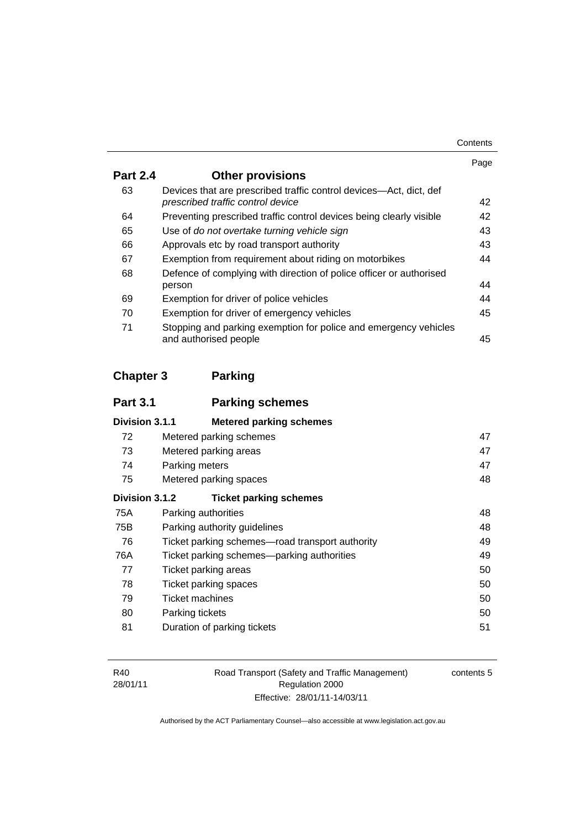| Contents |
|----------|
|----------|

|                 |                                                                                                         | Page |
|-----------------|---------------------------------------------------------------------------------------------------------|------|
| <b>Part 2.4</b> | <b>Other provisions</b>                                                                                 |      |
| 63              | Devices that are prescribed traffic control devices—Act, dict, def<br>prescribed traffic control device | 42   |
| 64              | Preventing prescribed traffic control devices being clearly visible                                     | 42   |
| 65              | Use of do not overtake turning vehicle sign                                                             | 43   |
| 66              | Approvals etc by road transport authority                                                               | 43   |
| 67              | Exemption from requirement about riding on motorbikes                                                   | 44   |
| 68              | Defence of complying with direction of police officer or authorised                                     |      |
|                 | person                                                                                                  | 44   |
| 69              | Exemption for driver of police vehicles                                                                 | 44   |
| 70              | Exemption for driver of emergency vehicles                                                              | 45   |
| 71              | Stopping and parking exemption for police and emergency vehicles<br>and authorised people               | 45   |

### **Chapter 3 Parking**

| <b>Part 3.1</b> | <b>Parking schemes</b>                          |    |
|-----------------|-------------------------------------------------|----|
| Division 3.1.1  | <b>Metered parking schemes</b>                  |    |
| 72              | Metered parking schemes                         | 47 |
| 73              | Metered parking areas                           | 47 |
| 74              | Parking meters                                  | 47 |
| 75              | Metered parking spaces                          | 48 |
| Division 3.1.2  | <b>Ticket parking schemes</b>                   |    |
| 75A             | Parking authorities                             | 48 |
| 75B             | Parking authority guidelines                    | 48 |
| 76              | Ticket parking schemes—road transport authority | 49 |
| 76A             | Ticket parking schemes—parking authorities      | 49 |
| 77              | Ticket parking areas                            | 50 |
| 78              | Ticket parking spaces                           | 50 |
| 79              | Ticket machines                                 | 50 |
| 80              | Parking tickets                                 | 50 |
| 81              | Duration of parking tickets                     | 51 |

Road Transport (Safety and Traffic Management) Regulation 2000 Effective: 28/01/11-14/03/11

contents 5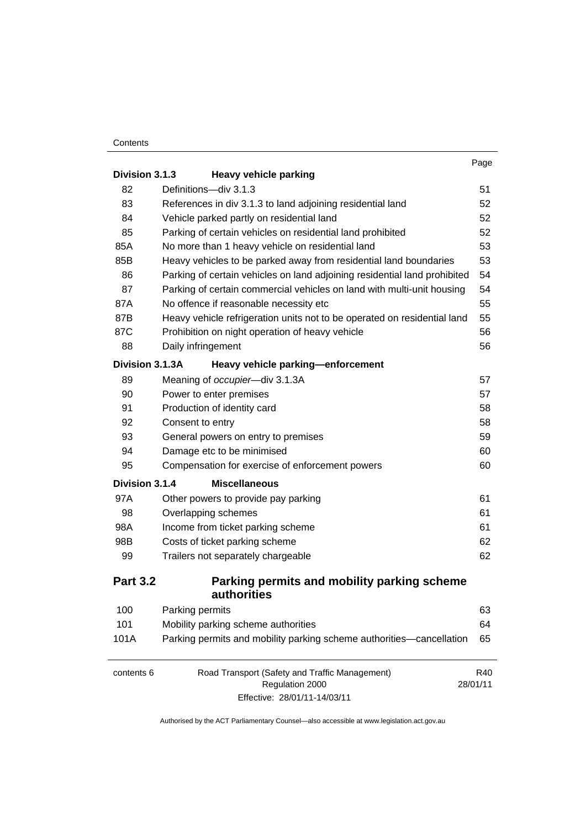#### **Contents**

|                 |                                                                                                   | Page            |
|-----------------|---------------------------------------------------------------------------------------------------|-----------------|
| Division 3.1.3  | <b>Heavy vehicle parking</b>                                                                      |                 |
| 82              | Definitions-div 3.1.3                                                                             | 51              |
| 83              | References in div 3.1.3 to land adjoining residential land                                        | 52              |
| 84              | Vehicle parked partly on residential land                                                         | 52              |
| 85              | Parking of certain vehicles on residential land prohibited                                        | 52              |
| 85A             | No more than 1 heavy vehicle on residential land                                                  | 53              |
| 85B             | Heavy vehicles to be parked away from residential land boundaries                                 | 53              |
| 86              | Parking of certain vehicles on land adjoining residential land prohibited                         | 54              |
| 87              | Parking of certain commercial vehicles on land with multi-unit housing                            | 54              |
| 87A             | No offence if reasonable necessity etc                                                            | 55              |
| 87B             | Heavy vehicle refrigeration units not to be operated on residential land                          | 55              |
| 87C             | Prohibition on night operation of heavy vehicle                                                   | 56              |
| 88              | Daily infringement                                                                                | 56              |
| Division 3.1.3A | Heavy vehicle parking-enforcement                                                                 |                 |
| 89              | Meaning of occupier-div 3.1.3A                                                                    | 57              |
| 90              | Power to enter premises                                                                           | 57              |
| 91              | Production of identity card                                                                       | 58              |
| 92              | Consent to entry                                                                                  | 58              |
| 93              | General powers on entry to premises                                                               | 59              |
| 94              | Damage etc to be minimised                                                                        | 60              |
| 95              | Compensation for exercise of enforcement powers                                                   | 60              |
| Division 3.1.4  | <b>Miscellaneous</b>                                                                              |                 |
| 97A             | Other powers to provide pay parking                                                               | 61              |
| 98              | Overlapping schemes                                                                               | 61              |
| 98A             | Income from ticket parking scheme                                                                 | 61              |
| 98B             | Costs of ticket parking scheme                                                                    | 62              |
| 99              | Trailers not separately chargeable                                                                | 62              |
| <b>Part 3.2</b> | Parking permits and mobility parking scheme<br>authorities                                        |                 |
| 100             | Parking permits                                                                                   | 63              |
| 101             | Mobility parking scheme authorities                                                               | 64              |
| 101A            | Parking permits and mobility parking scheme authorities-cancellation                              | 65              |
| contents 6      | Road Transport (Safety and Traffic Management)<br>Regulation 2000<br>Effective: 28/01/11-14/03/11 | R40<br>28/01/11 |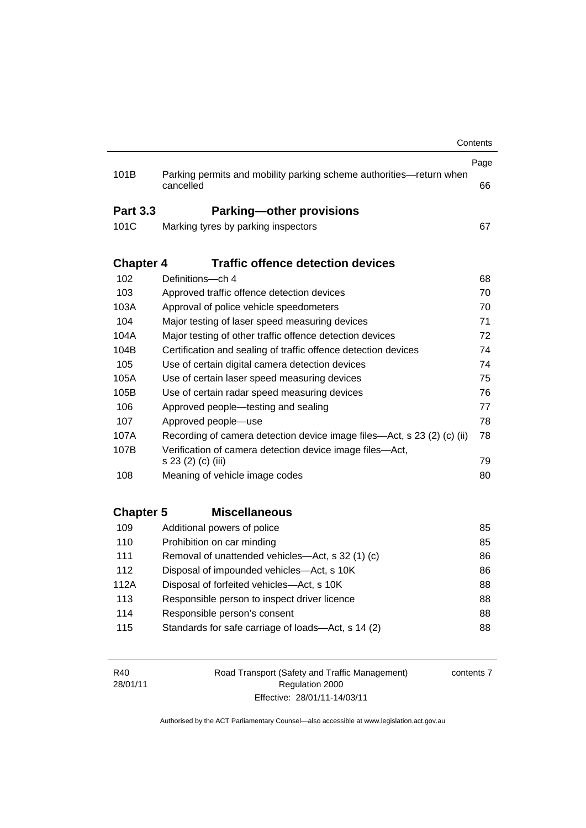|                  |                                                                                  | Contents |
|------------------|----------------------------------------------------------------------------------|----------|
|                  |                                                                                  | Page     |
| 101B             | Parking permits and mobility parking scheme authorities-return when<br>cancelled | 66       |
| <b>Part 3.3</b>  | <b>Parking-other provisions</b>                                                  |          |
| 101C             | Marking tyres by parking inspectors                                              | 67       |
| <b>Chapter 4</b> | <b>Traffic offence detection devices</b>                                         |          |
| 102              | Definitions-ch 4                                                                 | 68       |
| 103              | Approved traffic offence detection devices                                       | 70       |
| 103A             | Approval of police vehicle speedometers                                          | 70       |
| 104              | Major testing of laser speed measuring devices                                   | 71       |
| 104A             | Major testing of other traffic offence detection devices                         | 72       |
| 104B             | Certification and sealing of traffic offence detection devices                   | 74       |
| 105              | Use of certain digital camera detection devices                                  | 74       |
| 105A             | Use of certain laser speed measuring devices                                     | 75       |
| 105B             | Use of certain radar speed measuring devices                                     | 76       |
| 106              | Approved people—testing and sealing                                              | 77       |
| 107              | Approved people-use                                                              | 78       |
| 107A             | Recording of camera detection device image files—Act, s 23 (2) (c) (ii)          | 78       |
| 107B             | Verification of camera detection device image files-Act,<br>s 23 (2) (c) (iii)   | 79       |
| 108              | Meaning of vehicle image codes                                                   | 80       |
|                  |                                                                                  |          |
| <b>Chapter 5</b> | <b>Miscellaneous</b>                                                             |          |
| 109              | Additional powers of police                                                      | 85       |
| 110              | Prohibition on car minding                                                       | 85       |
| 111              | Removal of unattended vehicles—Act, s 32 (1) (c)                                 | 86       |
| 112              | Disposal of impounded vehicles-Act, s 10K                                        | 86       |
| 112A             | Disposal of forfeited vehicles-Act, s 10K                                        | 88       |
| 113              | Responsible person to inspect driver licence                                     | 88       |
| 114              | Responsible person's consent                                                     | 88       |
| 115              | Standards for safe carriage of loads-Act, s 14 (2)                               | 88       |
|                  |                                                                                  |          |

R40 28/01/11 Road Transport (Safety and Traffic Management) Regulation 2000 Effective: 28/01/11-14/03/11 contents 7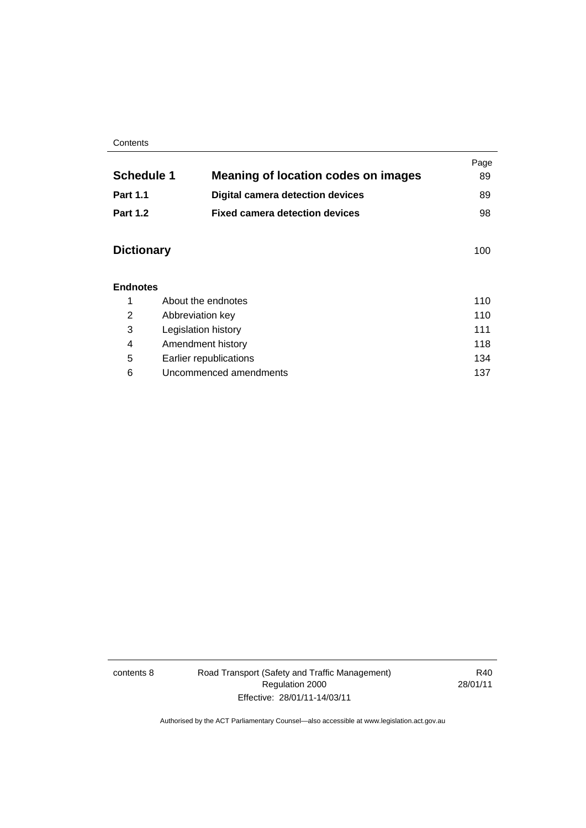#### **Contents**

|                             |                                            |     | Page |
|-----------------------------|--------------------------------------------|-----|------|
| <b>Schedule 1</b>           | <b>Meaning of location codes on images</b> |     | 89   |
| <b>Part 1.1</b>             | <b>Digital camera detection devices</b>    |     | 89   |
| <b>Part 1.2</b>             | <b>Fixed camera detection devices</b>      |     | 98   |
| <b>Dictionary</b>           |                                            |     | 100  |
| <b>Endnotes</b>             |                                            |     |      |
| 1                           | About the endnotes                         |     | 110  |
| 2                           | Abbreviation key                           |     | 110  |
| 3                           | Legislation history                        |     | 111  |
| 4                           | 118<br>Amendment history                   |     |      |
| 5<br>Earlier republications |                                            | 134 |      |

6 Uncommenced amendments [137](#page-156-0)

contents 8 Road Transport (Safety and Traffic Management) Regulation 2000 Effective: 28/01/11-14/03/11

R40 28/01/11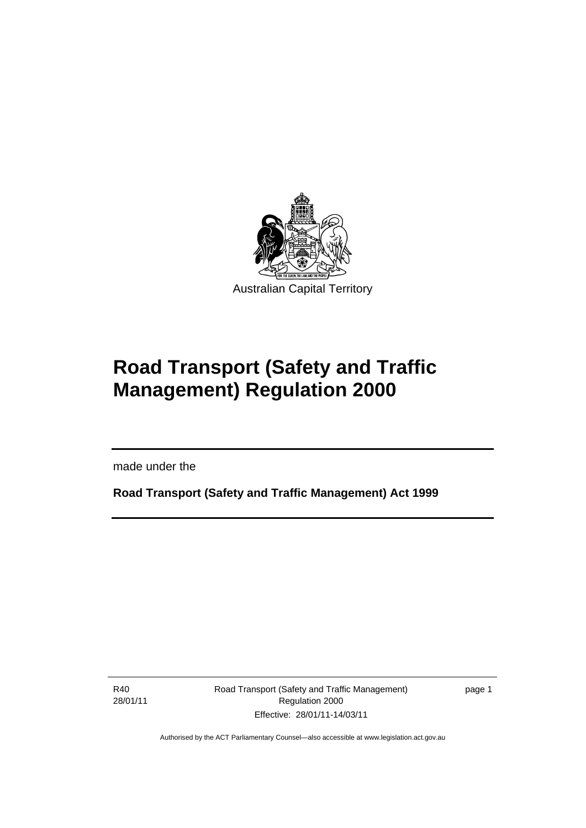<span id="page-10-0"></span>

# **Road Transport (Safety and Traffic Management) Regulation 2000**

made under the

**Road Transport (Safety and Traffic Management) Act 1999** 

R40 28/01/11

I

Road Transport (Safety and Traffic Management) Regulation 2000 Effective: 28/01/11-14/03/11

page 1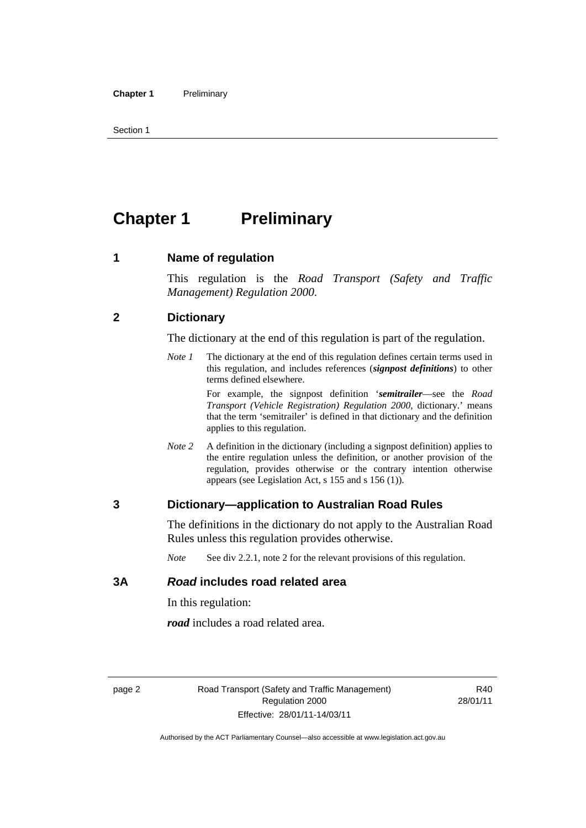<span id="page-11-0"></span>Section 1

## **Chapter 1** Preliminary

#### **1 Name of regulation**

This regulation is the *Road Transport (Safety and Traffic Management) Regulation 2000*.

#### **2 Dictionary**

The dictionary at the end of this regulation is part of the regulation.

*Note 1* The dictionary at the end of this regulation defines certain terms used in this regulation, and includes references (*signpost definitions*) to other terms defined elsewhere.

> For example, the signpost definition '*semitrailer*—see the *Road Transport (Vehicle Registration) Regulation 2000*, dictionary.' means that the term 'semitrailer' is defined in that dictionary and the definition applies to this regulation.

*Note 2* A definition in the dictionary (including a signpost definition) applies to the entire regulation unless the definition, or another provision of the regulation, provides otherwise or the contrary intention otherwise appears (see Legislation Act, s 155 and s 156 (1)).

#### **3 Dictionary—application to Australian Road Rules**

The definitions in the dictionary do not apply to the Australian Road Rules unless this regulation provides otherwise.

*Note* See div 2.2.1, note 2 for the relevant provisions of this regulation.

#### **3A** *Road* **includes road related area**

In this regulation:

*road* includes a road related area.

R40 28/01/11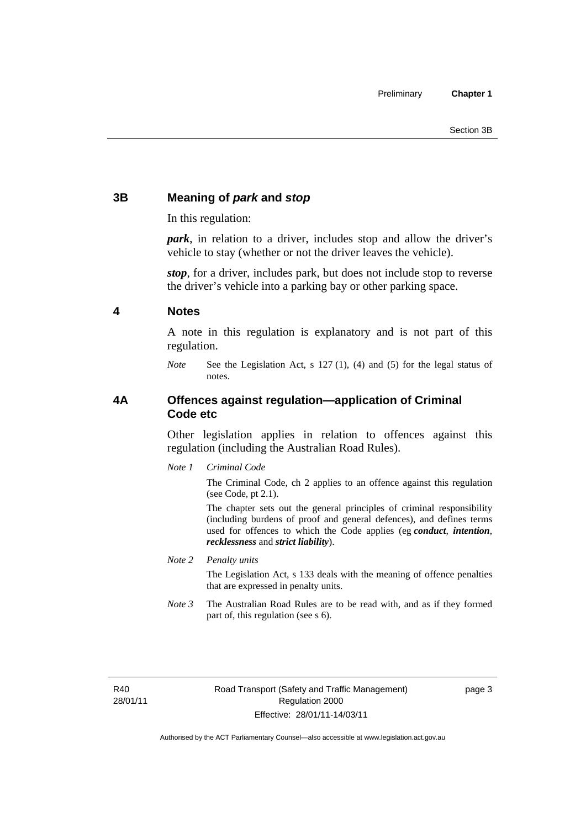### <span id="page-12-0"></span>**3B Meaning of** *park* **and** *stop*

In this regulation:

*park*, in relation to a driver, includes stop and allow the driver's vehicle to stay (whether or not the driver leaves the vehicle).

*stop*, for a driver, includes park, but does not include stop to reverse the driver's vehicle into a parking bay or other parking space.

#### **4 Notes**

A note in this regulation is explanatory and is not part of this regulation.

*Note* See the Legislation Act, s 127 (1), (4) and (5) for the legal status of notes.

#### **4A Offences against regulation—application of Criminal Code etc**

Other legislation applies in relation to offences against this regulation (including the Australian Road Rules).

*Note 1 Criminal Code*

The Criminal Code, ch 2 applies to an offence against this regulation (see Code, pt 2.1).

The chapter sets out the general principles of criminal responsibility (including burdens of proof and general defences), and defines terms used for offences to which the Code applies (eg *conduct*, *intention*, *recklessness* and *strict liability*).

*Note 2 Penalty units* 

The Legislation Act, s 133 deals with the meaning of offence penalties that are expressed in penalty units.

*Note 3* The Australian Road Rules are to be read with, and as if they formed part of, this regulation (see s 6).

R40 28/01/11 page 3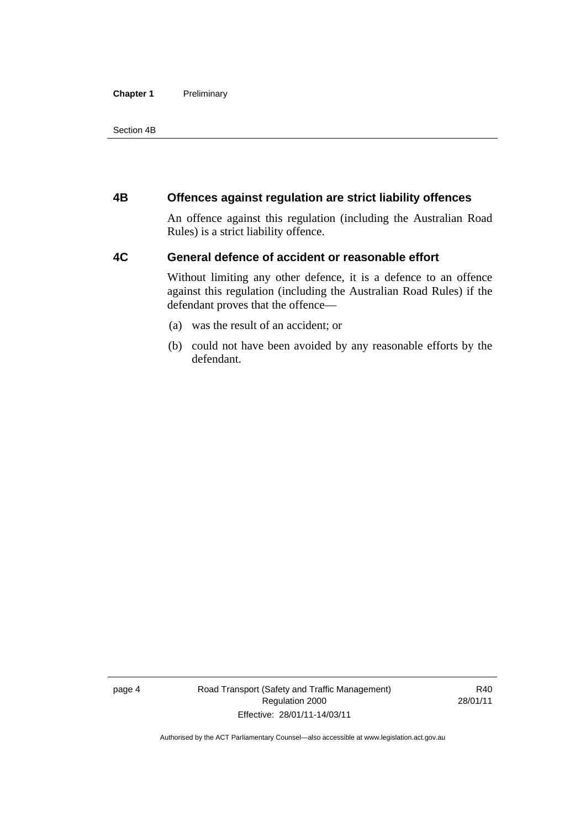#### <span id="page-13-0"></span>**Chapter 1** Preliminary

Section 4B

#### **4B Offences against regulation are strict liability offences**

An offence against this regulation (including the Australian Road Rules) is a strict liability offence.

#### **4C General defence of accident or reasonable effort**

Without limiting any other defence, it is a defence to an offence against this regulation (including the Australian Road Rules) if the defendant proves that the offence—

- (a) was the result of an accident; or
- (b) could not have been avoided by any reasonable efforts by the defendant.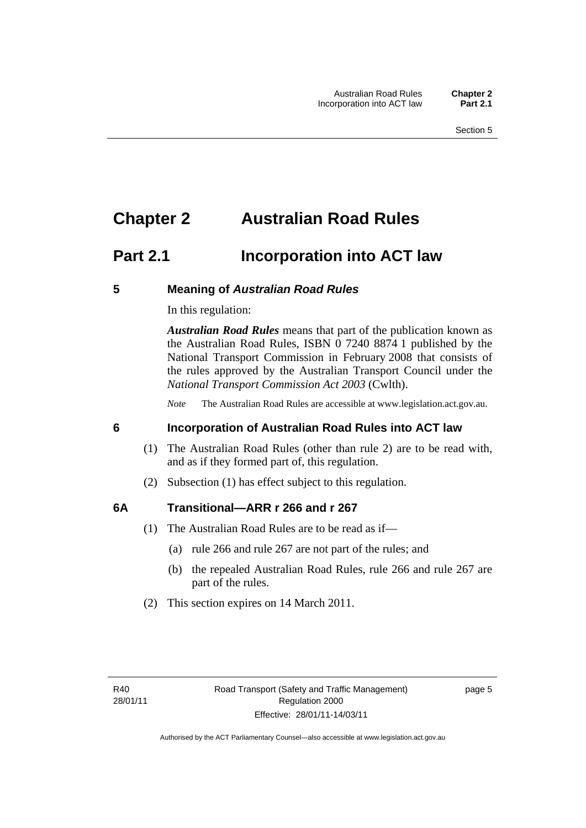### <span id="page-14-0"></span>**Chapter 2 Australian Road Rules**

### **Part 2.1 Incorporation into ACT law**

#### **5 Meaning of** *Australian Road Rules*

In this regulation:

*Australian Road Rules* means that part of the publication known as the Australian Road Rules, ISBN 0 7240 8874 1 published by the National Transport Commission in February 2008 that consists of the rules approved by the Australian Transport Council under the *National Transport Commission Act 2003* (Cwlth).

*Note* The Australian Road Rules are accessible at www.legislation.act.gov.au.

#### **6 Incorporation of Australian Road Rules into ACT law**

- (1) The Australian Road Rules (other than rule 2) are to be read with, and as if they formed part of, this regulation.
- (2) Subsection (1) has effect subject to this regulation.

#### **6A Transitional—ARR r 266 and r 267**

- (1) The Australian Road Rules are to be read as if—
	- (a) rule 266 and rule 267 are not part of the rules; and
	- (b) the repealed Australian Road Rules, rule 266 and rule 267 are part of the rules.
- (2) This section expires on 14 March 2011.

page 5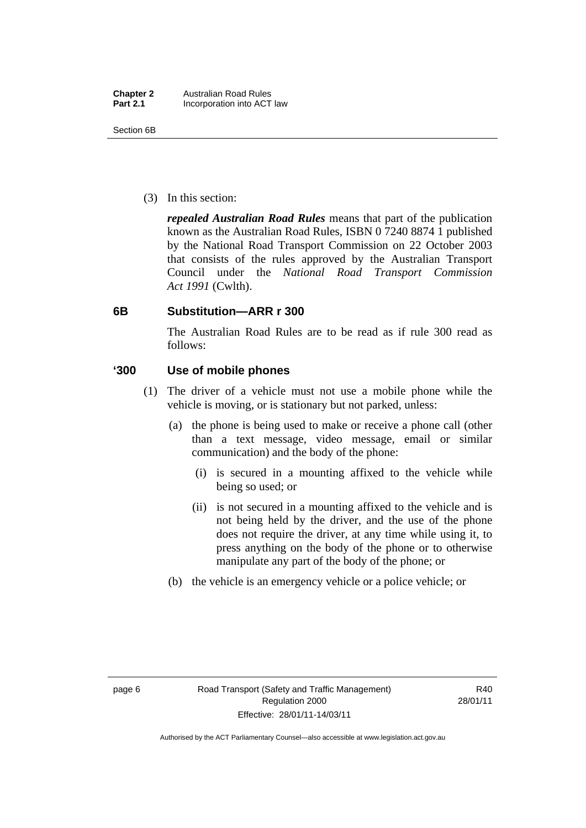<span id="page-15-0"></span>(3) In this section:

*repealed Australian Road Rules* means that part of the publication known as the Australian Road Rules, ISBN 0 7240 8874 1 published by the National Road Transport Commission on 22 October 2003 that consists of the rules approved by the Australian Transport Council under the *National Road Transport Commission Act 1991* (Cwlth).

#### **6B Substitution—ARR r 300**

The Australian Road Rules are to be read as if rule 300 read as follows:

#### **'300 Use of mobile phones**

- (1) The driver of a vehicle must not use a mobile phone while the vehicle is moving, or is stationary but not parked, unless:
	- (a) the phone is being used to make or receive a phone call (other than a text message, video message, email or similar communication) and the body of the phone:
		- (i) is secured in a mounting affixed to the vehicle while being so used; or
		- (ii) is not secured in a mounting affixed to the vehicle and is not being held by the driver, and the use of the phone does not require the driver, at any time while using it, to press anything on the body of the phone or to otherwise manipulate any part of the body of the phone; or
	- (b) the vehicle is an emergency vehicle or a police vehicle; or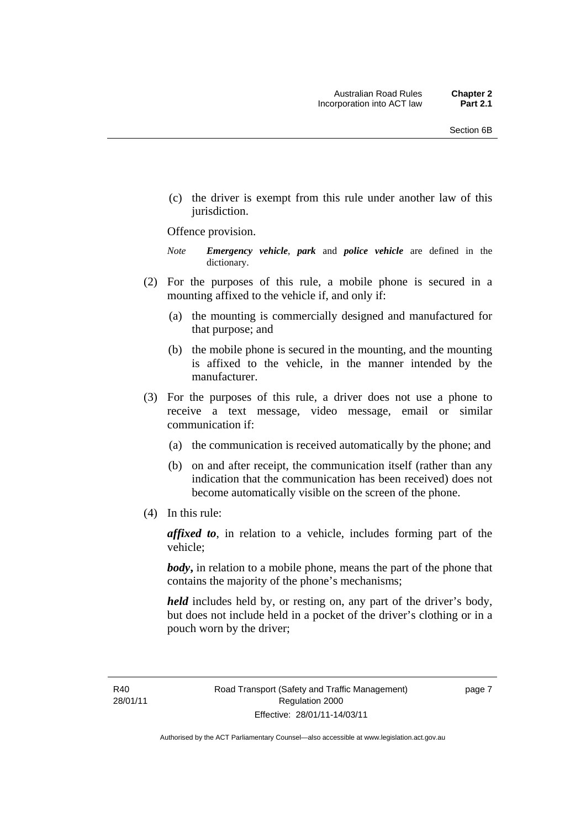(c) the driver is exempt from this rule under another law of this jurisdiction.

#### Offence provision.

*Note Emergency vehicle*, *park* and *police vehicle* are defined in the dictionary.

- (2) For the purposes of this rule, a mobile phone is secured in a mounting affixed to the vehicle if, and only if:
	- (a) the mounting is commercially designed and manufactured for that purpose; and
	- (b) the mobile phone is secured in the mounting, and the mounting is affixed to the vehicle, in the manner intended by the manufacturer.
- (3) For the purposes of this rule, a driver does not use a phone to receive a text message, video message, email or similar communication if:
	- (a) the communication is received automatically by the phone; and
	- (b) on and after receipt, the communication itself (rather than any indication that the communication has been received) does not become automatically visible on the screen of the phone.
- (4) In this rule:

*affixed to*, in relation to a vehicle, includes forming part of the vehicle;

*body*, in relation to a mobile phone, means the part of the phone that contains the majority of the phone's mechanisms;

*held* includes held by, or resting on, any part of the driver's body, but does not include held in a pocket of the driver's clothing or in a pouch worn by the driver;

page 7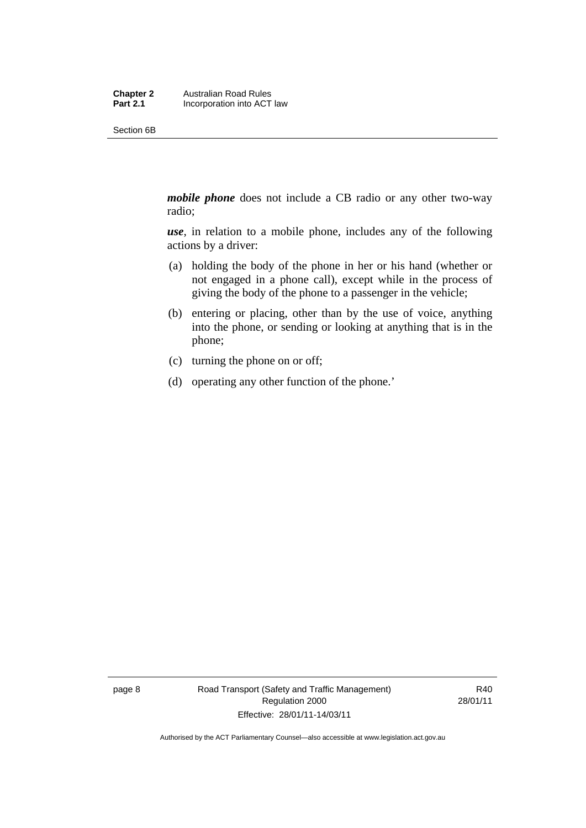Section 6B

*mobile phone* does not include a CB radio or any other two-way radio;

*use*, in relation to a mobile phone, includes any of the following actions by a driver:

- (a) holding the body of the phone in her or his hand (whether or not engaged in a phone call), except while in the process of giving the body of the phone to a passenger in the vehicle;
- (b) entering or placing, other than by the use of voice, anything into the phone, or sending or looking at anything that is in the phone;
- (c) turning the phone on or off;
- (d) operating any other function of the phone.'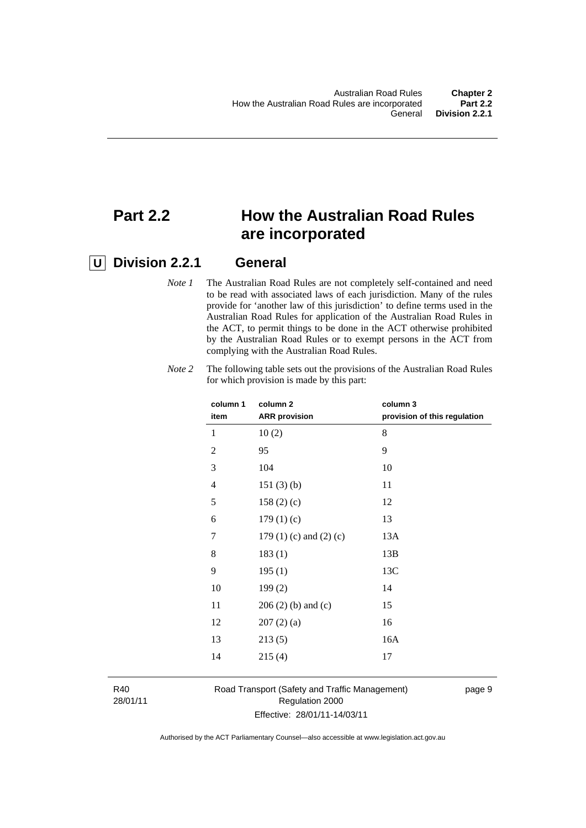### **Part 2.2 How the Australian Road Rules are incorporated**

### **U Division 2.2.1 General**

*Note 1* The Australian Road Rules are not completely self-contained and need to be read with associated laws of each jurisdiction. Many of the rules provide for 'another law of this jurisdiction' to define terms used in the Australian Road Rules for application of the Australian Road Rules in the ACT, to permit things to be done in the ACT otherwise prohibited by the Australian Road Rules or to exempt persons in the ACT from complying with the Australian Road Rules.

| column 1<br>item | column <sub>2</sub><br><b>ARR</b> provision | column 3<br>provision of this regulation |
|------------------|---------------------------------------------|------------------------------------------|
| 1                | 10(2)                                       | 8                                        |
| 2                | 95                                          | 9                                        |
| 3                | 104                                         | 10                                       |
| 4                | 151(3)(b)                                   | 11                                       |
| 5                | 158(2)(c)                                   | 12                                       |
| 6                | 179(1)(c)                                   | 13                                       |
| 7                | 179 $(1)$ $(c)$ and $(2)$ $(c)$             | 13A                                      |
| 8                | 183(1)                                      | 13B                                      |
| 9                | 195(1)                                      | 13C                                      |
| 10               | 199(2)                                      | 14                                       |
| 11               | $206(2)$ (b) and (c)                        | 15                                       |
| 12               | 207(2)(a)                                   | 16                                       |
| 13               | 213(5)                                      | 16A                                      |
| 14               | 215(4)                                      | 17                                       |
|                  |                                             |                                          |

*Note 2* The following table sets out the provisions of the Australian Road Rules for which provision is made by this part:

R40 28/01/11 Road Transport (Safety and Traffic Management) Regulation 2000 Effective: 28/01/11-14/03/11

page 9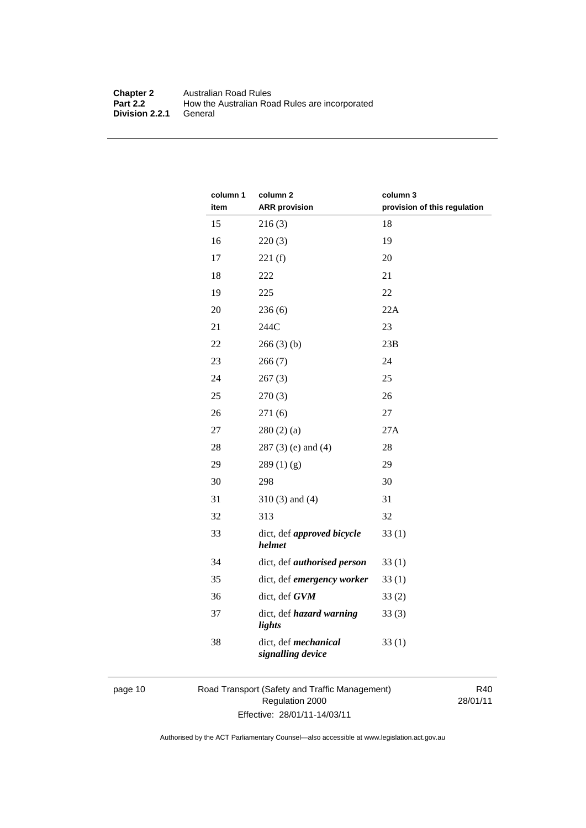#### **Chapter 2** Australian Road Rules<br>**Part 2.2** How the Australian Road How the Australian Road Rules are incorporated General **Division 2.2.1**

| column 1<br>item | column <sub>2</sub><br><b>ARR</b> provision | column 3<br>provision of this regulation |
|------------------|---------------------------------------------|------------------------------------------|
| 15               | 216(3)                                      | 18                                       |
| 16               | 220(3)                                      | 19                                       |
| 17               | 221(f)                                      | 20                                       |
| 18               | 222                                         | 21                                       |
| 19               | 225                                         | 22                                       |
| 20               | 236(6)                                      | 22A                                      |
| 21               | 244C                                        | 23                                       |
| 22               | 266(3)(b)                                   | 23B                                      |
| 23               | 266(7)                                      | 24                                       |
| 24               | 267(3)                                      | 25                                       |
| 25               | 270(3)                                      | 26                                       |
| 26               | 271(6)                                      | 27                                       |
| 27               | 280(2)(a)                                   | 27A                                      |
| 28               | $287(3)$ (e) and (4)                        | 28                                       |
| 29               | 289(1)(g)                                   | 29                                       |
| 30               | 298                                         | 30                                       |
| 31               | $310(3)$ and $(4)$                          | 31                                       |
| 32               | 313                                         | 32                                       |
| 33               | dict, def approved bicycle<br>helmet        | 33(1)                                    |
| 34               | dict, def authorised person                 | 33(1)                                    |
| 35               | dict, def emergency worker                  | 33(1)                                    |
| 36               | dict, def GVM                               | 33(2)                                    |
| 37               | dict, def hazard warning<br>lights          | 33(3)                                    |
| 38               | dict, def mechanical<br>signalling device   | 33(1)                                    |

page 10 Road Transport (Safety and Traffic Management) Regulation 2000 Effective: 28/01/11-14/03/11

R40 28/01/11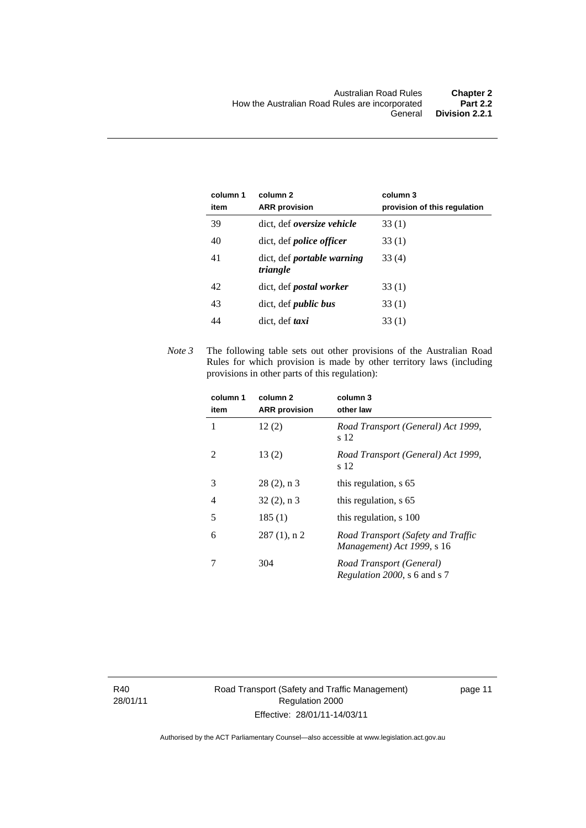| column 1<br>item | column <sub>2</sub><br><b>ARR</b> provision   | column 3<br>provision of this regulation |
|------------------|-----------------------------------------------|------------------------------------------|
| 39               | dict, def <i>oversize</i> vehicle             | 33(1)                                    |
| 40               | dict, def <i>police officer</i>               | 33(1)                                    |
| 41               | dict, def <i>portable</i> warning<br>triangle | 33(4)                                    |
| 42               | dict, def <i>postal</i> worker                | 33(1)                                    |
| 43               | dict, def <i>public</i> bus                   | 33(1)                                    |
| 44               | dict, def <i>taxi</i>                         | 33 (1)                                   |

*Note 3* The following table sets out other provisions of the Australian Road Rules for which provision is made by other territory laws (including provisions in other parts of this regulation):

| column 1<br>item | column <sub>2</sub><br><b>ARR</b> provision | column 3<br>other law                                            |
|------------------|---------------------------------------------|------------------------------------------------------------------|
| 1                | 12(2)                                       | Road Transport (General) Act 1999,<br>s 12                       |
| 2                | 13(2)                                       | Road Transport (General) Act 1999,<br>s 12                       |
| 3                | $28(2)$ , n 3                               | this regulation, s 65                                            |
| 4                | $32(2)$ , n 3                               | this regulation, s 65                                            |
| 5                | 185(1)                                      | this regulation, s 100                                           |
| 6                | $287(1)$ , n 2                              | Road Transport (Safety and Traffic<br>Management) Act 1999, s 16 |
|                  | 304                                         | Road Transport (General)<br><i>Regulation 2000</i> , s 6 and s 7 |

R40 28/01/11 Road Transport (Safety and Traffic Management) Regulation 2000 Effective: 28/01/11-14/03/11

page 11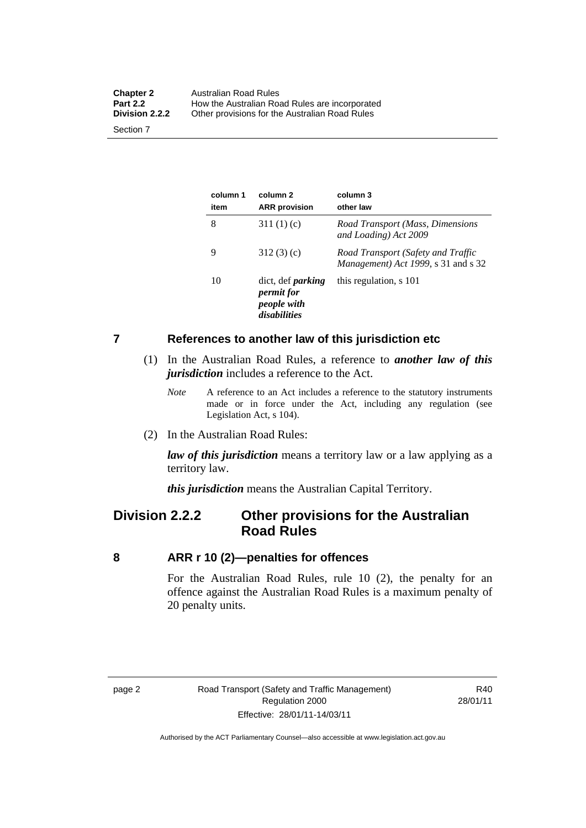<span id="page-21-0"></span>

| <b>Chapter 2</b><br><b>Part 2.2</b> | Australian Road Rules<br>How the Australian Road Rules are incorporated |
|-------------------------------------|-------------------------------------------------------------------------|
| Division 2.2.2                      | Other provisions for the Australian Road Rules                          |
| Section 7                           |                                                                         |

**column 1 item column 2 ARR provision column 3 other law**  8 311 (1) (c) *Road Transport (Mass, Dimensions and Loading) Act 2009*  9 312 (3) (c) *Road Transport (Safety and Traffic Management) Act 1999*, s 31 and s 32 10 dict, def *parking permit for people with disabilities* this regulation, s 101

#### **7 References to another law of this jurisdiction etc**

- (1) In the Australian Road Rules, a reference to *another law of this jurisdiction* includes a reference to the Act.
	- *Note* A reference to an Act includes a reference to the statutory instruments made or in force under the Act, including any regulation (see Legislation Act, s 104).
- (2) In the Australian Road Rules:

*law of this jurisdiction* means a territory law or a law applying as a territory law.

*this jurisdiction* means the Australian Capital Territory.

### **Division 2.2.2 Other provisions for the Australian Road Rules**

#### **8 ARR r 10 (2)—penalties for offences**

For the Australian Road Rules, rule 10 (2), the penalty for an offence against the Australian Road Rules is a maximum penalty of 20 penalty units.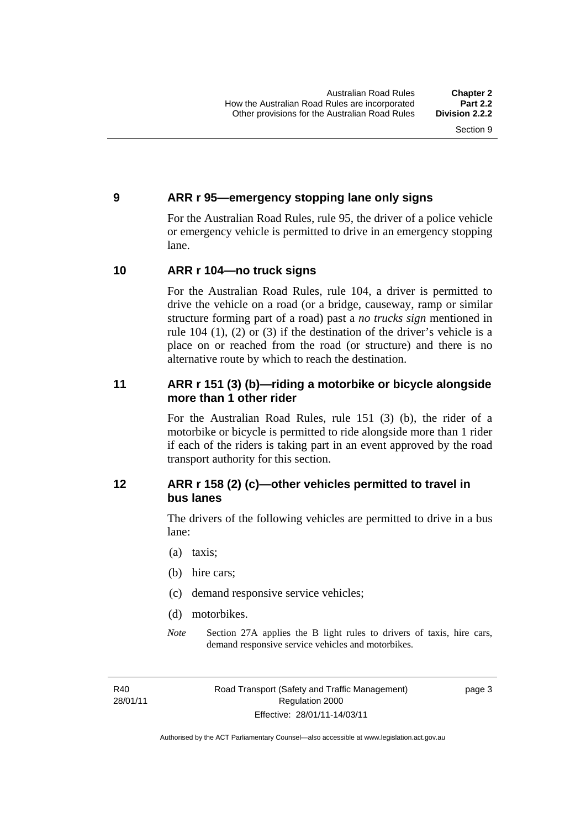#### <span id="page-22-0"></span>**9 ARR r 95—emergency stopping lane only signs**

For the Australian Road Rules, rule 95, the driver of a police vehicle or emergency vehicle is permitted to drive in an emergency stopping lane.

#### **10 ARR r 104—no truck signs**

For the Australian Road Rules, rule 104, a driver is permitted to drive the vehicle on a road (or a bridge, causeway, ramp or similar structure forming part of a road) past a *no trucks sign* mentioned in rule 104 (1), (2) or (3) if the destination of the driver's vehicle is a place on or reached from the road (or structure) and there is no alternative route by which to reach the destination.

#### **11 ARR r 151 (3) (b)—riding a motorbike or bicycle alongside more than 1 other rider**

For the Australian Road Rules, rule 151 (3) (b), the rider of a motorbike or bicycle is permitted to ride alongside more than 1 rider if each of the riders is taking part in an event approved by the road transport authority for this section.

#### **12 ARR r 158 (2) (c)—other vehicles permitted to travel in bus lanes**

The drivers of the following vehicles are permitted to drive in a bus lane:

- (a) taxis;
- (b) hire cars;
- (c) demand responsive service vehicles;
- (d) motorbikes.
- *Note* Section 27A applies the B light rules to drivers of taxis, hire cars, demand responsive service vehicles and motorbikes.

R40 28/01/11 page 3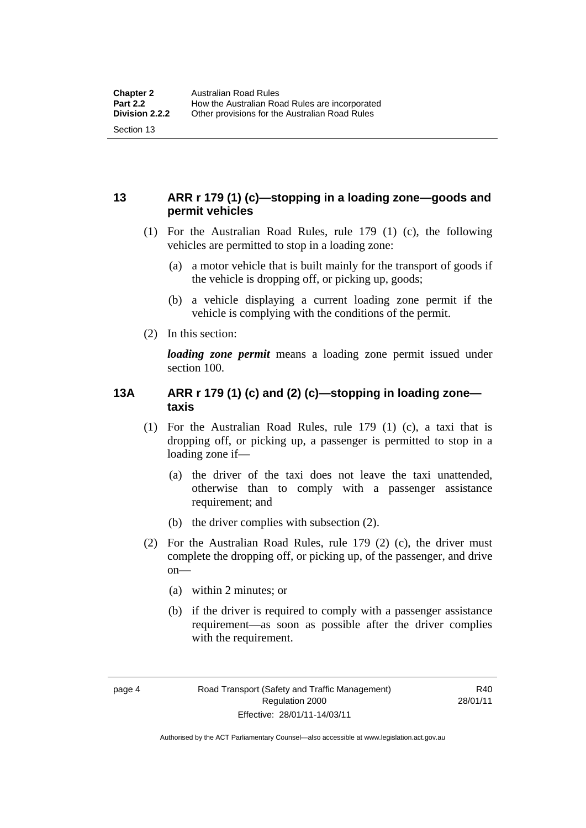#### <span id="page-23-0"></span>**13 ARR r 179 (1) (c)—stopping in a loading zone—goods and permit vehicles**

- (1) For the Australian Road Rules, rule 179 (1) (c), the following vehicles are permitted to stop in a loading zone:
	- (a) a motor vehicle that is built mainly for the transport of goods if the vehicle is dropping off, or picking up, goods;
	- (b) a vehicle displaying a current loading zone permit if the vehicle is complying with the conditions of the permit.
- (2) In this section:

*loading zone permit* means a loading zone permit issued under section 100.

#### **13A ARR r 179 (1) (c) and (2) (c)—stopping in loading zone taxis**

- (1) For the Australian Road Rules, rule 179 (1) (c), a taxi that is dropping off, or picking up, a passenger is permitted to stop in a loading zone if—
	- (a) the driver of the taxi does not leave the taxi unattended, otherwise than to comply with a passenger assistance requirement; and
	- (b) the driver complies with subsection (2).
- (2) For the Australian Road Rules, rule 179 (2) (c), the driver must complete the dropping off, or picking up, of the passenger, and drive on—
	- (a) within 2 minutes; or
	- (b) if the driver is required to comply with a passenger assistance requirement—as soon as possible after the driver complies with the requirement.

R40 28/01/11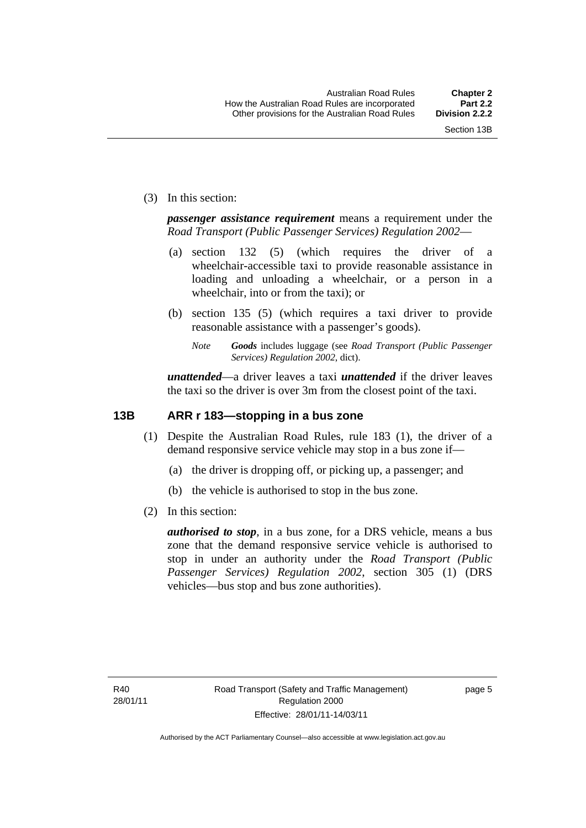<span id="page-24-0"></span>(3) In this section:

*passenger assistance requirement* means a requirement under the *Road Transport (Public Passenger Services) Regulation 2002*—

- (a) section 132 (5) (which requires the driver of a wheelchair-accessible taxi to provide reasonable assistance in loading and unloading a wheelchair, or a person in a wheelchair, into or from the taxi); or
- (b) section 135 (5) (which requires a taxi driver to provide reasonable assistance with a passenger's goods).
	- *Note Goods* includes luggage (see *Road Transport (Public Passenger Services) Regulation 2002*, dict).

*unattended*—a driver leaves a taxi *unattended* if the driver leaves the taxi so the driver is over 3m from the closest point of the taxi.

#### **13B ARR r 183—stopping in a bus zone**

- (1) Despite the Australian Road Rules, rule 183 (1), the driver of a demand responsive service vehicle may stop in a bus zone if—
	- (a) the driver is dropping off, or picking up, a passenger; and
	- (b) the vehicle is authorised to stop in the bus zone.
- (2) In this section:

*authorised to stop*, in a bus zone, for a DRS vehicle, means a bus zone that the demand responsive service vehicle is authorised to stop in under an authority under the *Road Transport (Public Passenger Services) Regulation 2002*, section 305 (1) (DRS vehicles—bus stop and bus zone authorities).

page 5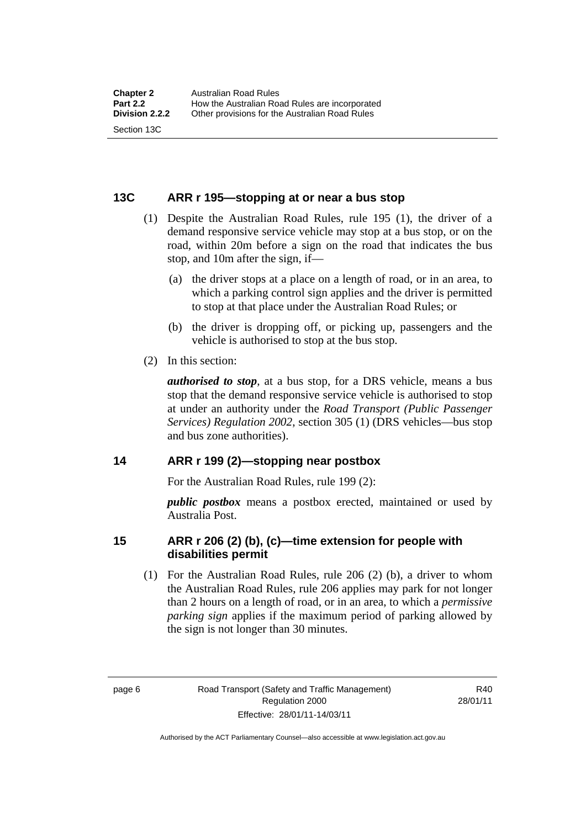#### <span id="page-25-0"></span>**13C ARR r 195—stopping at or near a bus stop**

- (1) Despite the Australian Road Rules, rule 195 (1), the driver of a demand responsive service vehicle may stop at a bus stop, or on the road, within 20m before a sign on the road that indicates the bus stop, and 10m after the sign, if—
	- (a) the driver stops at a place on a length of road, or in an area, to which a parking control sign applies and the driver is permitted to stop at that place under the Australian Road Rules; or
	- (b) the driver is dropping off, or picking up, passengers and the vehicle is authorised to stop at the bus stop.
- (2) In this section:

*authorised to stop*, at a bus stop, for a DRS vehicle, means a bus stop that the demand responsive service vehicle is authorised to stop at under an authority under the *Road Transport (Public Passenger Services) Regulation 2002*, section 305 (1) (DRS vehicles—bus stop and bus zone authorities).

#### **14 ARR r 199 (2)—stopping near postbox**

For the Australian Road Rules, rule 199 (2):

*public postbox* means a postbox erected, maintained or used by Australia Post.

#### **15 ARR r 206 (2) (b), (c)—time extension for people with disabilities permit**

 (1) For the Australian Road Rules, rule 206 (2) (b), a driver to whom the Australian Road Rules, rule 206 applies may park for not longer than 2 hours on a length of road, or in an area, to which a *permissive parking sign* applies if the maximum period of parking allowed by the sign is not longer than 30 minutes.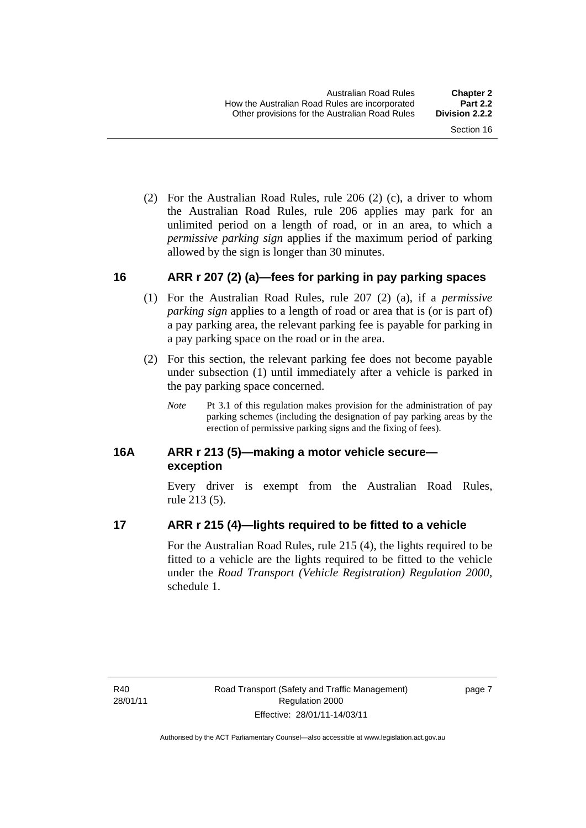<span id="page-26-0"></span> (2) For the Australian Road Rules, rule 206 (2) (c), a driver to whom the Australian Road Rules, rule 206 applies may park for an unlimited period on a length of road, or in an area, to which a *permissive parking sign* applies if the maximum period of parking allowed by the sign is longer than 30 minutes.

#### **16 ARR r 207 (2) (a)—fees for parking in pay parking spaces**

- (1) For the Australian Road Rules, rule 207 (2) (a), if a *permissive parking sign* applies to a length of road or area that is (or is part of) a pay parking area, the relevant parking fee is payable for parking in a pay parking space on the road or in the area.
- (2) For this section, the relevant parking fee does not become payable under subsection (1) until immediately after a vehicle is parked in the pay parking space concerned.
	- *Note* Pt 3.1 of this regulation makes provision for the administration of pay parking schemes (including the designation of pay parking areas by the erection of permissive parking signs and the fixing of fees).

#### **16A ARR r 213 (5)—making a motor vehicle secure exception**

Every driver is exempt from the Australian Road Rules, rule 213 (5).

#### **17 ARR r 215 (4)—lights required to be fitted to a vehicle**

For the Australian Road Rules, rule 215 (4), the lights required to be fitted to a vehicle are the lights required to be fitted to the vehicle under the *Road Transport (Vehicle Registration) Regulation 2000,*  schedule 1.

R40 28/01/11 page 7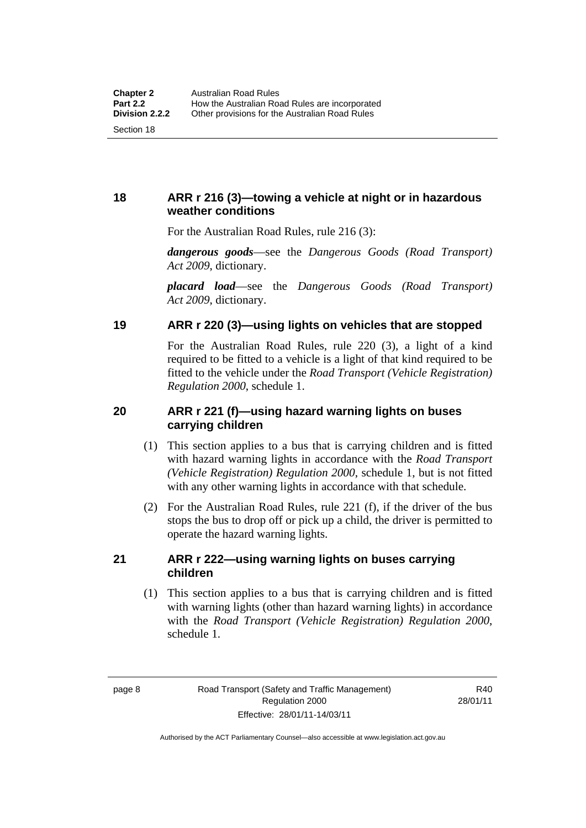### <span id="page-27-0"></span>**18 ARR r 216 (3)—towing a vehicle at night or in hazardous weather conditions**

For the Australian Road Rules, rule 216 (3):

*dangerous goods*—see the *Dangerous Goods (Road Transport) Act 2009*, dictionary.

*placard load*—see the *Dangerous Goods (Road Transport) Act 2009*, dictionary.

#### **19 ARR r 220 (3)—using lights on vehicles that are stopped**

For the Australian Road Rules, rule 220 (3), a light of a kind required to be fitted to a vehicle is a light of that kind required to be fitted to the vehicle under the *Road Transport (Vehicle Registration) Regulation 2000*, schedule 1.

#### **20 ARR r 221 (f)—using hazard warning lights on buses carrying children**

- (1) This section applies to a bus that is carrying children and is fitted with hazard warning lights in accordance with the *Road Transport (Vehicle Registration) Regulation 2000*, schedule 1, but is not fitted with any other warning lights in accordance with that schedule.
- (2) For the Australian Road Rules, rule 221 (f), if the driver of the bus stops the bus to drop off or pick up a child, the driver is permitted to operate the hazard warning lights.

#### **21 ARR r 222—using warning lights on buses carrying children**

 (1) This section applies to a bus that is carrying children and is fitted with warning lights (other than hazard warning lights) in accordance with the *Road Transport (Vehicle Registration) Regulation 2000*, schedule 1.

R40 28/01/11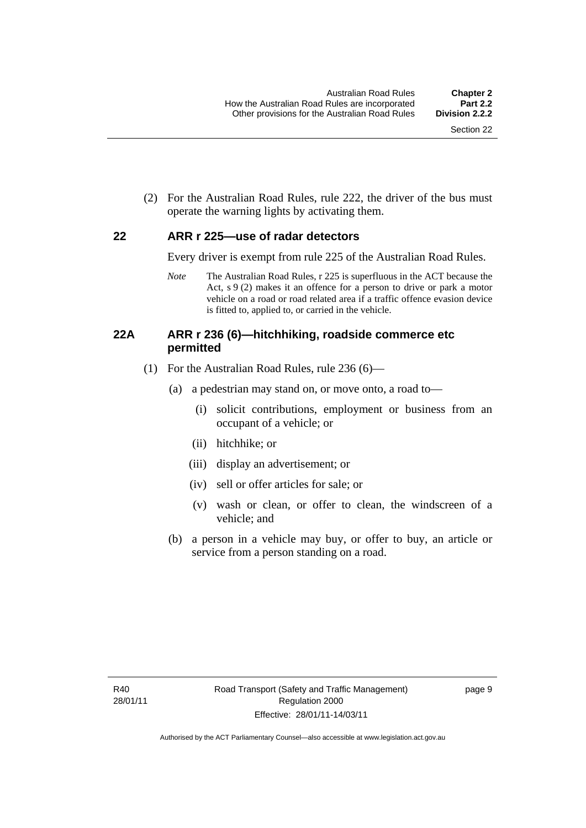<span id="page-28-0"></span> (2) For the Australian Road Rules, rule 222, the driver of the bus must operate the warning lights by activating them.

#### **22 ARR r 225—use of radar detectors**

Every driver is exempt from rule 225 of the Australian Road Rules.

*Note* The Australian Road Rules, r 225 is superfluous in the ACT because the Act, s 9 (2) makes it an offence for a person to drive or park a motor vehicle on a road or road related area if a traffic offence evasion device is fitted to, applied to, or carried in the vehicle.

#### **22A ARR r 236 (6)—hitchhiking, roadside commerce etc permitted**

- (1) For the Australian Road Rules, rule 236 (6)—
	- (a) a pedestrian may stand on, or move onto, a road to—
		- (i) solicit contributions, employment or business from an occupant of a vehicle; or
		- (ii) hitchhike; or
		- (iii) display an advertisement; or
		- (iv) sell or offer articles for sale; or
		- (v) wash or clean, or offer to clean, the windscreen of a vehicle; and
	- (b) a person in a vehicle may buy, or offer to buy, an article or service from a person standing on a road.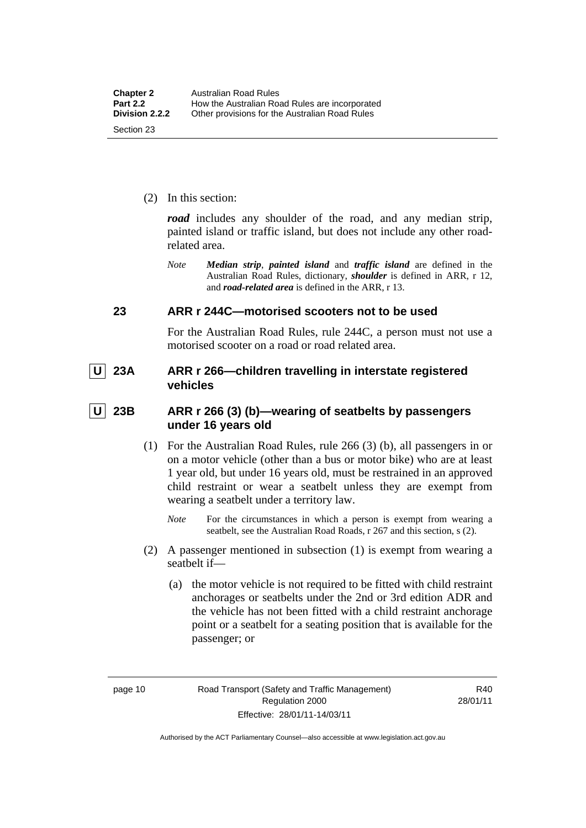<span id="page-29-0"></span>(2) In this section:

*road* includes any shoulder of the road, and any median strip, painted island or traffic island, but does not include any other roadrelated area.

*Note Median strip*, *painted island* and *traffic island* are defined in the Australian Road Rules, dictionary, *shoulder* is defined in ARR, r 12, and *road-related area* is defined in the ARR, r 13.

#### **23 ARR r 244C—motorised scooters not to be used**

For the Australian Road Rules, rule 244C, a person must not use a motorised scooter on a road or road related area.

 **U 23A ARR r 266—children travelling in interstate registered vehicles** 

 **U 23B ARR r 266 (3) (b)—wearing of seatbelts by passengers under 16 years old** 

- (1) For the Australian Road Rules, rule 266 (3) (b), all passengers in or on a motor vehicle (other than a bus or motor bike) who are at least 1 year old, but under 16 years old, must be restrained in an approved child restraint or wear a seatbelt unless they are exempt from wearing a seatbelt under a territory law.
	- *Note* For the circumstances in which a person is exempt from wearing a seatbelt, see the Australian Road Roads, r 267 and this section, s (2).
- (2) A passenger mentioned in subsection (1) is exempt from wearing a seatbelt if—
	- (a) the motor vehicle is not required to be fitted with child restraint anchorages or seatbelts under the 2nd or 3rd edition ADR and the vehicle has not been fitted with a child restraint anchorage point or a seatbelt for a seating position that is available for the passenger; or

R40 28/01/11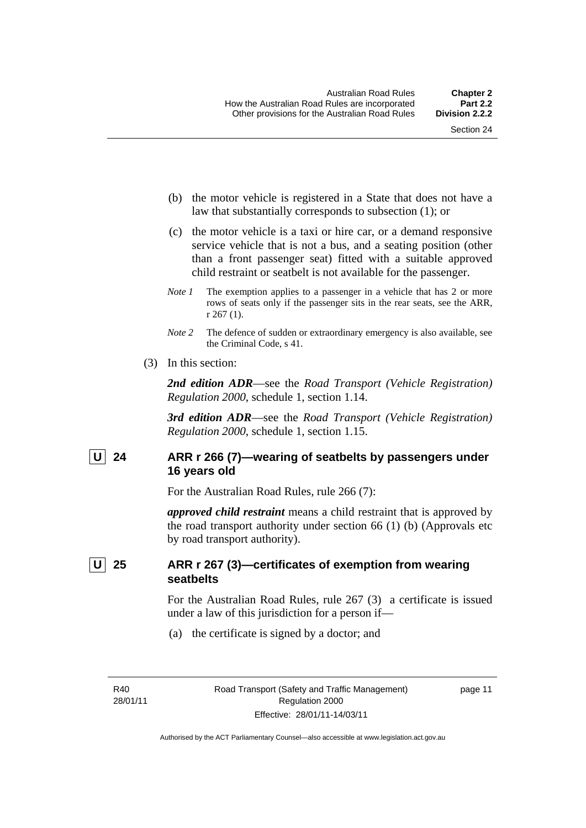- <span id="page-30-0"></span> (b) the motor vehicle is registered in a State that does not have a law that substantially corresponds to subsection (1); or
- (c) the motor vehicle is a taxi or hire car, or a demand responsive service vehicle that is not a bus, and a seating position (other than a front passenger seat) fitted with a suitable approved child restraint or seatbelt is not available for the passenger.
- *Note 1* The exemption applies to a passenger in a vehicle that has 2 or more rows of seats only if the passenger sits in the rear seats, see the ARR, r 267 (1).
- *Note* 2 The defence of sudden or extraordinary emergency is also available, see the Criminal Code, s 41.
- (3) In this section:

*2nd edition ADR*—see the *Road Transport (Vehicle Registration) Regulation 2000*, schedule 1, section 1.14.

*3rd edition ADR*—see the *Road Transport (Vehicle Registration) Regulation 2000*, schedule 1, section 1.15.

#### U 24 ARR r 266 (7)—wearing of seatbelts by passengers under **16 years old**

For the Australian Road Rules, rule 266 (7):

*approved child restraint* means a child restraint that is approved by the road transport authority under section 66 (1) (b) (Approvals etc by road transport authority).

#### **U 25 ARR r 267 (3)—certificates of exemption from wearing seatbelts**

For the Australian Road Rules, rule 267 (3) a certificate is issued under a law of this jurisdiction for a person if—

(a) the certificate is signed by a doctor; and

R40 28/01/11 page 11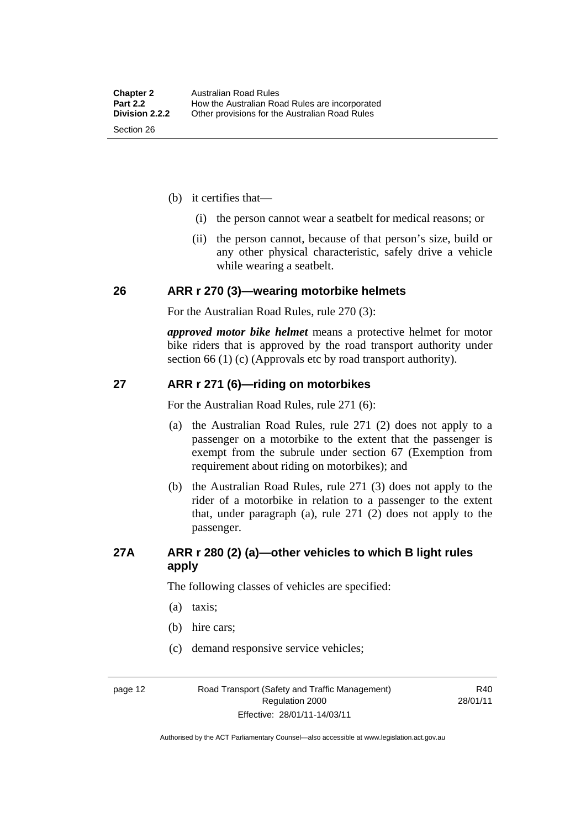- <span id="page-31-0"></span> (b) it certifies that—
	- (i) the person cannot wear a seatbelt for medical reasons; or
	- (ii) the person cannot, because of that person's size, build or any other physical characteristic, safely drive a vehicle while wearing a seatbelt.

#### **26 ARR r 270 (3)—wearing motorbike helmets**

For the Australian Road Rules, rule 270 (3):

*approved motor bike helmet* means a protective helmet for motor bike riders that is approved by the road transport authority under section 66 (1) (c) (Approvals etc by road transport authority).

#### **27 ARR r 271 (6)—riding on motorbikes**

For the Australian Road Rules, rule 271 (6):

- (a) the Australian Road Rules, rule 271 (2) does not apply to a passenger on a motorbike to the extent that the passenger is exempt from the subrule under section 67 (Exemption from requirement about riding on motorbikes); and
- (b) the Australian Road Rules, rule 271 (3) does not apply to the rider of a motorbike in relation to a passenger to the extent that, under paragraph (a), rule 271 (2) does not apply to the passenger.

#### **27A ARR r 280 (2) (a)—other vehicles to which B light rules apply**

The following classes of vehicles are specified:

- (a) taxis;
- (b) hire cars;
- (c) demand responsive service vehicles;

page 12 Road Transport (Safety and Traffic Management) Regulation 2000 Effective: 28/01/11-14/03/11

R40 28/01/11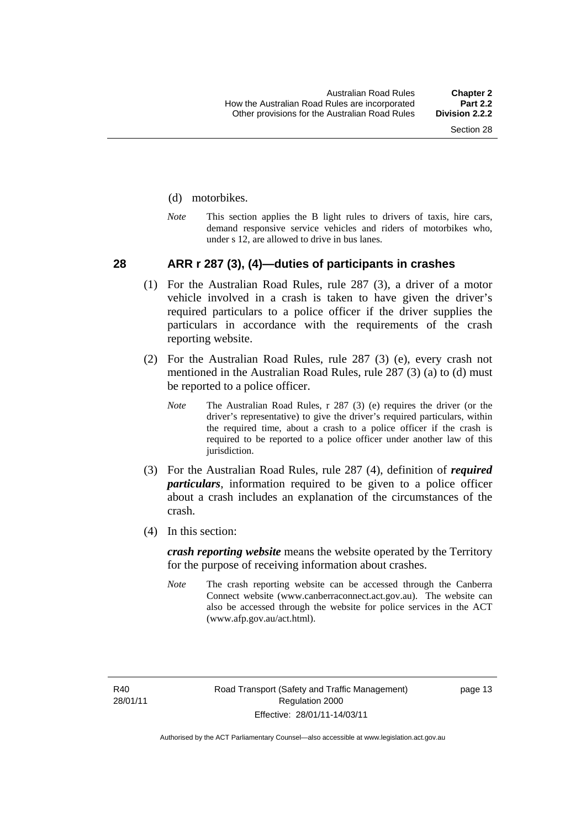#### <span id="page-32-0"></span>(d) motorbikes.

*Note* This section applies the B light rules to drivers of taxis, hire cars, demand responsive service vehicles and riders of motorbikes who, under s 12, are allowed to drive in bus lanes.

#### **28 ARR r 287 (3), (4)—duties of participants in crashes**

- (1) For the Australian Road Rules, rule 287 (3), a driver of a motor vehicle involved in a crash is taken to have given the driver's required particulars to a police officer if the driver supplies the particulars in accordance with the requirements of the crash reporting website.
- (2) For the Australian Road Rules, rule 287 (3) (e), every crash not mentioned in the Australian Road Rules, rule 287 (3) (a) to (d) must be reported to a police officer.
	- *Note* The Australian Road Rules, r 287 (3) (e) requires the driver (or the driver's representative) to give the driver's required particulars, within the required time, about a crash to a police officer if the crash is required to be reported to a police officer under another law of this jurisdiction.
- (3) For the Australian Road Rules, rule 287 (4), definition of *required particulars*, information required to be given to a police officer about a crash includes an explanation of the circumstances of the crash.
- (4) In this section:

*crash reporting website* means the website operated by the Territory for the purpose of receiving information about crashes.

*Note* The crash reporting website can be accessed through the Canberra Connect website (www.canberraconnect.act.gov.au). The website can also be accessed through the website for police services in the ACT (www.afp.gov.au/act.html).

R40 28/01/11 page 13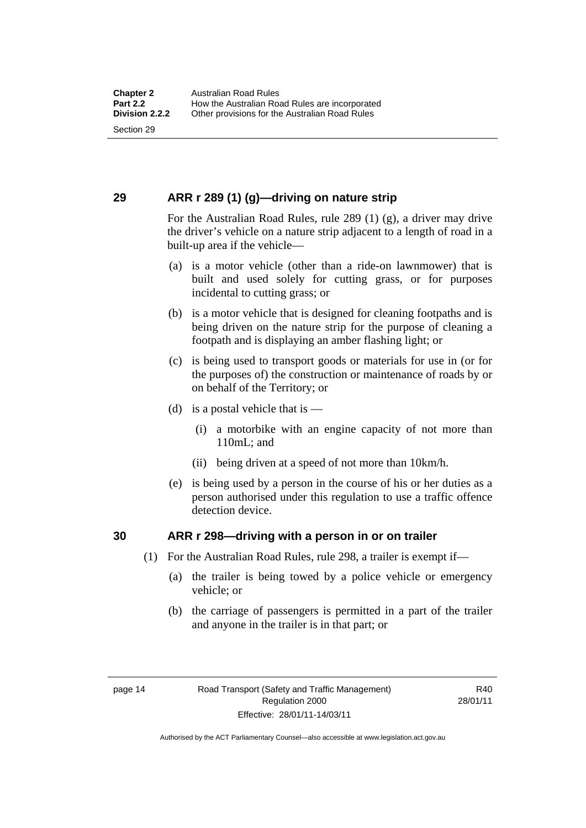#### <span id="page-33-0"></span>**29 ARR r 289 (1) (g)—driving on nature strip**

For the Australian Road Rules, rule 289 (1) (g), a driver may drive the driver's vehicle on a nature strip adjacent to a length of road in a built-up area if the vehicle—

- (a) is a motor vehicle (other than a ride-on lawnmower) that is built and used solely for cutting grass, or for purposes incidental to cutting grass; or
- (b) is a motor vehicle that is designed for cleaning footpaths and is being driven on the nature strip for the purpose of cleaning a footpath and is displaying an amber flashing light; or
- (c) is being used to transport goods or materials for use in (or for the purposes of) the construction or maintenance of roads by or on behalf of the Territory; or
- (d) is a postal vehicle that is  $-$ 
	- (i) a motorbike with an engine capacity of not more than 110mL; and
	- (ii) being driven at a speed of not more than 10km/h.
- (e) is being used by a person in the course of his or her duties as a person authorised under this regulation to use a traffic offence detection device.

#### **30 ARR r 298—driving with a person in or on trailer**

- (1) For the Australian Road Rules, rule 298, a trailer is exempt if—
	- (a) the trailer is being towed by a police vehicle or emergency vehicle; or
	- (b) the carriage of passengers is permitted in a part of the trailer and anyone in the trailer is in that part; or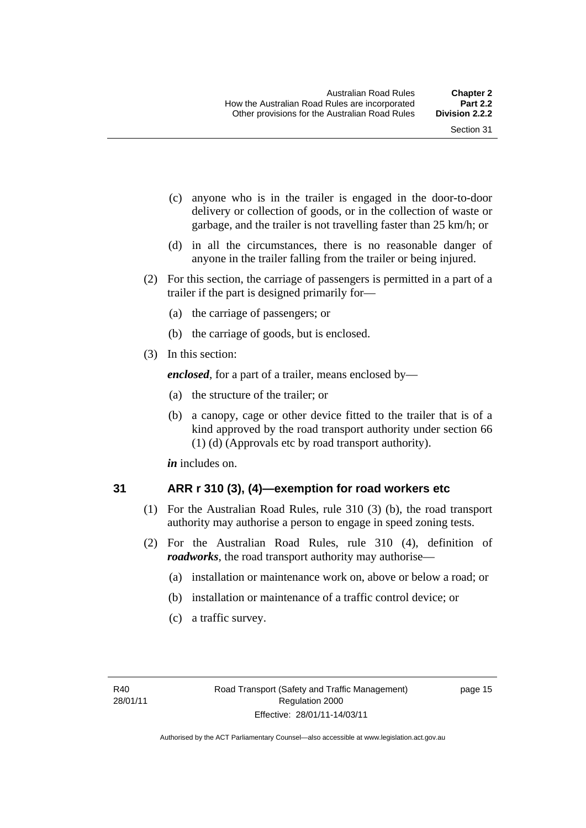- <span id="page-34-0"></span> (c) anyone who is in the trailer is engaged in the door-to-door delivery or collection of goods, or in the collection of waste or garbage, and the trailer is not travelling faster than 25 km/h; or
- (d) in all the circumstances, there is no reasonable danger of anyone in the trailer falling from the trailer or being injured.
- (2) For this section, the carriage of passengers is permitted in a part of a trailer if the part is designed primarily for—
	- (a) the carriage of passengers; or
	- (b) the carriage of goods, but is enclosed.
- (3) In this section:

*enclosed*, for a part of a trailer, means enclosed by—

- (a) the structure of the trailer; or
- (b) a canopy, cage or other device fitted to the trailer that is of a kind approved by the road transport authority under section 66 (1) (d) (Approvals etc by road transport authority).

*in* includes on.

#### **31 ARR r 310 (3), (4)—exemption for road workers etc**

- (1) For the Australian Road Rules, rule 310 (3) (b), the road transport authority may authorise a person to engage in speed zoning tests.
- (2) For the Australian Road Rules, rule 310 (4), definition of *roadworks*, the road transport authority may authorise—
	- (a) installation or maintenance work on, above or below a road; or
	- (b) installation or maintenance of a traffic control device; or
	- (c) a traffic survey.

page 15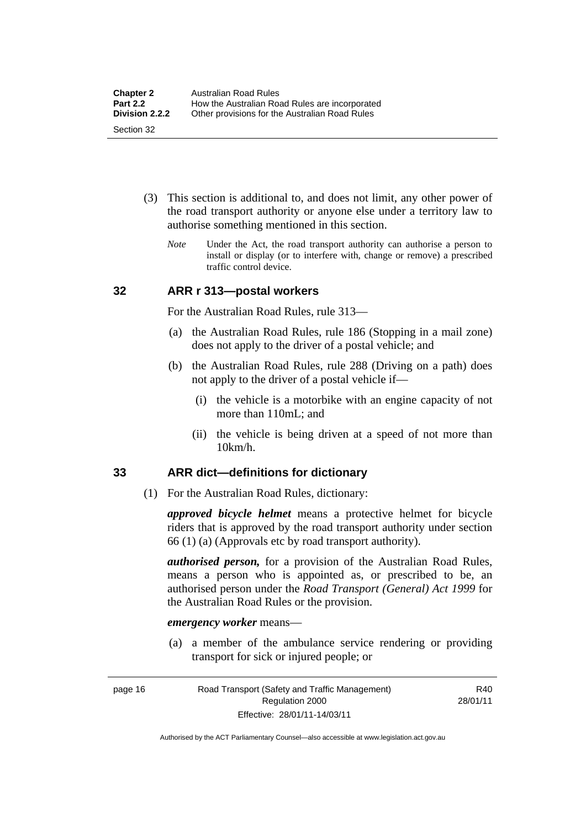- <span id="page-35-0"></span> (3) This section is additional to, and does not limit, any other power of the road transport authority or anyone else under a territory law to authorise something mentioned in this section.
	- *Note* Under the Act, the road transport authority can authorise a person to install or display (or to interfere with, change or remove) a prescribed traffic control device.

#### **32 ARR r 313—postal workers**

For the Australian Road Rules, rule 313—

- (a) the Australian Road Rules, rule 186 (Stopping in a mail zone) does not apply to the driver of a postal vehicle; and
- (b) the Australian Road Rules, rule 288 (Driving on a path) does not apply to the driver of a postal vehicle if—
	- (i) the vehicle is a motorbike with an engine capacity of not more than 110mL; and
	- (ii) the vehicle is being driven at a speed of not more than 10km/h.

#### **33 ARR dict—definitions for dictionary**

(1) For the Australian Road Rules, dictionary:

*approved bicycle helmet* means a protective helmet for bicycle riders that is approved by the road transport authority under section 66 (1) (a) (Approvals etc by road transport authority).

*authorised person,* for a provision of the Australian Road Rules, means a person who is appointed as, or prescribed to be, an authorised person under the *Road Transport (General) Act 1999* for the Australian Road Rules or the provision.

#### *emergency worker* means—

 (a) a member of the ambulance service rendering or providing transport for sick or injured people; or

page 16 Road Transport (Safety and Traffic Management) Regulation 2000 Effective: 28/01/11-14/03/11

R40 28/01/11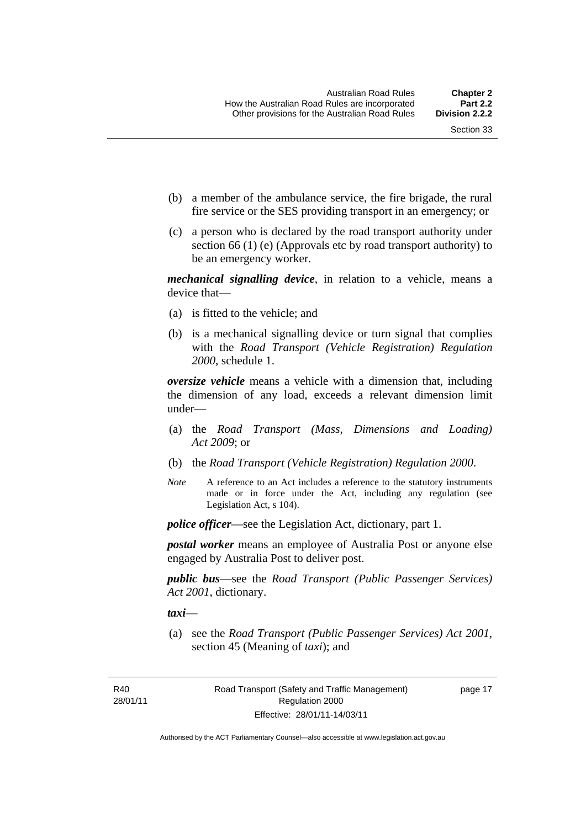- (b) a member of the ambulance service, the fire brigade, the rural fire service or the SES providing transport in an emergency; or
- (c) a person who is declared by the road transport authority under section 66 (1) (e) (Approvals etc by road transport authority) to be an emergency worker.

*mechanical signalling device*, in relation to a vehicle, means a device that—

- (a) is fitted to the vehicle; and
- (b) is a mechanical signalling device or turn signal that complies with the *Road Transport (Vehicle Registration) Regulation 2000*, schedule 1.

*oversize vehicle* means a vehicle with a dimension that, including the dimension of any load, exceeds a relevant dimension limit under—

- (a) the *Road Transport (Mass, Dimensions and Loading) Act 2009*; or
- (b) the *Road Transport (Vehicle Registration) Regulation 2000*.
- *Note* A reference to an Act includes a reference to the statutory instruments made or in force under the Act, including any regulation (see Legislation Act, s 104).

*police officer*—see the Legislation Act, dictionary, part 1.

*postal worker* means an employee of Australia Post or anyone else engaged by Australia Post to deliver post.

*public bus*—see the *Road Transport (Public Passenger Services) Act 2001*, dictionary.

*taxi*—

 (a) see the *Road Transport (Public Passenger Services) Act 2001*, section 45 (Meaning of *taxi*); and

R40 28/01/11 page 17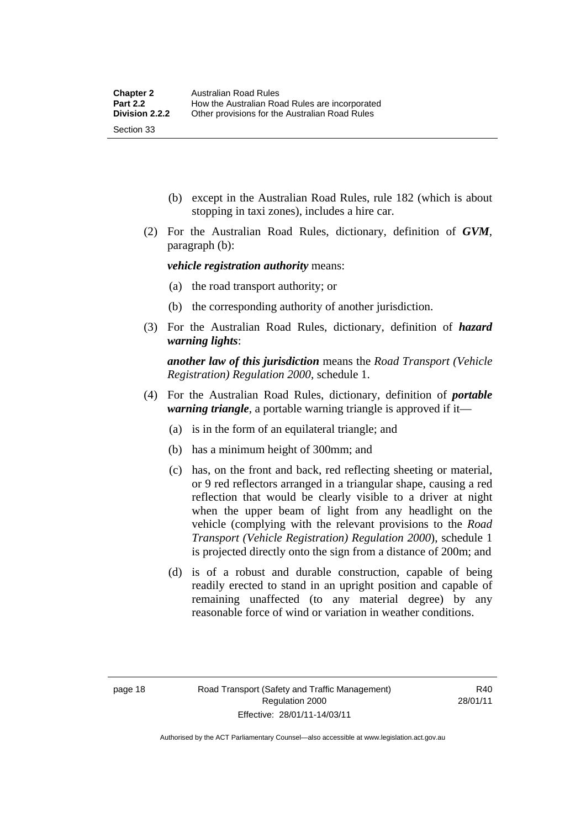- (b) except in the Australian Road Rules, rule 182 (which is about stopping in taxi zones), includes a hire car.
- (2) For the Australian Road Rules, dictionary, definition of *GVM*, paragraph (b):

*vehicle registration authority* means:

- (a) the road transport authority; or
- (b) the corresponding authority of another jurisdiction.
- (3) For the Australian Road Rules, dictionary, definition of *hazard warning lights*:

*another law of this jurisdiction* means the *Road Transport (Vehicle Registration) Regulation 2000*, schedule 1.

- (4) For the Australian Road Rules, dictionary, definition of *portable warning triangle*, a portable warning triangle is approved if it—
	- (a) is in the form of an equilateral triangle; and
	- (b) has a minimum height of 300mm; and
	- (c) has, on the front and back, red reflecting sheeting or material, or 9 red reflectors arranged in a triangular shape, causing a red reflection that would be clearly visible to a driver at night when the upper beam of light from any headlight on the vehicle (complying with the relevant provisions to the *Road Transport (Vehicle Registration) Regulation 2000*), schedule 1 is projected directly onto the sign from a distance of 200m; and
	- (d) is of a robust and durable construction, capable of being readily erected to stand in an upright position and capable of remaining unaffected (to any material degree) by any reasonable force of wind or variation in weather conditions.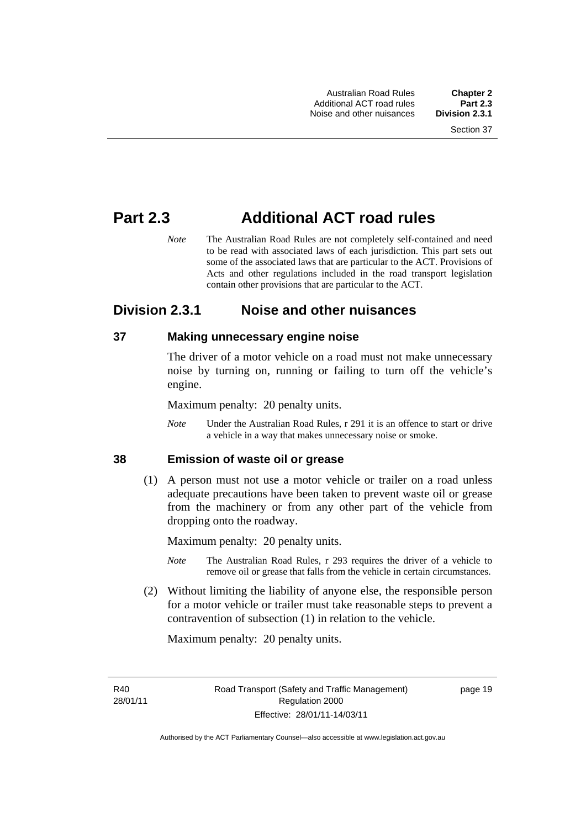# **Part 2.3 Additional ACT road rules**

*Note* The Australian Road Rules are not completely self-contained and need to be read with associated laws of each jurisdiction. This part sets out some of the associated laws that are particular to the ACT. Provisions of Acts and other regulations included in the road transport legislation contain other provisions that are particular to the ACT.

# **Division 2.3.1 Noise and other nuisances**

#### **37 Making unnecessary engine noise**

The driver of a motor vehicle on a road must not make unnecessary noise by turning on, running or failing to turn off the vehicle's engine.

Maximum penalty: 20 penalty units.

*Note* Under the Australian Road Rules, r 291 it is an offence to start or drive a vehicle in a way that makes unnecessary noise or smoke.

#### **38 Emission of waste oil or grease**

 (1) A person must not use a motor vehicle or trailer on a road unless adequate precautions have been taken to prevent waste oil or grease from the machinery or from any other part of the vehicle from dropping onto the roadway.

Maximum penalty: 20 penalty units.

- *Note* The Australian Road Rules, r 293 requires the driver of a vehicle to remove oil or grease that falls from the vehicle in certain circumstances.
- (2) Without limiting the liability of anyone else, the responsible person for a motor vehicle or trailer must take reasonable steps to prevent a contravention of subsection (1) in relation to the vehicle.

Maximum penalty: 20 penalty units.

R<sub>40</sub> 28/01/11 page 19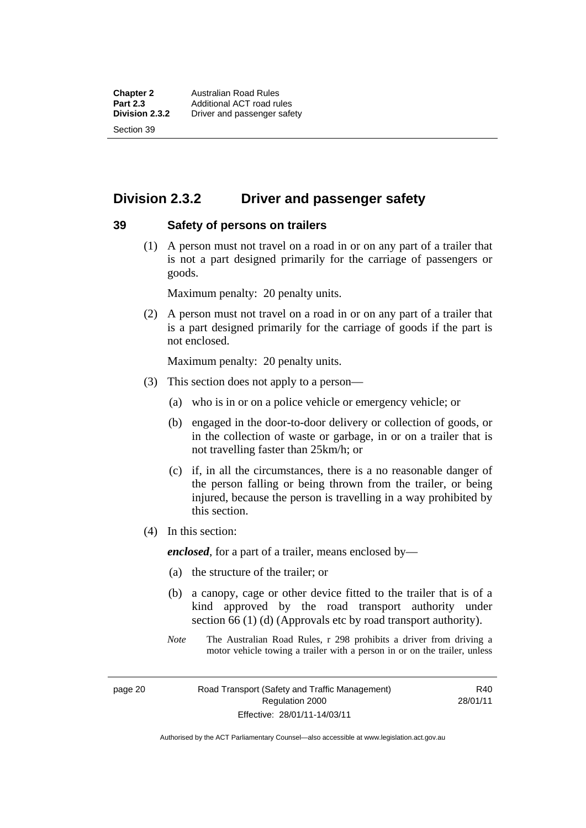# **Division 2.3.2 Driver and passenger safety**

#### **39 Safety of persons on trailers**

 (1) A person must not travel on a road in or on any part of a trailer that is not a part designed primarily for the carriage of passengers or goods.

Maximum penalty: 20 penalty units.

 (2) A person must not travel on a road in or on any part of a trailer that is a part designed primarily for the carriage of goods if the part is not enclosed.

Maximum penalty: 20 penalty units.

- (3) This section does not apply to a person—
	- (a) who is in or on a police vehicle or emergency vehicle; or
	- (b) engaged in the door-to-door delivery or collection of goods, or in the collection of waste or garbage, in or on a trailer that is not travelling faster than 25km/h; or
	- (c) if, in all the circumstances, there is a no reasonable danger of the person falling or being thrown from the trailer, or being injured, because the person is travelling in a way prohibited by this section.
- (4) In this section:

*enclosed*, for a part of a trailer, means enclosed by—

- (a) the structure of the trailer; or
- (b) a canopy, cage or other device fitted to the trailer that is of a kind approved by the road transport authority under section 66 (1) (d) (Approvals etc by road transport authority).
- *Note* The Australian Road Rules, r 298 prohibits a driver from driving a motor vehicle towing a trailer with a person in or on the trailer, unless

page 20 Road Transport (Safety and Traffic Management) Regulation 2000 Effective: 28/01/11-14/03/11

R40 28/01/11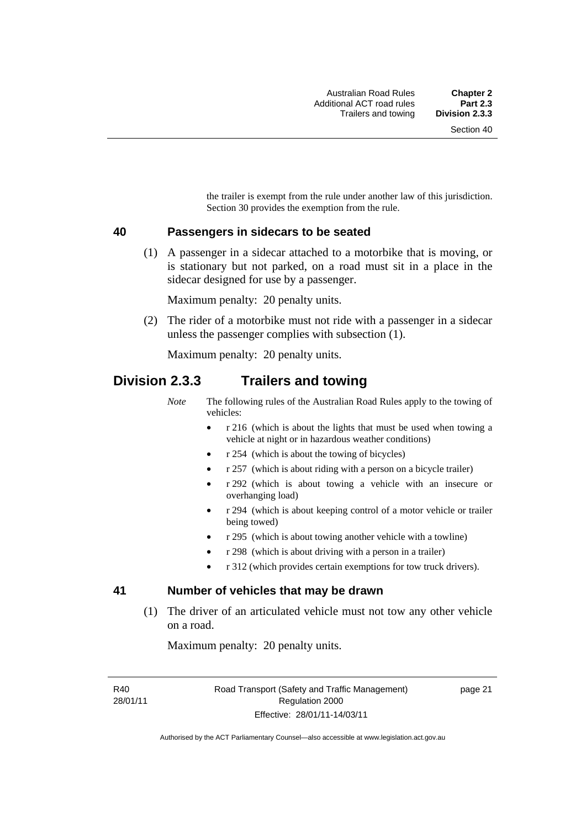the trailer is exempt from the rule under another law of this jurisdiction. Section 30 provides the exemption from the rule.

#### **40 Passengers in sidecars to be seated**

 (1) A passenger in a sidecar attached to a motorbike that is moving, or is stationary but not parked, on a road must sit in a place in the sidecar designed for use by a passenger.

Maximum penalty: 20 penalty units.

 (2) The rider of a motorbike must not ride with a passenger in a sidecar unless the passenger complies with subsection (1).

Maximum penalty: 20 penalty units.

### **Division 2.3.3 Trailers and towing**

*Note* The following rules of the Australian Road Rules apply to the towing of vehicles:

- r 216 (which is about the lights that must be used when towing a vehicle at night or in hazardous weather conditions)
- r 254 (which is about the towing of bicycles)
- r 257 (which is about riding with a person on a bicycle trailer)
- r 292 (which is about towing a vehicle with an insecure or overhanging load)
- r 294 (which is about keeping control of a motor vehicle or trailer being towed)
- r 295 (which is about towing another vehicle with a towline)
- r 298 (which is about driving with a person in a trailer)
- r 312 (which provides certain exemptions for tow truck drivers).

#### **41 Number of vehicles that may be drawn**

 (1) The driver of an articulated vehicle must not tow any other vehicle on a road.

Maximum penalty: 20 penalty units.

R40 28/01/11 page 21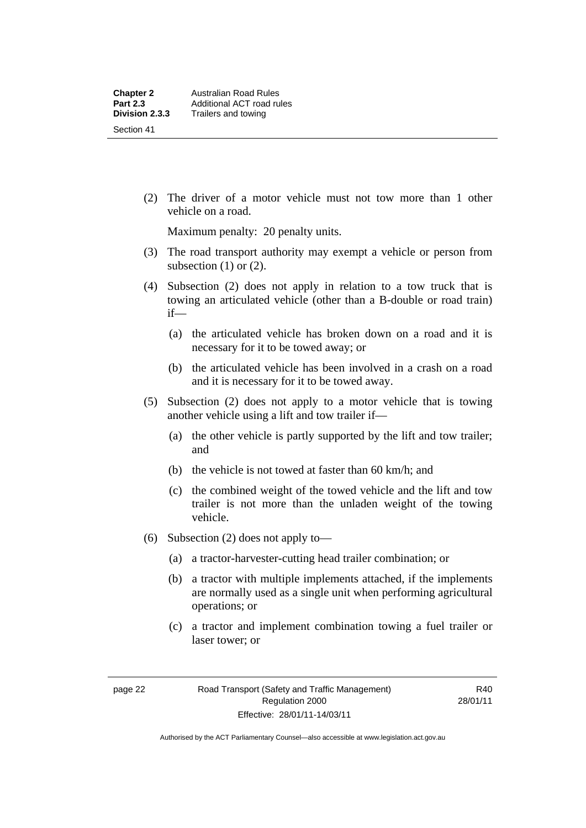(2) The driver of a motor vehicle must not tow more than 1 other vehicle on a road.

Maximum penalty: 20 penalty units.

- (3) The road transport authority may exempt a vehicle or person from subsection  $(1)$  or  $(2)$ .
- (4) Subsection (2) does not apply in relation to a tow truck that is towing an articulated vehicle (other than a B-double or road train) if—
	- (a) the articulated vehicle has broken down on a road and it is necessary for it to be towed away; or
	- (b) the articulated vehicle has been involved in a crash on a road and it is necessary for it to be towed away.
- (5) Subsection (2) does not apply to a motor vehicle that is towing another vehicle using a lift and tow trailer if—
	- (a) the other vehicle is partly supported by the lift and tow trailer; and
	- (b) the vehicle is not towed at faster than 60 km/h; and
	- (c) the combined weight of the towed vehicle and the lift and tow trailer is not more than the unladen weight of the towing vehicle.
- (6) Subsection (2) does not apply to—
	- (a) a tractor-harvester-cutting head trailer combination; or
	- (b) a tractor with multiple implements attached, if the implements are normally used as a single unit when performing agricultural operations; or
	- (c) a tractor and implement combination towing a fuel trailer or laser tower; or

R40 28/01/11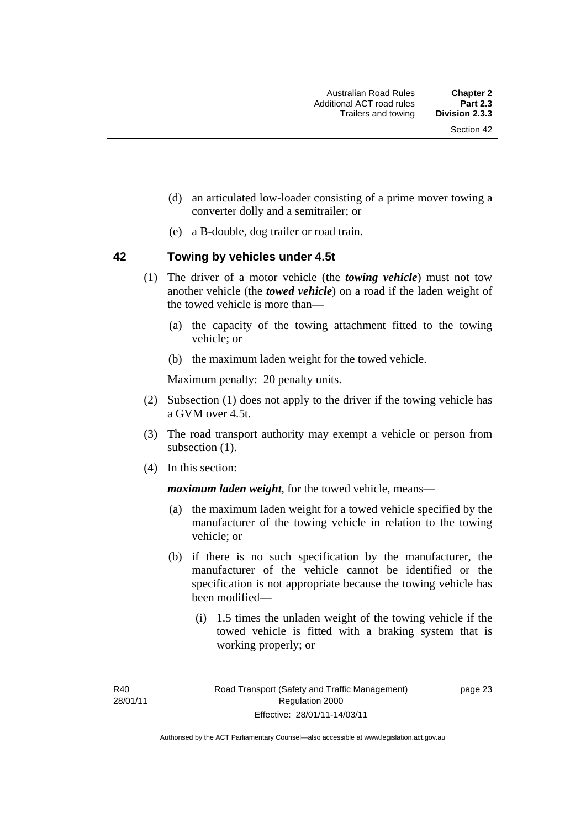- (d) an articulated low-loader consisting of a prime mover towing a converter dolly and a semitrailer; or
- (e) a B-double, dog trailer or road train.

#### **42 Towing by vehicles under 4.5t**

- (1) The driver of a motor vehicle (the *towing vehicle*) must not tow another vehicle (the *towed vehicle*) on a road if the laden weight of the towed vehicle is more than—
	- (a) the capacity of the towing attachment fitted to the towing vehicle; or
	- (b) the maximum laden weight for the towed vehicle.

Maximum penalty: 20 penalty units.

- (2) Subsection (1) does not apply to the driver if the towing vehicle has a GVM over 4.5t.
- (3) The road transport authority may exempt a vehicle or person from subsection  $(1)$ .
- (4) In this section:

*maximum laden weight*, for the towed vehicle, means—

- (a) the maximum laden weight for a towed vehicle specified by the manufacturer of the towing vehicle in relation to the towing vehicle; or
- (b) if there is no such specification by the manufacturer, the manufacturer of the vehicle cannot be identified or the specification is not appropriate because the towing vehicle has been modified—
	- (i) 1.5 times the unladen weight of the towing vehicle if the towed vehicle is fitted with a braking system that is working properly; or

R40 28/01/11 page 23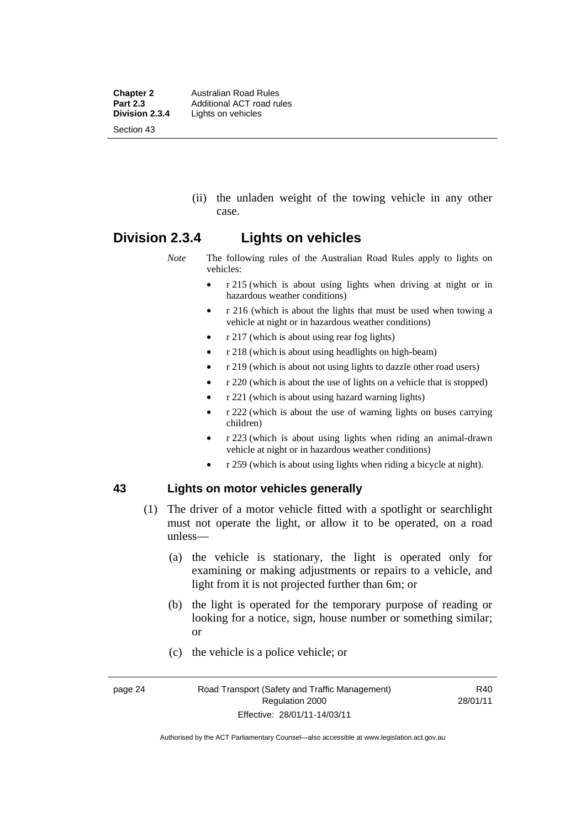**Chapter 2 Australian Road Rules**<br>**Part 2.3 Additional ACT road rules Part 2.3** Additional ACT road rules<br>**Division 2.3.4** Lights on vehicles Lights on vehicles Section 43

> (ii) the unladen weight of the towing vehicle in any other case.

#### **Division 2.3.4 Lights on vehicles**

*Note* The following rules of the Australian Road Rules apply to lights on vehicles:

- r 215 (which is about using lights when driving at night or in hazardous weather conditions)
- r 216 (which is about the lights that must be used when towing a vehicle at night or in hazardous weather conditions)
- r 217 (which is about using rear fog lights)
- r 218 (which is about using headlights on high-beam)
- r 219 (which is about not using lights to dazzle other road users)
- r 220 (which is about the use of lights on a vehicle that is stopped)
- r 221 (which is about using hazard warning lights)
- r 222 (which is about the use of warning lights on buses carrying children)
- r 223 (which is about using lights when riding an animal-drawn vehicle at night or in hazardous weather conditions)
- r 259 (which is about using lights when riding a bicycle at night).

#### **43 Lights on motor vehicles generally**

- (1) The driver of a motor vehicle fitted with a spotlight or searchlight must not operate the light, or allow it to be operated, on a road unless—
	- (a) the vehicle is stationary, the light is operated only for examining or making adjustments or repairs to a vehicle, and light from it is not projected further than 6m; or
	- (b) the light is operated for the temporary purpose of reading or looking for a notice, sign, house number or something similar; or
	- (c) the vehicle is a police vehicle; or

Authorised by the ACT Parliamentary Counsel—also accessible at www.legislation.act.gov.au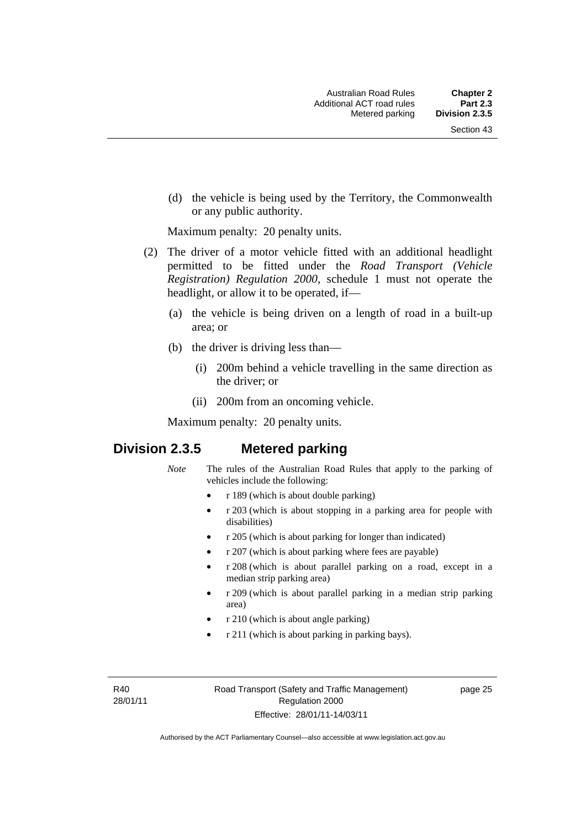(d) the vehicle is being used by the Territory, the Commonwealth or any public authority.

Maximum penalty: 20 penalty units.

- (2) The driver of a motor vehicle fitted with an additional headlight permitted to be fitted under the *Road Transport (Vehicle Registration) Regulation 2000*, schedule 1 must not operate the headlight, or allow it to be operated, if—
	- (a) the vehicle is being driven on a length of road in a built-up area; or
	- (b) the driver is driving less than—
		- (i) 200m behind a vehicle travelling in the same direction as the driver; or
		- (ii) 200m from an oncoming vehicle.

Maximum penalty: 20 penalty units.

# **Division 2.3.5 Metered parking**

- *Note* The rules of the Australian Road Rules that apply to the parking of vehicles include the following:
	- r 189 (which is about double parking)
	- r 203 (which is about stopping in a parking area for people with disabilities)
	- r 205 (which is about parking for longer than indicated)
	- r 207 (which is about parking where fees are payable)
	- r 208 (which is about parallel parking on a road, except in a median strip parking area)
	- r 209 (which is about parallel parking in a median strip parking area)
	- r 210 (which is about angle parking)
	- r 211 (which is about parking in parking bays).

R40 28/01/11 page 25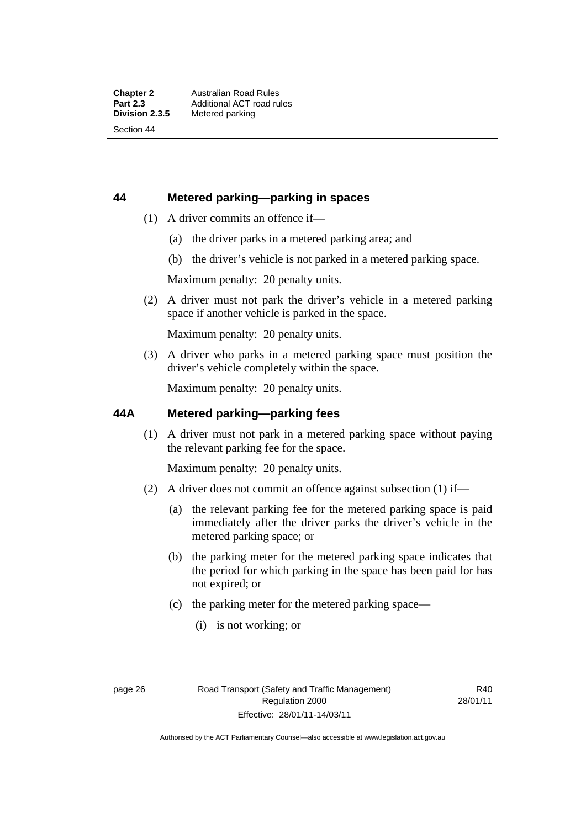#### **44 Metered parking—parking in spaces**

- (1) A driver commits an offence if—
	- (a) the driver parks in a metered parking area; and
	- (b) the driver's vehicle is not parked in a metered parking space.

Maximum penalty: 20 penalty units.

 (2) A driver must not park the driver's vehicle in a metered parking space if another vehicle is parked in the space.

Maximum penalty: 20 penalty units.

 (3) A driver who parks in a metered parking space must position the driver's vehicle completely within the space.

Maximum penalty: 20 penalty units.

#### **44A Metered parking—parking fees**

 (1) A driver must not park in a metered parking space without paying the relevant parking fee for the space.

Maximum penalty: 20 penalty units.

- (2) A driver does not commit an offence against subsection (1) if—
	- (a) the relevant parking fee for the metered parking space is paid immediately after the driver parks the driver's vehicle in the metered parking space; or
	- (b) the parking meter for the metered parking space indicates that the period for which parking in the space has been paid for has not expired; or
	- (c) the parking meter for the metered parking space—
		- (i) is not working; or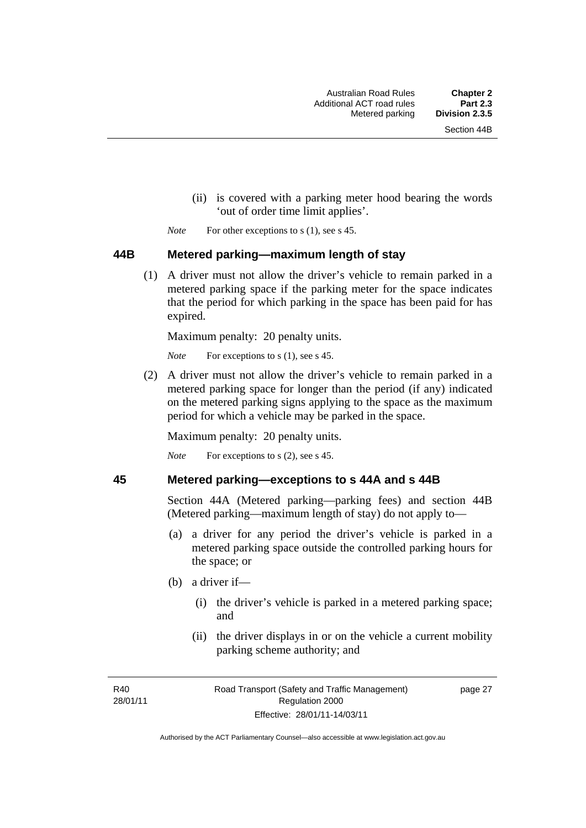- (ii) is covered with a parking meter hood bearing the words 'out of order time limit applies'.
- *Note* For other exceptions to s (1), see s 45.

#### **44B Metered parking—maximum length of stay**

 (1) A driver must not allow the driver's vehicle to remain parked in a metered parking space if the parking meter for the space indicates that the period for which parking in the space has been paid for has expired.

Maximum penalty: 20 penalty units.

*Note* For exceptions to s (1), see s 45.

 (2) A driver must not allow the driver's vehicle to remain parked in a metered parking space for longer than the period (if any) indicated on the metered parking signs applying to the space as the maximum period for which a vehicle may be parked in the space.

Maximum penalty: 20 penalty units.

*Note* For exceptions to s (2), see s 45.

#### **45 Metered parking—exceptions to s 44A and s 44B**

Section 44A (Metered parking—parking fees) and section 44B (Metered parking—maximum length of stay) do not apply to—

- (a) a driver for any period the driver's vehicle is parked in a metered parking space outside the controlled parking hours for the space; or
- (b) a driver if—
	- (i) the driver's vehicle is parked in a metered parking space; and
	- (ii) the driver displays in or on the vehicle a current mobility parking scheme authority; and

R<sub>40</sub> 28/01/11 page 27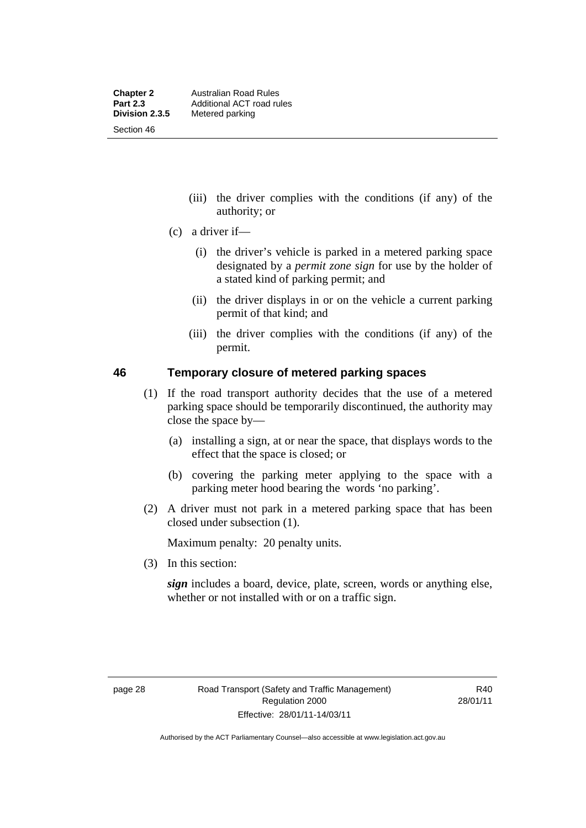- (iii) the driver complies with the conditions (if any) of the authority; or
- (c) a driver if—
	- (i) the driver's vehicle is parked in a metered parking space designated by a *permit zone sign* for use by the holder of a stated kind of parking permit; and
	- (ii) the driver displays in or on the vehicle a current parking permit of that kind; and
	- (iii) the driver complies with the conditions (if any) of the permit.

#### **46 Temporary closure of metered parking spaces**

- (1) If the road transport authority decides that the use of a metered parking space should be temporarily discontinued, the authority may close the space by—
	- (a) installing a sign, at or near the space, that displays words to the effect that the space is closed; or
	- (b) covering the parking meter applying to the space with a parking meter hood bearing the words 'no parking'.
- (2) A driver must not park in a metered parking space that has been closed under subsection (1).

Maximum penalty: 20 penalty units.

(3) In this section:

*sign* includes a board, device, plate, screen, words or anything else, whether or not installed with or on a traffic sign.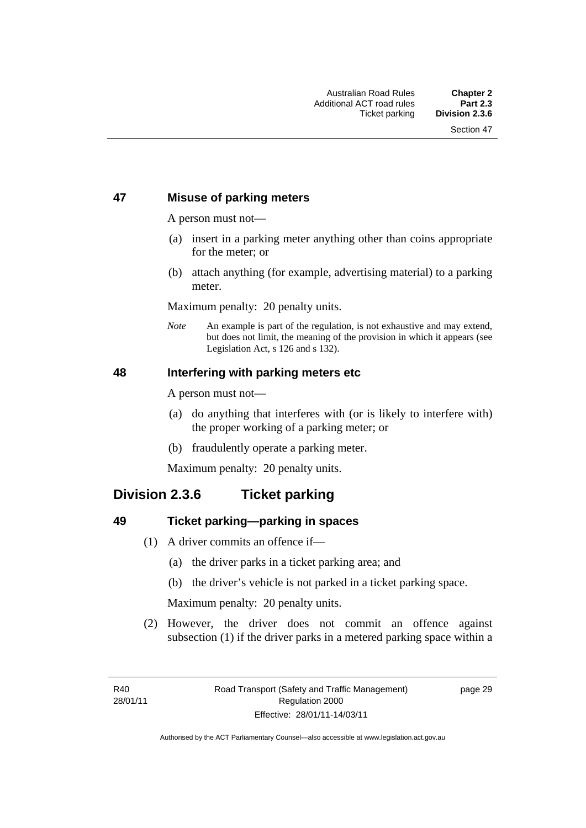#### **47 Misuse of parking meters**

A person must not—

- (a) insert in a parking meter anything other than coins appropriate for the meter; or
- (b) attach anything (for example, advertising material) to a parking meter.

Maximum penalty: 20 penalty units.

*Note* An example is part of the regulation, is not exhaustive and may extend, but does not limit, the meaning of the provision in which it appears (see Legislation Act, s 126 and s 132).

#### **48 Interfering with parking meters etc**

A person must not—

- (a) do anything that interferes with (or is likely to interfere with) the proper working of a parking meter; or
- (b) fraudulently operate a parking meter.

Maximum penalty: 20 penalty units.

# **Division 2.3.6 Ticket parking**

#### **49 Ticket parking—parking in spaces**

- (1) A driver commits an offence if—
	- (a) the driver parks in a ticket parking area; and
	- (b) the driver's vehicle is not parked in a ticket parking space.

Maximum penalty: 20 penalty units.

 (2) However, the driver does not commit an offence against subsection (1) if the driver parks in a metered parking space within a

page 29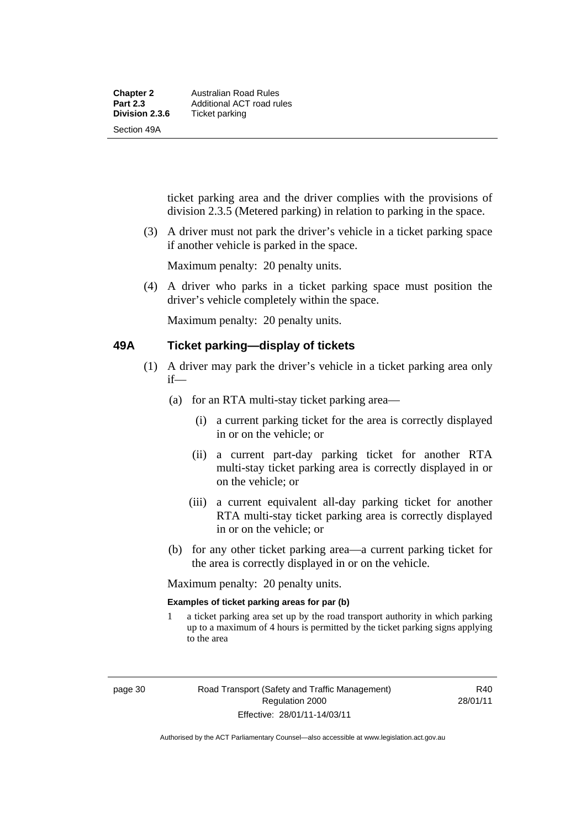ticket parking area and the driver complies with the provisions of division 2.3.5 (Metered parking) in relation to parking in the space.

 (3) A driver must not park the driver's vehicle in a ticket parking space if another vehicle is parked in the space.

Maximum penalty: 20 penalty units.

 (4) A driver who parks in a ticket parking space must position the driver's vehicle completely within the space.

Maximum penalty: 20 penalty units.

#### **49A Ticket parking—display of tickets**

- (1) A driver may park the driver's vehicle in a ticket parking area only if—
	- (a) for an RTA multi-stay ticket parking area—
		- (i) a current parking ticket for the area is correctly displayed in or on the vehicle; or
		- (ii) a current part-day parking ticket for another RTA multi-stay ticket parking area is correctly displayed in or on the vehicle; or
		- (iii) a current equivalent all-day parking ticket for another RTA multi-stay ticket parking area is correctly displayed in or on the vehicle; or
	- (b) for any other ticket parking area—a current parking ticket for the area is correctly displayed in or on the vehicle.

Maximum penalty: 20 penalty units.

#### **Examples of ticket parking areas for par (b)**

1 a ticket parking area set up by the road transport authority in which parking up to a maximum of 4 hours is permitted by the ticket parking signs applying to the area

R40 28/01/11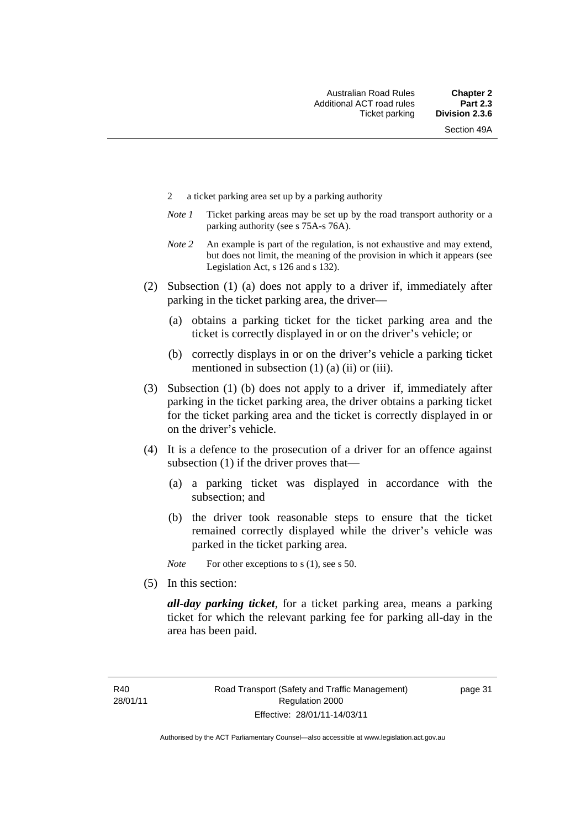- 2 a ticket parking area set up by a parking authority
- *Note 1* Ticket parking areas may be set up by the road transport authority or a parking authority (see s 75A-s 76A).
- *Note 2* An example is part of the regulation, is not exhaustive and may extend, but does not limit, the meaning of the provision in which it appears (see Legislation Act, s 126 and s 132).
- (2) Subsection (1) (a) does not apply to a driver if, immediately after parking in the ticket parking area, the driver—
	- (a) obtains a parking ticket for the ticket parking area and the ticket is correctly displayed in or on the driver's vehicle; or
	- (b) correctly displays in or on the driver's vehicle a parking ticket mentioned in subsection  $(1)$   $(a)$   $(ii)$  or  $(iii)$ .
- (3) Subsection (1) (b) does not apply to a driver if, immediately after parking in the ticket parking area, the driver obtains a parking ticket for the ticket parking area and the ticket is correctly displayed in or on the driver's vehicle.
- (4) It is a defence to the prosecution of a driver for an offence against subsection (1) if the driver proves that—
	- (a) a parking ticket was displayed in accordance with the subsection; and
	- (b) the driver took reasonable steps to ensure that the ticket remained correctly displayed while the driver's vehicle was parked in the ticket parking area.

*Note* For other exceptions to s (1), see s 50.

(5) In this section:

*all-day parking ticket*, for a ticket parking area, means a parking ticket for which the relevant parking fee for parking all-day in the area has been paid.

page 31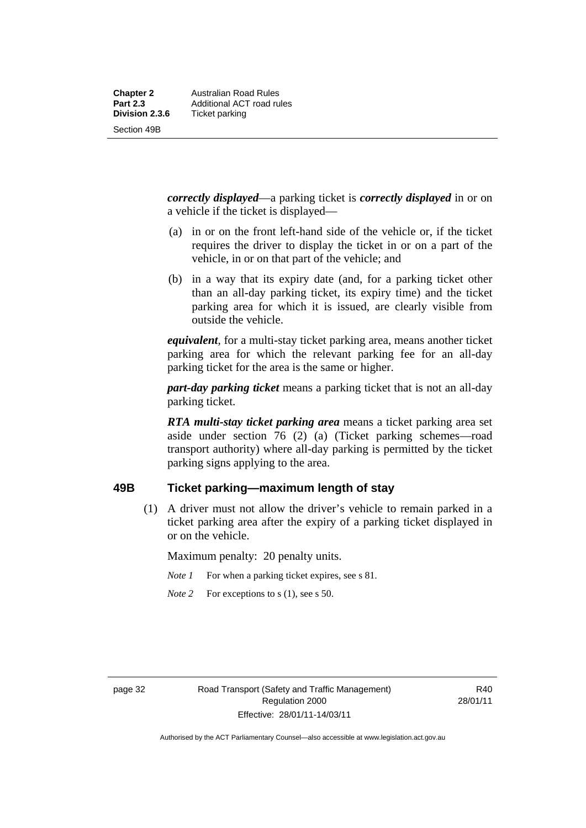Section 49B

*correctly displayed*—a parking ticket is *correctly displayed* in or on a vehicle if the ticket is displayed—

- (a) in or on the front left-hand side of the vehicle or, if the ticket requires the driver to display the ticket in or on a part of the vehicle, in or on that part of the vehicle; and
- (b) in a way that its expiry date (and, for a parking ticket other than an all-day parking ticket, its expiry time) and the ticket parking area for which it is issued, are clearly visible from outside the vehicle.

*equivalent*, for a multi-stay ticket parking area, means another ticket parking area for which the relevant parking fee for an all-day parking ticket for the area is the same or higher.

*part-day parking ticket* means a parking ticket that is not an all-day parking ticket.

*RTA multi-stay ticket parking area* means a ticket parking area set aside under section 76 (2) (a) (Ticket parking schemes—road transport authority) where all-day parking is permitted by the ticket parking signs applying to the area.

#### **49B Ticket parking—maximum length of stay**

 (1) A driver must not allow the driver's vehicle to remain parked in a ticket parking area after the expiry of a parking ticket displayed in or on the vehicle.

Maximum penalty: 20 penalty units.

- *Note 1* For when a parking ticket expires, see s 81.
- *Note* 2 For exceptions to s (1), see s 50.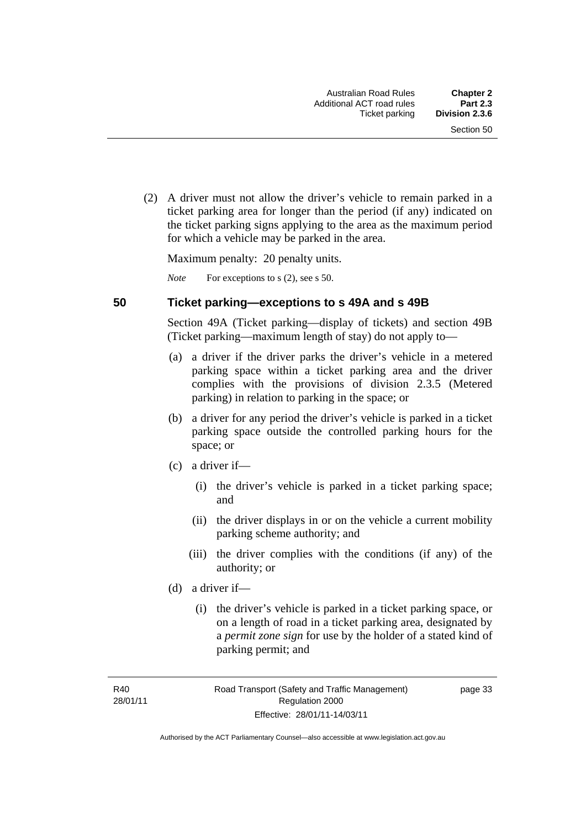(2) A driver must not allow the driver's vehicle to remain parked in a ticket parking area for longer than the period (if any) indicated on the ticket parking signs applying to the area as the maximum period for which a vehicle may be parked in the area.

Maximum penalty: 20 penalty units.

*Note* For exceptions to s (2), see s 50.

#### **50 Ticket parking—exceptions to s 49A and s 49B**

Section 49A (Ticket parking—display of tickets) and section 49B (Ticket parking—maximum length of stay) do not apply to—

- (a) a driver if the driver parks the driver's vehicle in a metered parking space within a ticket parking area and the driver complies with the provisions of division 2.3.5 (Metered parking) in relation to parking in the space; or
- (b) a driver for any period the driver's vehicle is parked in a ticket parking space outside the controlled parking hours for the space; or
- (c) a driver if—
	- (i) the driver's vehicle is parked in a ticket parking space; and
	- (ii) the driver displays in or on the vehicle a current mobility parking scheme authority; and
	- (iii) the driver complies with the conditions (if any) of the authority; or
- (d) a driver if—
	- (i) the driver's vehicle is parked in a ticket parking space, or on a length of road in a ticket parking area, designated by a *permit zone sign* for use by the holder of a stated kind of parking permit; and

R40 28/01/11 page 33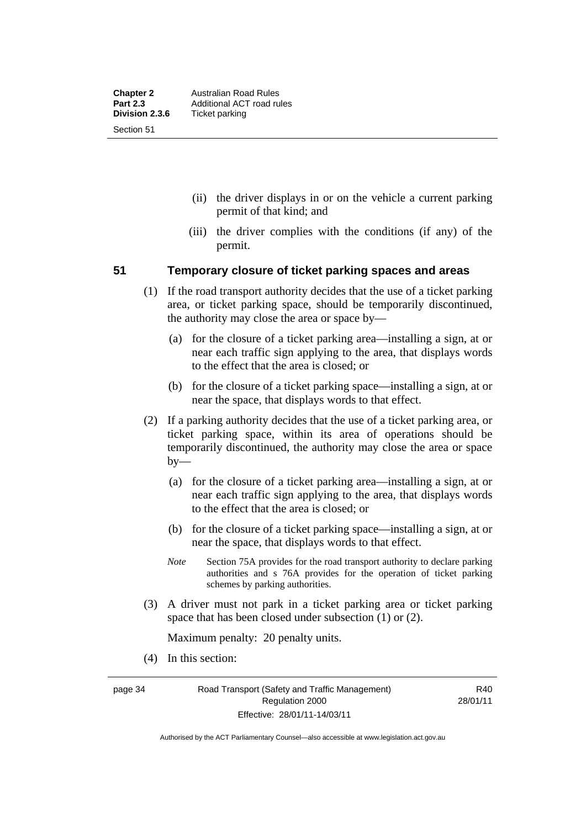- (ii) the driver displays in or on the vehicle a current parking permit of that kind; and
- (iii) the driver complies with the conditions (if any) of the permit.

#### **51 Temporary closure of ticket parking spaces and areas**

- (1) If the road transport authority decides that the use of a ticket parking area, or ticket parking space, should be temporarily discontinued, the authority may close the area or space by—
	- (a) for the closure of a ticket parking area—installing a sign, at or near each traffic sign applying to the area, that displays words to the effect that the area is closed; or
	- (b) for the closure of a ticket parking space—installing a sign, at or near the space, that displays words to that effect.
- (2) If a parking authority decides that the use of a ticket parking area, or ticket parking space, within its area of operations should be temporarily discontinued, the authority may close the area or space by—
	- (a) for the closure of a ticket parking area—installing a sign, at or near each traffic sign applying to the area, that displays words to the effect that the area is closed; or
	- (b) for the closure of a ticket parking space—installing a sign, at or near the space, that displays words to that effect.
	- *Note* Section 75A provides for the road transport authority to declare parking authorities and s 76A provides for the operation of ticket parking schemes by parking authorities.
- (3) A driver must not park in a ticket parking area or ticket parking space that has been closed under subsection (1) or (2).

Maximum penalty: 20 penalty units.

(4) In this section:

page 34 Road Transport (Safety and Traffic Management) Regulation 2000 Effective: 28/01/11-14/03/11

R40 28/01/11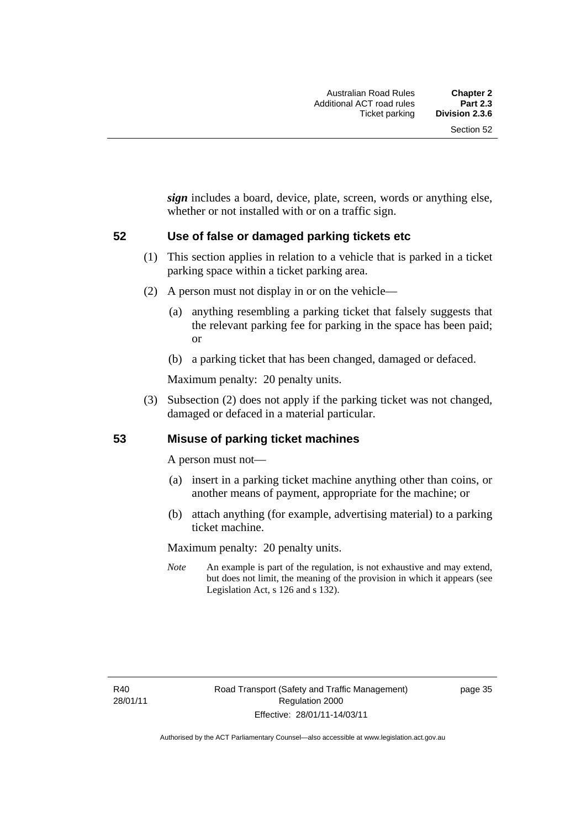*sign* includes a board, device, plate, screen, words or anything else, whether or not installed with or on a traffic sign.

#### **52 Use of false or damaged parking tickets etc**

- (1) This section applies in relation to a vehicle that is parked in a ticket parking space within a ticket parking area.
- (2) A person must not display in or on the vehicle—
	- (a) anything resembling a parking ticket that falsely suggests that the relevant parking fee for parking in the space has been paid; or
	- (b) a parking ticket that has been changed, damaged or defaced.

Maximum penalty: 20 penalty units.

 (3) Subsection (2) does not apply if the parking ticket was not changed, damaged or defaced in a material particular.

#### **53 Misuse of parking ticket machines**

A person must not—

- (a) insert in a parking ticket machine anything other than coins, or another means of payment, appropriate for the machine; or
- (b) attach anything (for example, advertising material) to a parking ticket machine.

Maximum penalty: 20 penalty units.

*Note* An example is part of the regulation, is not exhaustive and may extend, but does not limit, the meaning of the provision in which it appears (see Legislation Act, s 126 and s 132).

page 35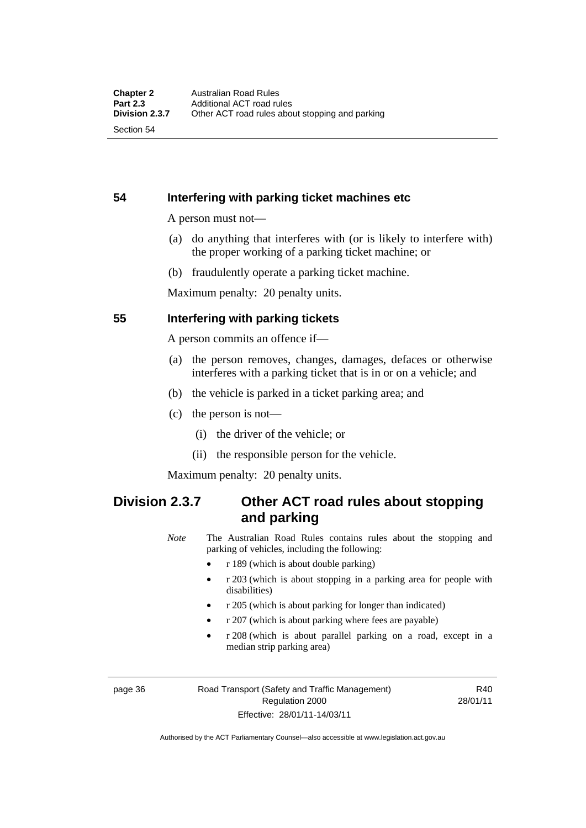**54 Interfering with parking ticket machines etc**

A person must not—

- (a) do anything that interferes with (or is likely to interfere with) the proper working of a parking ticket machine; or
- (b) fraudulently operate a parking ticket machine.

Maximum penalty: 20 penalty units.

#### **55 Interfering with parking tickets**

A person commits an offence if—

- (a) the person removes, changes, damages, defaces or otherwise interferes with a parking ticket that is in or on a vehicle; and
- (b) the vehicle is parked in a ticket parking area; and
- (c) the person is not—
	- (i) the driver of the vehicle; or
	- (ii) the responsible person for the vehicle.

Maximum penalty: 20 penalty units.

## **Division 2.3.7 Other ACT road rules about stopping and parking**

*Note* The Australian Road Rules contains rules about the stopping and parking of vehicles, including the following:

- r 189 (which is about double parking)
- r 203 (which is about stopping in a parking area for people with disabilities)
- r 205 (which is about parking for longer than indicated)
- r 207 (which is about parking where fees are payable)
- r 208 (which is about parallel parking on a road, except in a median strip parking area)

page 36 Road Transport (Safety and Traffic Management) Regulation 2000 Effective: 28/01/11-14/03/11

R40 28/01/11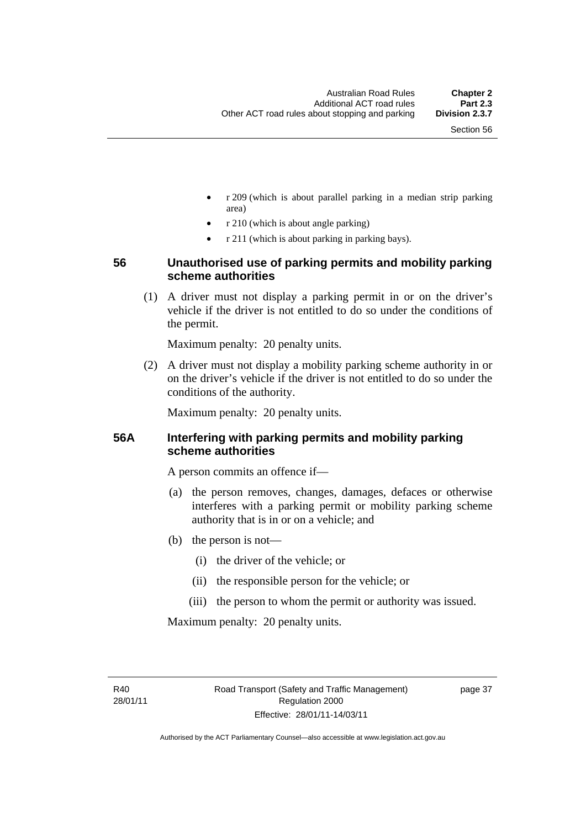- r 209 (which is about parallel parking in a median strip parking area)
- r 210 (which is about angle parking)
- r 211 (which is about parking in parking bays).

#### **56 Unauthorised use of parking permits and mobility parking scheme authorities**

 (1) A driver must not display a parking permit in or on the driver's vehicle if the driver is not entitled to do so under the conditions of the permit.

Maximum penalty: 20 penalty units.

 (2) A driver must not display a mobility parking scheme authority in or on the driver's vehicle if the driver is not entitled to do so under the conditions of the authority.

Maximum penalty: 20 penalty units.

#### **56A Interfering with parking permits and mobility parking scheme authorities**

A person commits an offence if—

- (a) the person removes, changes, damages, defaces or otherwise interferes with a parking permit or mobility parking scheme authority that is in or on a vehicle; and
- (b) the person is not—
	- (i) the driver of the vehicle; or
	- (ii) the responsible person for the vehicle; or
	- (iii) the person to whom the permit or authority was issued.

Maximum penalty: 20 penalty units.

R40 28/01/11 page 37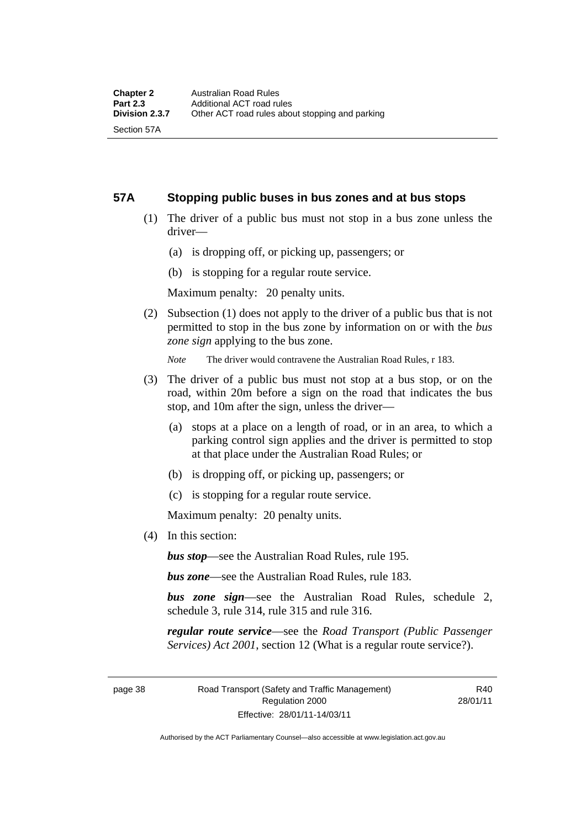Section 57A

#### **57A Stopping public buses in bus zones and at bus stops**

- (1) The driver of a public bus must not stop in a bus zone unless the driver—
	- (a) is dropping off, or picking up, passengers; or
	- (b) is stopping for a regular route service.

Maximum penalty: 20 penalty units.

 (2) Subsection (1) does not apply to the driver of a public bus that is not permitted to stop in the bus zone by information on or with the *bus zone sign* applying to the bus zone.

*Note* The driver would contravene the Australian Road Rules, r 183.

- (3) The driver of a public bus must not stop at a bus stop, or on the road, within 20m before a sign on the road that indicates the bus stop, and 10m after the sign, unless the driver—
	- (a) stops at a place on a length of road, or in an area, to which a parking control sign applies and the driver is permitted to stop at that place under the Australian Road Rules; or
	- (b) is dropping off, or picking up, passengers; or
	- (c) is stopping for a regular route service.

Maximum penalty: 20 penalty units.

(4) In this section:

*bus stop*—see the Australian Road Rules, rule 195.

*bus zone*—see the Australian Road Rules, rule 183.

*bus zone sign*—see the Australian Road Rules, schedule 2, schedule 3, rule 314, rule 315 and rule 316.

*regular route service*—see the *Road Transport (Public Passenger Services) Act 2001*, section 12 (What is a regular route service?).

page 38 Road Transport (Safety and Traffic Management) Regulation 2000 Effective: 28/01/11-14/03/11

R40 28/01/11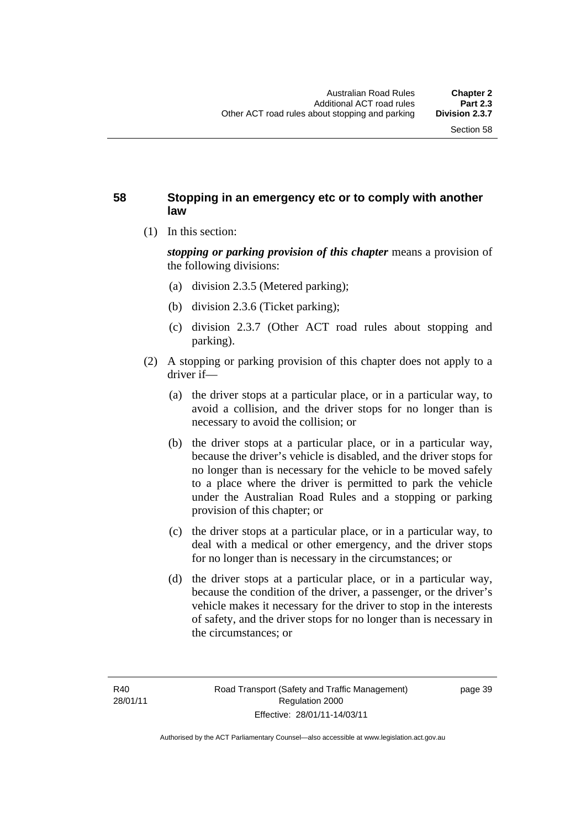#### **58 Stopping in an emergency etc or to comply with another law**

(1) In this section:

*stopping or parking provision of this chapter* means a provision of the following divisions:

- (a) division 2.3.5 (Metered parking);
- (b) division 2.3.6 (Ticket parking);
- (c) division 2.3.7 (Other ACT road rules about stopping and parking).
- (2) A stopping or parking provision of this chapter does not apply to a driver if—
	- (a) the driver stops at a particular place, or in a particular way, to avoid a collision, and the driver stops for no longer than is necessary to avoid the collision; or
	- (b) the driver stops at a particular place, or in a particular way, because the driver's vehicle is disabled, and the driver stops for no longer than is necessary for the vehicle to be moved safely to a place where the driver is permitted to park the vehicle under the Australian Road Rules and a stopping or parking provision of this chapter; or
	- (c) the driver stops at a particular place, or in a particular way, to deal with a medical or other emergency, and the driver stops for no longer than is necessary in the circumstances; or
	- (d) the driver stops at a particular place, or in a particular way, because the condition of the driver, a passenger, or the driver's vehicle makes it necessary for the driver to stop in the interests of safety, and the driver stops for no longer than is necessary in the circumstances; or

page 39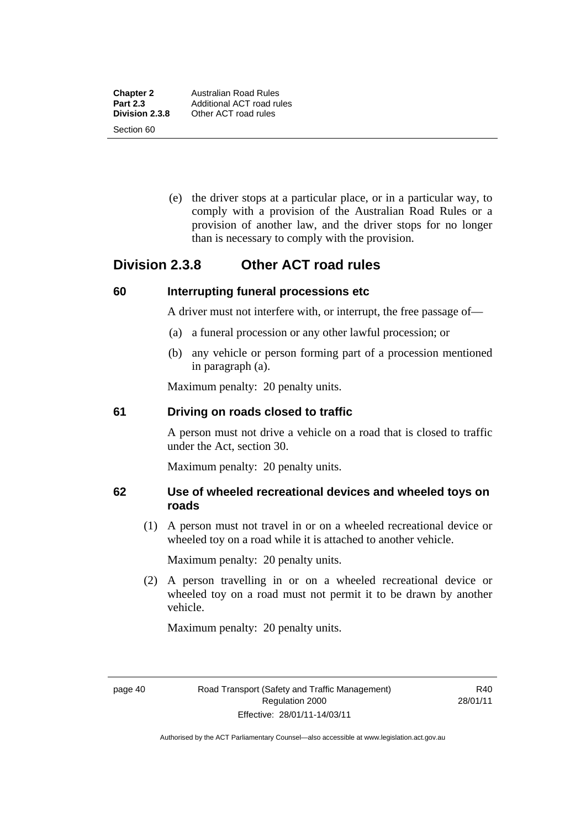**Chapter 2** Australian Road Rules<br>**Part 2.3** Additional ACT road ru

Section 60

 (e) the driver stops at a particular place, or in a particular way, to comply with a provision of the Australian Road Rules or a provision of another law, and the driver stops for no longer than is necessary to comply with the provision.

# **Division 2.3.8 Other ACT road rules**

#### **60 Interrupting funeral processions etc**

A driver must not interfere with, or interrupt, the free passage of—

- (a) a funeral procession or any other lawful procession; or
- (b) any vehicle or person forming part of a procession mentioned in paragraph (a).

Maximum penalty: 20 penalty units.

#### **61 Driving on roads closed to traffic**

A person must not drive a vehicle on a road that is closed to traffic under the Act, section 30.

Maximum penalty: 20 penalty units.

#### **62 Use of wheeled recreational devices and wheeled toys on roads**

 (1) A person must not travel in or on a wheeled recreational device or wheeled toy on a road while it is attached to another vehicle.

Maximum penalty: 20 penalty units.

 (2) A person travelling in or on a wheeled recreational device or wheeled toy on a road must not permit it to be drawn by another vehicle.

Maximum penalty: 20 penalty units.

R40 28/01/11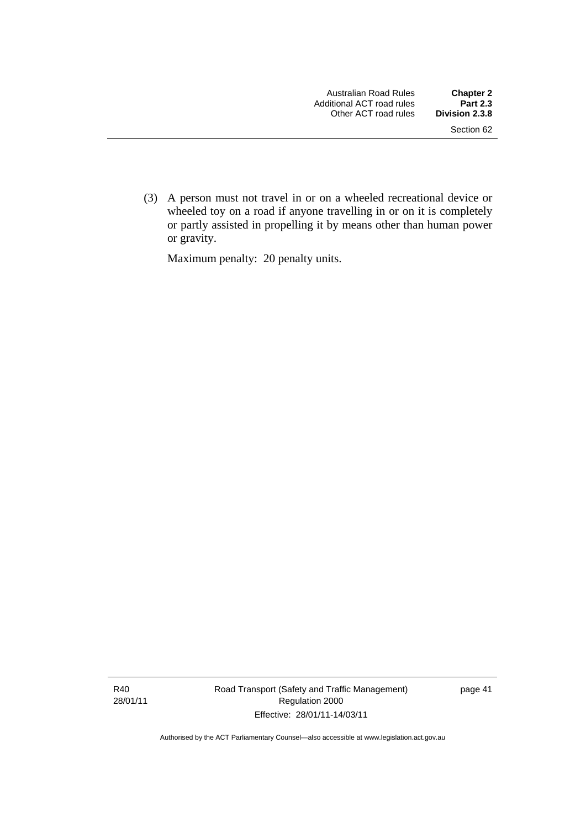(3) A person must not travel in or on a wheeled recreational device or wheeled toy on a road if anyone travelling in or on it is completely or partly assisted in propelling it by means other than human power or gravity.

Maximum penalty: 20 penalty units.

R40 28/01/11 Road Transport (Safety and Traffic Management) Regulation 2000 Effective: 28/01/11-14/03/11

page 41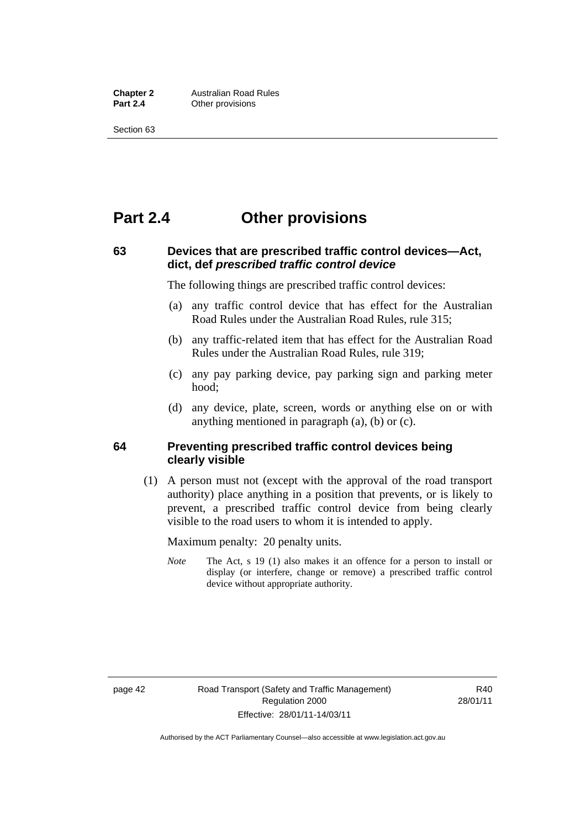**Chapter 2 Australian Road Rules**<br>**Part 2.4 Other provisions Other provisions** 

Section 63

# **Part 2.4 Other provisions**

#### **63 Devices that are prescribed traffic control devices—Act, dict, def** *prescribed traffic control device*

The following things are prescribed traffic control devices:

- (a) any traffic control device that has effect for the Australian Road Rules under the Australian Road Rules, rule 315;
- (b) any traffic-related item that has effect for the Australian Road Rules under the Australian Road Rules, rule 319;
- (c) any pay parking device, pay parking sign and parking meter hood;
- (d) any device, plate, screen, words or anything else on or with anything mentioned in paragraph (a), (b) or (c).

#### **64 Preventing prescribed traffic control devices being clearly visible**

 (1) A person must not (except with the approval of the road transport authority) place anything in a position that prevents, or is likely to prevent, a prescribed traffic control device from being clearly visible to the road users to whom it is intended to apply.

Maximum penalty: 20 penalty units.

*Note* The Act, s 19 (1) also makes it an offence for a person to install or display (or interfere, change or remove) a prescribed traffic control device without appropriate authority.

R40 28/01/11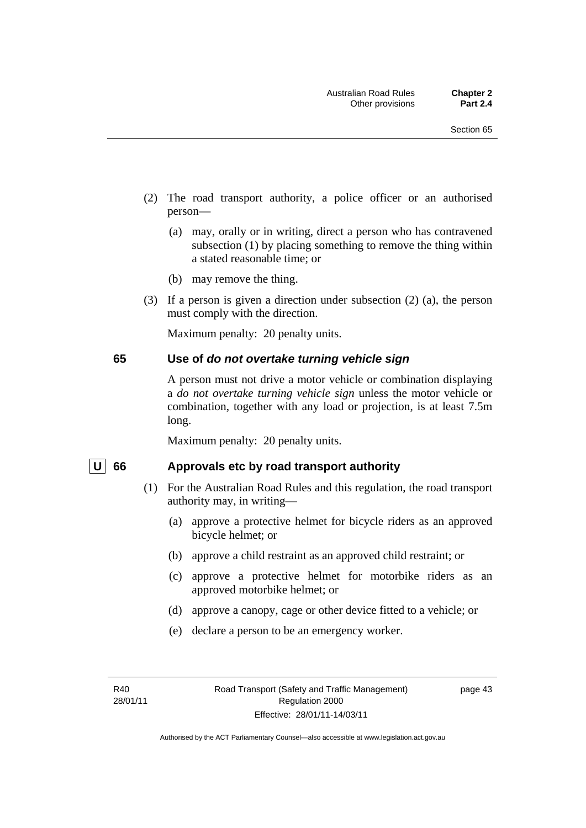- (2) The road transport authority, a police officer or an authorised person—
	- (a) may, orally or in writing, direct a person who has contravened subsection (1) by placing something to remove the thing within a stated reasonable time; or
	- (b) may remove the thing.
- (3) If a person is given a direction under subsection (2) (a), the person must comply with the direction.

Maximum penalty: 20 penalty units.

#### **65 Use of** *do not overtake turning vehicle sign*

A person must not drive a motor vehicle or combination displaying a *do not overtake turning vehicle sign* unless the motor vehicle or combination, together with any load or projection, is at least 7.5m long.

Maximum penalty: 20 penalty units.

#### U 66 Approvals etc by road transport authority

- (1) For the Australian Road Rules and this regulation, the road transport authority may, in writing—
	- (a) approve a protective helmet for bicycle riders as an approved bicycle helmet; or
	- (b) approve a child restraint as an approved child restraint; or
	- (c) approve a protective helmet for motorbike riders as an approved motorbike helmet; or
	- (d) approve a canopy, cage or other device fitted to a vehicle; or
	- (e) declare a person to be an emergency worker.

page 43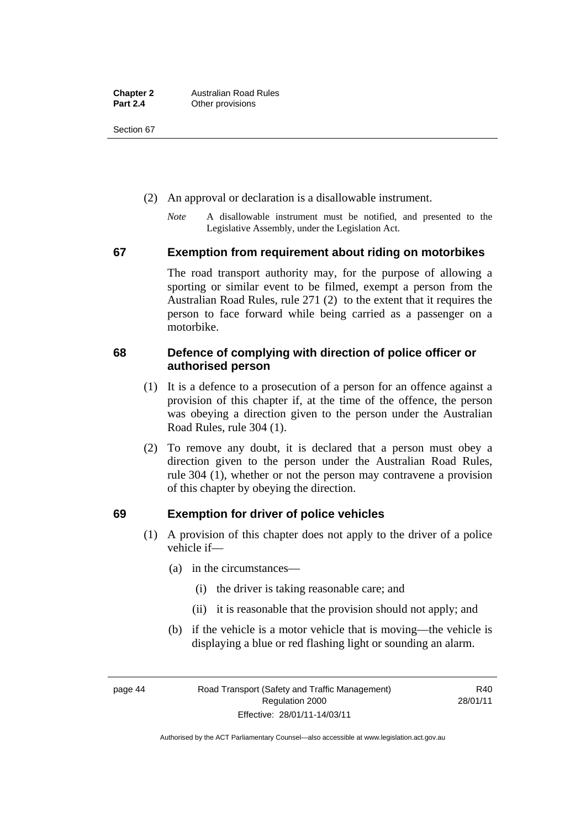Section 67

- (2) An approval or declaration is a disallowable instrument.
	- *Note* A disallowable instrument must be notified, and presented to the Legislative Assembly, under the Legislation Act.

#### **67 Exemption from requirement about riding on motorbikes**

The road transport authority may, for the purpose of allowing a sporting or similar event to be filmed, exempt a person from the Australian Road Rules, rule 271 (2) to the extent that it requires the person to face forward while being carried as a passenger on a motorbike.

#### **68 Defence of complying with direction of police officer or authorised person**

- (1) It is a defence to a prosecution of a person for an offence against a provision of this chapter if, at the time of the offence, the person was obeying a direction given to the person under the Australian Road Rules, rule 304 (1).
- (2) To remove any doubt, it is declared that a person must obey a direction given to the person under the Australian Road Rules, rule 304 (1), whether or not the person may contravene a provision of this chapter by obeying the direction.

#### **69 Exemption for driver of police vehicles**

- (1) A provision of this chapter does not apply to the driver of a police vehicle if—
	- (a) in the circumstances—
		- (i) the driver is taking reasonable care; and
		- (ii) it is reasonable that the provision should not apply; and
	- (b) if the vehicle is a motor vehicle that is moving—the vehicle is displaying a blue or red flashing light or sounding an alarm.

page 44 Road Transport (Safety and Traffic Management) Regulation 2000 Effective: 28/01/11-14/03/11

R40 28/01/11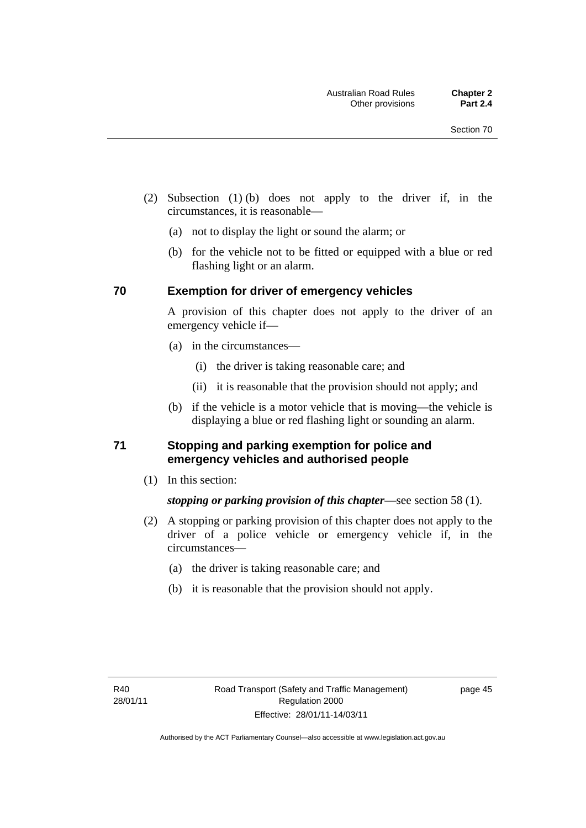- (2) Subsection (1) (b) does not apply to the driver if, in the circumstances, it is reasonable—
	- (a) not to display the light or sound the alarm; or
	- (b) for the vehicle not to be fitted or equipped with a blue or red flashing light or an alarm.

#### **70 Exemption for driver of emergency vehicles**

A provision of this chapter does not apply to the driver of an emergency vehicle if—

- (a) in the circumstances—
	- (i) the driver is taking reasonable care; and
	- (ii) it is reasonable that the provision should not apply; and
- (b) if the vehicle is a motor vehicle that is moving—the vehicle is displaying a blue or red flashing light or sounding an alarm.

#### **71 Stopping and parking exemption for police and emergency vehicles and authorised people**

(1) In this section:

#### *stopping or parking provision of this chapter*—see section 58 (1).

- (2) A stopping or parking provision of this chapter does not apply to the driver of a police vehicle or emergency vehicle if, in the circumstances—
	- (a) the driver is taking reasonable care; and
	- (b) it is reasonable that the provision should not apply.

page 45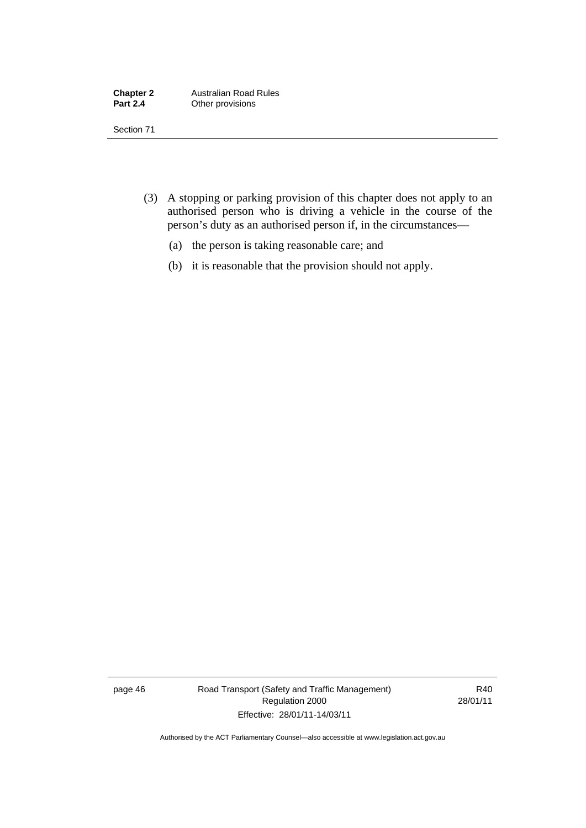| <b>Chapter 2</b> | <b>Australian Road Rules</b> |
|------------------|------------------------------|
| <b>Part 2.4</b>  | Other provisions             |

Section 71

- (3) A stopping or parking provision of this chapter does not apply to an authorised person who is driving a vehicle in the course of the person's duty as an authorised person if, in the circumstances—
	- (a) the person is taking reasonable care; and
	- (b) it is reasonable that the provision should not apply.

page 46 Road Transport (Safety and Traffic Management) Regulation 2000 Effective: 28/01/11-14/03/11

R40 28/01/11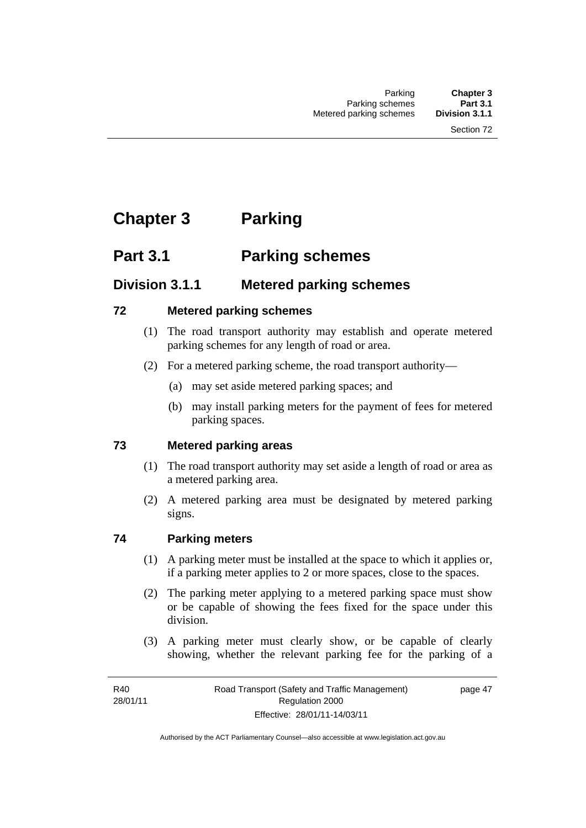# **Chapter 3 Parking**

# **Part 3.1 Parking schemes**

# **Division 3.1.1 Metered parking schemes**

#### **72 Metered parking schemes**

- (1) The road transport authority may establish and operate metered parking schemes for any length of road or area.
- (2) For a metered parking scheme, the road transport authority—
	- (a) may set aside metered parking spaces; and
	- (b) may install parking meters for the payment of fees for metered parking spaces.

#### **73 Metered parking areas**

- (1) The road transport authority may set aside a length of road or area as a metered parking area.
- (2) A metered parking area must be designated by metered parking signs.

#### **74 Parking meters**

- (1) A parking meter must be installed at the space to which it applies or, if a parking meter applies to 2 or more spaces, close to the spaces.
- (2) The parking meter applying to a metered parking space must show or be capable of showing the fees fixed for the space under this division.
- (3) A parking meter must clearly show, or be capable of clearly showing, whether the relevant parking fee for the parking of a

page 47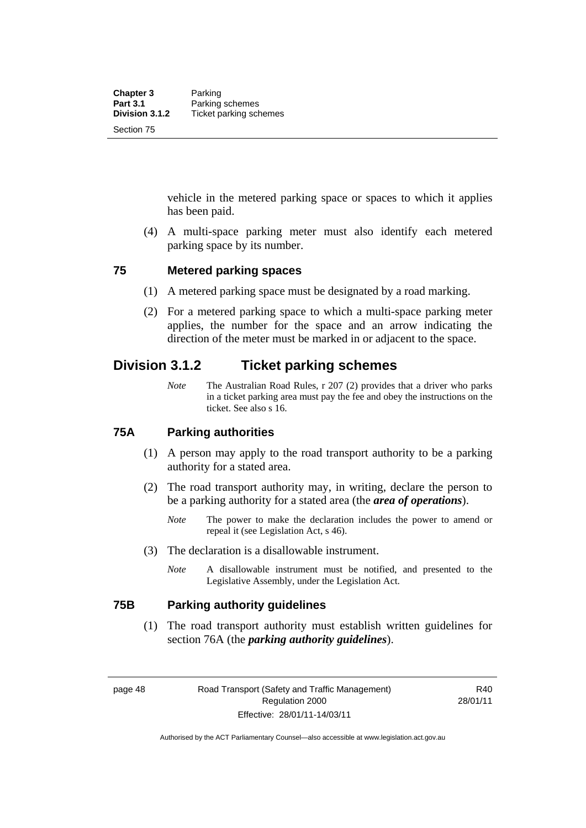vehicle in the metered parking space or spaces to which it applies has been paid.

 (4) A multi-space parking meter must also identify each metered parking space by its number.

#### **75 Metered parking spaces**

- (1) A metered parking space must be designated by a road marking.
- (2) For a metered parking space to which a multi-space parking meter applies, the number for the space and an arrow indicating the direction of the meter must be marked in or adjacent to the space.

## **Division 3.1.2 Ticket parking schemes**

*Note* The Australian Road Rules, r 207 (2) provides that a driver who parks in a ticket parking area must pay the fee and obey the instructions on the ticket. See also s 16.

#### **75A Parking authorities**

- (1) A person may apply to the road transport authority to be a parking authority for a stated area.
- (2) The road transport authority may, in writing, declare the person to be a parking authority for a stated area (the *area of operations*).
	- *Note* The power to make the declaration includes the power to amend or repeal it (see Legislation Act, s 46).
- (3) The declaration is a disallowable instrument.
	- *Note* A disallowable instrument must be notified, and presented to the Legislative Assembly, under the Legislation Act.

#### **75B Parking authority guidelines**

 (1) The road transport authority must establish written guidelines for section 76A (the *parking authority guidelines*).

page 48 Road Transport (Safety and Traffic Management) Regulation 2000 Effective: 28/01/11-14/03/11

R40 28/01/11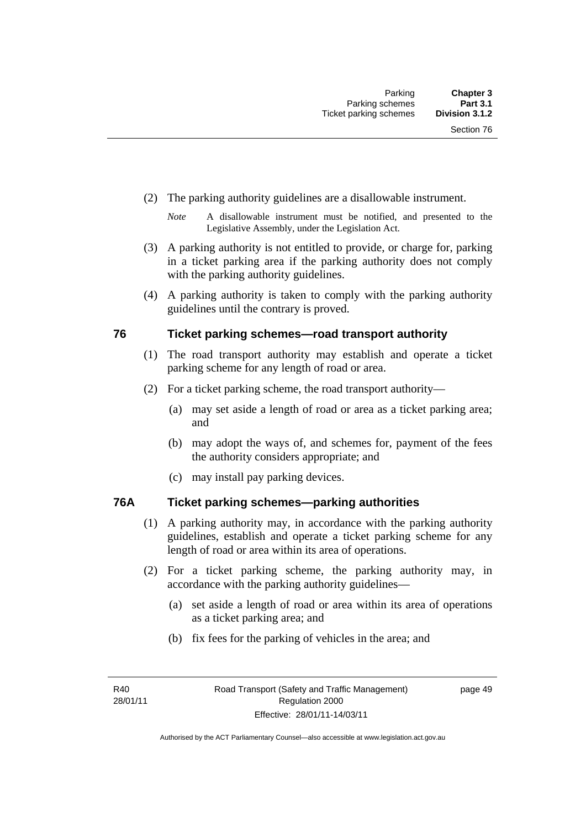- (2) The parking authority guidelines are a disallowable instrument.
	- *Note* A disallowable instrument must be notified, and presented to the Legislative Assembly, under the Legislation Act.
- (3) A parking authority is not entitled to provide, or charge for, parking in a ticket parking area if the parking authority does not comply with the parking authority guidelines.
- (4) A parking authority is taken to comply with the parking authority guidelines until the contrary is proved.

#### **76 Ticket parking schemes—road transport authority**

- (1) The road transport authority may establish and operate a ticket parking scheme for any length of road or area.
- (2) For a ticket parking scheme, the road transport authority—
	- (a) may set aside a length of road or area as a ticket parking area; and
	- (b) may adopt the ways of, and schemes for, payment of the fees the authority considers appropriate; and
	- (c) may install pay parking devices.

#### **76A Ticket parking schemes—parking authorities**

- (1) A parking authority may, in accordance with the parking authority guidelines, establish and operate a ticket parking scheme for any length of road or area within its area of operations.
- (2) For a ticket parking scheme, the parking authority may, in accordance with the parking authority guidelines—
	- (a) set aside a length of road or area within its area of operations as a ticket parking area; and
	- (b) fix fees for the parking of vehicles in the area; and

page 49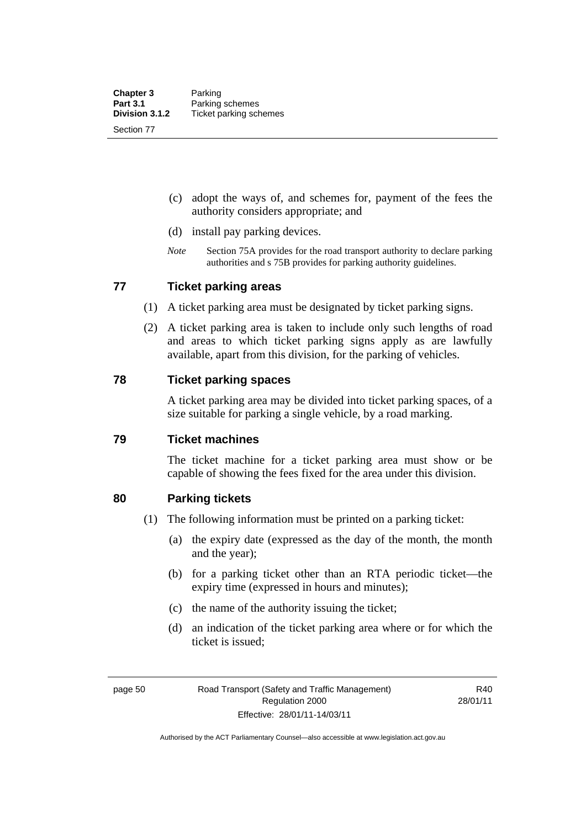- (c) adopt the ways of, and schemes for, payment of the fees the authority considers appropriate; and
- (d) install pay parking devices.
- *Note* Section 75A provides for the road transport authority to declare parking authorities and s 75B provides for parking authority guidelines.

#### **77 Ticket parking areas**

- (1) A ticket parking area must be designated by ticket parking signs.
- (2) A ticket parking area is taken to include only such lengths of road and areas to which ticket parking signs apply as are lawfully available, apart from this division, for the parking of vehicles.

#### **78 Ticket parking spaces**

A ticket parking area may be divided into ticket parking spaces, of a size suitable for parking a single vehicle, by a road marking.

#### **79 Ticket machines**

The ticket machine for a ticket parking area must show or be capable of showing the fees fixed for the area under this division.

#### **80 Parking tickets**

- (1) The following information must be printed on a parking ticket:
	- (a) the expiry date (expressed as the day of the month, the month and the year);
	- (b) for a parking ticket other than an RTA periodic ticket—the expiry time (expressed in hours and minutes);
	- (c) the name of the authority issuing the ticket;
	- (d) an indication of the ticket parking area where or for which the ticket is issued;

R40 28/01/11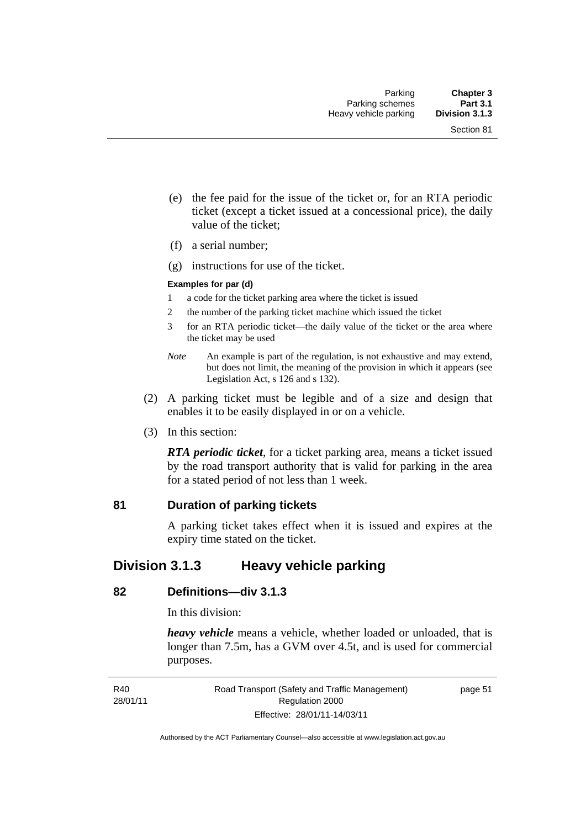- (e) the fee paid for the issue of the ticket or, for an RTA periodic ticket (except a ticket issued at a concessional price), the daily value of the ticket;
- (f) a serial number;
- (g) instructions for use of the ticket.

#### **Examples for par (d)**

- 1 a code for the ticket parking area where the ticket is issued
- 2 the number of the parking ticket machine which issued the ticket
- 3 for an RTA periodic ticket—the daily value of the ticket or the area where the ticket may be used
- *Note* An example is part of the regulation, is not exhaustive and may extend, but does not limit, the meaning of the provision in which it appears (see Legislation Act, s 126 and s 132).
- (2) A parking ticket must be legible and of a size and design that enables it to be easily displayed in or on a vehicle.
- (3) In this section:

*RTA periodic ticket*, for a ticket parking area, means a ticket issued by the road transport authority that is valid for parking in the area for a stated period of not less than 1 week.

#### **81 Duration of parking tickets**

A parking ticket takes effect when it is issued and expires at the expiry time stated on the ticket.

## **Division 3.1.3 Heavy vehicle parking**

#### **82 Definitions—div 3.1.3**

In this division:

*heavy vehicle* means a vehicle, whether loaded or unloaded, that is longer than 7.5m, has a GVM over 4.5t, and is used for commercial purposes.

page 51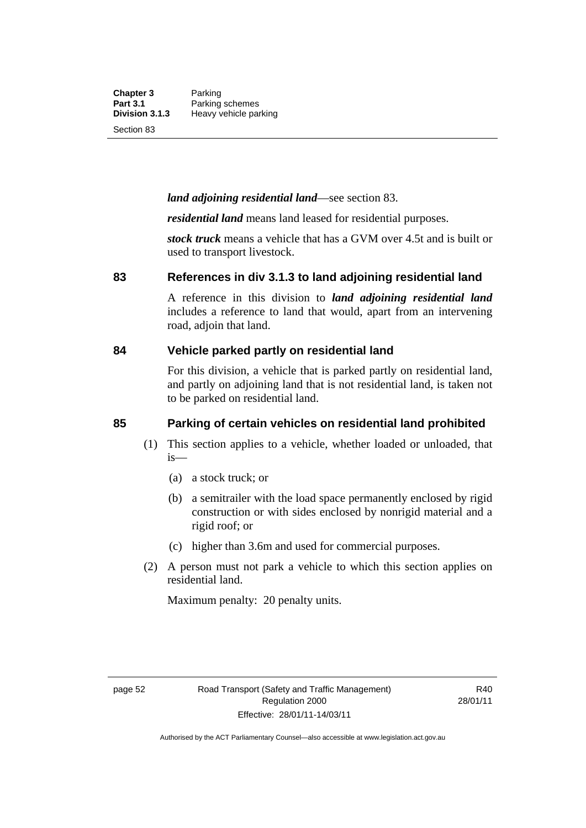**Chapter 3** Parking<br>**Part 3.1** Parking **Part 3.1** Parking schemes<br>**Division 3.1.3** Heavy vehicle pa **Division 3.1.3** Heavy vehicle parking

Section 83

#### *land adjoining residential land*—see section 83.

*residential land* means land leased for residential purposes.

*stock truck* means a vehicle that has a GVM over 4.5t and is built or used to transport livestock.

#### **83 References in div 3.1.3 to land adjoining residential land**

A reference in this division to *land adjoining residential land* includes a reference to land that would, apart from an intervening road, adjoin that land.

#### **84 Vehicle parked partly on residential land**

For this division, a vehicle that is parked partly on residential land, and partly on adjoining land that is not residential land, is taken not to be parked on residential land.

#### **85 Parking of certain vehicles on residential land prohibited**

- (1) This section applies to a vehicle, whether loaded or unloaded, that is—
	- (a) a stock truck; or
	- (b) a semitrailer with the load space permanently enclosed by rigid construction or with sides enclosed by nonrigid material and a rigid roof; or
	- (c) higher than 3.6m and used for commercial purposes.
- (2) A person must not park a vehicle to which this section applies on residential land.

Maximum penalty: 20 penalty units.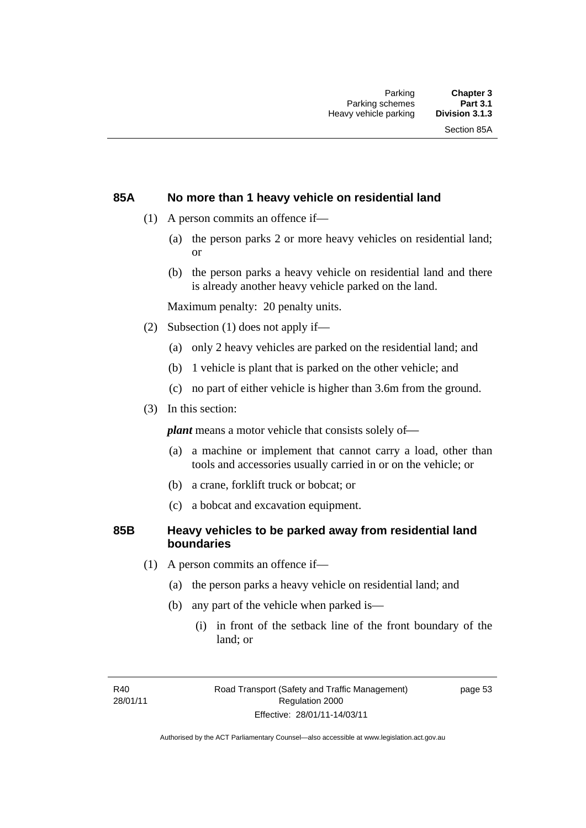## **85A No more than 1 heavy vehicle on residential land**

- (1) A person commits an offence if—
	- (a) the person parks 2 or more heavy vehicles on residential land; or
	- (b) the person parks a heavy vehicle on residential land and there is already another heavy vehicle parked on the land.

Maximum penalty: 20 penalty units.

- (2) Subsection (1) does not apply if—
	- (a) only 2 heavy vehicles are parked on the residential land; and
	- (b) 1 vehicle is plant that is parked on the other vehicle; and
	- (c) no part of either vehicle is higher than 3.6m from the ground.
- (3) In this section:

*plant* means a motor vehicle that consists solely of—

- (a) a machine or implement that cannot carry a load, other than tools and accessories usually carried in or on the vehicle; or
- (b) a crane, forklift truck or bobcat; or
- (c) a bobcat and excavation equipment.

### **85B Heavy vehicles to be parked away from residential land boundaries**

- (1) A person commits an offence if—
	- (a) the person parks a heavy vehicle on residential land; and
	- (b) any part of the vehicle when parked is—
		- (i) in front of the setback line of the front boundary of the land; or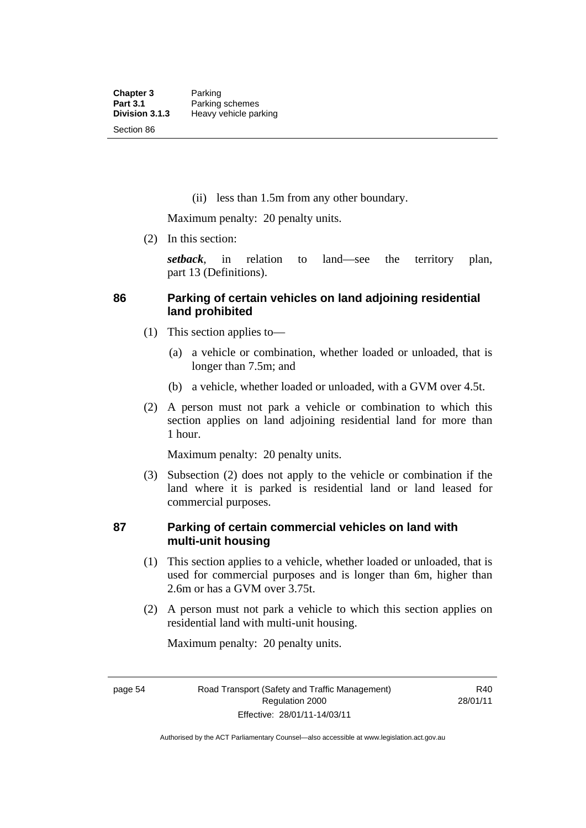(ii) less than 1.5m from any other boundary.

Maximum penalty: 20 penalty units.

(2) In this section:

*setback*, in relation to land—see the territory plan, part 13 (Definitions).

# **86 Parking of certain vehicles on land adjoining residential land prohibited**

- (1) This section applies to—
	- (a) a vehicle or combination, whether loaded or unloaded, that is longer than 7.5m; and
	- (b) a vehicle, whether loaded or unloaded, with a GVM over 4.5t.
- (2) A person must not park a vehicle or combination to which this section applies on land adjoining residential land for more than 1 hour.

Maximum penalty: 20 penalty units.

 (3) Subsection (2) does not apply to the vehicle or combination if the land where it is parked is residential land or land leased for commercial purposes.

# **87 Parking of certain commercial vehicles on land with multi-unit housing**

- (1) This section applies to a vehicle, whether loaded or unloaded, that is used for commercial purposes and is longer than 6m, higher than 2.6m or has a GVM over 3.75t.
- (2) A person must not park a vehicle to which this section applies on residential land with multi-unit housing.

Maximum penalty: 20 penalty units.

Authorised by the ACT Parliamentary Counsel—also accessible at www.legislation.act.gov.au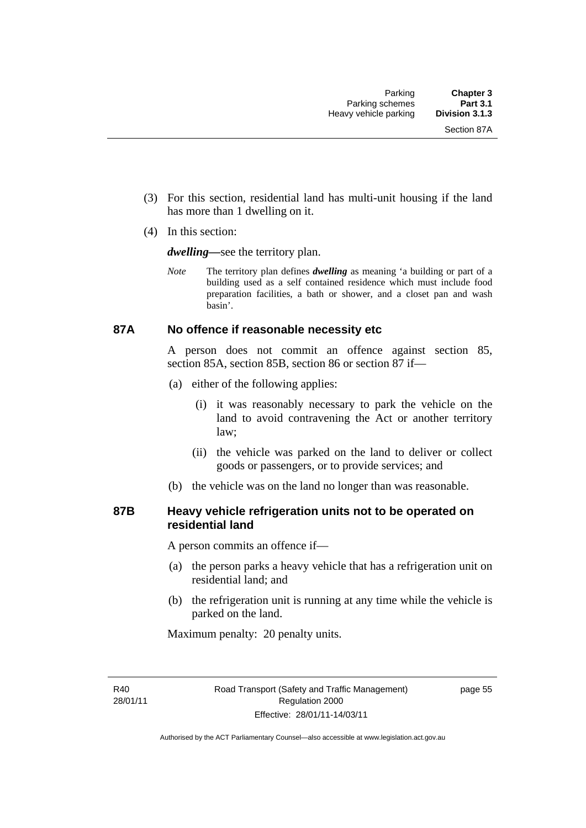- (3) For this section, residential land has multi-unit housing if the land has more than 1 dwelling on it.
- (4) In this section:

*dwelling—*see the territory plan.

*Note* The territory plan defines *dwelling* as meaning 'a building or part of a building used as a self contained residence which must include food preparation facilities, a bath or shower, and a closet pan and wash basin'.

#### **87A No offence if reasonable necessity etc**

A person does not commit an offence against section 85, section 85A, section 85B, section 86 or section 87 if—

- (a) either of the following applies:
	- (i) it was reasonably necessary to park the vehicle on the land to avoid contravening the Act or another territory law;
	- (ii) the vehicle was parked on the land to deliver or collect goods or passengers, or to provide services; and
- (b) the vehicle was on the land no longer than was reasonable.

## **87B Heavy vehicle refrigeration units not to be operated on residential land**

A person commits an offence if—

- (a) the person parks a heavy vehicle that has a refrigeration unit on residential land; and
- (b) the refrigeration unit is running at any time while the vehicle is parked on the land.

Maximum penalty: 20 penalty units.

R40 28/01/11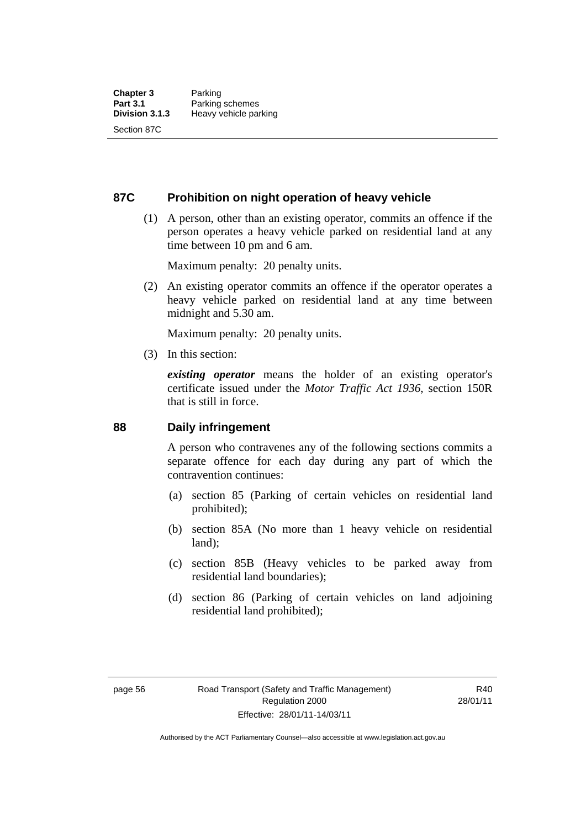### **87C Prohibition on night operation of heavy vehicle**

 (1) A person, other than an existing operator, commits an offence if the person operates a heavy vehicle parked on residential land at any time between 10 pm and 6 am.

Maximum penalty: 20 penalty units.

 (2) An existing operator commits an offence if the operator operates a heavy vehicle parked on residential land at any time between midnight and 5.30 am.

Maximum penalty: 20 penalty units.

(3) In this section:

*existing operator* means the holder of an existing operator's certificate issued under the *Motor Traffic Act 1936*, section 150R that is still in force.

### **88 Daily infringement**

A person who contravenes any of the following sections commits a separate offence for each day during any part of which the contravention continues:

- (a) section 85 (Parking of certain vehicles on residential land prohibited);
- (b) section 85A (No more than 1 heavy vehicle on residential land);
- (c) section 85B (Heavy vehicles to be parked away from residential land boundaries);
- (d) section 86 (Parking of certain vehicles on land adjoining residential land prohibited);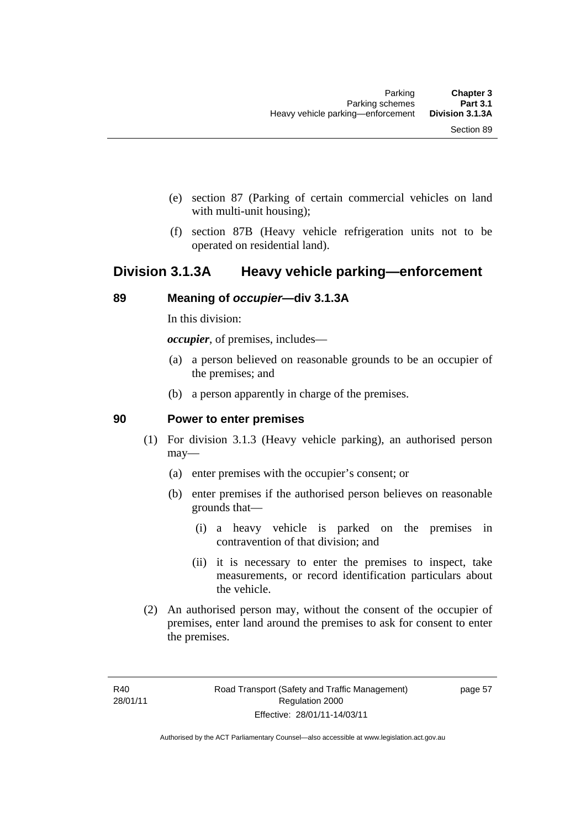- (e) section 87 (Parking of certain commercial vehicles on land with multi-unit housing);
- (f) section 87B (Heavy vehicle refrigeration units not to be operated on residential land).

# **Division 3.1.3A Heavy vehicle parking—enforcement**

### **89 Meaning of** *occupier***—div 3.1.3A**

In this division:

*occupier*, of premises, includes—

- (a) a person believed on reasonable grounds to be an occupier of the premises; and
- (b) a person apparently in charge of the premises.

#### **90 Power to enter premises**

- (1) For division 3.1.3 (Heavy vehicle parking), an authorised person may—
	- (a) enter premises with the occupier's consent; or
	- (b) enter premises if the authorised person believes on reasonable grounds that—
		- (i) a heavy vehicle is parked on the premises in contravention of that division; and
		- (ii) it is necessary to enter the premises to inspect, take measurements, or record identification particulars about the vehicle.
- (2) An authorised person may, without the consent of the occupier of premises, enter land around the premises to ask for consent to enter the premises.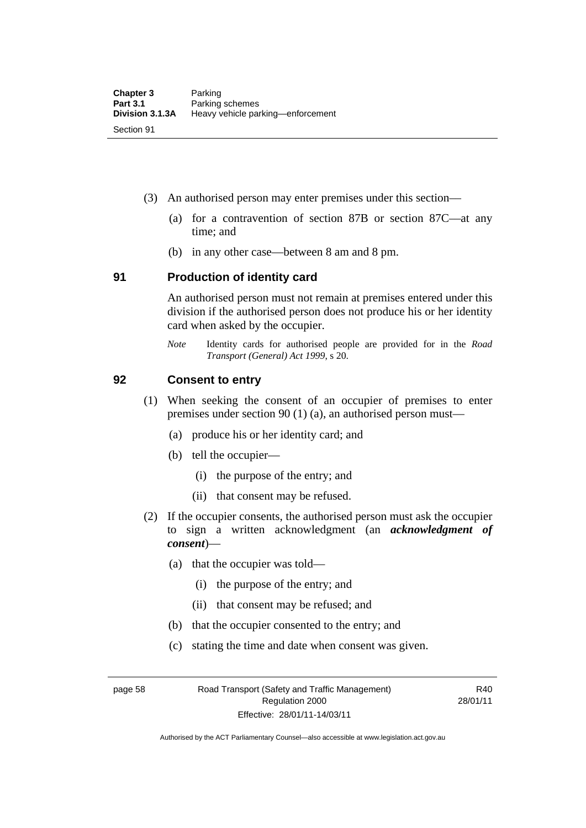- (3) An authorised person may enter premises under this section––
	- (a) for a contravention of section 87B or section 87C––at any time; and
	- (b) in any other case––between 8 am and 8 pm.

#### **91 Production of identity card**

An authorised person must not remain at premises entered under this division if the authorised person does not produce his or her identity card when asked by the occupier.

*Note* Identity cards for authorised people are provided for in the *Road Transport (General) Act 1999*, s 20.

#### **92 Consent to entry**

- (1) When seeking the consent of an occupier of premises to enter premises under section 90 (1) (a), an authorised person must—
	- (a) produce his or her identity card; and
	- (b) tell the occupier—
		- (i) the purpose of the entry; and
		- (ii) that consent may be refused.
- (2) If the occupier consents, the authorised person must ask the occupier to sign a written acknowledgment (an *acknowledgment of consent*)—
	- (a) that the occupier was told—
		- (i) the purpose of the entry; and
		- (ii) that consent may be refused; and
	- (b) that the occupier consented to the entry; and
	- (c) stating the time and date when consent was given.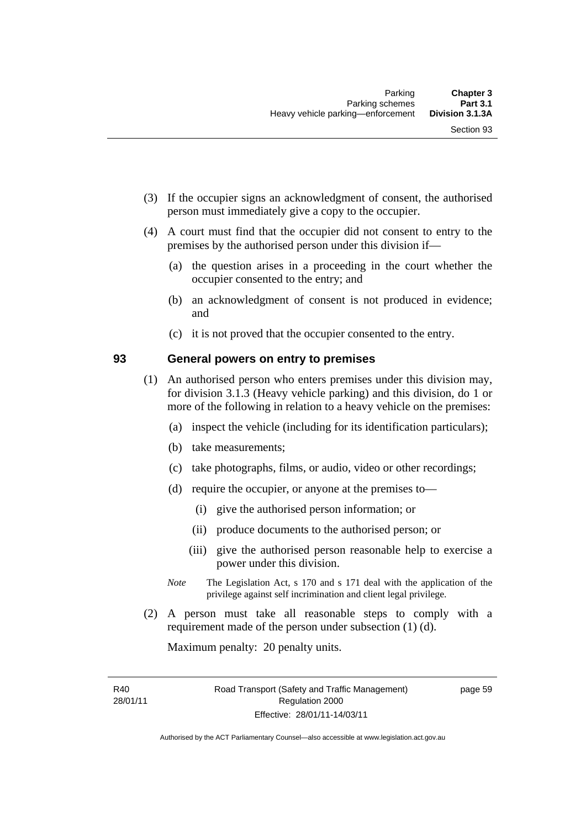- (3) If the occupier signs an acknowledgment of consent, the authorised person must immediately give a copy to the occupier.
- (4) A court must find that the occupier did not consent to entry to the premises by the authorised person under this division if—
	- (a) the question arises in a proceeding in the court whether the occupier consented to the entry; and
	- (b) an acknowledgment of consent is not produced in evidence; and
	- (c) it is not proved that the occupier consented to the entry.

# **93 General powers on entry to premises**

- (1) An authorised person who enters premises under this division may, for division 3.1.3 (Heavy vehicle parking) and this division, do 1 or more of the following in relation to a heavy vehicle on the premises:
	- (a) inspect the vehicle (including for its identification particulars);
	- (b) take measurements;
	- (c) take photographs, films, or audio, video or other recordings;
	- (d) require the occupier, or anyone at the premises to—
		- (i) give the authorised person information; or
		- (ii) produce documents to the authorised person; or
		- (iii) give the authorised person reasonable help to exercise a power under this division.
	- *Note* The Legislation Act, s 170 and s 171 deal with the application of the privilege against self incrimination and client legal privilege.
- (2) A person must take all reasonable steps to comply with a requirement made of the person under subsection (1) (d).

Maximum penalty: 20 penalty units.

R40 28/01/11 page 59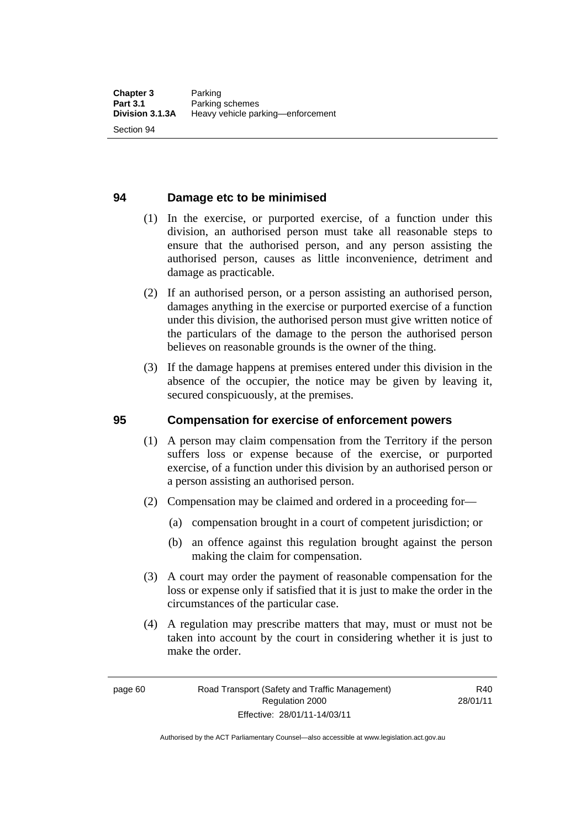#### **94 Damage etc to be minimised**

- (1) In the exercise, or purported exercise, of a function under this division, an authorised person must take all reasonable steps to ensure that the authorised person, and any person assisting the authorised person, causes as little inconvenience, detriment and damage as practicable.
- (2) If an authorised person, or a person assisting an authorised person, damages anything in the exercise or purported exercise of a function under this division, the authorised person must give written notice of the particulars of the damage to the person the authorised person believes on reasonable grounds is the owner of the thing.
- (3) If the damage happens at premises entered under this division in the absence of the occupier, the notice may be given by leaving it, secured conspicuously, at the premises.

#### **95 Compensation for exercise of enforcement powers**

- (1) A person may claim compensation from the Territory if the person suffers loss or expense because of the exercise, or purported exercise, of a function under this division by an authorised person or a person assisting an authorised person.
- (2) Compensation may be claimed and ordered in a proceeding for—
	- (a) compensation brought in a court of competent jurisdiction; or
	- (b) an offence against this regulation brought against the person making the claim for compensation.
- (3) A court may order the payment of reasonable compensation for the loss or expense only if satisfied that it is just to make the order in the circumstances of the particular case.
- (4) A regulation may prescribe matters that may, must or must not be taken into account by the court in considering whether it is just to make the order.

page 60 Road Transport (Safety and Traffic Management) Regulation 2000 Effective: 28/01/11-14/03/11

R40 28/01/11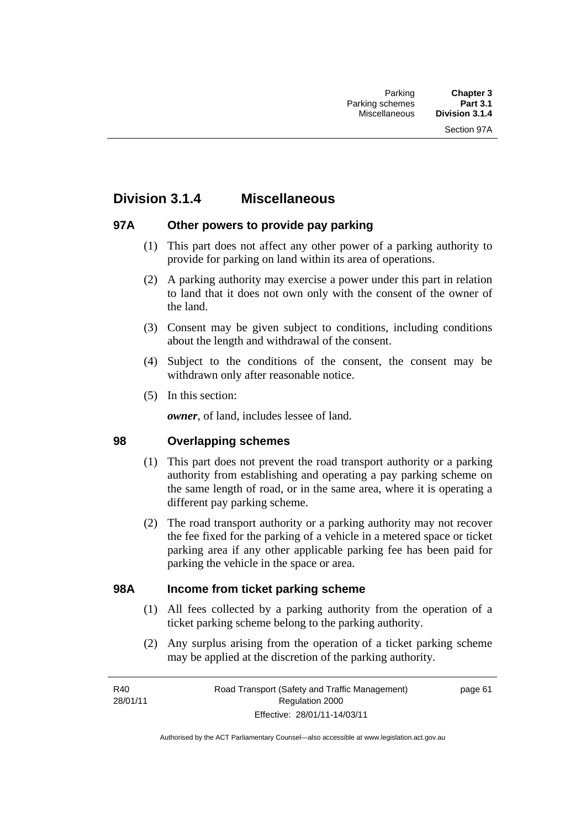# **Division 3.1.4 Miscellaneous**

# **97A Other powers to provide pay parking**

- (1) This part does not affect any other power of a parking authority to provide for parking on land within its area of operations.
- (2) A parking authority may exercise a power under this part in relation to land that it does not own only with the consent of the owner of the land.
- (3) Consent may be given subject to conditions, including conditions about the length and withdrawal of the consent.
- (4) Subject to the conditions of the consent, the consent may be withdrawn only after reasonable notice.
- (5) In this section:

*owner*, of land, includes lessee of land.

### **98 Overlapping schemes**

- (1) This part does not prevent the road transport authority or a parking authority from establishing and operating a pay parking scheme on the same length of road, or in the same area, where it is operating a different pay parking scheme.
- (2) The road transport authority or a parking authority may not recover the fee fixed for the parking of a vehicle in a metered space or ticket parking area if any other applicable parking fee has been paid for parking the vehicle in the space or area.

### **98A Income from ticket parking scheme**

- (1) All fees collected by a parking authority from the operation of a ticket parking scheme belong to the parking authority.
- (2) Any surplus arising from the operation of a ticket parking scheme may be applied at the discretion of the parking authority.

page 61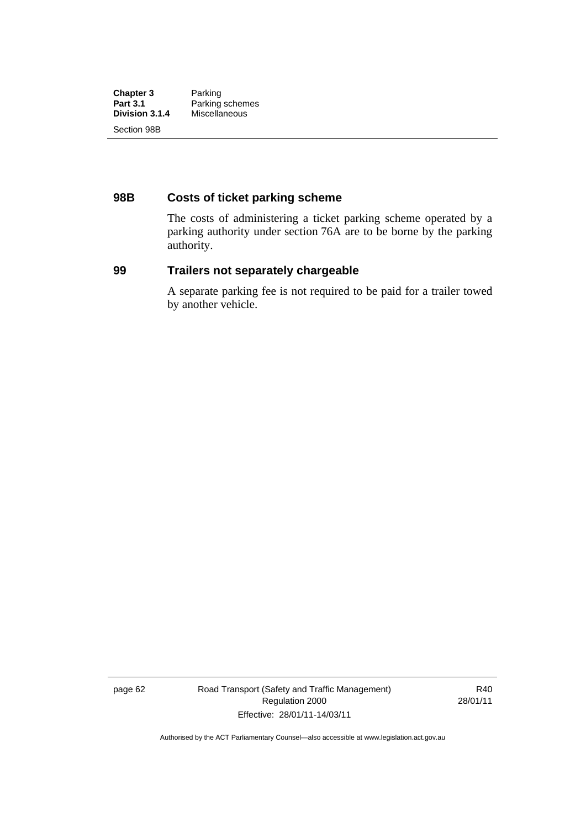| <b>Chapter 3</b><br><b>Part 3.1</b><br>Division 3.1.4 | Parking<br>Parking schemes<br>Miscellaneous |             |  |
|-------------------------------------------------------|---------------------------------------------|-------------|--|
|                                                       |                                             | Section 98B |  |

# **98B Costs of ticket parking scheme**

The costs of administering a ticket parking scheme operated by a parking authority under section 76A are to be borne by the parking authority.

# **99 Trailers not separately chargeable**

A separate parking fee is not required to be paid for a trailer towed by another vehicle.

page 62 Road Transport (Safety and Traffic Management) Regulation 2000 Effective: 28/01/11-14/03/11

R40 28/01/11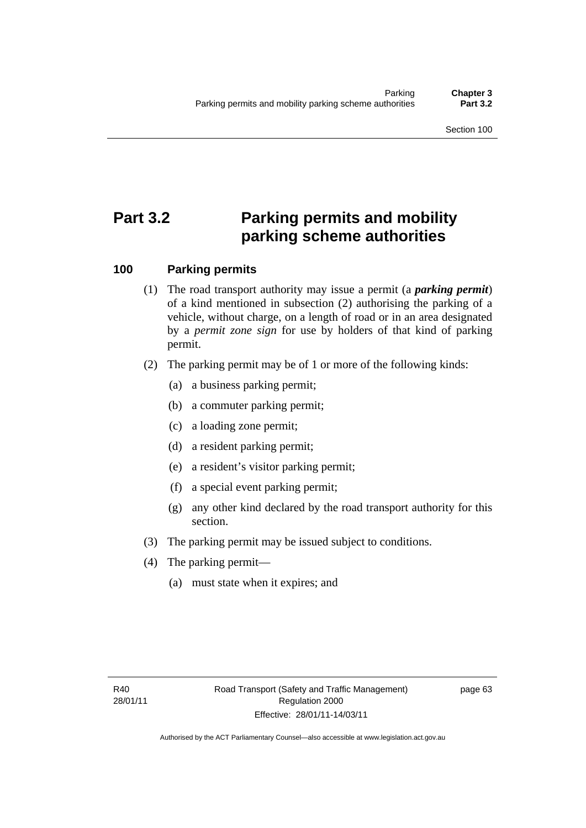# **Part 3.2 Parking permits and mobility parking scheme authorities**

# **100 Parking permits**

- (1) The road transport authority may issue a permit (a *parking permit*) of a kind mentioned in subsection (2) authorising the parking of a vehicle, without charge, on a length of road or in an area designated by a *permit zone sign* for use by holders of that kind of parking permit.
- (2) The parking permit may be of 1 or more of the following kinds:
	- (a) a business parking permit;
	- (b) a commuter parking permit;
	- (c) a loading zone permit;
	- (d) a resident parking permit;
	- (e) a resident's visitor parking permit;
	- (f) a special event parking permit;
	- (g) any other kind declared by the road transport authority for this section.
- (3) The parking permit may be issued subject to conditions.
- (4) The parking permit—
	- (a) must state when it expires; and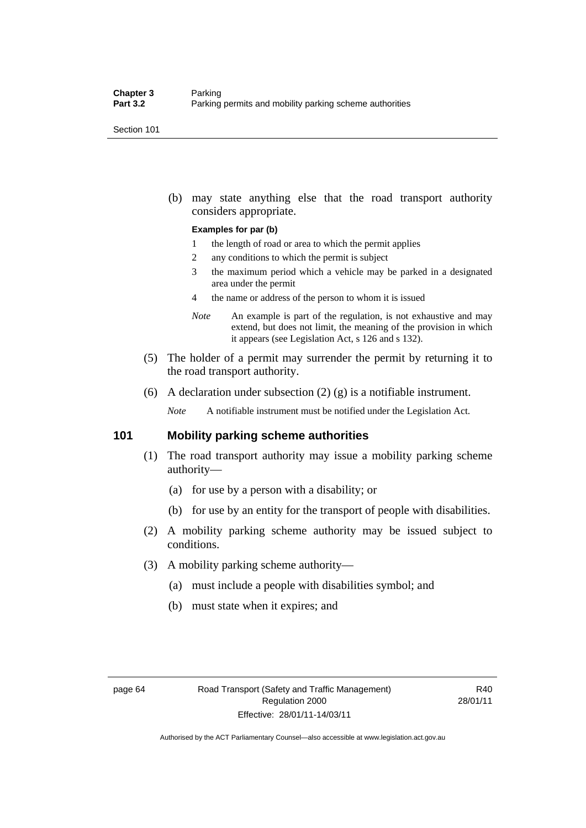Section 101

 (b) may state anything else that the road transport authority considers appropriate.

#### **Examples for par (b)**

- 1 the length of road or area to which the permit applies
- 2 any conditions to which the permit is subject
- 3 the maximum period which a vehicle may be parked in a designated area under the permit
- 4 the name or address of the person to whom it is issued
- *Note* An example is part of the regulation, is not exhaustive and may extend, but does not limit, the meaning of the provision in which it appears (see Legislation Act, s 126 and s 132).
- (5) The holder of a permit may surrender the permit by returning it to the road transport authority.
- (6) A declaration under subsection  $(2)$  (g) is a notifiable instrument.

*Note* A notifiable instrument must be notified under the Legislation Act.

#### **101 Mobility parking scheme authorities**

- (1) The road transport authority may issue a mobility parking scheme authority—
	- (a) for use by a person with a disability; or
	- (b) for use by an entity for the transport of people with disabilities.
- (2) A mobility parking scheme authority may be issued subject to conditions.
- (3) A mobility parking scheme authority—
	- (a) must include a people with disabilities symbol; and
	- (b) must state when it expires; and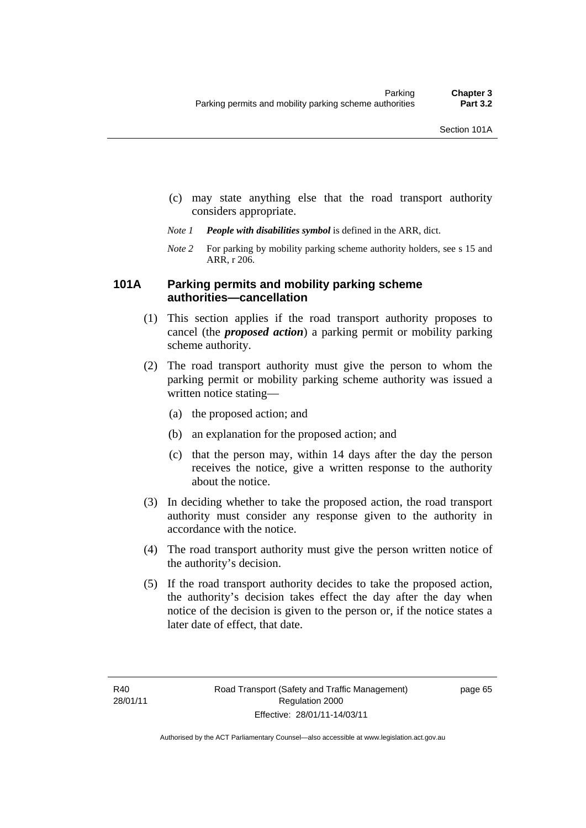- (c) may state anything else that the road transport authority considers appropriate.
- *Note 1 People with disabilities symbol* is defined in the ARR, dict.
- *Note 2* For parking by mobility parking scheme authority holders, see s 15 and ARR, r 206.

### **101A Parking permits and mobility parking scheme authorities—cancellation**

- (1) This section applies if the road transport authority proposes to cancel (the *proposed action*) a parking permit or mobility parking scheme authority.
- (2) The road transport authority must give the person to whom the parking permit or mobility parking scheme authority was issued a written notice stating—
	- (a) the proposed action; and
	- (b) an explanation for the proposed action; and
	- (c) that the person may, within 14 days after the day the person receives the notice, give a written response to the authority about the notice.
- (3) In deciding whether to take the proposed action, the road transport authority must consider any response given to the authority in accordance with the notice.
- (4) The road transport authority must give the person written notice of the authority's decision.
- (5) If the road transport authority decides to take the proposed action, the authority's decision takes effect the day after the day when notice of the decision is given to the person or, if the notice states a later date of effect, that date.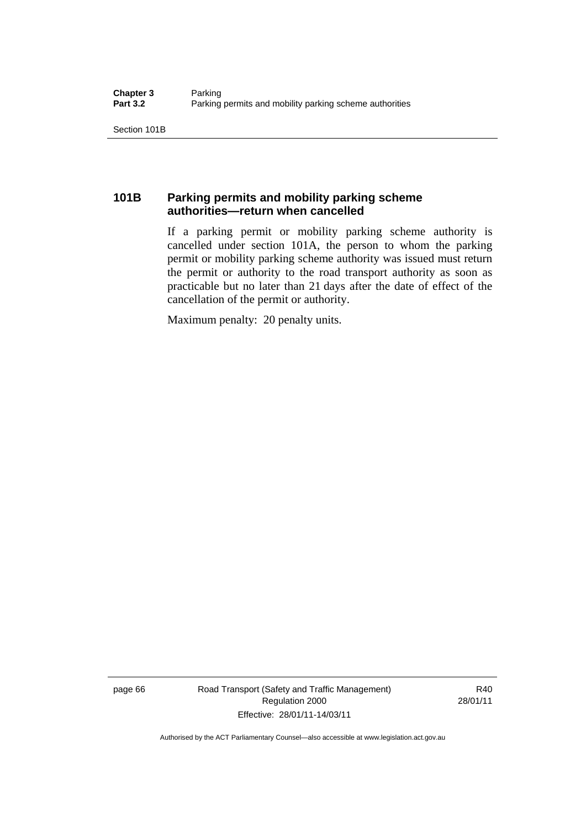Section 101B

# **101B Parking permits and mobility parking scheme authorities—return when cancelled**

If a parking permit or mobility parking scheme authority is cancelled under section 101A, the person to whom the parking permit or mobility parking scheme authority was issued must return the permit or authority to the road transport authority as soon as practicable but no later than 21 days after the date of effect of the cancellation of the permit or authority.

Maximum penalty: 20 penalty units.

page 66 Road Transport (Safety and Traffic Management) Regulation 2000 Effective: 28/01/11-14/03/11

R40 28/01/11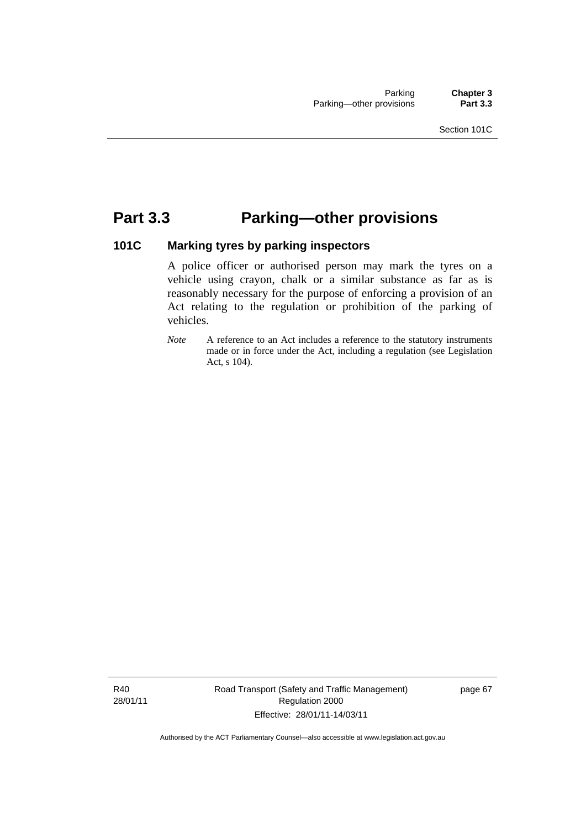# **Part 3.3 Parking—other provisions**

# **101C Marking tyres by parking inspectors**

A police officer or authorised person may mark the tyres on a vehicle using crayon, chalk or a similar substance as far as is reasonably necessary for the purpose of enforcing a provision of an Act relating to the regulation or prohibition of the parking of vehicles.

*Note* A reference to an Act includes a reference to the statutory instruments made or in force under the Act, including a regulation (see Legislation Act, s 104).

R40 28/01/11 Road Transport (Safety and Traffic Management) Regulation 2000 Effective: 28/01/11-14/03/11

page 67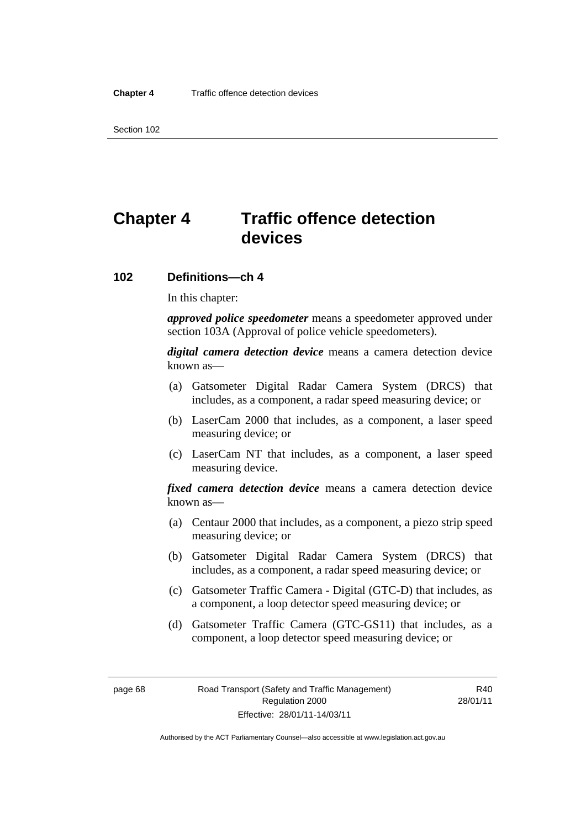Section 102

# **Chapter 4 Traffic offence detection devices**

#### **102 Definitions—ch 4**

In this chapter:

*approved police speedometer* means a speedometer approved under section 103A (Approval of police vehicle speedometers).

*digital camera detection device* means a camera detection device known as—

- (a) Gatsometer Digital Radar Camera System (DRCS) that includes, as a component, a radar speed measuring device; or
- (b) LaserCam 2000 that includes, as a component, a laser speed measuring device; or
- (c) LaserCam NT that includes, as a component, a laser speed measuring device.

*fixed camera detection device* means a camera detection device known as—

- (a) Centaur 2000 that includes, as a component, a piezo strip speed measuring device; or
- (b) Gatsometer Digital Radar Camera System (DRCS) that includes, as a component, a radar speed measuring device; or
- (c) Gatsometer Traffic Camera Digital (GTC-D) that includes, as a component, a loop detector speed measuring device; or
- (d) Gatsometer Traffic Camera (GTC-GS11) that includes, as a component, a loop detector speed measuring device; or

R40 28/01/11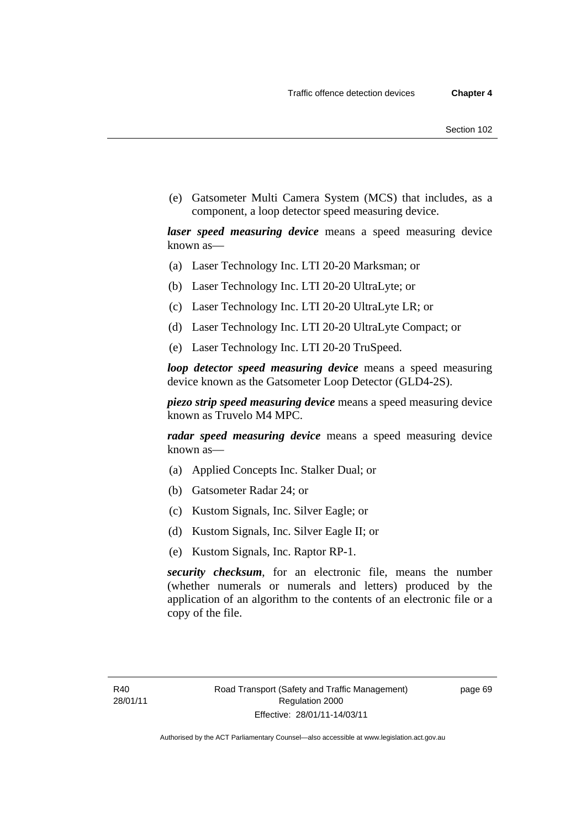(e) Gatsometer Multi Camera System (MCS) that includes, as a component, a loop detector speed measuring device.

*laser speed measuring device* means a speed measuring device known as—

- (a) Laser Technology Inc. LTI 20-20 Marksman; or
- (b) Laser Technology Inc. LTI 20-20 UltraLyte; or
- (c) Laser Technology Inc. LTI 20-20 UltraLyte LR; or
- (d) Laser Technology Inc. LTI 20-20 UltraLyte Compact; or
- (e) Laser Technology Inc. LTI 20-20 TruSpeed.

*loop detector speed measuring device* means a speed measuring device known as the Gatsometer Loop Detector (GLD4-2S).

*piezo strip speed measuring device* means a speed measuring device known as Truvelo M4 MPC.

*radar speed measuring device* means a speed measuring device known as—

- (a) Applied Concepts Inc. Stalker Dual; or
- (b) Gatsometer Radar 24; or
- (c) Kustom Signals, Inc. Silver Eagle; or
- (d) Kustom Signals, Inc. Silver Eagle II; or
- (e) Kustom Signals, Inc. Raptor RP-1.

*security checksum*, for an electronic file, means the number (whether numerals or numerals and letters) produced by the application of an algorithm to the contents of an electronic file or a copy of the file.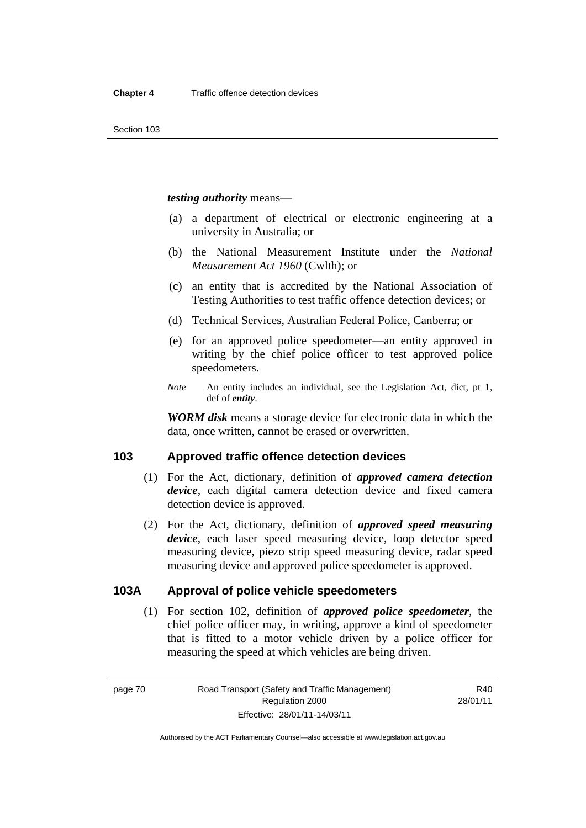#### *testing authority* means—

- (a) a department of electrical or electronic engineering at a university in Australia; or
- (b) the National Measurement Institute under the *National Measurement Act 1960* (Cwlth); or
- (c) an entity that is accredited by the National Association of Testing Authorities to test traffic offence detection devices; or
- (d) Technical Services, Australian Federal Police, Canberra; or
- (e) for an approved police speedometer—an entity approved in writing by the chief police officer to test approved police speedometers.
- *Note* An entity includes an individual, see the Legislation Act, dict, pt 1, def of *entity*.

*WORM disk* means a storage device for electronic data in which the data, once written, cannot be erased or overwritten.

#### **103 Approved traffic offence detection devices**

- (1) For the Act, dictionary, definition of *approved camera detection device*, each digital camera detection device and fixed camera detection device is approved.
- (2) For the Act, dictionary, definition of *approved speed measuring device*, each laser speed measuring device, loop detector speed measuring device, piezo strip speed measuring device, radar speed measuring device and approved police speedometer is approved.

### **103A Approval of police vehicle speedometers**

 (1) For section 102, definition of *approved police speedometer*, the chief police officer may, in writing, approve a kind of speedometer that is fitted to a motor vehicle driven by a police officer for measuring the speed at which vehicles are being driven.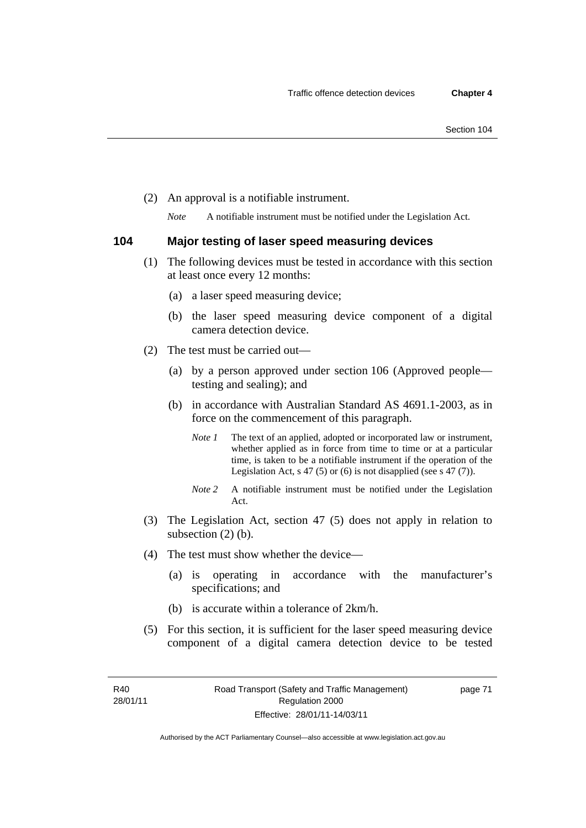(2) An approval is a notifiable instrument.

*Note* A notifiable instrument must be notified under the Legislation Act.

#### **104 Major testing of laser speed measuring devices**

- (1) The following devices must be tested in accordance with this section at least once every 12 months:
	- (a) a laser speed measuring device;
	- (b) the laser speed measuring device component of a digital camera detection device.
- (2) The test must be carried out—
	- (a) by a person approved under section 106 (Approved people testing and sealing); and
	- (b) in accordance with Australian Standard AS 4691.1-2003, as in force on the commencement of this paragraph.
		- *Note 1* The text of an applied, adopted or incorporated law or instrument, whether applied as in force from time to time or at a particular time, is taken to be a notifiable instrument if the operation of the Legislation Act, s 47 (5) or (6) is not disapplied (see s 47 (7)).
		- *Note 2* A notifiable instrument must be notified under the Legislation Act.
- (3) The Legislation Act, section 47 (5) does not apply in relation to subsection (2) (b).
- (4) The test must show whether the device—
	- (a) is operating in accordance with the manufacturer's specifications; and
	- (b) is accurate within a tolerance of 2km/h.
- (5) For this section, it is sufficient for the laser speed measuring device component of a digital camera detection device to be tested

page 71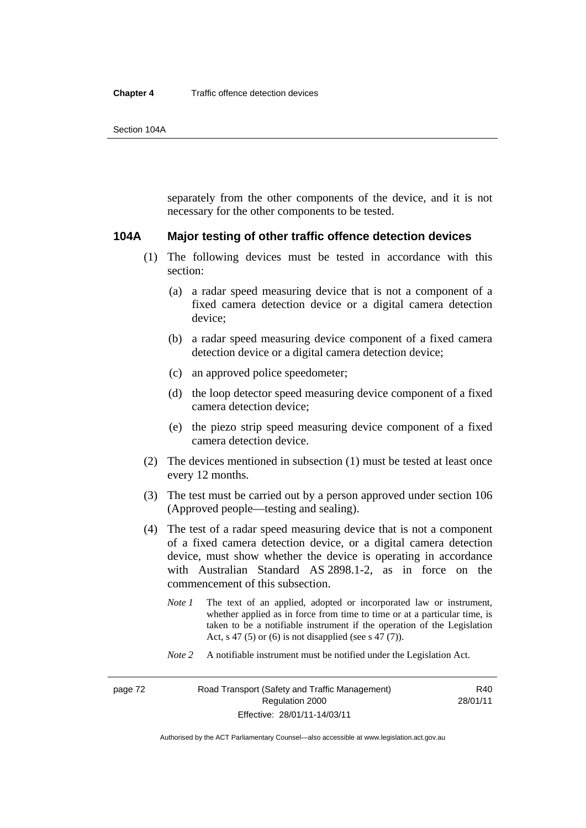#### **Chapter 4** Traffic offence detection devices

separately from the other components of the device, and it is not necessary for the other components to be tested.

#### **104A Major testing of other traffic offence detection devices**

- (1) The following devices must be tested in accordance with this section:
	- (a) a radar speed measuring device that is not a component of a fixed camera detection device or a digital camera detection device;
	- (b) a radar speed measuring device component of a fixed camera detection device or a digital camera detection device;
	- (c) an approved police speedometer;
	- (d) the loop detector speed measuring device component of a fixed camera detection device;
	- (e) the piezo strip speed measuring device component of a fixed camera detection device.
- (2) The devices mentioned in subsection (1) must be tested at least once every 12 months.
- (3) The test must be carried out by a person approved under section 106 (Approved people—testing and sealing).
- (4) The test of a radar speed measuring device that is not a component of a fixed camera detection device, or a digital camera detection device, must show whether the device is operating in accordance with Australian Standard AS 2898.1-2, as in force on the commencement of this subsection.
	- *Note 1* The text of an applied, adopted or incorporated law or instrument, whether applied as in force from time to time or at a particular time, is taken to be a notifiable instrument if the operation of the Legislation Act, s 47 (5) or (6) is not disapplied (see s 47 (7)).
	- *Note 2* A notifiable instrument must be notified under the Legislation Act.

R40 28/01/11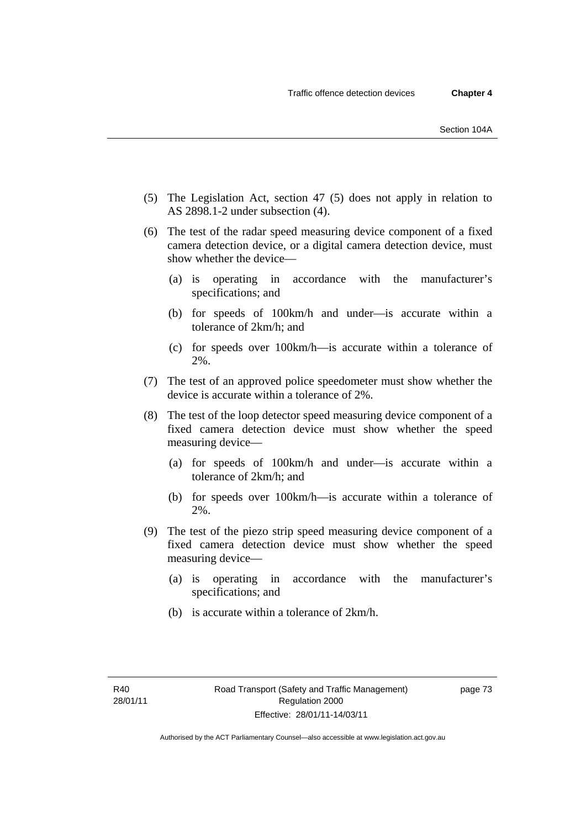- (5) The Legislation Act, section 47 (5) does not apply in relation to AS 2898.1-2 under subsection (4).
- (6) The test of the radar speed measuring device component of a fixed camera detection device, or a digital camera detection device, must show whether the device—
	- (a) is operating in accordance with the manufacturer's specifications; and
	- (b) for speeds of 100km/h and under—is accurate within a tolerance of 2km/h; and
	- (c) for speeds over 100km/h—is accurate within a tolerance of 2%.
- (7) The test of an approved police speedometer must show whether the device is accurate within a tolerance of 2%.
- (8) The test of the loop detector speed measuring device component of a fixed camera detection device must show whether the speed measuring device—
	- (a) for speeds of 100km/h and under—is accurate within a tolerance of 2km/h; and
	- (b) for speeds over 100km/h—is accurate within a tolerance of 2%.
- (9) The test of the piezo strip speed measuring device component of a fixed camera detection device must show whether the speed measuring device—
	- (a) is operating in accordance with the manufacturer's specifications; and
	- (b) is accurate within a tolerance of 2km/h.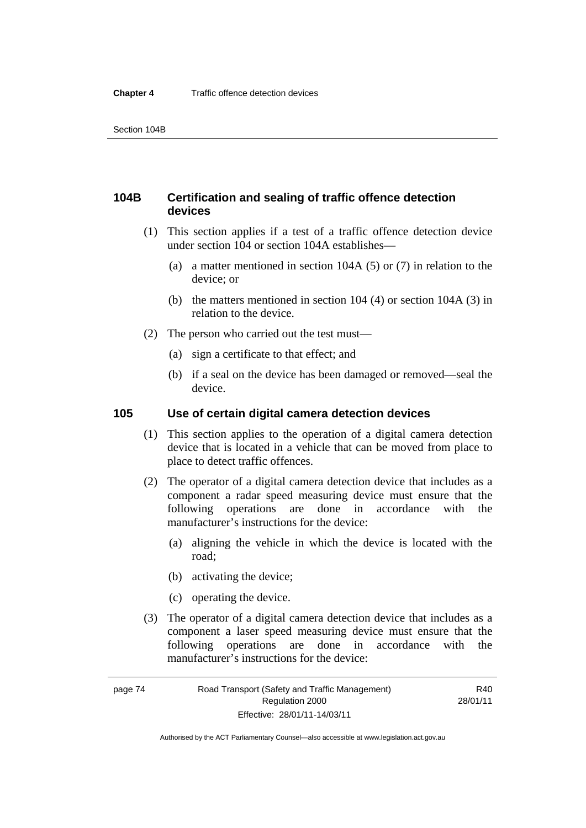# **104B Certification and sealing of traffic offence detection devices**

- (1) This section applies if a test of a traffic offence detection device under section 104 or section 104A establishes—
	- (a) a matter mentioned in section 104A (5) or (7) in relation to the device; or
	- (b) the matters mentioned in section 104 (4) or section 104A (3) in relation to the device.
- (2) The person who carried out the test must—
	- (a) sign a certificate to that effect; and
	- (b) if a seal on the device has been damaged or removed—seal the device.

### **105 Use of certain digital camera detection devices**

- (1) This section applies to the operation of a digital camera detection device that is located in a vehicle that can be moved from place to place to detect traffic offences.
- (2) The operator of a digital camera detection device that includes as a component a radar speed measuring device must ensure that the following operations are done in accordance with the manufacturer's instructions for the device:
	- (a) aligning the vehicle in which the device is located with the road;
	- (b) activating the device;
	- (c) operating the device.
- (3) The operator of a digital camera detection device that includes as a component a laser speed measuring device must ensure that the following operations are done in accordance with the manufacturer's instructions for the device:

R40 28/01/11

Authorised by the ACT Parliamentary Counsel—also accessible at www.legislation.act.gov.au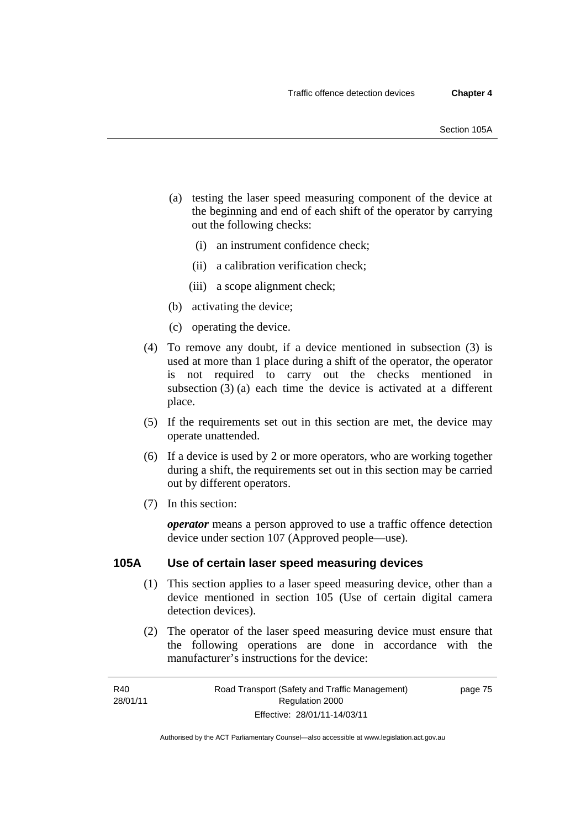- (a) testing the laser speed measuring component of the device at the beginning and end of each shift of the operator by carrying out the following checks:
	- (i) an instrument confidence check;
	- (ii) a calibration verification check;
	- (iii) a scope alignment check;
- (b) activating the device;
- (c) operating the device.
- (4) To remove any doubt, if a device mentioned in subsection (3) is used at more than 1 place during a shift of the operator, the operator is not required to carry out the checks mentioned in subsection (3) (a) each time the device is activated at a different place.
- (5) If the requirements set out in this section are met, the device may operate unattended.
- (6) If a device is used by 2 or more operators, who are working together during a shift, the requirements set out in this section may be carried out by different operators.
- (7) In this section:

*operator* means a person approved to use a traffic offence detection device under section 107 (Approved people—use).

#### **105A Use of certain laser speed measuring devices**

- (1) This section applies to a laser speed measuring device, other than a device mentioned in section 105 (Use of certain digital camera detection devices).
- (2) The operator of the laser speed measuring device must ensure that the following operations are done in accordance with the manufacturer's instructions for the device:

page 75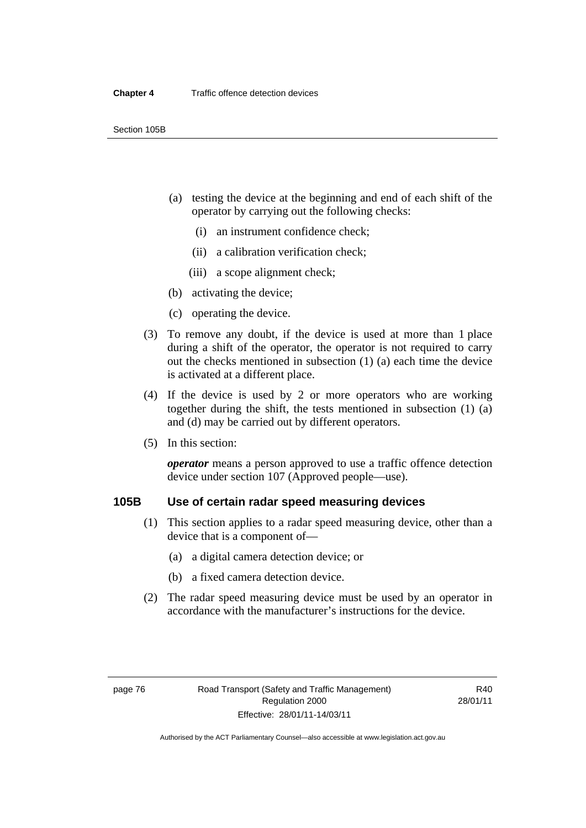- (a) testing the device at the beginning and end of each shift of the operator by carrying out the following checks:
	- (i) an instrument confidence check;
	- (ii) a calibration verification check;
	- (iii) a scope alignment check;
- (b) activating the device;
- (c) operating the device.
- (3) To remove any doubt, if the device is used at more than 1 place during a shift of the operator, the operator is not required to carry out the checks mentioned in subsection (1) (a) each time the device is activated at a different place.
- (4) If the device is used by 2 or more operators who are working together during the shift, the tests mentioned in subsection (1) (a) and (d) may be carried out by different operators.
- (5) In this section:

*operator* means a person approved to use a traffic offence detection device under section 107 (Approved people—use).

# **105B Use of certain radar speed measuring devices**

- (1) This section applies to a radar speed measuring device, other than a device that is a component of—
	- (a) a digital camera detection device; or
	- (b) a fixed camera detection device.
- (2) The radar speed measuring device must be used by an operator in accordance with the manufacturer's instructions for the device.

R40 28/01/11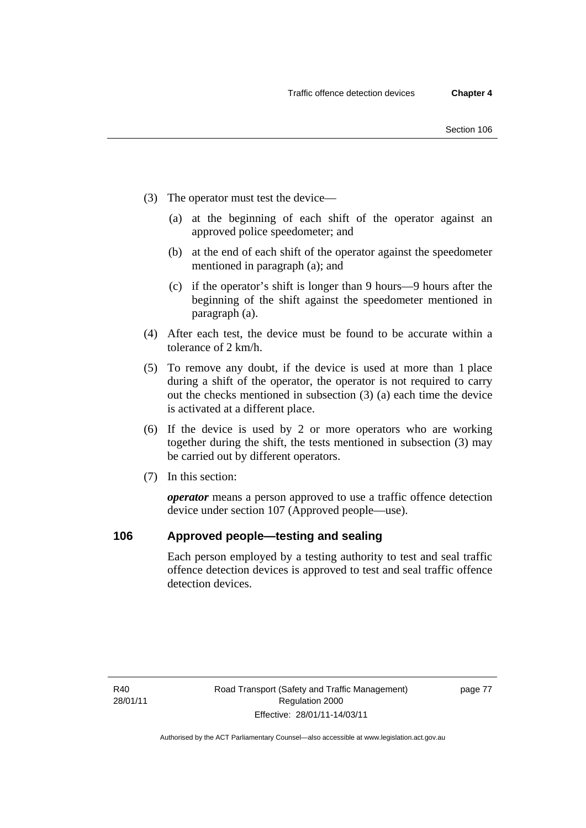- (3) The operator must test the device—
	- (a) at the beginning of each shift of the operator against an approved police speedometer; and
	- (b) at the end of each shift of the operator against the speedometer mentioned in paragraph (a); and
	- (c) if the operator's shift is longer than 9 hours—9 hours after the beginning of the shift against the speedometer mentioned in paragraph (a).
- (4) After each test, the device must be found to be accurate within a tolerance of 2 km/h.
- (5) To remove any doubt, if the device is used at more than 1 place during a shift of the operator, the operator is not required to carry out the checks mentioned in subsection (3) (a) each time the device is activated at a different place.
- (6) If the device is used by 2 or more operators who are working together during the shift, the tests mentioned in subsection (3) may be carried out by different operators.
- (7) In this section:

*operator* means a person approved to use a traffic offence detection device under section 107 (Approved people—use).

## **106 Approved people—testing and sealing**

Each person employed by a testing authority to test and seal traffic offence detection devices is approved to test and seal traffic offence detection devices.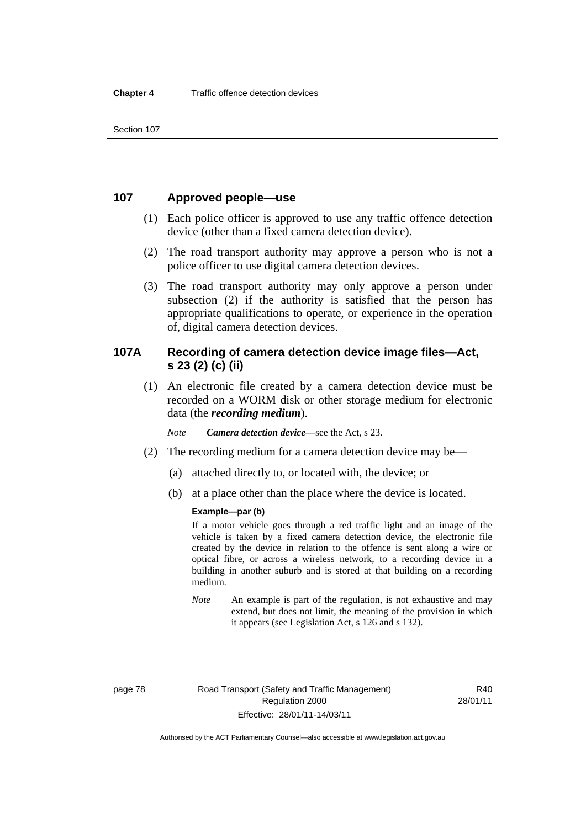Section 107

## **107 Approved people—use**

- (1) Each police officer is approved to use any traffic offence detection device (other than a fixed camera detection device).
- (2) The road transport authority may approve a person who is not a police officer to use digital camera detection devices.
- (3) The road transport authority may only approve a person under subsection (2) if the authority is satisfied that the person has appropriate qualifications to operate, or experience in the operation of, digital camera detection devices.

# **107A Recording of camera detection device image files—Act, s 23 (2) (c) (ii)**

 (1) An electronic file created by a camera detection device must be recorded on a WORM disk or other storage medium for electronic data (the *recording medium*).

*Note Camera detection device*—see the Act, s 23.

- (2) The recording medium for a camera detection device may be—
	- (a) attached directly to, or located with, the device; or
	- (b) at a place other than the place where the device is located.

#### **Example—par (b)**

If a motor vehicle goes through a red traffic light and an image of the vehicle is taken by a fixed camera detection device, the electronic file created by the device in relation to the offence is sent along a wire or optical fibre, or across a wireless network, to a recording device in a building in another suburb and is stored at that building on a recording medium.

*Note* An example is part of the regulation, is not exhaustive and may extend, but does not limit, the meaning of the provision in which it appears (see Legislation Act, s 126 and s 132).

R40 28/01/11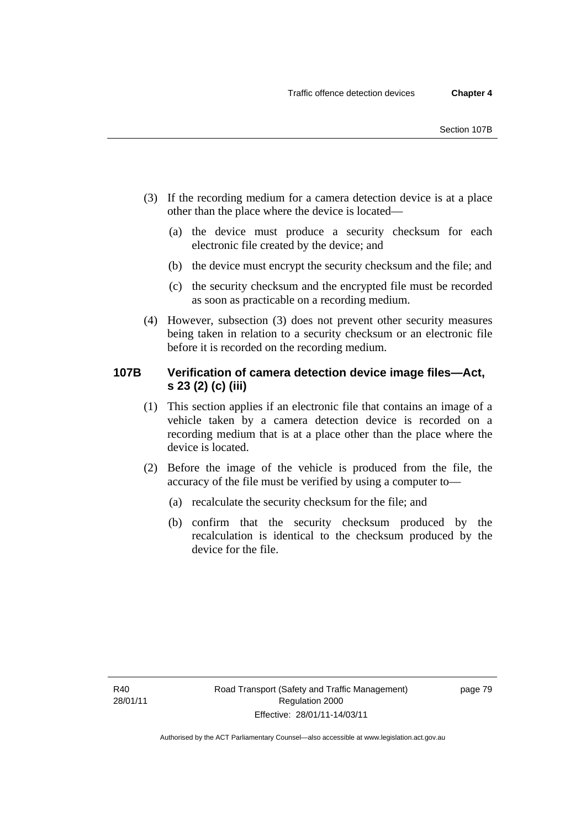- (3) If the recording medium for a camera detection device is at a place other than the place where the device is located—
	- (a) the device must produce a security checksum for each electronic file created by the device; and
	- (b) the device must encrypt the security checksum and the file; and
	- (c) the security checksum and the encrypted file must be recorded as soon as practicable on a recording medium.
- (4) However, subsection (3) does not prevent other security measures being taken in relation to a security checksum or an electronic file before it is recorded on the recording medium.

# **107B Verification of camera detection device image files—Act, s 23 (2) (c) (iii)**

- (1) This section applies if an electronic file that contains an image of a vehicle taken by a camera detection device is recorded on a recording medium that is at a place other than the place where the device is located.
- (2) Before the image of the vehicle is produced from the file, the accuracy of the file must be verified by using a computer to—
	- (a) recalculate the security checksum for the file; and
	- (b) confirm that the security checksum produced by the recalculation is identical to the checksum produced by the device for the file.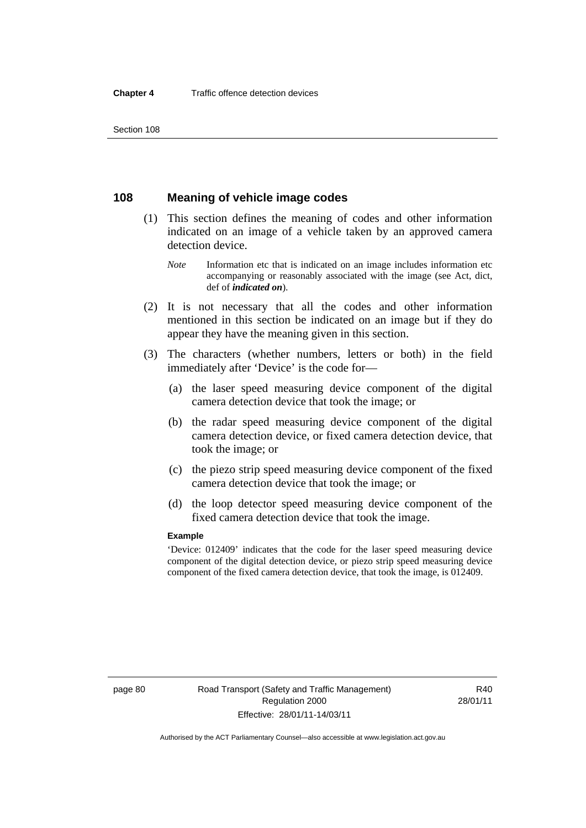Section 108

# **108 Meaning of vehicle image codes**

- (1) This section defines the meaning of codes and other information indicated on an image of a vehicle taken by an approved camera detection device.
	- *Note* Information etc that is indicated on an image includes information etc accompanying or reasonably associated with the image (see Act, dict, def of *indicated on*).
- (2) It is not necessary that all the codes and other information mentioned in this section be indicated on an image but if they do appear they have the meaning given in this section.
- (3) The characters (whether numbers, letters or both) in the field immediately after 'Device' is the code for—
	- (a) the laser speed measuring device component of the digital camera detection device that took the image; or
	- (b) the radar speed measuring device component of the digital camera detection device, or fixed camera detection device, that took the image; or
	- (c) the piezo strip speed measuring device component of the fixed camera detection device that took the image; or
	- (d) the loop detector speed measuring device component of the fixed camera detection device that took the image.

#### **Example**

'Device: 012409' indicates that the code for the laser speed measuring device component of the digital detection device, or piezo strip speed measuring device component of the fixed camera detection device, that took the image, is 012409.

R40 28/01/11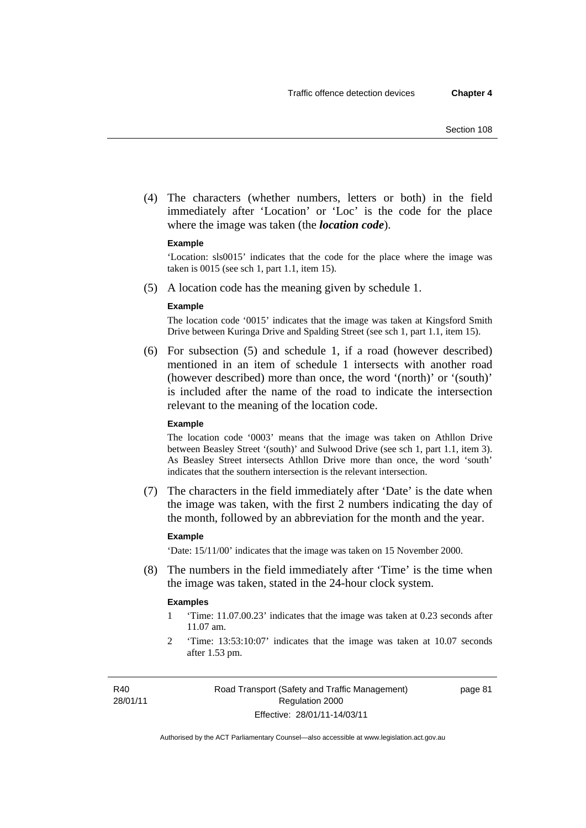(4) The characters (whether numbers, letters or both) in the field immediately after 'Location' or 'Loc' is the code for the place where the image was taken (the *location code*).

#### **Example**

'Location: sls0015' indicates that the code for the place where the image was taken is 0015 (see sch 1, part 1.1, item 15).

(5) A location code has the meaning given by schedule 1.

#### **Example**

The location code '0015' indicates that the image was taken at Kingsford Smith Drive between Kuringa Drive and Spalding Street (see sch 1, part 1.1, item 15).

 (6) For subsection (5) and schedule 1, if a road (however described) mentioned in an item of schedule 1 intersects with another road (however described) more than once, the word '(north)' or '(south)' is included after the name of the road to indicate the intersection relevant to the meaning of the location code.

#### **Example**

The location code '0003' means that the image was taken on Athllon Drive between Beasley Street '(south)' and Sulwood Drive (see sch 1, part 1.1, item 3). As Beasley Street intersects Athllon Drive more than once, the word 'south' indicates that the southern intersection is the relevant intersection.

 (7) The characters in the field immediately after 'Date' is the date when the image was taken, with the first 2 numbers indicating the day of the month, followed by an abbreviation for the month and the year.

#### **Example**

'Date: 15/11/00' indicates that the image was taken on 15 November 2000.

 (8) The numbers in the field immediately after 'Time' is the time when the image was taken, stated in the 24-hour clock system.

#### **Examples**

- 1 'Time: 11.07.00.23' indicates that the image was taken at 0.23 seconds after 11.07 am.
- 2 'Time: 13:53:10:07' indicates that the image was taken at 10.07 seconds after 1.53 pm.

R40 28/01/11 page 81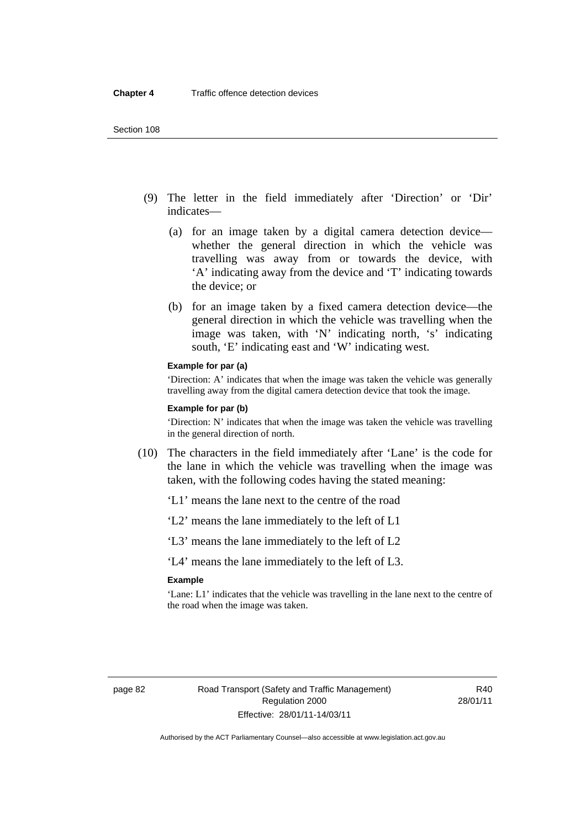- (9) The letter in the field immediately after 'Direction' or 'Dir' indicates—
	- (a) for an image taken by a digital camera detection device whether the general direction in which the vehicle was travelling was away from or towards the device, with 'A' indicating away from the device and 'T' indicating towards the device; or
	- (b) for an image taken by a fixed camera detection device—the general direction in which the vehicle was travelling when the image was taken, with 'N' indicating north, 's' indicating south, 'E' indicating east and 'W' indicating west.

#### **Example for par (a)**

'Direction: A' indicates that when the image was taken the vehicle was generally travelling away from the digital camera detection device that took the image.

#### **Example for par (b)**

'Direction: N' indicates that when the image was taken the vehicle was travelling in the general direction of north.

- (10) The characters in the field immediately after 'Lane' is the code for the lane in which the vehicle was travelling when the image was taken, with the following codes having the stated meaning:
	- 'L1' means the lane next to the centre of the road
	- 'L2' means the lane immediately to the left of L1
	- 'L3' means the lane immediately to the left of L2

'L4' means the lane immediately to the left of L3.

#### **Example**

'Lane: L1' indicates that the vehicle was travelling in the lane next to the centre of the road when the image was taken.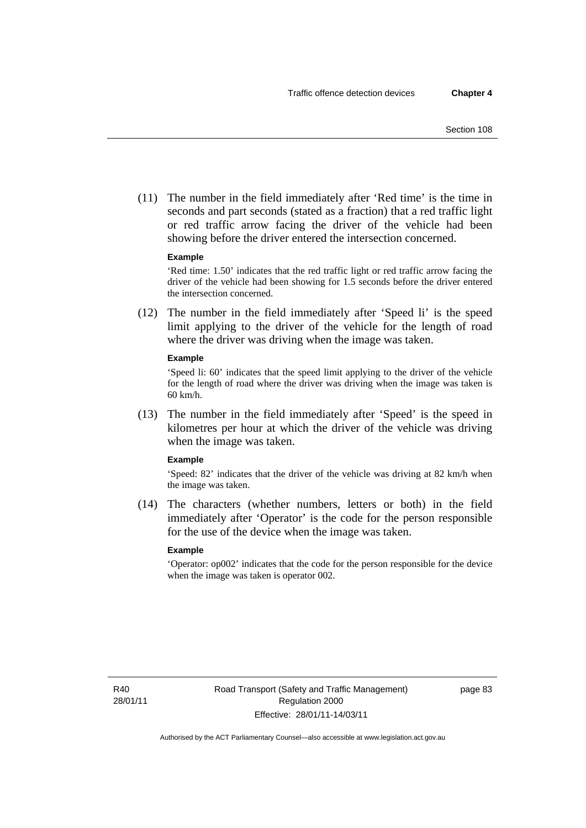(11) The number in the field immediately after 'Red time' is the time in seconds and part seconds (stated as a fraction) that a red traffic light or red traffic arrow facing the driver of the vehicle had been showing before the driver entered the intersection concerned.

#### **Example**

'Red time: 1.50' indicates that the red traffic light or red traffic arrow facing the driver of the vehicle had been showing for 1.5 seconds before the driver entered the intersection concerned.

 (12) The number in the field immediately after 'Speed li' is the speed limit applying to the driver of the vehicle for the length of road where the driver was driving when the image was taken.

#### **Example**

'Speed li: 60' indicates that the speed limit applying to the driver of the vehicle for the length of road where the driver was driving when the image was taken is 60 km/h.

 (13) The number in the field immediately after 'Speed' is the speed in kilometres per hour at which the driver of the vehicle was driving when the image was taken.

#### **Example**

'Speed: 82' indicates that the driver of the vehicle was driving at 82 km/h when the image was taken.

 (14) The characters (whether numbers, letters or both) in the field immediately after 'Operator' is the code for the person responsible for the use of the device when the image was taken.

#### **Example**

'Operator: op002' indicates that the code for the person responsible for the device when the image was taken is operator 002.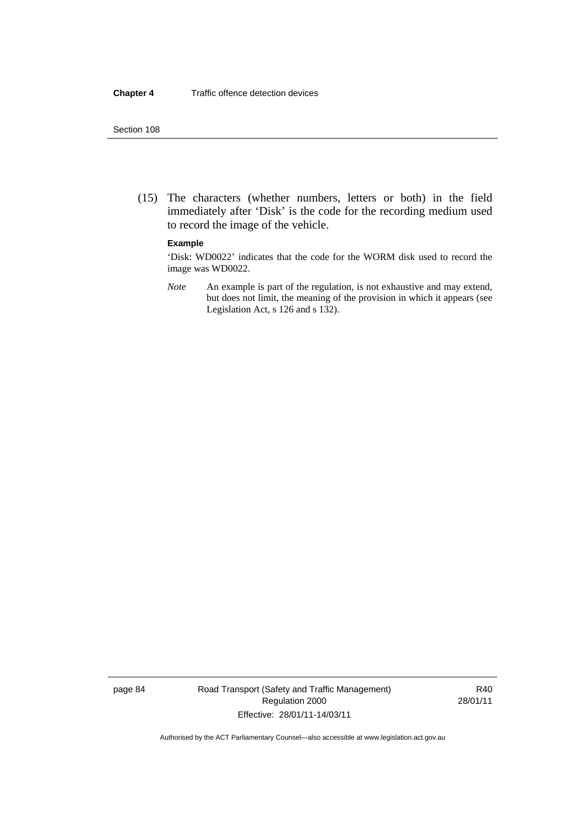#### Section 108

 (15) The characters (whether numbers, letters or both) in the field immediately after 'Disk' is the code for the recording medium used to record the image of the vehicle.

#### **Example**

'Disk: WD0022' indicates that the code for the WORM disk used to record the image was WD0022.

*Note* An example is part of the regulation, is not exhaustive and may extend, but does not limit, the meaning of the provision in which it appears (see Legislation Act, s 126 and s 132).

page 84 Road Transport (Safety and Traffic Management) Regulation 2000 Effective: 28/01/11-14/03/11

R40 28/01/11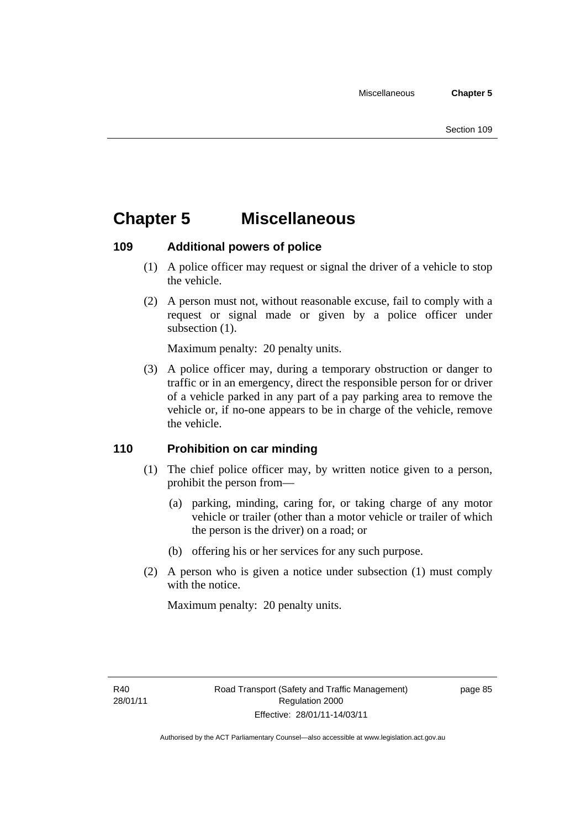# **Chapter 5 Miscellaneous**

# **109 Additional powers of police**

- (1) A police officer may request or signal the driver of a vehicle to stop the vehicle.
- (2) A person must not, without reasonable excuse, fail to comply with a request or signal made or given by a police officer under subsection  $(1)$ .

Maximum penalty: 20 penalty units.

 (3) A police officer may, during a temporary obstruction or danger to traffic or in an emergency, direct the responsible person for or driver of a vehicle parked in any part of a pay parking area to remove the vehicle or, if no-one appears to be in charge of the vehicle, remove the vehicle.

# **110 Prohibition on car minding**

- (1) The chief police officer may, by written notice given to a person, prohibit the person from—
	- (a) parking, minding, caring for, or taking charge of any motor vehicle or trailer (other than a motor vehicle or trailer of which the person is the driver) on a road; or
	- (b) offering his or her services for any such purpose.
- (2) A person who is given a notice under subsection (1) must comply with the notice.

Maximum penalty: 20 penalty units.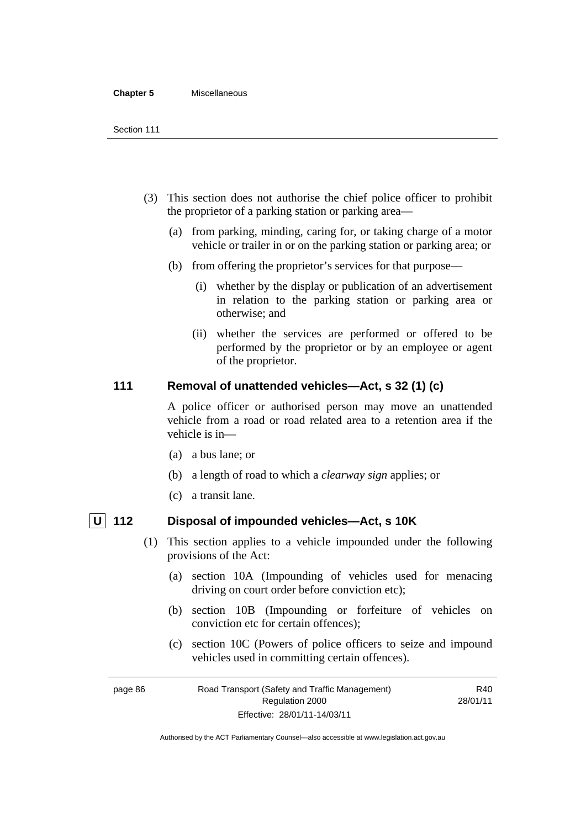#### **Chapter 5** Miscellaneous

- (3) This section does not authorise the chief police officer to prohibit the proprietor of a parking station or parking area—
	- (a) from parking, minding, caring for, or taking charge of a motor vehicle or trailer in or on the parking station or parking area; or
	- (b) from offering the proprietor's services for that purpose—
		- (i) whether by the display or publication of an advertisement in relation to the parking station or parking area or otherwise; and
		- (ii) whether the services are performed or offered to be performed by the proprietor or by an employee or agent of the proprietor.

# **111 Removal of unattended vehicles—Act, s 32 (1) (c)**

A police officer or authorised person may move an unattended vehicle from a road or road related area to a retention area if the vehicle is in—

- (a) a bus lane; or
- (b) a length of road to which a *clearway sign* applies; or
- (c) a transit lane.

- **U 112 Disposal of impounded vehicles—Act, s 10K** 
	- (1) This section applies to a vehicle impounded under the following provisions of the Act:
		- (a) section 10A (Impounding of vehicles used for menacing driving on court order before conviction etc);
		- (b) section 10B (Impounding or forfeiture of vehicles on conviction etc for certain offences);
		- (c) section 10C (Powers of police officers to seize and impound vehicles used in committing certain offences).

page 86 Road Transport (Safety and Traffic Management) Regulation 2000 Effective: 28/01/11-14/03/11 R40 28/01/11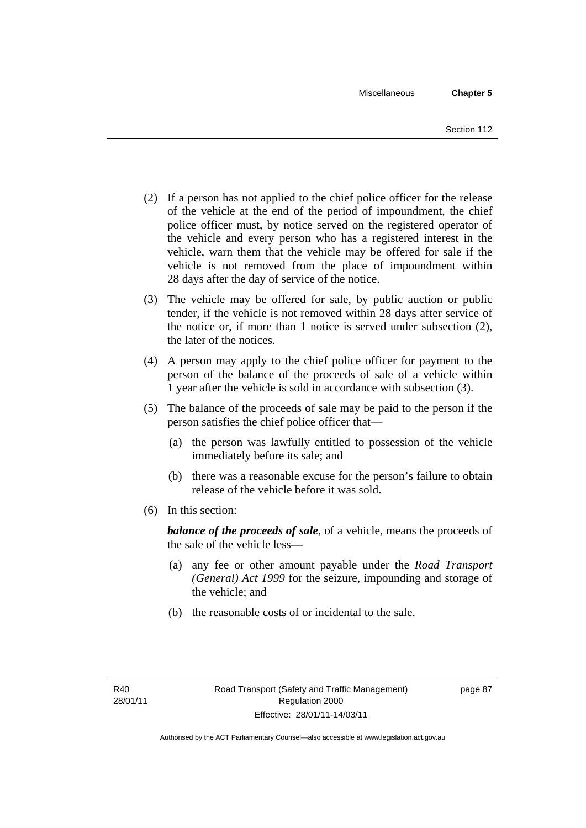- (2) If a person has not applied to the chief police officer for the release of the vehicle at the end of the period of impoundment, the chief police officer must, by notice served on the registered operator of the vehicle and every person who has a registered interest in the vehicle, warn them that the vehicle may be offered for sale if the vehicle is not removed from the place of impoundment within 28 days after the day of service of the notice.
- (3) The vehicle may be offered for sale, by public auction or public tender, if the vehicle is not removed within 28 days after service of the notice or, if more than 1 notice is served under subsection (2), the later of the notices.
- (4) A person may apply to the chief police officer for payment to the person of the balance of the proceeds of sale of a vehicle within 1 year after the vehicle is sold in accordance with subsection (3).
- (5) The balance of the proceeds of sale may be paid to the person if the person satisfies the chief police officer that—
	- (a) the person was lawfully entitled to possession of the vehicle immediately before its sale; and
	- (b) there was a reasonable excuse for the person's failure to obtain release of the vehicle before it was sold.
- (6) In this section:

*balance of the proceeds of sale*, of a vehicle, means the proceeds of the sale of the vehicle less—

- (a) any fee or other amount payable under the *Road Transport (General) Act 1999* for the seizure, impounding and storage of the vehicle; and
- (b) the reasonable costs of or incidental to the sale.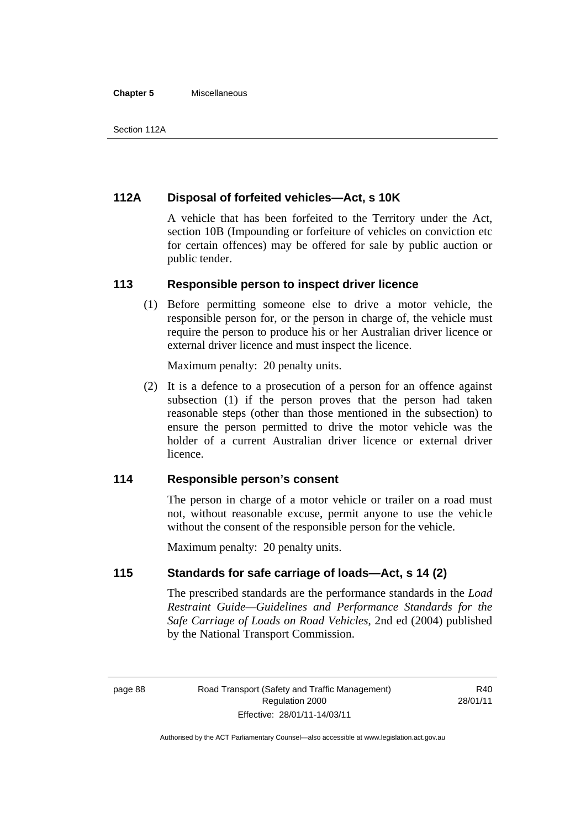#### **Chapter 5** Miscellaneous

# **112A Disposal of forfeited vehicles—Act, s 10K**

A vehicle that has been forfeited to the Territory under the Act, section 10B (Impounding or forfeiture of vehicles on conviction etc for certain offences) may be offered for sale by public auction or public tender.

#### **113 Responsible person to inspect driver licence**

 (1) Before permitting someone else to drive a motor vehicle, the responsible person for, or the person in charge of, the vehicle must require the person to produce his or her Australian driver licence or external driver licence and must inspect the licence.

Maximum penalty: 20 penalty units.

 (2) It is a defence to a prosecution of a person for an offence against subsection (1) if the person proves that the person had taken reasonable steps (other than those mentioned in the subsection) to ensure the person permitted to drive the motor vehicle was the holder of a current Australian driver licence or external driver licence.

# **114 Responsible person's consent**

The person in charge of a motor vehicle or trailer on a road must not, without reasonable excuse, permit anyone to use the vehicle without the consent of the responsible person for the vehicle.

Maximum penalty: 20 penalty units.

## **115 Standards for safe carriage of loads—Act, s 14 (2)**

The prescribed standards are the performance standards in the *Load Restraint Guide—Guidelines and Performance Standards for the Safe Carriage of Loads on Road Vehicles*, 2nd ed (2004) published by the National Transport Commission.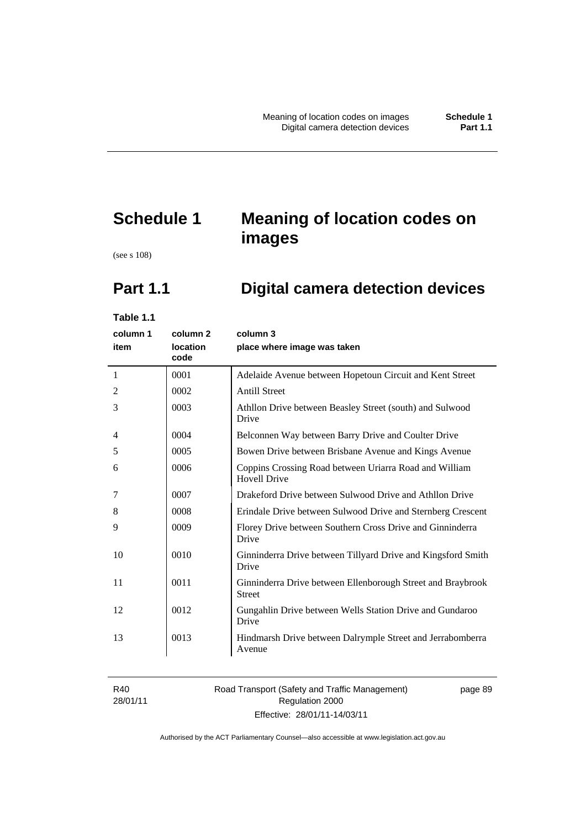# **Schedule 1 Meaning of location codes on images**

(see s 108)

# **Part 1.1 Digital camera detection devices**

**Table 1.1** 

| column 1<br>item | column <sub>2</sub><br>location<br>code | column 3<br>place where image was taken                                       |
|------------------|-----------------------------------------|-------------------------------------------------------------------------------|
| $\mathbf{1}$     | 0001                                    | Adelaide Avenue between Hopetoun Circuit and Kent Street                      |
| 2                | 0002                                    | <b>Antill Street</b>                                                          |
| 3                | 0003                                    | Athllon Drive between Beasley Street (south) and Sulwood<br>Drive             |
| 4                | 0004                                    | Belconnen Way between Barry Drive and Coulter Drive                           |
| 5                | 0005                                    | Bowen Drive between Brisbane Avenue and Kings Avenue                          |
| 6                | 0006                                    | Coppins Crossing Road between Uriarra Road and William<br><b>Hovell Drive</b> |
| 7                | 0007                                    | Drakeford Drive between Sulwood Drive and Athllon Drive                       |
| 8                | 0008                                    | Erindale Drive between Sulwood Drive and Sternberg Crescent                   |
| 9                | 0009                                    | Florey Drive between Southern Cross Drive and Ginninderra<br>Drive            |
| 10               | 0010                                    | Ginninderra Drive between Tillyard Drive and Kingsford Smith<br>Drive         |
| 11               | 0011                                    | Ginninderra Drive between Ellenborough Street and Braybrook<br><b>Street</b>  |
| 12               | 0012                                    | Gungahlin Drive between Wells Station Drive and Gundaroo<br>Drive             |
| 13               | 0013                                    | Hindmarsh Drive between Dalrymple Street and Jerrabomberra<br>Avenue          |
|                  |                                         |                                                                               |

R40 28/01/11

## Road Transport (Safety and Traffic Management) Regulation 2000 Effective: 28/01/11-14/03/11

page 89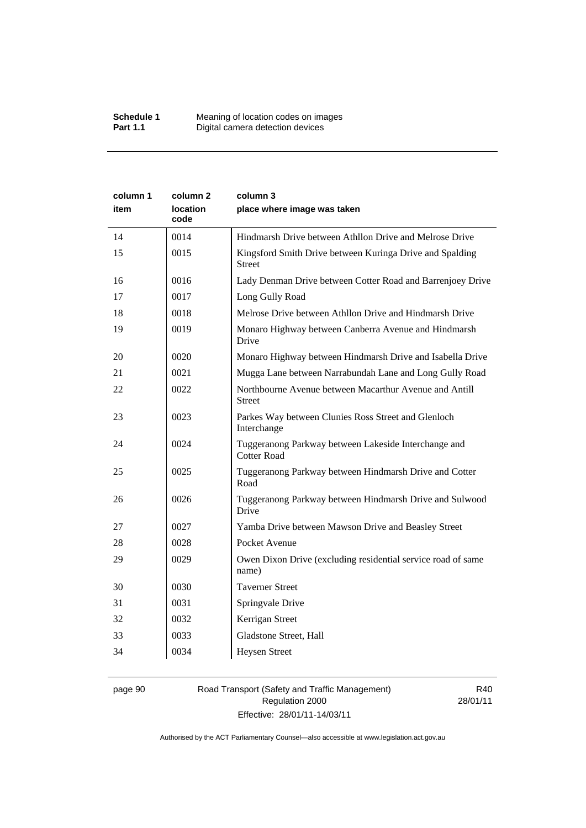| column 1<br>item | column 2<br>location<br>code | column 3<br>place where image was taken                                    |
|------------------|------------------------------|----------------------------------------------------------------------------|
| 14               | 0014                         | Hindmarsh Drive between Athllon Drive and Melrose Drive                    |
| 15               | 0015                         | Kingsford Smith Drive between Kuringa Drive and Spalding<br><b>Street</b>  |
| 16               | 0016                         | Lady Denman Drive between Cotter Road and Barrenjoey Drive                 |
| 17               | 0017                         | Long Gully Road                                                            |
| 18               | 0018                         | Melrose Drive between Athllon Drive and Hindmarsh Drive                    |
| 19               | 0019                         | Monaro Highway between Canberra Avenue and Hindmarsh<br>Drive              |
| 20               | 0020                         | Monaro Highway between Hindmarsh Drive and Isabella Drive                  |
| 21               | 0021                         | Mugga Lane between Narrabundah Lane and Long Gully Road                    |
| 22               | 0022                         | Northbourne Avenue between Macarthur Avenue and Antill<br><b>Street</b>    |
| 23               | 0023                         | Parkes Way between Clunies Ross Street and Glenloch<br>Interchange         |
| 24               | 0024                         | Tuggeranong Parkway between Lakeside Interchange and<br><b>Cotter Road</b> |
| 25               | 0025                         | Tuggeranong Parkway between Hindmarsh Drive and Cotter<br>Road             |
| 26               | 0026                         | Tuggeranong Parkway between Hindmarsh Drive and Sulwood<br>Drive           |
| 27               | 0027                         | Yamba Drive between Mawson Drive and Beasley Street                        |
| 28               | 0028                         | Pocket Avenue                                                              |
| 29               | 0029                         | Owen Dixon Drive (excluding residential service road of same<br>name)      |
| 30               | 0030                         | <b>Taverner Street</b>                                                     |
| 31               | 0031                         | Springvale Drive                                                           |
| 32               | 0032                         | Kerrigan Street                                                            |
| 33               | 0033                         | Gladstone Street, Hall                                                     |
| 34               | 0034                         | <b>Heysen Street</b>                                                       |

# page 90 Road Transport (Safety and Traffic Management) Regulation 2000 Effective: 28/01/11-14/03/11

R40 28/01/11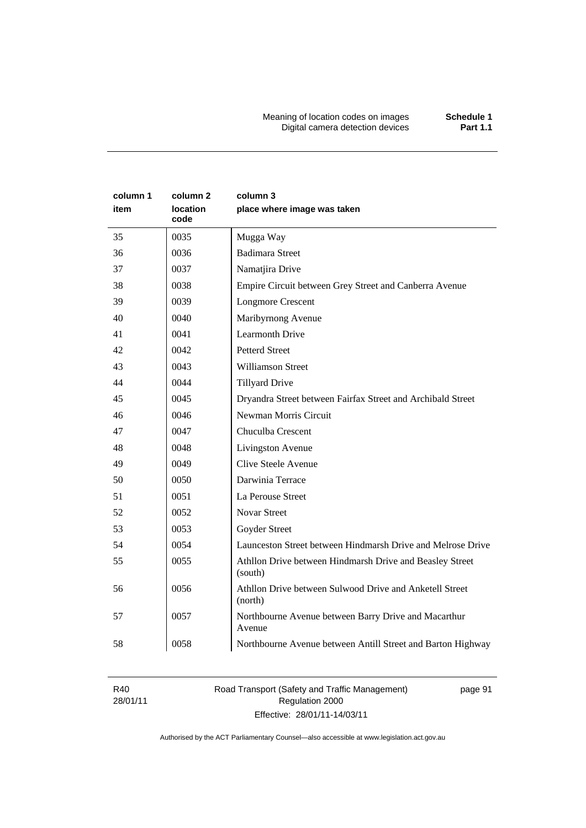Meaning of location codes on images **Schedule 1**  Digital camera detection devices **Part 1.1** 

| column 1 | column 2         | column 3                                                            |
|----------|------------------|---------------------------------------------------------------------|
| item     | location<br>code | place where image was taken                                         |
| 35       | 0035             | Mugga Way                                                           |
| 36       | 0036             | <b>Badimara Street</b>                                              |
| 37       | 0037             | Namatjira Drive                                                     |
| 38       | 0038             | Empire Circuit between Grey Street and Canberra Avenue              |
| 39       | 0039             | <b>Longmore Crescent</b>                                            |
| 40       | 0040             | Maribyrnong Avenue                                                  |
| 41       | 0041             | Learmonth Drive                                                     |
| 42       | 0042             | <b>Petterd Street</b>                                               |
| 43       | 0043             | <b>Williamson Street</b>                                            |
| 44       | 0044             | <b>Tillyard Drive</b>                                               |
| 45       | 0045             | Dryandra Street between Fairfax Street and Archibald Street         |
| 46       | 0046             | Newman Morris Circuit                                               |
| 47       | 0047             | Chuculba Crescent                                                   |
| 48       | 0048             | Livingston Avenue                                                   |
| 49       | 0049             | Clive Steele Avenue                                                 |
| 50       | 0050             | Darwinia Terrace                                                    |
| 51       | 0051             | La Perouse Street                                                   |
| 52       | 0052             | <b>Novar Street</b>                                                 |
| 53       | 0053             | Goyder Street                                                       |
| 54       | 0054             | Launceston Street between Hindmarsh Drive and Melrose Drive         |
| 55       | 0055             | Athllon Drive between Hindmarsh Drive and Beasley Street<br>(south) |
| 56       | 0056             | Athllon Drive between Sulwood Drive and Anketell Street<br>(north)  |
| 57       | 0057             | Northbourne Avenue between Barry Drive and Macarthur<br>Avenue      |
| 58       | 0058             | Northbourne Avenue between Antill Street and Barton Highway         |

R40 28/01/11 Road Transport (Safety and Traffic Management) Regulation 2000 Effective: 28/01/11-14/03/11

page 91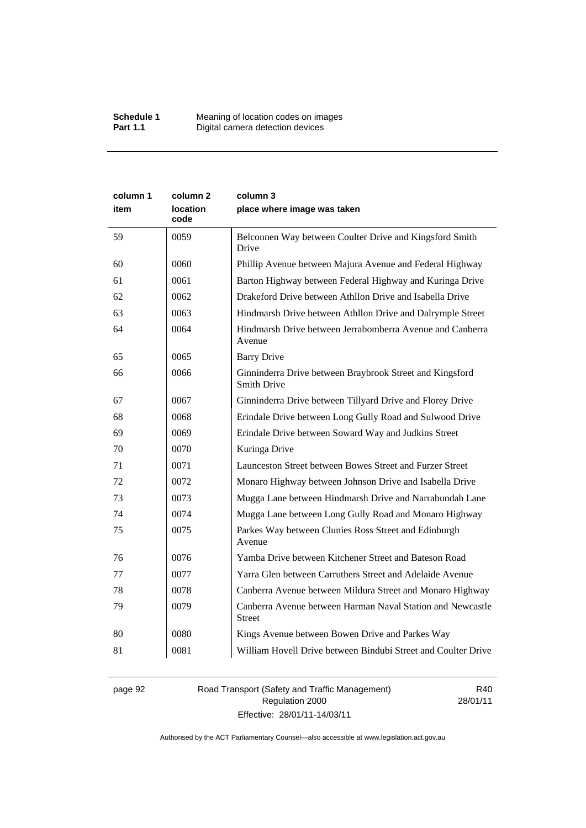| column 1 | column <sub>2</sub> | column 3                                                                       |
|----------|---------------------|--------------------------------------------------------------------------------|
| item     | location<br>code    | place where image was taken                                                    |
| 59       | 0059                | Belconnen Way between Coulter Drive and Kingsford Smith<br>Drive               |
| 60       | 0060                | Phillip Avenue between Majura Avenue and Federal Highway                       |
| 61       | 0061                | Barton Highway between Federal Highway and Kuringa Drive                       |
| 62       | 0062                | Drakeford Drive between Athllon Drive and Isabella Drive                       |
| 63       | 0063                | Hindmarsh Drive between Athllon Drive and Dalrymple Street                     |
| 64       | 0064                | Hindmarsh Drive between Jerrabomberra Avenue and Canberra<br>Avenue            |
| 65       | 0065                | <b>Barry Drive</b>                                                             |
| 66       | 0066                | Ginninderra Drive between Braybrook Street and Kingsford<br><b>Smith Drive</b> |
| 67       | 0067                | Ginninderra Drive between Tillyard Drive and Florey Drive                      |
| 68       | 0068                | Erindale Drive between Long Gully Road and Sulwood Drive                       |
| 69       | 0069                | Erindale Drive between Soward Way and Judkins Street                           |
| 70       | 0070                | Kuringa Drive                                                                  |
| 71       | 0071                | Launceston Street between Bowes Street and Furzer Street                       |
| 72       | 0072                | Monaro Highway between Johnson Drive and Isabella Drive                        |
| 73       | 0073                | Mugga Lane between Hindmarsh Drive and Narrabundah Lane                        |
| 74       | 0074                | Mugga Lane between Long Gully Road and Monaro Highway                          |
| 75       | 0075                | Parkes Way between Clunies Ross Street and Edinburgh<br>Avenue                 |
| 76       | 0076                | Yamba Drive between Kitchener Street and Bateson Road                          |
| 77       | 0077                | Yarra Glen between Carruthers Street and Adelaide Avenue                       |
| 78       | 0078                | Canberra Avenue between Mildura Street and Monaro Highway                      |
| 79       | 0079                | Canberra Avenue between Harman Naval Station and Newcastle<br>Street           |
| 80       | 0080                | Kings Avenue between Bowen Drive and Parkes Way                                |
| 81       | 0081                | William Hovell Drive between Bindubi Street and Coulter Drive                  |

page 92 Road Transport (Safety and Traffic Management) Regulation 2000 Effective: 28/01/11-14/03/11

R40 28/01/11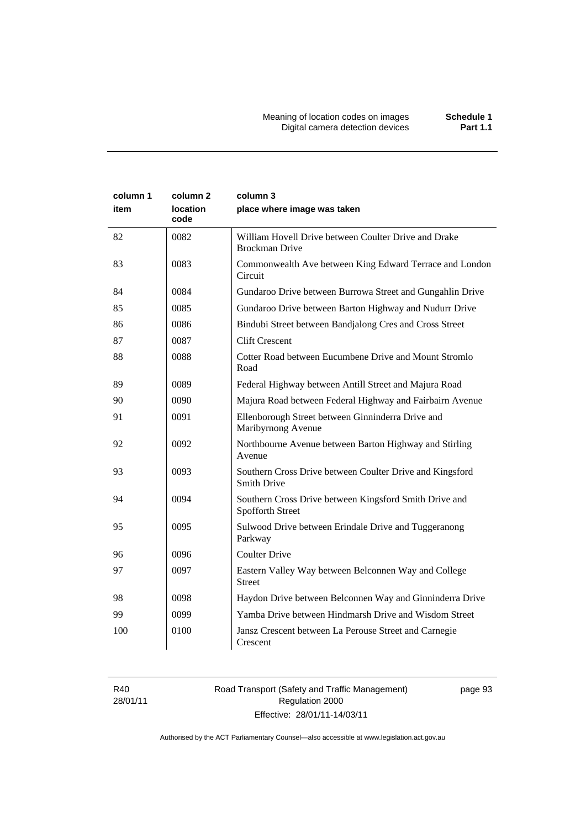| column 1<br>item | column 2<br><b>location</b><br>code | column 3<br>place where image was taken                                        |
|------------------|-------------------------------------|--------------------------------------------------------------------------------|
| 82               | 0082                                | William Hovell Drive between Coulter Drive and Drake<br><b>Brockman Drive</b>  |
| 83               | 0083                                | Commonwealth Ave between King Edward Terrace and London<br>Circuit             |
| 84               | 0084                                | Gundaroo Drive between Burrowa Street and Gungahlin Drive                      |
| 85               | 0085                                | Gundaroo Drive between Barton Highway and Nudurr Drive                         |
| 86               | 0086                                | Bindubi Street between Bandjalong Cres and Cross Street                        |
| 87               | 0087                                | <b>Clift Crescent</b>                                                          |
| 88               | 0088                                | Cotter Road between Eucumbene Drive and Mount Stromlo<br>Road                  |
| 89               | 0089                                | Federal Highway between Antill Street and Majura Road                          |
| 90               | 0090                                | Majura Road between Federal Highway and Fairbairn Avenue                       |
| 91               | 0091                                | Ellenborough Street between Ginninderra Drive and<br>Maribyrnong Avenue        |
| 92               | 0092                                | Northbourne Avenue between Barton Highway and Stirling<br>Avenue               |
| 93               | 0093                                | Southern Cross Drive between Coulter Drive and Kingsford<br><b>Smith Drive</b> |
| 94               | 0094                                | Southern Cross Drive between Kingsford Smith Drive and<br>Spofforth Street     |
| 95               | 0095                                | Sulwood Drive between Erindale Drive and Tuggeranong<br>Parkway                |
| 96               | 0096                                | <b>Coulter Drive</b>                                                           |
| 97               | 0097                                | Eastern Valley Way between Belconnen Way and College<br>Street                 |
| 98               | 0098                                | Haydon Drive between Belconnen Way and Ginninderra Drive                       |
| 99               | 0099                                | Yamba Drive between Hindmarsh Drive and Wisdom Street                          |
| 100              | 0100                                | Jansz Crescent between La Perouse Street and Carnegie<br>Crescent              |

R40 28/01/11

# Road Transport (Safety and Traffic Management) Regulation 2000 Effective: 28/01/11-14/03/11

page 93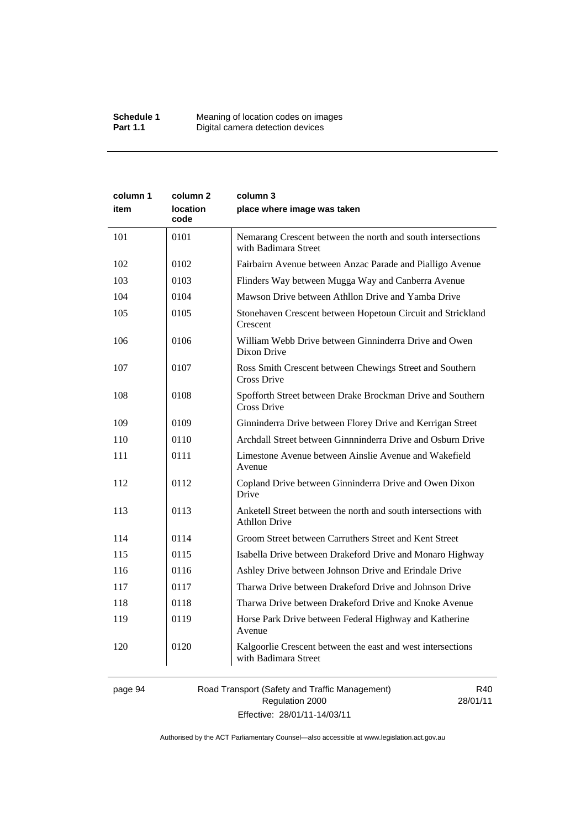| column 1<br>item | column 2<br>location<br>code | column 3<br>place where image was taken                                                |
|------------------|------------------------------|----------------------------------------------------------------------------------------|
| 101              | 0101                         | Nemarang Crescent between the north and south intersections<br>with Badimara Street    |
| 102              | 0102                         | Fairbairn Avenue between Anzac Parade and Pialligo Avenue                              |
| 103              | 0103                         | Flinders Way between Mugga Way and Canberra Avenue                                     |
| 104              | 0104                         | Mawson Drive between Athllon Drive and Yamba Drive                                     |
| 105              | 0105                         | Stonehaven Crescent between Hopetoun Circuit and Strickland<br>Crescent                |
| 106              | 0106                         | William Webb Drive between Ginninderra Drive and Owen<br>Dixon Drive                   |
| 107              | 0107                         | Ross Smith Crescent between Chewings Street and Southern<br>Cross Drive                |
| 108              | 0108                         | Spofforth Street between Drake Brockman Drive and Southern<br>Cross Drive              |
| 109              | 0109                         | Ginninderra Drive between Florey Drive and Kerrigan Street                             |
| 110              | 0110                         | Archdall Street between Ginnninderra Drive and Osburn Drive                            |
| 111              | 0111                         | Limestone Avenue between Ainslie Avenue and Wakefield<br>Avenue                        |
| 112              | 0112                         | Copland Drive between Ginninderra Drive and Owen Dixon<br>Drive                        |
| 113              | 0113                         | Anketell Street between the north and south intersections with<br><b>Athllon Drive</b> |
| 114              | 0114                         | Groom Street between Carruthers Street and Kent Street                                 |
| 115              | 0115                         | Isabella Drive between Drakeford Drive and Monaro Highway                              |
| 116              | 0116                         | Ashley Drive between Johnson Drive and Erindale Drive                                  |
| 117              | 0117                         | Tharwa Drive between Drakeford Drive and Johnson Drive                                 |
| 118              | 0118                         | Tharwa Drive between Drakeford Drive and Knoke Avenue                                  |
| 119              | 0119                         | Horse Park Drive between Federal Highway and Katherine<br>Avenue                       |
| 120              | 0120                         | Kalgoorlie Crescent between the east and west intersections<br>with Badimara Street    |

page 94 Road Transport (Safety and Traffic Management) Regulation 2000 Effective: 28/01/11-14/03/11

R40 28/01/11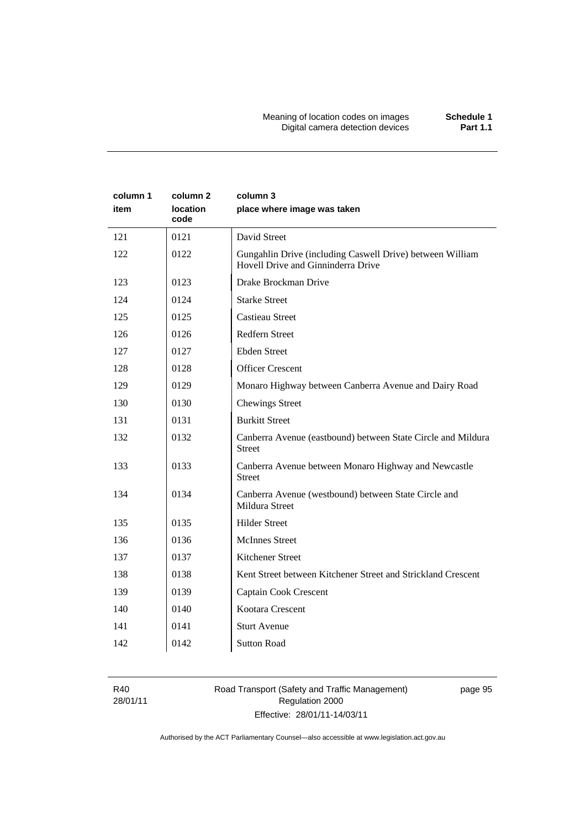| column 1<br>item | column 2<br><b>location</b><br>code | column 3<br>place where image was taken                                                         |
|------------------|-------------------------------------|-------------------------------------------------------------------------------------------------|
| 121              | 0121                                | David Street                                                                                    |
| 122              | 0122                                | Gungahlin Drive (including Caswell Drive) between William<br>Hovell Drive and Ginninderra Drive |
| 123              | 0123                                | Drake Brockman Drive                                                                            |
| 124              | 0124                                | <b>Starke Street</b>                                                                            |
| 125              | 0125                                | <b>Castieau Street</b>                                                                          |
| 126              | 0126                                | Redfern Street                                                                                  |
| 127              | 0127                                | <b>Ebden Street</b>                                                                             |
| 128              | 0128                                | <b>Officer Crescent</b>                                                                         |
| 129              | 0129                                | Monaro Highway between Canberra Avenue and Dairy Road                                           |
| 130              | 0130                                | <b>Chewings Street</b>                                                                          |
| 131              | 0131                                | <b>Burkitt Street</b>                                                                           |
| 132              | 0132                                | Canberra Avenue (eastbound) between State Circle and Mildura<br><b>Street</b>                   |
| 133              | 0133                                | Canberra Avenue between Monaro Highway and Newcastle<br><b>Street</b>                           |
| 134              | 0134                                | Canberra Avenue (westbound) between State Circle and<br>Mildura Street                          |
| 135              | 0135                                | <b>Hilder Street</b>                                                                            |
| 136              | 0136                                | <b>McInnes Street</b>                                                                           |
| 137              | 0137                                | <b>Kitchener Street</b>                                                                         |
| 138              | 0138                                | Kent Street between Kitchener Street and Strickland Crescent                                    |
| 139              | 0139                                | Captain Cook Crescent                                                                           |
| 140              | 0140                                | Kootara Crescent                                                                                |
| 141              | 0141                                | <b>Sturt Avenue</b>                                                                             |
| 142              | 0142                                | <b>Sutton Road</b>                                                                              |

R40 28/01/11

# Road Transport (Safety and Traffic Management) Regulation 2000 Effective: 28/01/11-14/03/11

page 95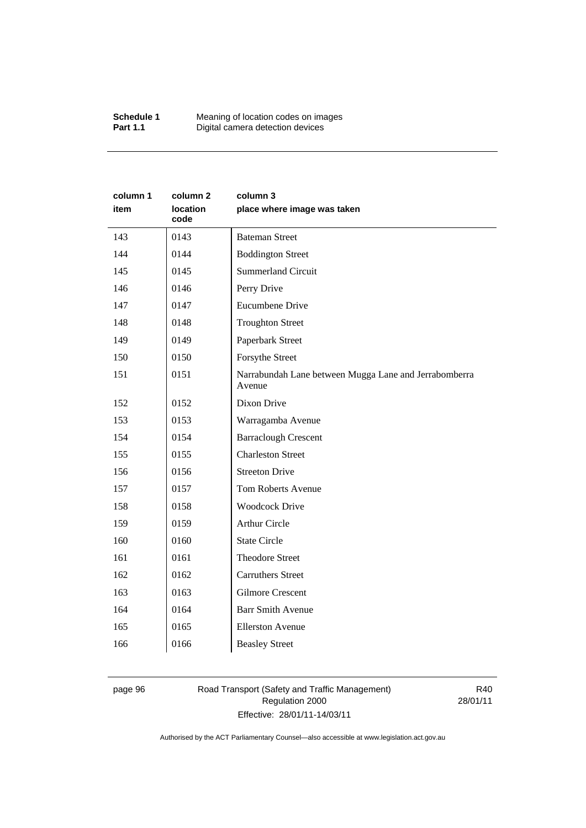#### **Schedule 1** Meaning of location codes on images **Part 1.1 Digital camera detection devices**

| column 1<br>item | column <sub>2</sub><br>location<br>code | column 3<br>place where image was taken                         |
|------------------|-----------------------------------------|-----------------------------------------------------------------|
| 143              | 0143                                    | <b>Bateman Street</b>                                           |
| 144              | 0144                                    | <b>Boddington Street</b>                                        |
| 145              | 0145                                    | <b>Summerland Circuit</b>                                       |
| 146              | 0146                                    | Perry Drive                                                     |
| 147              | 0147                                    | <b>Eucumbene Drive</b>                                          |
| 148              | 0148                                    | <b>Troughton Street</b>                                         |
| 149              | 0149                                    | Paperbark Street                                                |
| 150              | 0150                                    | Forsythe Street                                                 |
| 151              | 0151                                    | Narrabundah Lane between Mugga Lane and Jerrabomberra<br>Avenue |
| 152              | 0152                                    | Dixon Drive                                                     |
| 153              | 0153                                    | Warragamba Avenue                                               |
| 154              | 0154                                    | <b>Barraclough Crescent</b>                                     |
| 155              | 0155                                    | <b>Charleston Street</b>                                        |
| 156              | 0156                                    | <b>Streeton Drive</b>                                           |
| 157              | 0157                                    | Tom Roberts Avenue                                              |
| 158              | 0158                                    | <b>Woodcock Drive</b>                                           |
| 159              | 0159                                    | <b>Arthur Circle</b>                                            |
| 160              | 0160                                    | <b>State Circle</b>                                             |
| 161              | 0161                                    | <b>Theodore Street</b>                                          |
| 162              | 0162                                    | <b>Carruthers Street</b>                                        |
| 163              | 0163                                    | <b>Gilmore Crescent</b>                                         |
| 164              | 0164                                    | <b>Barr Smith Avenue</b>                                        |
| 165              | 0165                                    | <b>Ellerston Avenue</b>                                         |
| 166              | 0166                                    | <b>Beasley Street</b>                                           |

# page 96 Road Transport (Safety and Traffic Management) Regulation 2000 Effective: 28/01/11-14/03/11

R40 28/01/11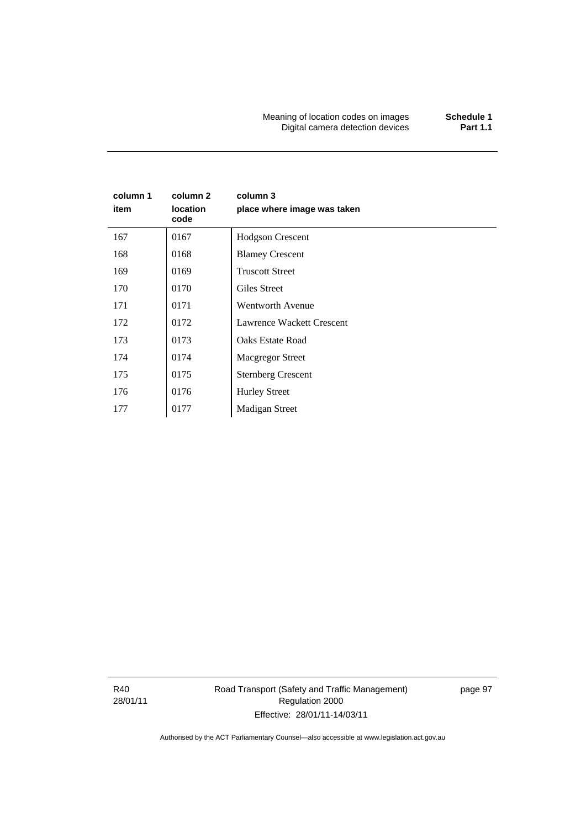Meaning of location codes on images **Schedule 1 Digital camera detection devices** 

# **column 1 item column 2 location code column 3 place where image was taken**  167 | 0167 | Hodgson Crescent 168 | 0168 | Blamey Crescent 169 0169 Truscott Street 170 0170 Giles Street 171 0171 Wentworth Avenue 172 0172 Lawrence Wackett Crescent 173 0173 Oaks Estate Road 174 | 0174 | Macgregor Street 175 | 0175 | Sternberg Crescent 176 | 0176 | Hurley Street

177 | 0177 | Madigan Street

R40 28/01/11 Road Transport (Safety and Traffic Management) Regulation 2000 Effective: 28/01/11-14/03/11

page 97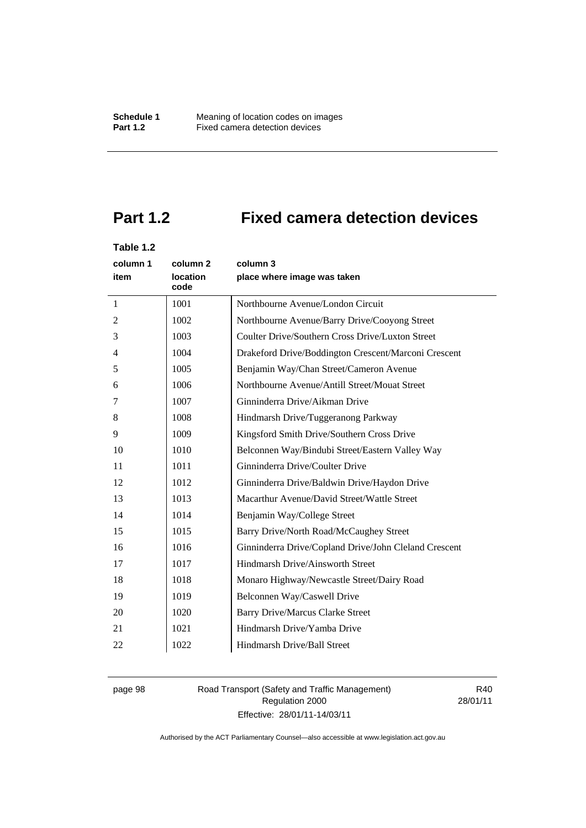# **Part 1.2 Fixed camera detection devices**

## **Table 1.2**

| column 1<br>item | column 2<br>location<br>code | column 3<br>place where image was taken               |
|------------------|------------------------------|-------------------------------------------------------|
| $\mathbf{1}$     | 1001                         | Northbourne Avenue/London Circuit                     |
| $\overline{2}$   | 1002                         | Northbourne Avenue/Barry Drive/Cooyong Street         |
| 3                | 1003                         | Coulter Drive/Southern Cross Drive/Luxton Street      |
| $\overline{4}$   | 1004                         | Drakeford Drive/Boddington Crescent/Marconi Crescent  |
| 5                | 1005                         | Benjamin Way/Chan Street/Cameron Avenue               |
| 6                | 1006                         | Northbourne Avenue/Antill Street/Mouat Street         |
| 7                | 1007                         | Ginninderra Drive/Aikman Drive                        |
| 8                | 1008                         | Hindmarsh Drive/Tuggeranong Parkway                   |
| 9                | 1009                         | Kingsford Smith Drive/Southern Cross Drive            |
| 10               | 1010                         | Belconnen Way/Bindubi Street/Eastern Valley Way       |
| 11               | 1011                         | Ginninderra Drive/Coulter Drive                       |
| 12               | 1012                         | Ginninderra Drive/Baldwin Drive/Haydon Drive          |
| 13               | 1013                         | Macarthur Avenue/David Street/Wattle Street           |
| 14               | 1014                         | Benjamin Way/College Street                           |
| 15               | 1015                         | Barry Drive/North Road/McCaughey Street               |
| 16               | 1016                         | Ginninderra Drive/Copland Drive/John Cleland Crescent |
| 17               | 1017                         | Hindmarsh Drive/Ainsworth Street                      |
| 18               | 1018                         | Monaro Highway/Newcastle Street/Dairy Road            |
| 19               | 1019                         | Belconnen Way/Caswell Drive                           |
| 20               | 1020                         | <b>Barry Drive/Marcus Clarke Street</b>               |
| 21               | 1021                         | Hindmarsh Drive/Yamba Drive                           |
| 22               | 1022                         | Hindmarsh Drive/Ball Street                           |

# page 98 Road Transport (Safety and Traffic Management) Regulation 2000 Effective: 28/01/11-14/03/11

R40 28/01/11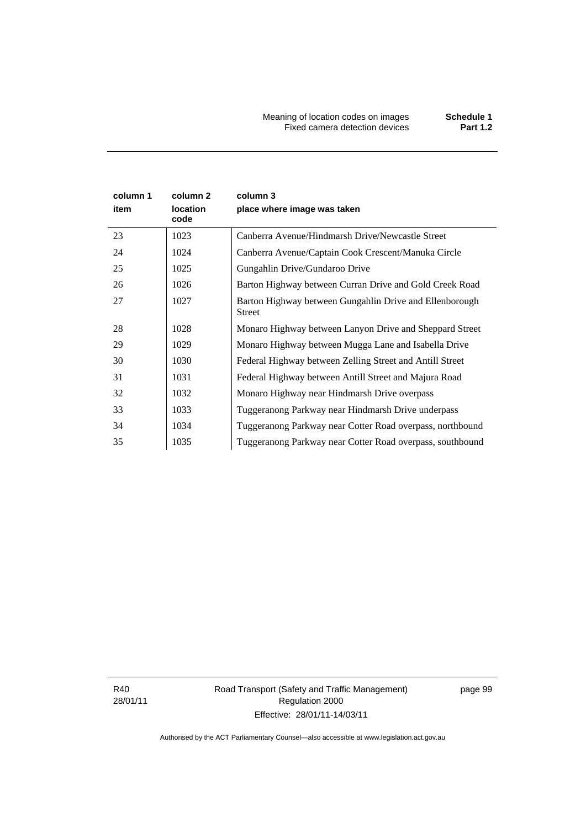Meaning of location codes on images **Schedule 1**  Fixed camera detection devices **Part 1.2** 

| column 1<br>item | column 2<br><b>location</b><br>code | column 3<br>place where image was taken                                  |
|------------------|-------------------------------------|--------------------------------------------------------------------------|
| 23               | 1023                                | Canberra Avenue/Hindmarsh Drive/Newcastle Street                         |
| 24               | 1024                                | Canberra Avenue/Captain Cook Crescent/Manuka Circle                      |
| 25               | 1025                                | Gungahlin Drive/Gundaroo Drive                                           |
| 26               | 1026                                | Barton Highway between Curran Drive and Gold Creek Road                  |
| 27               | 1027                                | Barton Highway between Gungahlin Drive and Ellenborough<br><b>Street</b> |
| 28               | 1028                                | Monaro Highway between Lanyon Drive and Sheppard Street                  |
| 29               | 1029                                | Monaro Highway between Mugga Lane and Isabella Drive                     |
| 30               | 1030                                | Federal Highway between Zelling Street and Antill Street                 |
| 31               | 1031                                | Federal Highway between Antill Street and Majura Road                    |
| 32               | 1032                                | Monaro Highway near Hindmarsh Drive overpass                             |
| 33               | 1033                                | Tuggeranong Parkway near Hindmarsh Drive underpass                       |
| 34               | 1034                                | Tuggeranong Parkway near Cotter Road overpass, northbound                |
| 35               | 1035                                | Tuggeranong Parkway near Cotter Road overpass, southbound                |

R40 28/01/11 Road Transport (Safety and Traffic Management) Regulation 2000 Effective: 28/01/11-14/03/11

page 99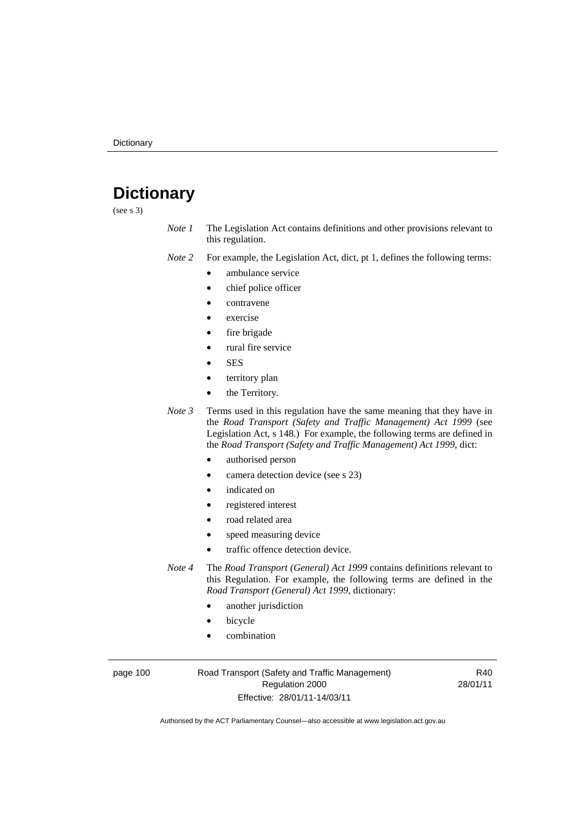# **Dictionary**

(see s 3)

*Note 1* The Legislation Act contains definitions and other provisions relevant to this regulation.

*Note 2* For example, the Legislation Act, dict, pt 1, defines the following terms:

- ambulance service
	- chief police officer
- contravene
- exercise
- fire brigade
- rural fire service
- SES
- territory plan
- the Territory.
- *Note 3* Terms used in this regulation have the same meaning that they have in the *Road Transport (Safety and Traffic Management) Act 1999* (see Legislation Act, s 148.) For example, the following terms are defined in the *Road Transport (Safety and Traffic Management) Act 1999*, dict:
	- authorised person
	- camera detection device (see s 23)
	- indicated on
	- registered interest
	- road related area
	- speed measuring device
	- traffic offence detection device.

*Note 4* The *Road Transport (General) Act 1999* contains definitions relevant to this Regulation. For example, the following terms are defined in the *Road Transport (General) Act 1999*, dictionary:

- another jurisdiction
- **bicycle**
- combination

page 100 Road Transport (Safety and Traffic Management) Regulation 2000 Effective: 28/01/11-14/03/11

R40 28/01/11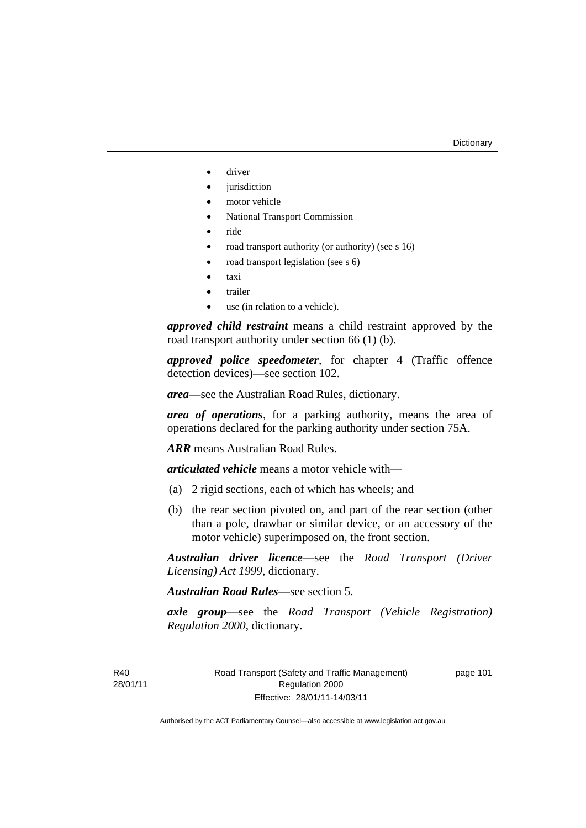- driver
- *jurisdiction*
- motor vehicle
- National Transport Commission
- ride
- road transport authority (or authority) (see s 16)
- road transport legislation (see s 6)
- taxi
- trailer
- use (in relation to a vehicle).

*approved child restraint* means a child restraint approved by the road transport authority under section 66 (1) (b).

*approved police speedometer*, for chapter 4 (Traffic offence detection devices)—see section 102.

*area*—see the Australian Road Rules, dictionary.

*area of operations*, for a parking authority, means the area of operations declared for the parking authority under section 75A.

*ARR* means Australian Road Rules.

*articulated vehicle* means a motor vehicle with—

- (a) 2 rigid sections, each of which has wheels; and
- (b) the rear section pivoted on, and part of the rear section (other than a pole, drawbar or similar device, or an accessory of the motor vehicle) superimposed on, the front section.

*Australian driver licence*—see the *Road Transport (Driver Licensing) Act 1999*, dictionary.

*Australian Road Rules*—see section 5.

*axle group*—see the *Road Transport (Vehicle Registration) Regulation 2000*, dictionary.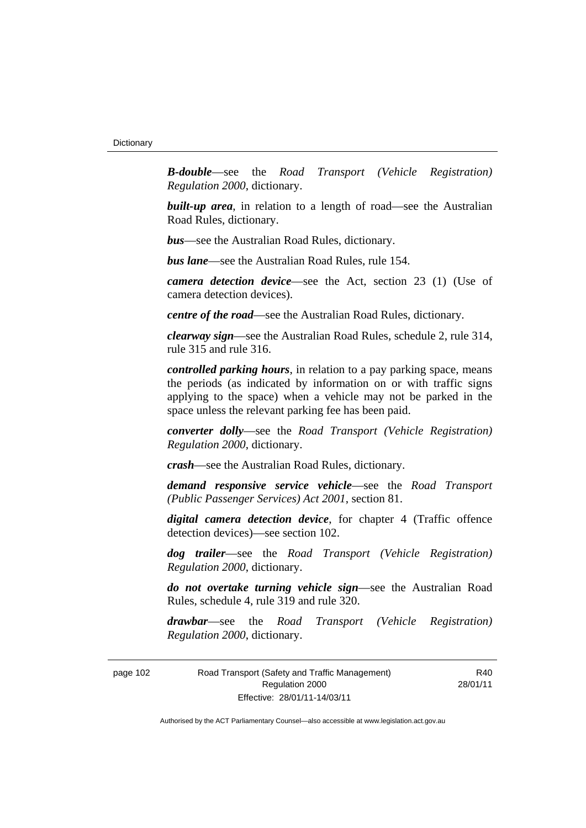*B-double*—see the *Road Transport (Vehicle Registration) Regulation 2000*, dictionary.

**built-up area**, in relation to a length of road—see the Australian Road Rules, dictionary.

*bus*—see the Australian Road Rules, dictionary.

*bus lane*—see the Australian Road Rules, rule 154.

*camera detection device*—see the Act, section 23 (1) (Use of camera detection devices).

*centre of the road*—see the Australian Road Rules, dictionary.

*clearway sign*—see the Australian Road Rules, schedule 2, rule 314, rule 315 and rule 316.

*controlled parking hours*, in relation to a pay parking space, means the periods (as indicated by information on or with traffic signs applying to the space) when a vehicle may not be parked in the space unless the relevant parking fee has been paid.

*converter dolly*—see the *Road Transport (Vehicle Registration) Regulation 2000*, dictionary.

*crash*—see the Australian Road Rules, dictionary.

*demand responsive service vehicle*—see the *Road Transport (Public Passenger Services) Act 2001*, section 81.

*digital camera detection device*, for chapter 4 (Traffic offence detection devices)—see section 102.

*dog trailer*—see the *Road Transport (Vehicle Registration) Regulation 2000*, dictionary.

*do not overtake turning vehicle sign*—see the Australian Road Rules, schedule 4, rule 319 and rule 320.

*drawbar*—see the *Road Transport (Vehicle Registration) Regulation 2000*, dictionary.

page 102 Road Transport (Safety and Traffic Management) Regulation 2000 Effective: 28/01/11-14/03/11

R40 28/01/11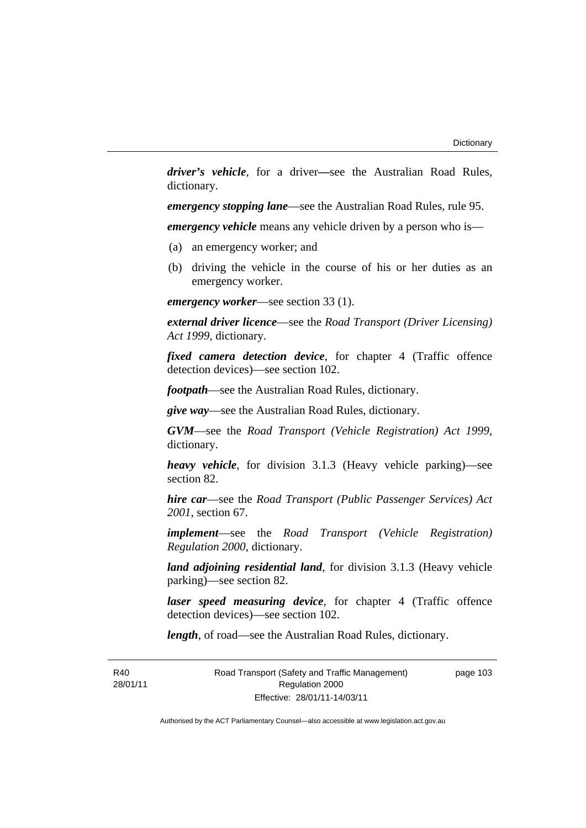*driver's vehicle*, for a driver*—*see the Australian Road Rules, dictionary.

*emergency stopping lane*—see the Australian Road Rules, rule 95.

*emergency vehicle* means any vehicle driven by a person who is—

- (a) an emergency worker; and
- (b) driving the vehicle in the course of his or her duties as an emergency worker.

*emergency worker*—see section 33 (1).

*external driver licence*—see the *Road Transport (Driver Licensing) Act 1999*, dictionary.

*fixed camera detection device*, for chapter 4 (Traffic offence detection devices)—see section 102.

*footpath*—see the Australian Road Rules, dictionary.

*give way*—see the Australian Road Rules, dictionary.

*GVM*—see the *Road Transport (Vehicle Registration) Act 1999*, dictionary.

*heavy vehicle*, for division 3.1.3 (Heavy vehicle parking)—see section 82.

*hire car*—see the *Road Transport (Public Passenger Services) Act 2001*, section 67.

*implement*—see the *Road Transport (Vehicle Registration) Regulation 2000*, dictionary.

*land adjoining residential land*, for division 3.1.3 (Heavy vehicle parking)—see section 82.

*laser speed measuring device*, for chapter 4 (Traffic offence detection devices)—see section 102.

*length*, of road—see the Australian Road Rules, dictionary.

R40 28/01/11 Road Transport (Safety and Traffic Management) Regulation 2000 Effective: 28/01/11-14/03/11

page 103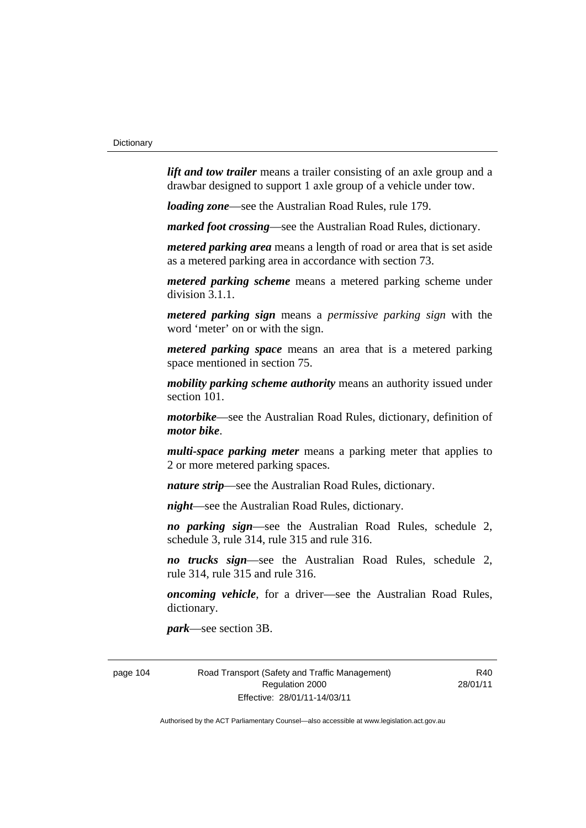*lift and tow trailer* means a trailer consisting of an axle group and a drawbar designed to support 1 axle group of a vehicle under tow.

*loading zone*—see the Australian Road Rules, rule 179.

*marked foot crossing*—see the Australian Road Rules, dictionary.

*metered parking area* means a length of road or area that is set aside as a metered parking area in accordance with section 73.

*metered parking scheme* means a metered parking scheme under division 3.1.1.

*metered parking sign* means a *permissive parking sign* with the word 'meter' on or with the sign.

*metered parking space* means an area that is a metered parking space mentioned in section 75.

*mobility parking scheme authority* means an authority issued under section 101.

*motorbike*—see the Australian Road Rules, dictionary, definition of *motor bike*.

*multi-space parking meter* means a parking meter that applies to 2 or more metered parking spaces.

*nature strip*—see the Australian Road Rules, dictionary.

*night*—see the Australian Road Rules, dictionary.

*no parking sign*—see the Australian Road Rules, schedule 2, schedule 3, rule 314, rule 315 and rule 316.

*no trucks sign*—see the Australian Road Rules, schedule 2, rule 314, rule 315 and rule 316.

*oncoming vehicle*, for a driver—see the Australian Road Rules, dictionary.

*park*—see section 3B.

page 104 Road Transport (Safety and Traffic Management) Regulation 2000 Effective: 28/01/11-14/03/11

R<sub>40</sub> 28/01/11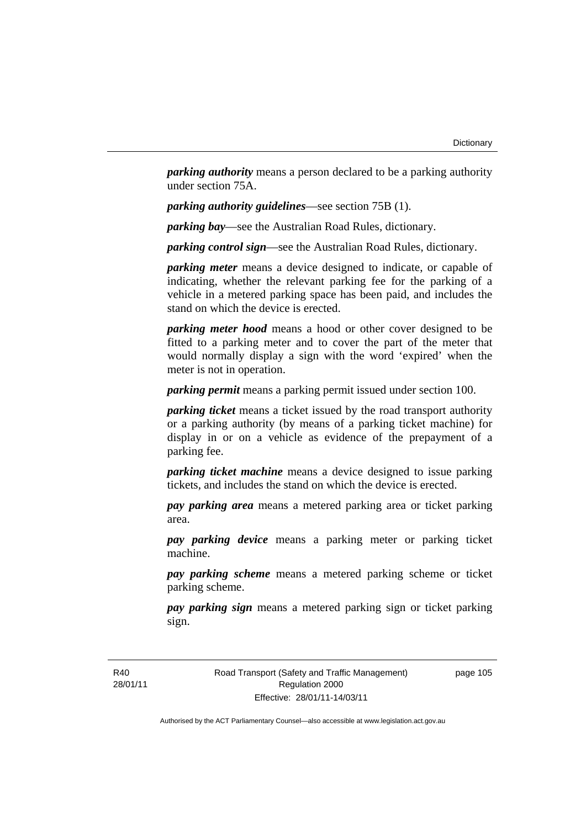*parking authority* means a person declared to be a parking authority under section 75A.

*parking authority guidelines*—see section 75B (1).

*parking bay*—see the Australian Road Rules, dictionary.

*parking control sign*—see the Australian Road Rules, dictionary.

*parking meter* means a device designed to indicate, or capable of indicating, whether the relevant parking fee for the parking of a vehicle in a metered parking space has been paid, and includes the stand on which the device is erected.

*parking meter hood* means a hood or other cover designed to be fitted to a parking meter and to cover the part of the meter that would normally display a sign with the word 'expired' when the meter is not in operation.

*parking permit* means a parking permit issued under section 100.

*parking ticket* means a ticket issued by the road transport authority or a parking authority (by means of a parking ticket machine) for display in or on a vehicle as evidence of the prepayment of a parking fee.

*parking ticket machine* means a device designed to issue parking tickets, and includes the stand on which the device is erected.

*pay parking area* means a metered parking area or ticket parking area.

*pay parking device* means a parking meter or parking ticket machine.

*pay parking scheme* means a metered parking scheme or ticket parking scheme.

*pay parking sign* means a metered parking sign or ticket parking sign.

R40 28/01/11 Road Transport (Safety and Traffic Management) Regulation 2000 Effective: 28/01/11-14/03/11

page 105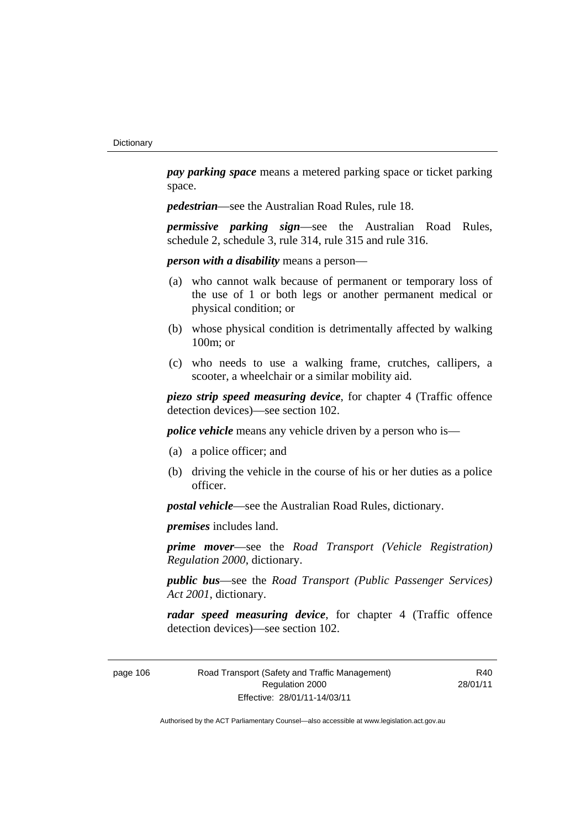*pay parking space* means a metered parking space or ticket parking space.

*pedestrian*—see the Australian Road Rules, rule 18.

*permissive parking sign*—see the Australian Road Rules, schedule 2, schedule 3, rule 314, rule 315 and rule 316.

*person with a disability* means a person—

- (a) who cannot walk because of permanent or temporary loss of the use of 1 or both legs or another permanent medical or physical condition; or
- (b) whose physical condition is detrimentally affected by walking 100m; or
- (c) who needs to use a walking frame, crutches, callipers, a scooter, a wheelchair or a similar mobility aid.

*piezo strip speed measuring device*, for chapter 4 (Traffic offence detection devices)—see section 102.

*police vehicle* means any vehicle driven by a person who is—

- (a) a police officer; and
- (b) driving the vehicle in the course of his or her duties as a police officer.

*postal vehicle*—see the Australian Road Rules, dictionary.

*premises* includes land.

*prime mover*—see the *Road Transport (Vehicle Registration) Regulation 2000*, dictionary.

*public bus*—see the *Road Transport (Public Passenger Services) Act 2001*, dictionary.

*radar speed measuring device*, for chapter 4 (Traffic offence detection devices)—see section 102.

page 106 Road Transport (Safety and Traffic Management) Regulation 2000 Effective: 28/01/11-14/03/11

R<sub>40</sub> 28/01/11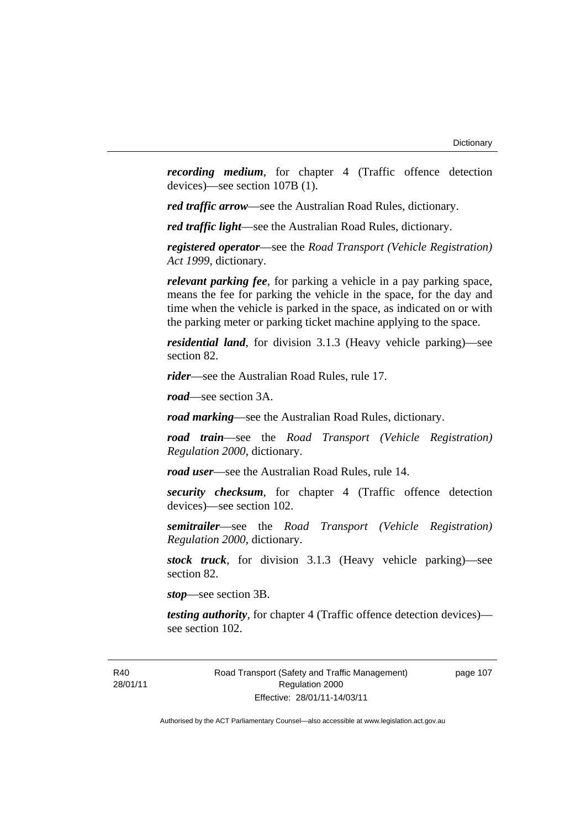*recording medium*, for chapter 4 (Traffic offence detection devices)—see section 107B (1).

*red traffic arrow*—see the Australian Road Rules, dictionary.

*red traffic light*—see the Australian Road Rules, dictionary.

*registered operator*—see the *Road Transport (Vehicle Registration) Act 1999*, dictionary.

*relevant parking fee*, for parking a vehicle in a pay parking space, means the fee for parking the vehicle in the space, for the day and time when the vehicle is parked in the space, as indicated on or with the parking meter or parking ticket machine applying to the space.

*residential land*, for division 3.1.3 (Heavy vehicle parking)—see section 82.

*rider*—see the Australian Road Rules, rule 17.

*road*—see section 3A.

*road marking*—see the Australian Road Rules, dictionary.

*road train*—see the *Road Transport (Vehicle Registration) Regulation 2000*, dictionary.

*road user*—see the Australian Road Rules, rule 14.

*security checksum*, for chapter 4 (Traffic offence detection devices)—see section 102.

*semitrailer*—see the *Road Transport (Vehicle Registration) Regulation 2000*, dictionary.

*stock truck*, for division 3.1.3 (Heavy vehicle parking)—see section 82.

*stop*—see section 3B.

*testing authority*, for chapter 4 (Traffic offence detection devices) see section 102.

page 107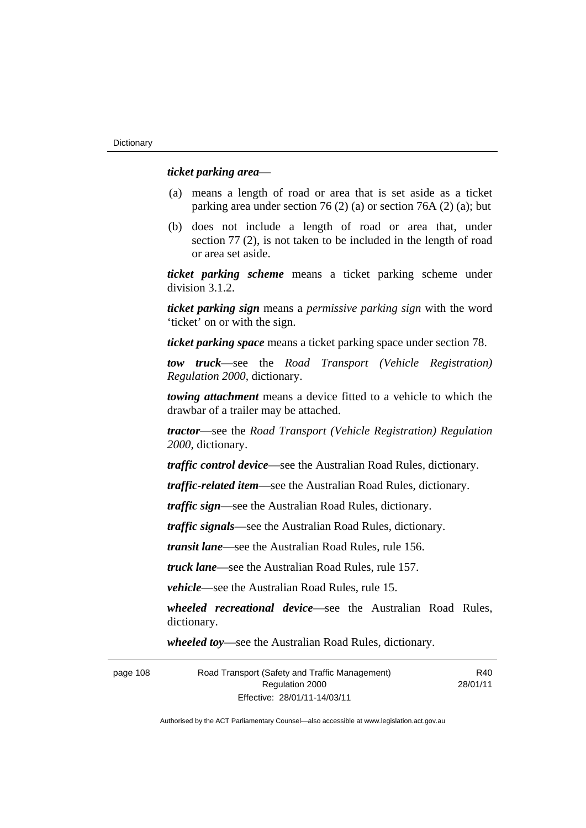#### *ticket parking area*—

- (a) means a length of road or area that is set aside as a ticket parking area under section 76 (2) (a) or section 76A (2) (a); but
- (b) does not include a length of road or area that, under section 77 (2), is not taken to be included in the length of road or area set aside.

*ticket parking scheme* means a ticket parking scheme under division 3.1.2.

*ticket parking sign* means a *permissive parking sign* with the word 'ticket' on or with the sign.

*ticket parking space* means a ticket parking space under section 78.

*tow truck*—see the *Road Transport (Vehicle Registration) Regulation 2000*, dictionary.

*towing attachment* means a device fitted to a vehicle to which the drawbar of a trailer may be attached.

*tractor*—see the *Road Transport (Vehicle Registration) Regulation 2000*, dictionary.

*traffic control device*—see the Australian Road Rules, dictionary.

*traffic-related item*—see the Australian Road Rules, dictionary.

*traffic sign*—see the Australian Road Rules, dictionary.

*traffic signals*—see the Australian Road Rules, dictionary.

*transit lane*—see the Australian Road Rules, rule 156.

*truck lane*—see the Australian Road Rules, rule 157.

*vehicle*—see the Australian Road Rules, rule 15.

*wheeled recreational device*—see the Australian Road Rules, dictionary.

*wheeled toy*—see the Australian Road Rules, dictionary.

page 108 Road Transport (Safety and Traffic Management) Regulation 2000 Effective: 28/01/11-14/03/11

R<sub>40</sub> 28/01/11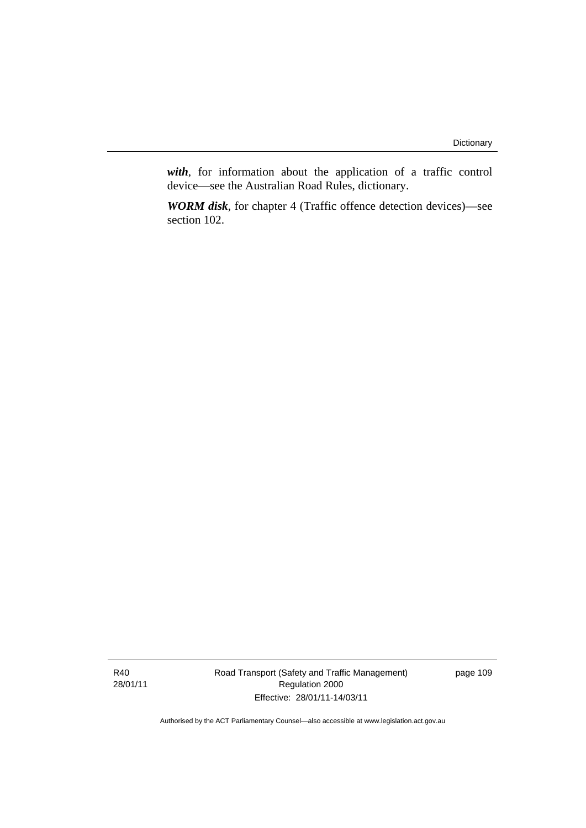*with*, for information about the application of a traffic control device—see the Australian Road Rules, dictionary.

*WORM disk*, for chapter 4 (Traffic offence detection devices)—see section 102.

Road Transport (Safety and Traffic Management) Regulation 2000 Effective: 28/01/11-14/03/11

page 109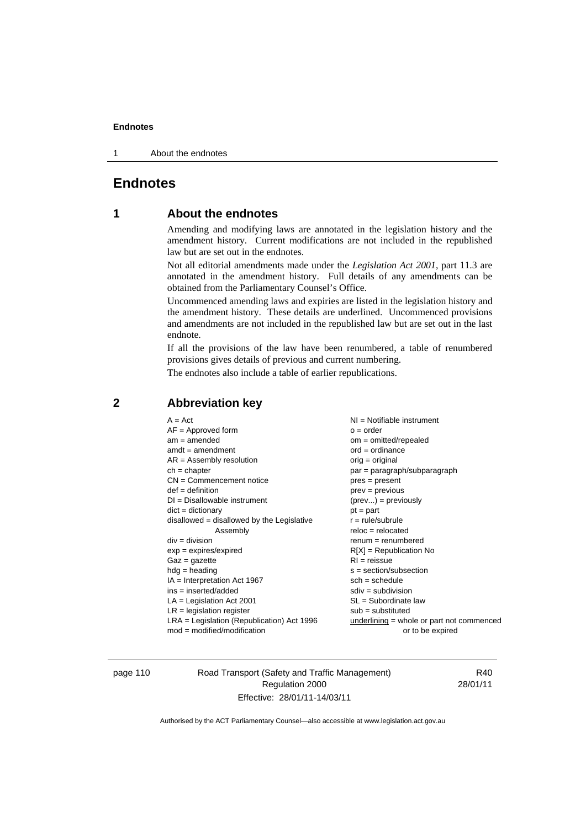1 About the endnotes

# **Endnotes**

# **1 About the endnotes**

Amending and modifying laws are annotated in the legislation history and the amendment history. Current modifications are not included in the republished law but are set out in the endnotes.

Not all editorial amendments made under the *Legislation Act 2001*, part 11.3 are annotated in the amendment history. Full details of any amendments can be obtained from the Parliamentary Counsel's Office.

Uncommenced amending laws and expiries are listed in the legislation history and the amendment history. These details are underlined. Uncommenced provisions and amendments are not included in the republished law but are set out in the last endnote.

If all the provisions of the law have been renumbered, a table of renumbered provisions gives details of previous and current numbering.

The endnotes also include a table of earlier republications.

| $A = Act$                                    | $NI = Notifiable$ instrument              |
|----------------------------------------------|-------------------------------------------|
| $AF = Approved form$                         | $o = order$                               |
| $am = amended$                               | $om = omitted/report)$                    |
| $amdt = amendment$                           | $ord = ordinance$                         |
| $AR = Assembly resolution$                   | orig = original                           |
| $ch = chapter$                               | $par = paragraph/subparagraph$            |
| $CN =$ Commencement notice                   | $pres = present$                          |
| $def = definition$                           | $prev = previous$                         |
| $DI = Disallowable instrument$               | $(\text{prev}) = \text{previously}$       |
| $dict = dictionary$                          | $pt = part$                               |
| $disallowed = disallowed by the Legislative$ | $r = rule/subrule$                        |
| Assembly                                     | $reloc = relocated$                       |
| $div =$ division                             | $remum = renumbered$                      |
| $exp = expires/expired$                      | $R[X]$ = Republication No                 |
| $Gaz = gazette$                              | $RI = reissue$                            |
| $hdg =$ heading                              | $s = section/subsection$                  |
| $IA = Interpretation Act 1967$               | $sch = schedule$                          |
| $ins = inserted/added$                       | $sdiv = subdivision$                      |
| $LA =$ Legislation Act 2001                  | $SL = Subordinate$ law                    |
| $LR =$ legislation register                  | $sub =$ substituted                       |
| $LRA =$ Legislation (Republication) Act 1996 | underlining = whole or part not commenced |
| $mod = modified/modification$                | or to be expired                          |
|                                              |                                           |

# **2 Abbreviation key**

page 110 Road Transport (Safety and Traffic Management) Regulation 2000 Effective: 28/01/11-14/03/11

R40 28/01/11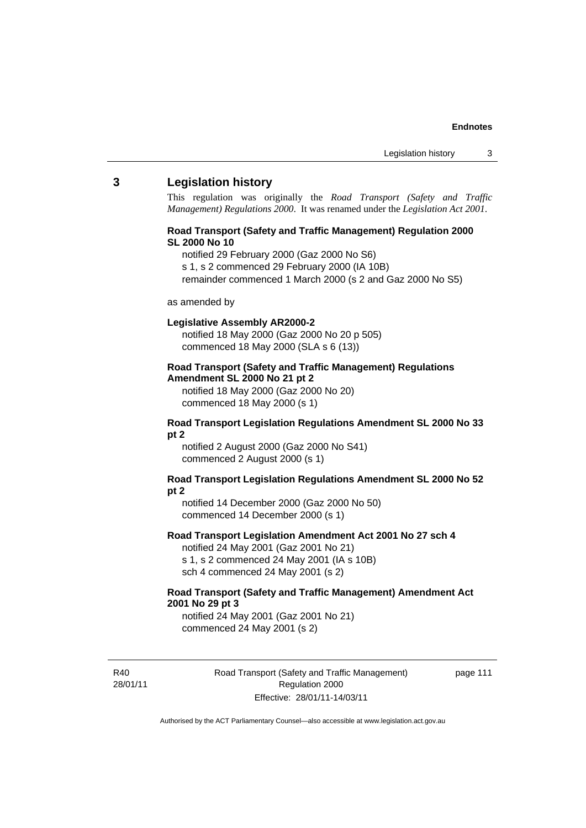#### **3 Legislation history**

This regulation was originally the *Road Transport (Safety and Traffic Management) Regulations 2000*. It was renamed under the *Legislation Act 2001*.

#### **Road Transport (Safety and Traffic Management) Regulation 2000 SL 2000 No 10**

- notified 29 February 2000 (Gaz 2000 No S6)
- s 1, s 2 commenced 29 February 2000 (IA 10B)
- remainder commenced 1 March 2000 (s 2 and Gaz 2000 No S5)

#### as amended by

#### **Legislative Assembly AR2000-2**

notified 18 May 2000 (Gaz 2000 No 20 p 505) commenced 18 May 2000 (SLA s 6 (13))

#### **Road Transport (Safety and Traffic Management) Regulations Amendment SL 2000 No 21 pt 2**

notified 18 May 2000 (Gaz 2000 No 20) commenced 18 May 2000 (s 1)

#### **Road Transport Legislation Regulations Amendment SL 2000 No 33 pt 2**

notified 2 August 2000 (Gaz 2000 No S41) commenced 2 August 2000 (s 1)

#### **Road Transport Legislation Regulations Amendment SL 2000 No 52 pt 2**

notified 14 December 2000 (Gaz 2000 No 50) commenced 14 December 2000 (s 1)

#### **Road Transport Legislation Amendment Act 2001 No 27 sch 4**

notified 24 May 2001 (Gaz 2001 No 21) s 1, s 2 commenced 24 May 2001 (IA s 10B) sch 4 commenced 24 May 2001 (s 2)

#### **Road Transport (Safety and Traffic Management) Amendment Act 2001 No 29 pt 3**

notified 24 May 2001 (Gaz 2001 No 21) commenced 24 May 2001 (s 2)

R40 28/01/11 Road Transport (Safety and Traffic Management) Regulation 2000 Effective: 28/01/11-14/03/11

page 111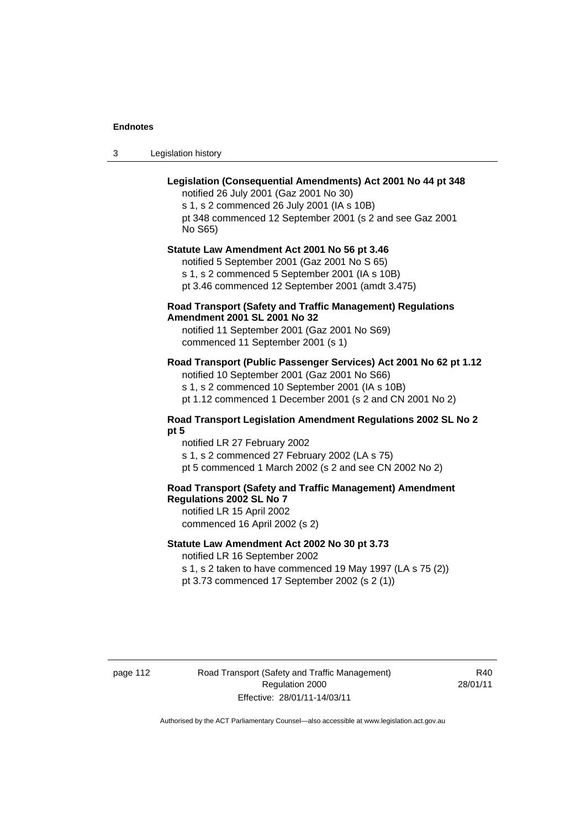3 Legislation history

## **Legislation (Consequential Amendments) Act 2001 No 44 pt 348**

notified 26 July 2001 (Gaz 2001 No 30) s 1, s 2 commenced 26 July 2001 (IA s 10B) pt 348 commenced 12 September 2001 (s 2 and see Gaz 2001 No S65)

# **Statute Law Amendment Act 2001 No 56 pt 3.46**

notified 5 September 2001 (Gaz 2001 No S 65) s 1, s 2 commenced 5 September 2001 (IA s 10B) pt 3.46 commenced 12 September 2001 (amdt 3.475)

#### **Road Transport (Safety and Traffic Management) Regulations Amendment 2001 SL 2001 No 32**

notified 11 September 2001 (Gaz 2001 No S69) commenced 11 September 2001 (s 1)

### **Road Transport (Public Passenger Services) Act 2001 No 62 pt 1.12**

notified 10 September 2001 (Gaz 2001 No S66) s 1, s 2 commenced 10 September 2001 (IA s 10B)

pt 1.12 commenced 1 December 2001 (s 2 and CN 2001 No 2)

#### **Road Transport Legislation Amendment Regulations 2002 SL No 2 pt 5**

notified LR 27 February 2002 s 1, s 2 commenced 27 February 2002 (LA s 75) pt 5 commenced 1 March 2002 (s 2 and see CN 2002 No 2)

# **Road Transport (Safety and Traffic Management) Amendment Regulations 2002 SL No 7**

notified LR 15 April 2002 commenced 16 April 2002 (s 2)

#### **Statute Law Amendment Act 2002 No 30 pt 3.73**

notified LR 16 September 2002

s 1, s 2 taken to have commenced 19 May 1997 (LA s 75 (2)) pt 3.73 commenced 17 September 2002 (s 2 (1))

page 112 Road Transport (Safety and Traffic Management) Regulation 2000 Effective: 28/01/11-14/03/11

R<sub>40</sub> 28/01/11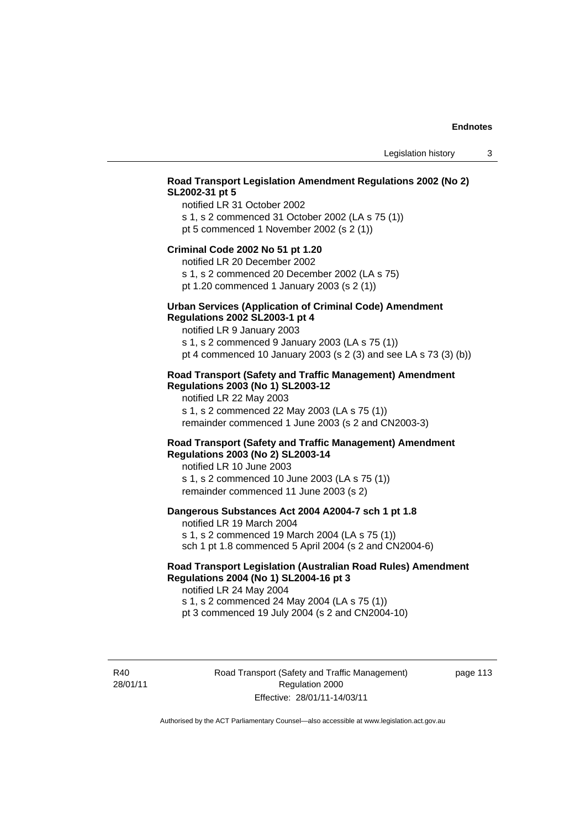## **Road Transport Legislation Amendment Regulations 2002 (No 2) SL2002-31 pt 5**

notified LR 31 October 2002 s 1, s 2 commenced 31 October 2002 (LA s 75 (1)) pt 5 commenced 1 November 2002 (s 2 (1))

#### **Criminal Code 2002 No 51 pt 1.20**

notified LR 20 December 2002

s 1, s 2 commenced 20 December 2002 (LA s 75) pt 1.20 commenced 1 January 2003 (s 2 (1))

# **Urban Services (Application of Criminal Code) Amendment**

#### **Regulations 2002 SL2003-1 pt 4**

notified LR 9 January 2003 s 1, s 2 commenced 9 January 2003 (LA s 75 (1))

pt 4 commenced 10 January 2003 (s 2 (3) and see LA s 73 (3) (b))

#### **Road Transport (Safety and Traffic Management) Amendment Regulations 2003 (No 1) SL2003-12**

notified LR 22 May 2003 s 1, s 2 commenced 22 May 2003 (LA s 75 (1)) remainder commenced 1 June 2003 (s 2 and CN2003-3)

#### **Road Transport (Safety and Traffic Management) Amendment Regulations 2003 (No 2) SL2003-14**

notified LR 10 June 2003 s 1, s 2 commenced 10 June 2003 (LA s 75 (1)) remainder commenced 11 June 2003 (s 2)

#### **Dangerous Substances Act 2004 A2004-7 sch 1 pt 1.8**

notified LR 19 March 2004 s 1, s 2 commenced 19 March 2004 (LA s 75 (1)) sch 1 pt 1.8 commenced 5 April 2004 (s 2 and CN2004-6)

### **Road Transport Legislation (Australian Road Rules) Amendment Regulations 2004 (No 1) SL2004-16 pt 3**

notified LR 24 May 2004 s 1, s 2 commenced 24 May 2004 (LA s 75 (1)) pt 3 commenced 19 July 2004 (s 2 and CN2004-10)

R40 28/01/11 Road Transport (Safety and Traffic Management) Regulation 2000 Effective: 28/01/11-14/03/11

page 113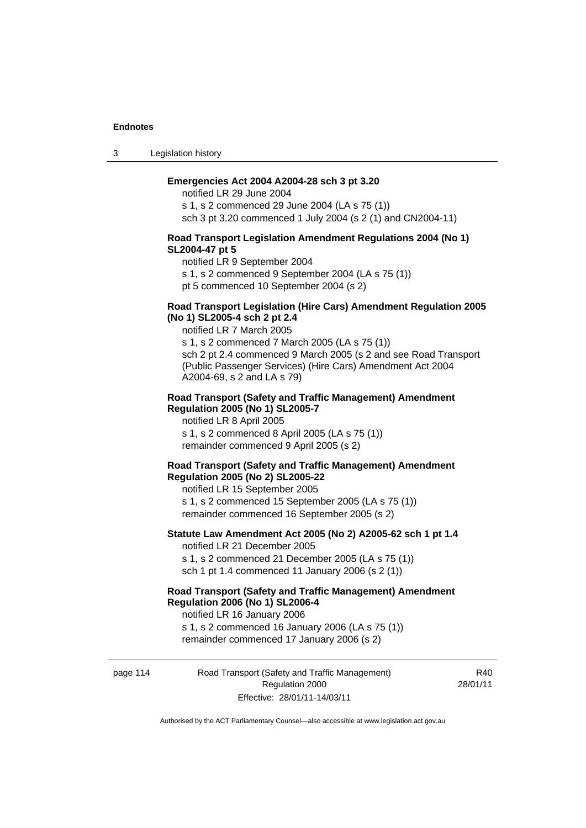3 Legislation history

#### **Emergencies Act 2004 A2004-28 sch 3 pt 3.20**

notified LR 29 June 2004 s 1, s 2 commenced 29 June 2004 (LA s 75 (1)) sch 3 pt 3.20 commenced 1 July 2004 (s 2 (1) and CN2004-11)

#### **Road Transport Legislation Amendment Regulations 2004 (No 1) SL2004-47 pt 5**

notified LR 9 September 2004

s 1, s 2 commenced 9 September 2004 (LA s 75 (1))

pt 5 commenced 10 September 2004 (s 2)

#### **Road Transport Legislation (Hire Cars) Amendment Regulation 2005 (No 1) SL2005-4 sch 2 pt 2.4**

notified LR 7 March 2005

s 1, s 2 commenced 7 March 2005 (LA s 75 (1)) sch 2 pt 2.4 commenced 9 March 2005 (s 2 and see Road Transport (Public Passenger Services) (Hire Cars) Amendment Act 2004 A2004-69, s 2 and LA s 79)

#### **Road Transport (Safety and Traffic Management) Amendment Regulation 2005 (No 1) SL2005-7**

notified LR 8 April 2005 s 1, s 2 commenced 8 April 2005 (LA s 75 (1)) remainder commenced 9 April 2005 (s 2)

#### **Road Transport (Safety and Traffic Management) Amendment Regulation 2005 (No 2) SL2005-22**

notified LR 15 September 2005 s 1, s 2 commenced 15 September 2005 (LA s 75 (1)) remainder commenced 16 September 2005 (s 2)

#### **Statute Law Amendment Act 2005 (No 2) A2005-62 sch 1 pt 1.4**  notified LR 21 December 2005

s 1, s 2 commenced 21 December 2005 (LA s 75 (1)) sch 1 pt 1.4 commenced 11 January 2006 (s 2 (1))

# **Road Transport (Safety and Traffic Management) Amendment Regulation 2006 (No 1) SL2006-4**

notified LR 16 January 2006 s 1, s 2 commenced 16 January 2006 (LA s 75 (1)) remainder commenced 17 January 2006 (s 2)

page 114 Road Transport (Safety and Traffic Management) Regulation 2000 Effective: 28/01/11-14/03/11

R<sub>40</sub> 28/01/11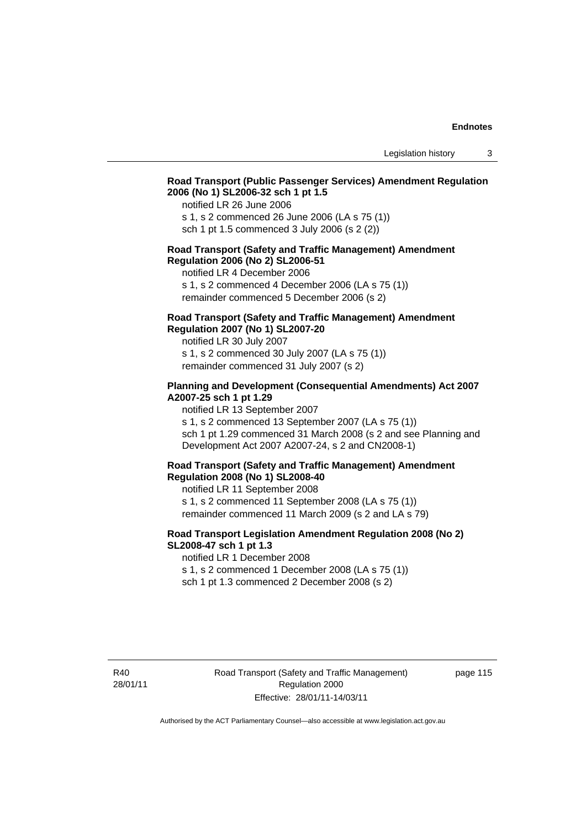# **Road Transport (Public Passenger Services) Amendment Regulation 2006 (No 1) SL2006-32 sch 1 pt 1.5**

notified LR 26 June 2006

s 1, s 2 commenced 26 June 2006 (LA s 75 (1)) sch 1 pt 1.5 commenced 3 July 2006 (s 2 (2))

#### **Road Transport (Safety and Traffic Management) Amendment Regulation 2006 (No 2) SL2006-51**

notified LR 4 December 2006

s 1, s 2 commenced 4 December 2006 (LA s 75 (1)) remainder commenced 5 December 2006 (s 2)

#### **Road Transport (Safety and Traffic Management) Amendment Regulation 2007 (No 1) SL2007-20**

notified LR 30 July 2007 s 1, s 2 commenced 30 July 2007 (LA s 75 (1)) remainder commenced 31 July 2007 (s 2)

#### **Planning and Development (Consequential Amendments) Act 2007 A2007-25 sch 1 pt 1.29**

notified LR 13 September 2007

s 1, s 2 commenced 13 September 2007 (LA s 75 (1)) sch 1 pt 1.29 commenced 31 March 2008 (s 2 and see Planning and Development Act 2007 A2007-24, s 2 and CN2008-1)

#### **Road Transport (Safety and Traffic Management) Amendment Regulation 2008 (No 1) SL2008-40**

notified LR 11 September 2008 s 1, s 2 commenced 11 September 2008 (LA s 75 (1)) remainder commenced 11 March 2009 (s 2 and LA s 79)

#### **Road Transport Legislation Amendment Regulation 2008 (No 2) SL2008-47 sch 1 pt 1.3**

notified LR 1 December 2008 s 1, s 2 commenced 1 December 2008 (LA s 75 (1)) sch 1 pt 1.3 commenced 2 December 2008 (s 2)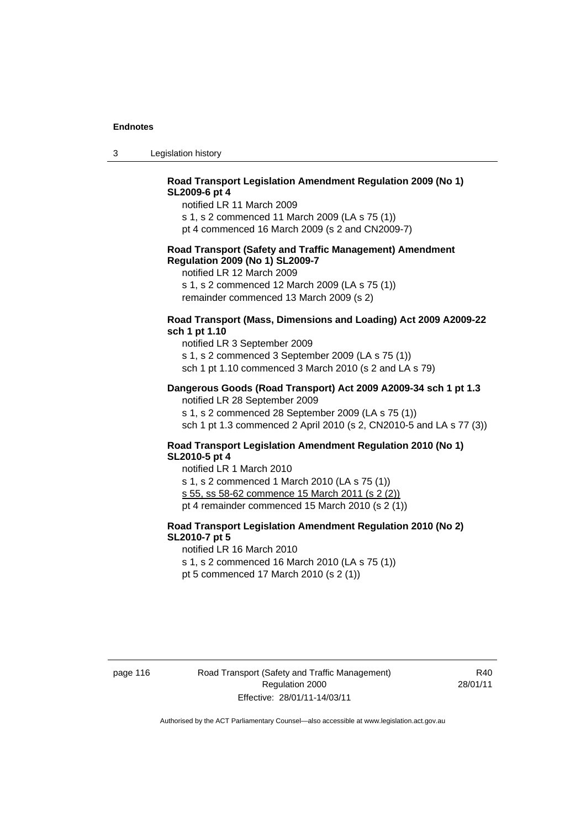3 Legislation history

## **Road Transport Legislation Amendment Regulation 2009 (No 1) SL2009-6 pt 4**

notified LR 11 March 2009

s 1, s 2 commenced 11 March 2009 (LA s 75 (1))

pt 4 commenced 16 March 2009 (s 2 and CN2009-7)

#### **Road Transport (Safety and Traffic Management) Amendment Regulation 2009 (No 1) SL2009-7**

notified LR 12 March 2009

s 1, s 2 commenced 12 March 2009 (LA s 75 (1)) remainder commenced 13 March 2009 (s 2)

#### **Road Transport (Mass, Dimensions and Loading) Act 2009 A2009-22 sch 1 pt 1.10**

notified LR 3 September 2009 s 1, s 2 commenced 3 September 2009 (LA s 75 (1)) sch 1 pt 1.10 commenced 3 March 2010 (s 2 and LA s 79)

#### **Dangerous Goods (Road Transport) Act 2009 A2009-34 sch 1 pt 1.3**

notified LR 28 September 2009 s 1, s 2 commenced 28 September 2009 (LA s 75 (1)) sch 1 pt 1.3 commenced 2 April 2010 (s 2, CN2010-5 and LA s 77 (3))

#### **Road Transport Legislation Amendment Regulation 2010 (No 1) SL2010-5 pt 4**

notified LR 1 March 2010 s 1, s 2 commenced 1 March 2010 (LA s 75 (1)) s 55, ss 58-62 commence 15 March 2011 (s 2 (2)) pt 4 remainder commenced 15 March 2010 (s 2 (1))

# **Road Transport Legislation Amendment Regulation 2010 (No 2) SL2010-7 pt 5**

notified LR 16 March 2010 s 1, s 2 commenced 16 March 2010 (LA s 75 (1))

pt 5 commenced 17 March 2010 (s 2 (1))

page 116 Road Transport (Safety and Traffic Management) Regulation 2000 Effective: 28/01/11-14/03/11

R40 28/01/11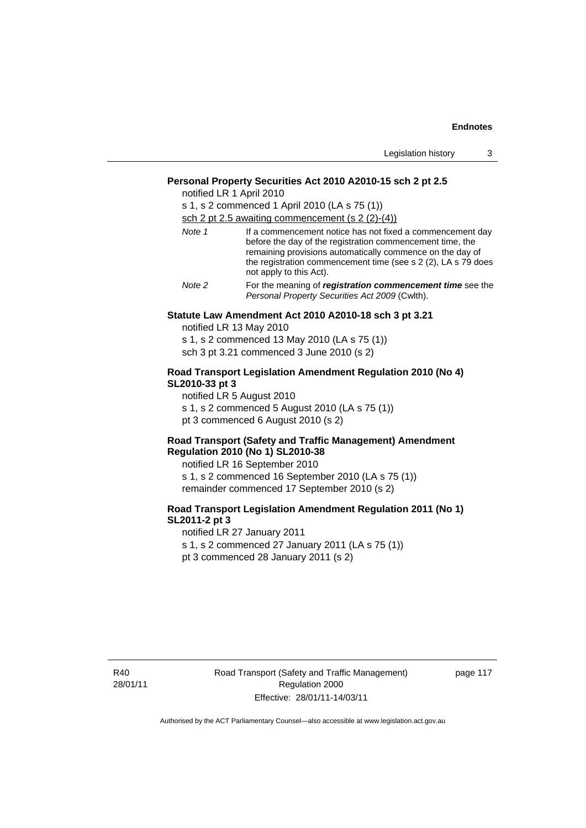| Legislation history |  |
|---------------------|--|
|---------------------|--|

#### **Personal Property Securities Act 2010 A2010-15 sch 2 pt 2.5**

notified LR 1 April 2010

s 1, s 2 commenced 1 April 2010 (LA s 75 (1)) sch 2 pt 2.5 awaiting commencement (s 2 (2)-(4))

| Note 1 | If a commencement notice has not fixed a commencement day<br>before the day of the registration commencement time, the<br>remaining provisions automatically commence on the day of<br>the registration commencement time (see s 2 (2), LA s 79 does |
|--------|------------------------------------------------------------------------------------------------------------------------------------------------------------------------------------------------------------------------------------------------------|
|        | not apply to this Act).                                                                                                                                                                                                                              |
| Note 2 | For the meaning of registration commencement time see the                                                                                                                                                                                            |

*Personal Property Securities Act 2009* (Cwlth).

# **Statute Law Amendment Act 2010 A2010-18 sch 3 pt 3.21**

notified LR 13 May 2010 s 1, s 2 commenced 13 May 2010 (LA s 75 (1))

sch 3 pt 3.21 commenced 3 June 2010 (s 2)

#### **Road Transport Legislation Amendment Regulation 2010 (No 4) SL2010-33 pt 3**

notified LR 5 August 2010 s 1, s 2 commenced 5 August 2010 (LA s 75 (1)) pt 3 commenced 6 August 2010 (s 2)

#### **Road Transport (Safety and Traffic Management) Amendment Regulation 2010 (No 1) SL2010-38**

notified LR 16 September 2010 s 1, s 2 commenced 16 September 2010 (LA s 75 (1)) remainder commenced 17 September 2010 (s 2)

#### **Road Transport Legislation Amendment Regulation 2011 (No 1) SL2011-2 pt 3**

notified LR 27 January 2011 s 1, s 2 commenced 27 January 2011 (LA s 75 (1)) pt 3 commenced 28 January 2011 (s 2)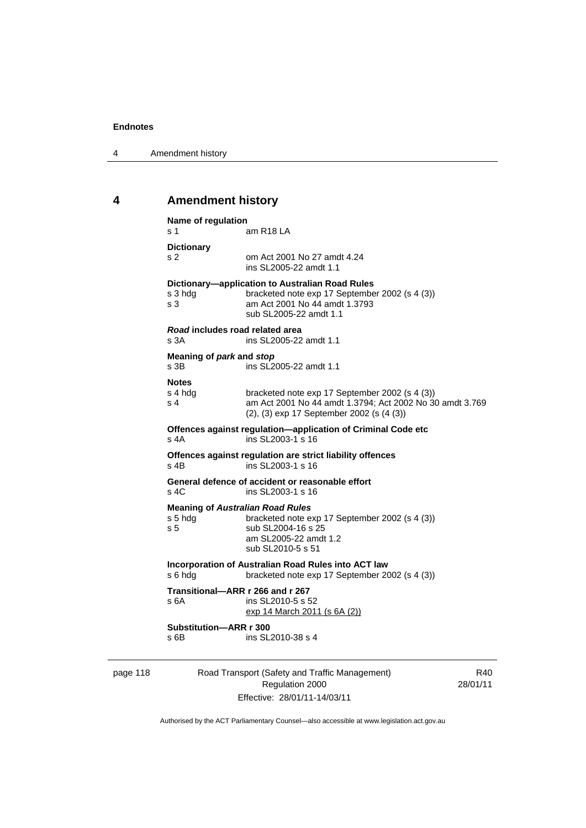4 Amendment history

# **4 Amendment history**

|          | Name of regulation<br>s 1                 | am R <sub>18</sub> LA                                                                                                                                         |     |
|----------|-------------------------------------------|---------------------------------------------------------------------------------------------------------------------------------------------------------------|-----|
|          | <b>Dictionary</b>                         |                                                                                                                                                               |     |
|          | s <sub>2</sub>                            | om Act 2001 No 27 amdt 4.24<br>ins SL2005-22 amdt 1.1                                                                                                         |     |
|          | s 3 hdg<br>s <sub>3</sub>                 | Dictionary-application to Australian Road Rules<br>bracketed note exp 17 September 2002 (s 4 (3))<br>am Act 2001 No 44 amdt 1.3793<br>sub SL2005-22 amdt 1.1  |     |
|          | Road includes road related area<br>s 3A   | ins SL2005-22 amdt 1.1                                                                                                                                        |     |
|          | Meaning of park and stop<br>s 3B          | ins SL2005-22 amdt 1.1                                                                                                                                        |     |
|          | <b>Notes</b><br>s 4 hdg<br>s <sub>4</sub> | bracketed note exp 17 September 2002 (s 4 (3))<br>am Act 2001 No 44 amdt 1.3794; Act 2002 No 30 amdt 3.769<br>(2), (3) exp 17 September 2002 (s (4 (3))       |     |
|          | s 4A                                      | Offences against regulation—application of Criminal Code etc<br>ins SL2003-1 s 16                                                                             |     |
|          | $s$ 4B                                    | Offences against regulation are strict liability offences<br>ins SL2003-1 s 16                                                                                |     |
|          | s, 4C                                     | General defence of accident or reasonable effort<br>ins SL2003-1 s 16                                                                                         |     |
|          | s 5 hdg<br>s <sub>5</sub>                 | <b>Meaning of Australian Road Rules</b><br>bracketed note exp 17 September 2002 (s 4 (3))<br>sub SL2004-16 s 25<br>am SL2005-22 amdt 1.2<br>sub SL2010-5 s 51 |     |
|          | s 6 hdg                                   | Incorporation of Australian Road Rules into ACT law<br>bracketed note exp 17 September 2002 (s 4 (3))                                                         |     |
|          | s 6A                                      | Transitional-ARR r 266 and r 267<br>ins SL2010-5 s 52<br>exp 14 March 2011 (s 6A (2))                                                                         |     |
|          | Substitution-ARR r 300<br>s 6B            | ins SL2010-38 s 4                                                                                                                                             |     |
| page 118 |                                           | Road Transport (Safety and Traffic Management)                                                                                                                | R40 |

Regulation 2000 Effective: 28/01/11-14/03/11

R40 28/01/11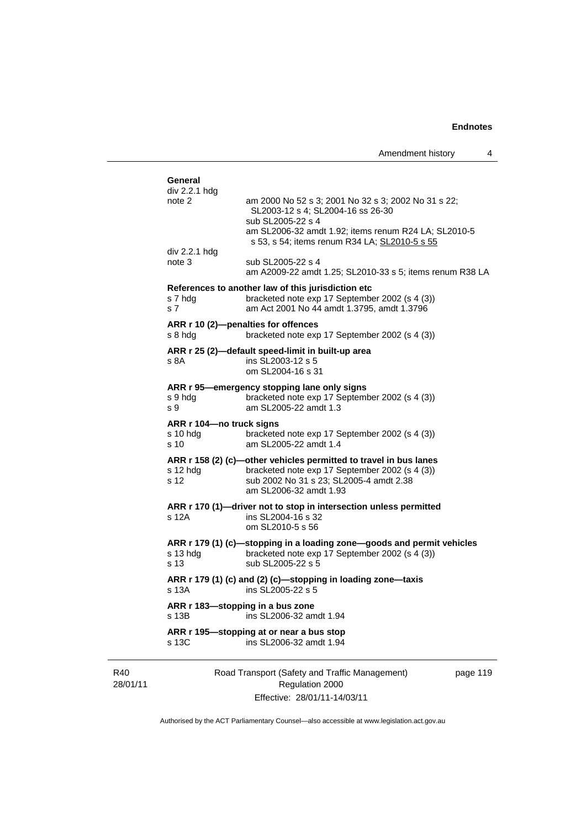$\overline{4}$ 

|                                               | Amendment history                                                                                                                                                                                                      | 4        |
|-----------------------------------------------|------------------------------------------------------------------------------------------------------------------------------------------------------------------------------------------------------------------------|----------|
| General                                       |                                                                                                                                                                                                                        |          |
| div 2.2.1 hdg<br>note 2                       | am 2000 No 52 s 3; 2001 No 32 s 3; 2002 No 31 s 22;<br>SL2003-12 s 4; SL2004-16 ss 26-30<br>sub SL2005-22 s 4<br>am SL2006-32 amdt 1.92; items renum R24 LA; SL2010-5<br>s 53, s 54; items renum R34 LA; SL2010-5 s 55 |          |
| div 2.2.1 hdg<br>note 3                       | sub SL2005-22 s 4<br>am A2009-22 amdt 1.25; SL2010-33 s 5; items renum R38 LA                                                                                                                                          |          |
| s 7 hdg<br>s <sub>7</sub>                     | References to another law of this jurisdiction etc<br>bracketed note exp 17 September 2002 (s 4 (3))<br>am Act 2001 No 44 amdt 1.3795, amdt 1.3796                                                                     |          |
| s 8 hdg                                       | ARR r 10 (2)-penalties for offences<br>bracketed note exp 17 September 2002 (s 4 (3))                                                                                                                                  |          |
| s 8A                                          | ARR r 25 (2)-default speed-limit in built-up area<br>ins SL2003-12 s 5<br>om SL2004-16 s 31                                                                                                                            |          |
| s 9 hdg<br>s 9                                | ARR r 95-emergency stopping lane only signs<br>bracketed note exp 17 September 2002 (s 4 (3))<br>am SL2005-22 amdt 1.3                                                                                                 |          |
| ARR r 104-no truck signs<br>$s10$ hdg<br>s 10 | bracketed note exp 17 September 2002 (s 4 (3))<br>am SL2005-22 amdt 1.4                                                                                                                                                |          |
| s 12 hdg<br>s 12                              | ARR r 158 (2) (c)-other vehicles permitted to travel in bus lanes<br>bracketed note exp 17 September 2002 (s 4 (3))<br>sub 2002 No 31 s 23; SL2005-4 amdt 2.38<br>am SL2006-32 amdt 1.93                               |          |
| s 12A                                         | ARR r 170 (1)-driver not to stop in intersection unless permitted<br>ins SL2004-16 s 32<br>om SL2010-5 s 56                                                                                                            |          |
| s 13 hdg<br>s 13                              | ARR r 179 (1) (c)-stopping in a loading zone-goods and permit vehicles<br>bracketed note exp 17 September 2002 (s 4 (3))<br>sub SL2005-22 s 5                                                                          |          |
| s 13A                                         | ARR r 179 (1) (c) and (2) (c)-stopping in loading zone-taxis<br>ins SL2005-22 s 5                                                                                                                                      |          |
| ARR r 183-stopping in a bus zone<br>s 13B     | ins SL2006-32 amdt 1.94                                                                                                                                                                                                |          |
| s 13C                                         | ARR r 195—stopping at or near a bus stop<br>ins SL2006-32 amdt 1.94                                                                                                                                                    |          |
|                                               | Road Transport (Safety and Traffic Management)<br>Regulation 2000                                                                                                                                                      | page 119 |

28/01/11

R40

Effective: 28/01/11-14/03/11 Authorised by the ACT Parliamentary Counsel—also accessible at www.legislation.act.gov.au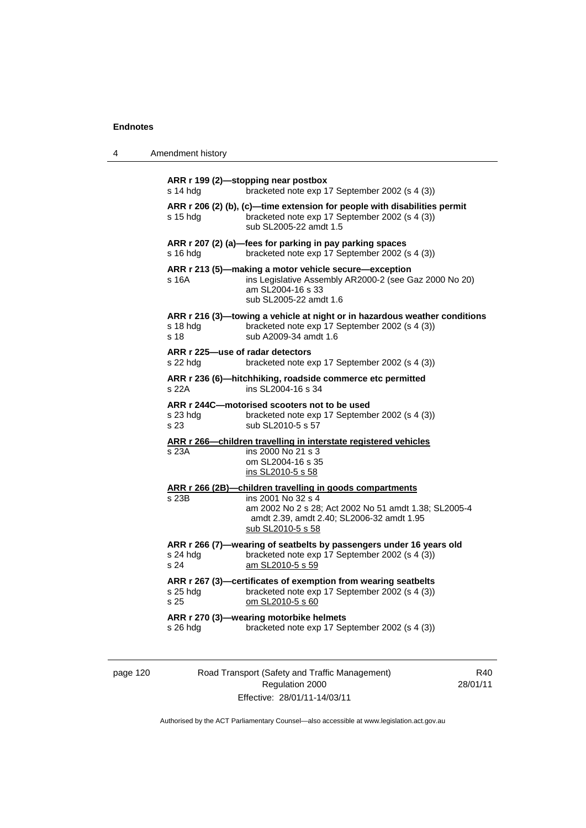4 Amendment history

|                  | bracketed note exp 17 September 2002 (s 4 (3))                                                                                                                 |
|------------------|----------------------------------------------------------------------------------------------------------------------------------------------------------------|
| s 15 hda         | ARR r 206 (2) (b), (c)-time extension for people with disabilities permit<br>bracketed note exp 17 September 2002 (s 4 (3))<br>sub SL2005-22 amdt 1.5          |
| s 16 hdg         | ARR r 207 (2) (a)-fees for parking in pay parking spaces<br>bracketed note exp 17 September 2002 (s 4 (3))                                                     |
| s 16A            | ARR r 213 (5)—making a motor vehicle secure—exception<br>ins Legislative Assembly AR2000-2 (see Gaz 2000 No 20)<br>am SL2004-16 s 33<br>sub SL2005-22 amdt 1.6 |
| s 18 hdg<br>s 18 | ARR r 216 (3)—towing a vehicle at night or in hazardous weather conditions<br>bracketed note exp 17 September 2002 (s 4 (3))<br>sub A2009-34 amdt 1.6          |
| s 22 hda         | ARR r 225-use of radar detectors<br>bracketed note exp 17 September 2002 (s 4 (3))                                                                             |
| s 22A            | ARR r 236 (6)-hitchhiking, roadside commerce etc permitted<br>ins SL2004-16 s 34                                                                               |
| s 23 hda<br>s 23 | ARR r 244C-motorised scooters not to be used<br>bracketed note exp 17 September 2002 (s 4 (3))<br>sub SL2010-5 s 57                                            |
| s 23A            | ARR r 266-children travelling in interstate registered vehicles<br>ins 2000 No 21 s 3<br>om SL2004-16 s 35<br>ins SL2010-5 s 58                                |
|                  | ARR r 266 (2B)-children travelling in goods compartments                                                                                                       |
|                  | ins 2001 No 32 s 4                                                                                                                                             |
| s 23B            | am 2002 No 2 s 28; Act 2002 No 51 amdt 1.38; SL2005-4<br>amdt 2.39, amdt 2.40; SL2006-32 amdt 1.95<br>sub SL2010-5 s 58                                        |
| s 24 hda<br>s 24 | ARR r 266 (7)-wearing of seatbelts by passengers under 16 years old<br>bracketed note exp 17 September 2002 (s 4 (3))<br>am SL2010-5 s 59                      |
| s 25 hdg<br>s 25 | ARR r 267 (3)-certificates of exemption from wearing seatbelts<br>bracketed note exp 17 September 2002 (s 4 (3))<br>om SL2010-5 s 60                           |

page 120 Road Transport (Safety and Traffic Management) Regulation 2000 Effective: 28/01/11-14/03/11

R40 28/01/11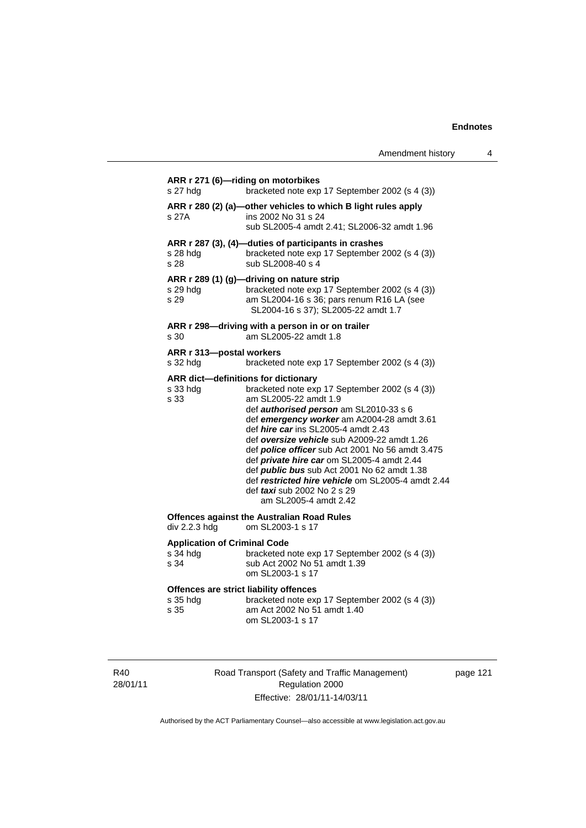| Amendment history |  |
|-------------------|--|
|-------------------|--|

| s 27 hdg                                                   | ARR r 271 (6)-riding on motorbikes<br>bracketed note exp 17 September 2002 (s 4 (3))                                                                                                                                                                                                                                                                                                                                                                                                                                |
|------------------------------------------------------------|---------------------------------------------------------------------------------------------------------------------------------------------------------------------------------------------------------------------------------------------------------------------------------------------------------------------------------------------------------------------------------------------------------------------------------------------------------------------------------------------------------------------|
| s 27A                                                      | ARR r 280 (2) (a)-other vehicles to which B light rules apply<br>ins 2002 No 31 s 24<br>sub SL2005-4 amdt 2.41; SL2006-32 amdt 1.96                                                                                                                                                                                                                                                                                                                                                                                 |
| s 28 hdg<br>s 28                                           | ARR r 287 (3), (4)-duties of participants in crashes<br>bracketed note exp 17 September 2002 (s 4 (3))<br>sub SL2008-40 s 4                                                                                                                                                                                                                                                                                                                                                                                         |
| s 29 hdg<br>s 29                                           | ARR r 289 (1) (g)-driving on nature strip<br>bracketed note exp 17 September 2002 (s 4 (3))<br>am SL2004-16 s 36; pars renum R16 LA (see<br>SL2004-16 s 37); SL2005-22 amdt 1.7                                                                                                                                                                                                                                                                                                                                     |
| s 30                                                       | ARR r 298-driving with a person in or on trailer<br>am SL2005-22 amdt 1.8                                                                                                                                                                                                                                                                                                                                                                                                                                           |
| ARR r 313-postal workers<br>s 32 hdg                       | bracketed note exp 17 September 2002 (s 4 (3))                                                                                                                                                                                                                                                                                                                                                                                                                                                                      |
| ARR dict-definitions for dictionary<br>s 33 hdg<br>s 33    | bracketed note exp 17 September 2002 (s 4 (3))<br>am SL2005-22 amdt 1.9<br>def authorised person am SL2010-33 s 6<br>def emergency worker am A2004-28 amdt 3.61<br>def hire car ins SL2005-4 amdt 2.43<br>def oversize vehicle sub A2009-22 amdt 1.26<br>def police officer sub Act 2001 No 56 amdt 3.475<br>def private hire car om SL2005-4 amdt 2.44<br>def public bus sub Act 2001 No 62 amdt 1.38<br>def restricted hire vehicle om SL2005-4 amdt 2.44<br>def taxi sub 2002 No 2 s 29<br>am SL2005-4 amdt 2.42 |
| div 2.2.3 hdg                                              | <b>Offences against the Australian Road Rules</b><br>om SL2003-1 s 17                                                                                                                                                                                                                                                                                                                                                                                                                                               |
| <b>Application of Criminal Code</b><br>s 34 hdg<br>s 34    | bracketed note exp 17 September 2002 (s 4 (3))<br>sub Act 2002 No 51 amdt 1.39<br>om SL2003-1 s 17                                                                                                                                                                                                                                                                                                                                                                                                                  |
| Offences are strict liability offences<br>s 35 hdg<br>s 35 | bracketed note exp 17 September 2002 (s 4 (3))<br>am Act 2002 No 51 amdt 1.40<br>om SL2003-1 s 17                                                                                                                                                                                                                                                                                                                                                                                                                   |

R40 28/01/11 Road Transport (Safety and Traffic Management) Regulation 2000 Effective: 28/01/11-14/03/11

page 121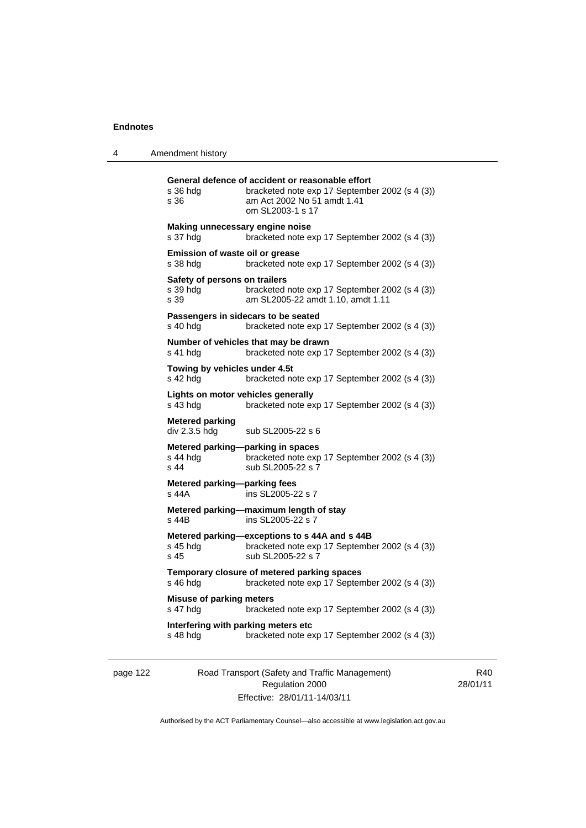| 4 | Amendment history |
|---|-------------------|
|---|-------------------|

| s 36 hdg<br>s 36                                                 | General defence of accident or reasonable effort<br>bracketed note exp 17 September 2002 (s 4 (3))<br>am Act 2002 No 51 amdt 1.41<br>om SL2003-1 s 17 |
|------------------------------------------------------------------|-------------------------------------------------------------------------------------------------------------------------------------------------------|
| Making unnecessary engine noise<br>s 37 hdg                      | bracketed note exp 17 September 2002 (s 4 (3))                                                                                                        |
| Emission of waste oil or grease<br>s 38 hdg                      | bracketed note exp 17 September 2002 (s 4 (3))                                                                                                        |
| Safety of persons on trailers<br>s 39 hdg<br>s 39                | bracketed note exp 17 September 2002 (s 4 (3))<br>am SL2005-22 amdt 1.10, amdt 1.11                                                                   |
| Passengers in sidecars to be seated<br>s 40 hdg                  | bracketed note exp 17 September 2002 (s 4 (3))                                                                                                        |
| s 41 hdg                                                         | Number of vehicles that may be drawn<br>bracketed note exp 17 September 2002 (s 4 (3))                                                                |
| Towing by vehicles under 4.5t<br>s 42 hdg                        | bracketed note exp 17 September 2002 (s 4 (3))                                                                                                        |
| Lights on motor vehicles generally<br>s 43 hdg                   | bracketed note exp 17 September 2002 (s 4 (3))                                                                                                        |
| <b>Metered parking</b><br>div 2.3.5 hdg                          | sub SL2005-22 s 6                                                                                                                                     |
| Metered parking-parking in spaces<br>s 44 hda<br>s <sub>44</sub> | bracketed note exp 17 September 2002 (s 4 (3))<br>sub SL2005-22 s 7                                                                                   |
| Metered parking-parking fees<br>s 44A                            | ins SL2005-22 s 7                                                                                                                                     |
| s 44B                                                            | Metered parking-maximum length of stay<br>ins SL2005-22 s 7                                                                                           |
| s 45 hdg<br>s 45                                                 | Metered parking-exceptions to s 44A and s 44B<br>bracketed note exp 17 September 2002 (s 4 (3))<br>sub SL2005-22 s 7                                  |
| s 46 hdg                                                         | Temporary closure of metered parking spaces<br>bracketed note exp 17 September 2002 (s 4 (3))                                                         |
| <b>Misuse of parking meters</b><br>s 47 hdg                      | bracketed note exp 17 September 2002 (s 4 (3))                                                                                                        |
| Interfering with parking meters etc<br>s 48 hdg                  | bracketed note exp 17 September 2002 (s 4 (3))                                                                                                        |

page 122 Road Transport (Safety and Traffic Management) Regulation 2000 Effective: 28/01/11-14/03/11

R40 28/01/11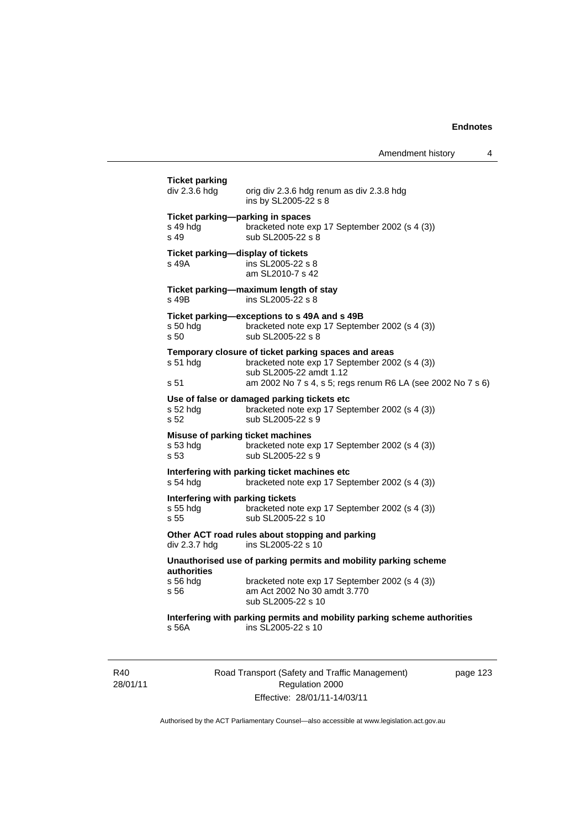Amendment history 4

**Ticket parking**  orig div 2.3.6 hdg renum as div 2.3.8 hdg ins by SL2005-22 s 8 **Ticket parking—parking in spaces**  s 49 hdg bracketed note exp 17 September 2002 (s 4 (3)) s 49 sub SL2005-22 s 8 **Ticket parking—display of tickets**  s 49A ins SL2005-22 s 8 am SL2010-7 s 42 **Ticket parking—maximum length of stay**  s 49B ins SL2005-22 s 8 **Ticket parking—exceptions to s 49A and s 49B**  s 50 hdg bracketed note exp 17 September 2002 (s 4 (3)) s 50 sub SL2005-22 s 8 **Temporary closure of ticket parking spaces and areas**  s 51 hdg bracketed note exp 17 September 2002 (s 4 (3)) sub SL2005-22 amdt 1.12 s 51 am 2002 No 7 s 4, s 5; regs renum R6 LA (see 2002 No 7 s 6) **Use of false or damaged parking tickets etc**  s 52 hdg bracketed note exp 17 September 2002 (s 4 (3)) s 52 sub SL2005-22 s 9 **Misuse of parking ticket machines**<br>s 53 hdg bracketed note e. bracketed note exp 17 September 2002 (s 4 (3)) s 53 sub SL2005-22 s 9 **Interfering with parking ticket machines etc**  s 54 hdg bracketed note exp 17 September 2002 (s 4 (3)) **Interfering with parking tickets**  s 55 hdg bracketed note exp 17 September 2002 (s 4 (3)) s 55 sub SL2005-22 s 10 **Other ACT road rules about stopping and parking div 2.3.7 hdg ins SL2005-22 s 10** ins SL2005-22 s  $10$ **Unauthorised use of parking permits and mobility parking scheme authorities**  bracketed note exp 17 September 2002 (s 4 (3)) s 56 am Act 2002 No 30 amdt 3.770 sub SL2005-22 s 10 **Interfering with parking permits and mobility parking scheme authorities**  s 56A ins SL2005-22 s 10

R<sub>40</sub> 28/01/11 Road Transport (Safety and Traffic Management) Regulation 2000 Effective: 28/01/11-14/03/11

page 123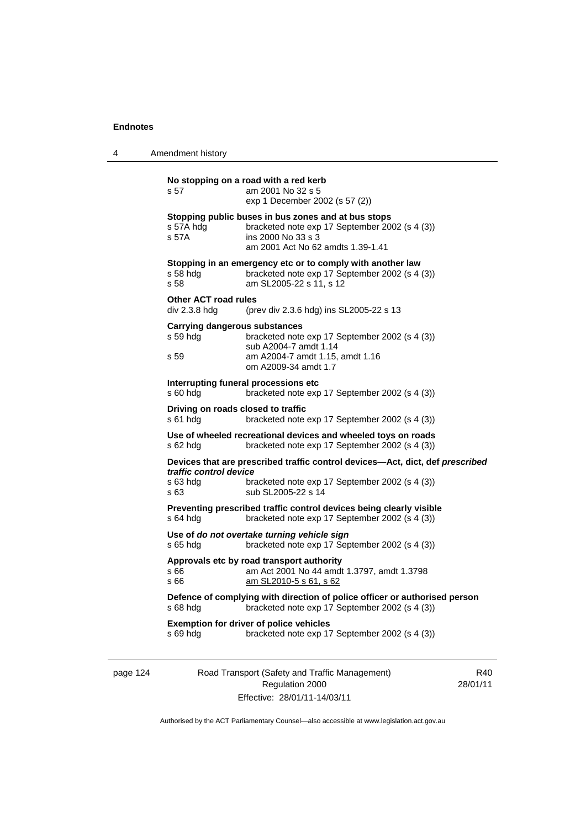4 Amendment history

| s 69 hdg                                     | <b>Exemption for driver of police vehicles</b><br>bracketed note exp 17 September 2002 (s 4 (3))                                                                 |
|----------------------------------------------|------------------------------------------------------------------------------------------------------------------------------------------------------------------|
| s 68 hdg                                     | Defence of complying with direction of police officer or authorised person<br>bracketed note exp 17 September 2002 (s 4 (3))                                     |
| s 66<br>s 66                                 | Approvals etc by road transport authority<br>am Act 2001 No 44 amdt 1.3797, amdt 1.3798<br>am SL2010-5 s 61, s 62                                                |
| s 65 hdg                                     | Use of do not overtake turning vehicle sign<br>bracketed note exp 17 September 2002 (s 4 (3))                                                                    |
| s 64 hdg                                     | Preventing prescribed traffic control devices being clearly visible<br>bracketed note exp 17 September 2002 (s 4 (3))                                            |
| traffic control device<br>s 63 hdg<br>s 63   | Devices that are prescribed traffic control devices-Act, dict, def prescribed<br>bracketed note exp 17 September 2002 (s 4 (3))<br>sub SL2005-22 s 14            |
| s 62 hda                                     | Use of wheeled recreational devices and wheeled toys on roads<br>bracketed note exp 17 September 2002 (s 4 (3))                                                  |
| s 61 hda                                     | Driving on roads closed to traffic<br>bracketed note exp 17 September 2002 (s 4 (3))                                                                             |
| s 60 hdg                                     | Interrupting funeral processions etc<br>bracketed note exp 17 September 2002 (s 4 (3))                                                                           |
| s 59                                         | am A2004-7 amdt 1.15, amdt 1.16<br>om A2009-34 amdt 1.7                                                                                                          |
| s 59 hda                                     | Carrying dangerous substances<br>bracketed note exp 17 September 2002 (s 4 (3))<br>sub A2004-7 amdt 1.14                                                         |
| <b>Other ACT road rules</b><br>div 2.3.8 hdg | (prev div 2.3.6 hdg) ins SL2005-22 s 13                                                                                                                          |
| s 58 hdg<br>s 58                             | Stopping in an emergency etc or to comply with another law<br>bracketed note exp 17 September 2002 (s 4 (3))<br>am SL2005-22 s 11, s 12                          |
| s 57A hdg<br>s 57A                           | Stopping public buses in bus zones and at bus stops<br>bracketed note exp 17 September 2002 (s 4 (3))<br>ins 2000 No 33 s 3<br>am 2001 Act No 62 amdts 1.39-1.41 |
|                                              |                                                                                                                                                                  |

page 124 Road Transport (Safety and Traffic Management) Regulation 2000 Effective: 28/01/11-14/03/11

R40 28/01/11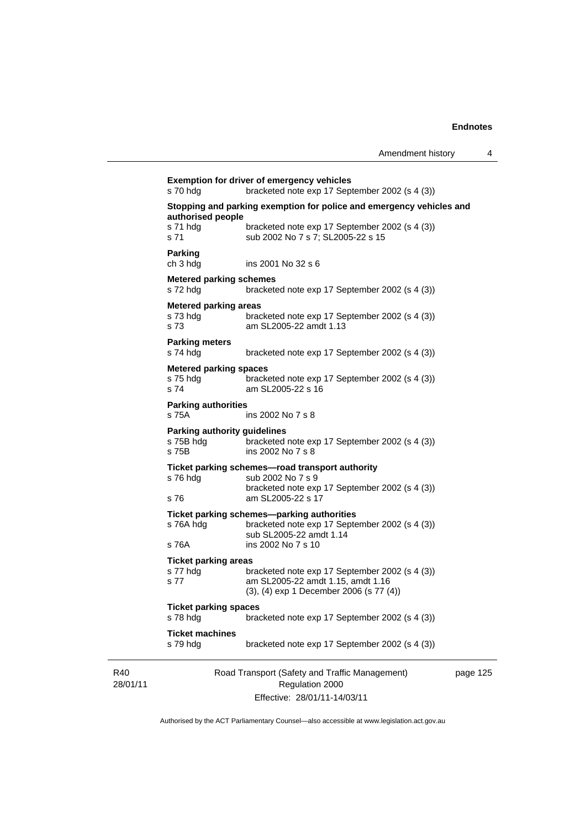|                 | <b>Exemption for driver of emergency vehicles</b><br>s 70 hdg<br>bracketed note exp 17 September 2002 (s 4 (3)) |                                                                                                                                |          |  |  |
|-----------------|-----------------------------------------------------------------------------------------------------------------|--------------------------------------------------------------------------------------------------------------------------------|----------|--|--|
|                 | Stopping and parking exemption for police and emergency vehicles and<br>authorised people                       |                                                                                                                                |          |  |  |
|                 | s 71 hdg<br>s 71                                                                                                | bracketed note exp 17 September 2002 (s 4 (3))<br>sub 2002 No 7 s 7; SL2005-22 s 15                                            |          |  |  |
|                 | <b>Parking</b><br>ch 3 hdg                                                                                      | ins 2001 No 32 s 6                                                                                                             |          |  |  |
|                 | <b>Metered parking schemes</b><br>s 72 hdg                                                                      | bracketed note exp 17 September 2002 (s 4 (3))                                                                                 |          |  |  |
|                 | <b>Metered parking areas</b>                                                                                    |                                                                                                                                |          |  |  |
|                 | s 73 hdg<br>s 73                                                                                                | bracketed note exp 17 September 2002 (s 4 (3))<br>am SL2005-22 amdt 1.13                                                       |          |  |  |
|                 | <b>Parking meters</b><br>s 74 hdg                                                                               | bracketed note exp 17 September 2002 (s 4 (3))                                                                                 |          |  |  |
|                 | <b>Metered parking spaces</b><br>s 75 hdg<br>s 74                                                               | bracketed note exp 17 September 2002 (s 4 (3))<br>am SL2005-22 s 16                                                            |          |  |  |
|                 | <b>Parking authorities</b><br>s 75A                                                                             | ins 2002 No 7 s 8                                                                                                              |          |  |  |
|                 | Parking authority guidelines<br>s 75B hdg<br>s 75B                                                              | bracketed note exp 17 September 2002 (s 4 (3))<br>ins 2002 No 7 s 8                                                            |          |  |  |
|                 | s 76 hdg                                                                                                        | Ticket parking schemes-road transport authority<br>sub 2002 No 7 s 9<br>bracketed note exp 17 September 2002 (s 4 (3))         |          |  |  |
|                 | s 76                                                                                                            | am SL2005-22 s 17                                                                                                              |          |  |  |
|                 | s 76A hdg                                                                                                       | Ticket parking schemes-parking authorities<br>bracketed note exp 17 September 2002 (s 4 (3))<br>sub SL2005-22 amdt 1.14        |          |  |  |
|                 | s 76A                                                                                                           | ins 2002 No 7 s 10                                                                                                             |          |  |  |
|                 | <b>Ticket parking areas</b><br>s 77 hdg<br>s 77                                                                 | bracketed note exp 17 September 2002 (s 4 (3))<br>am SL2005-22 amdt 1.15, amdt 1.16<br>(3), (4) exp 1 December 2006 (s 77 (4)) |          |  |  |
|                 | <b>Ticket parking spaces</b><br>s 78 hdg                                                                        | bracketed note exp 17 September 2002 (s 4 (3))                                                                                 |          |  |  |
|                 | <b>Ticket machines</b><br>s 79 hdg                                                                              | bracketed note exp 17 September 2002 (s 4 (3))                                                                                 |          |  |  |
| R40<br>28/01/11 |                                                                                                                 | Road Transport (Safety and Traffic Management)<br>Regulation 2000                                                              | page 125 |  |  |
|                 |                                                                                                                 | Effective: 28/01/11-14/03/11                                                                                                   |          |  |  |

Authorised by the ACT Parliamentary Counsel—also accessible at www.legislation.act.gov.au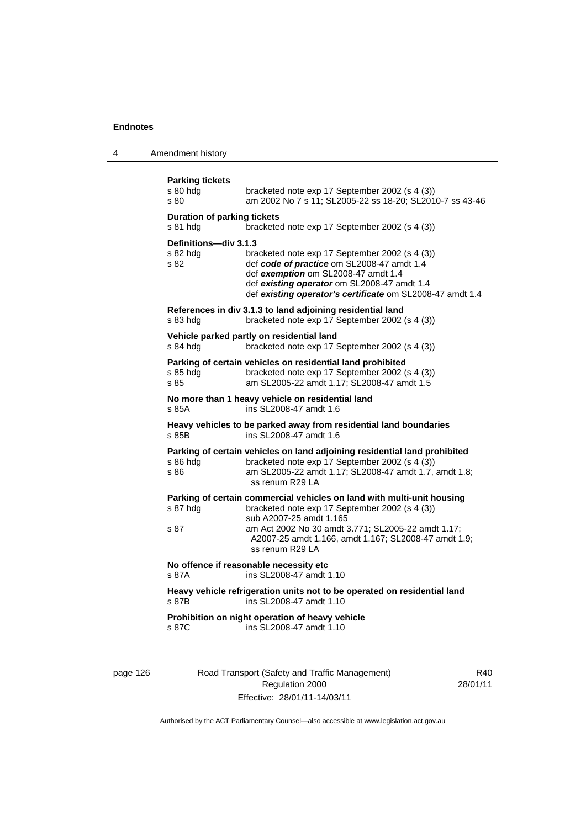4 Amendment history

| <b>Parking tickets</b><br>s 80 hdg<br>s 80     | bracketed note exp 17 September 2002 (s 4 (3))<br>am 2002 No 7 s 11; SL2005-22 ss 18-20; SL2010-7 ss 43-46                                                                                                                                                                           |
|------------------------------------------------|--------------------------------------------------------------------------------------------------------------------------------------------------------------------------------------------------------------------------------------------------------------------------------------|
| <b>Duration of parking tickets</b><br>s 81 hdg | bracketed note exp 17 September 2002 (s 4 (3))                                                                                                                                                                                                                                       |
| Definitions-div 3.1.3<br>s 82 hda<br>s 82      | bracketed note exp 17 September 2002 (s 4 (3))<br>def code of practice om SL2008-47 amdt 1.4<br>def exemption om SL2008-47 amdt 1.4<br>def existing operator om SL2008-47 amdt 1.4<br>def existing operator's certificate om SL2008-47 amdt 1.4                                      |
| s 83 hdg                                       | References in div 3.1.3 to land adjoining residential land<br>bracketed note exp 17 September 2002 (s 4 (3))                                                                                                                                                                         |
| s 84 hdg                                       | Vehicle parked partly on residential land<br>bracketed note exp 17 September 2002 (s 4 (3))                                                                                                                                                                                          |
| s 85 hdg<br>s 85                               | Parking of certain vehicles on residential land prohibited<br>bracketed note exp 17 September 2002 (s 4 (3))<br>am SL2005-22 amdt 1.17; SL2008-47 amdt 1.5                                                                                                                           |
| s 85A                                          | No more than 1 heavy vehicle on residential land<br>ins SL2008-47 amdt 1.6                                                                                                                                                                                                           |
| s 85B                                          | Heavy vehicles to be parked away from residential land boundaries<br>ins SL2008-47 amdt 1.6                                                                                                                                                                                          |
| s 86 hdg<br>s 86                               | Parking of certain vehicles on land adjoining residential land prohibited<br>bracketed note exp 17 September 2002 (s 4 (3))<br>am SL2005-22 amdt 1.17; SL2008-47 amdt 1.7, amdt 1.8;<br>ss renum R29 LA                                                                              |
| s 87 hdg<br>s 87                               | Parking of certain commercial vehicles on land with multi-unit housing<br>bracketed note exp 17 September 2002 (s 4 (3))<br>sub A2007-25 amdt 1.165<br>am Act 2002 No 30 amdt 3.771; SL2005-22 amdt 1.17;<br>A2007-25 amdt 1.166, amdt 1.167; SL2008-47 amdt 1.9;<br>ss renum R29 LA |
| s 87A                                          | No offence if reasonable necessity etc<br>ins SL 2008-47 amdt 1.10                                                                                                                                                                                                                   |
| s 87B                                          | Heavy vehicle refrigeration units not to be operated on residential land<br>ins SL2008-47 amdt 1.10                                                                                                                                                                                  |
| s 87C                                          | Prohibition on night operation of heavy vehicle<br>ins SL2008-47 amdt 1.10                                                                                                                                                                                                           |
|                                                |                                                                                                                                                                                                                                                                                      |

page 126 Road Transport (Safety and Traffic Management) Regulation 2000 Effective: 28/01/11-14/03/11

R40 28/01/11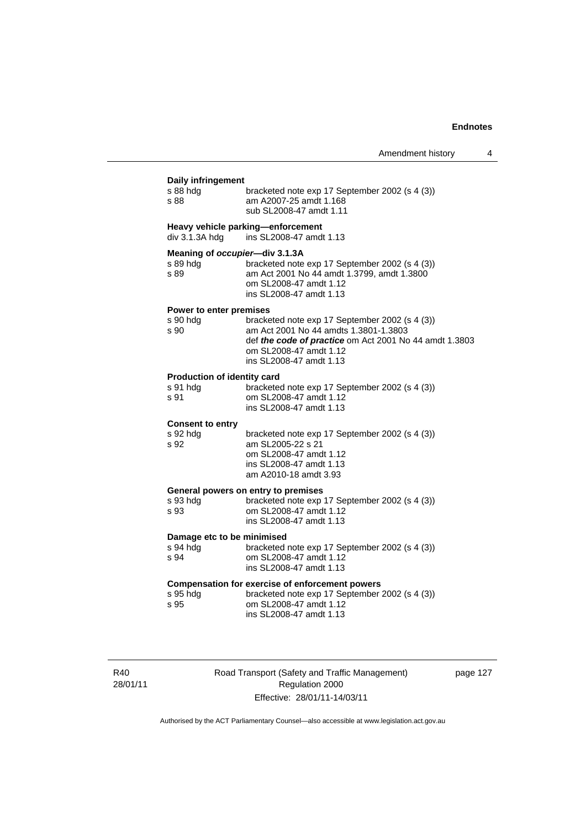| <b>Daily infringement</b>      |                                                                                                                                                                                                        |
|--------------------------------|--------------------------------------------------------------------------------------------------------------------------------------------------------------------------------------------------------|
| s 88 hdg<br>s 88               | bracketed note exp 17 September 2002 (s 4 (3))<br>am A2007-25 amdt 1.168<br>sub SL2008-47 amdt 1.11                                                                                                    |
| div 3.1.3A hdg                 | Heavy vehicle parking-enforcement<br>ins SL2008-47 amdt 1.13                                                                                                                                           |
| Meaning of occupier-div 3.1.3A |                                                                                                                                                                                                        |
| s 89 hda<br>s 89               | bracketed note exp 17 September 2002 (s 4 (3))<br>am Act 2001 No 44 amdt 1.3799, amdt 1.3800<br>om SL2008-47 amdt 1.12<br>ins SL2008-47 amdt 1.13                                                      |
| Power to enter premises        |                                                                                                                                                                                                        |
| s 90 hdg<br>s 90               | bracketed note exp 17 September 2002 (s 4 (3))<br>am Act 2001 No 44 amdts 1.3801-1.3803<br>def the code of practice om Act 2001 No 44 amdt 1.3803<br>om SL2008-47 amdt 1.12<br>ins SL2008-47 amdt 1.13 |
| Production of identity card    |                                                                                                                                                                                                        |
| s 91 hdg<br>s 91               | bracketed note exp 17 September 2002 (s 4 (3))<br>om SL2008-47 amdt 1.12<br>ins SL2008-47 amdt 1.13                                                                                                    |
| <b>Consent to entry</b>        |                                                                                                                                                                                                        |
| s 92 hdg<br>s 92               | bracketed note exp 17 September 2002 (s 4 (3))<br>am SL2005-22 s 21<br>om SL2008-47 amdt 1.12<br>ins SL2008-47 amdt 1.13<br>am A2010-18 amdt 3.93                                                      |
|                                | General powers on entry to premises                                                                                                                                                                    |
| s 93 hdg<br>s 93               | bracketed note exp 17 September 2002 (s 4 (3))<br>om SL2008-47 amdt 1.12<br>ins SL2008-47 amdt 1.13                                                                                                    |
| Damage etc to be minimised     |                                                                                                                                                                                                        |
| s 94 hdg<br>s 94               | bracketed note exp 17 September 2002 (s 4 (3))<br>om SL2008-47 amdt 1.12<br>ins SL2008-47 amdt 1.13                                                                                                    |
| s 95 hdg<br>s 95               | <b>Compensation for exercise of enforcement powers</b><br>bracketed note exp 17 September 2002 (s 4 (3))<br>om SL2008-47 amdt 1.12<br>ins SL2008-47 amdt 1.13                                          |
|                                |                                                                                                                                                                                                        |
|                                |                                                                                                                                                                                                        |

R40 28/01/11 Road Transport (Safety and Traffic Management) Regulation 2000 Effective: 28/01/11-14/03/11

page 127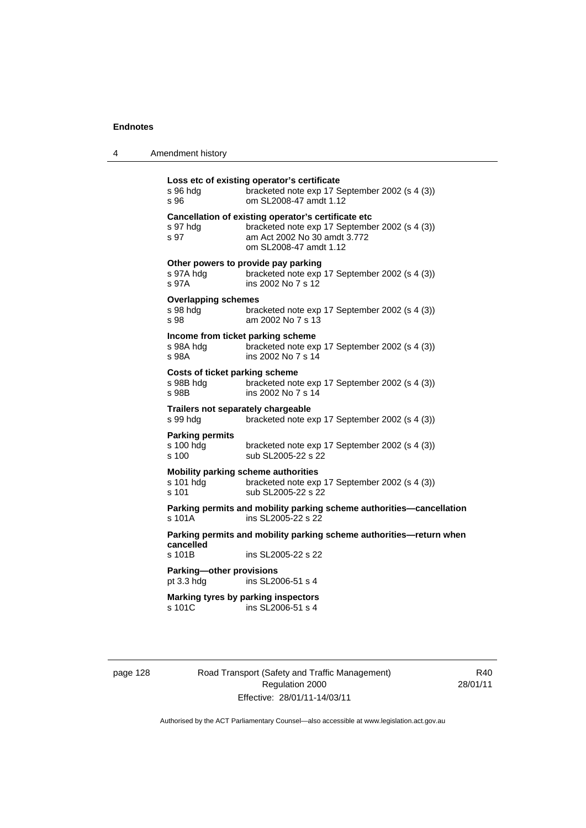| 4 | Amendment history |
|---|-------------------|
|---|-------------------|

| s 96 hda<br>s 96                                            | Loss etc of existing operator's certificate<br>bracketed note exp 17 September 2002 (s 4 (3))<br>om SL2008-47 amdt 1.12                                          |
|-------------------------------------------------------------|------------------------------------------------------------------------------------------------------------------------------------------------------------------|
| s 97 hdg<br>s 97                                            | Cancellation of existing operator's certificate etc<br>bracketed note exp 17 September 2002 (s 4 (3))<br>am Act 2002 No 30 amdt 3.772<br>om SL 2008-47 amdt 1.12 |
| s 97A hdg<br>s 97A                                          | Other powers to provide pay parking<br>bracketed note exp 17 September 2002 (s 4 (3))<br>ins 2002 No 7 s 12                                                      |
| <b>Overlapping schemes</b><br>s 98 hdg<br>s 98              | bracketed note exp 17 September 2002 (s 4 (3))<br>am 2002 No 7 s 13                                                                                              |
| Income from ticket parking scheme<br>s 98A hdg<br>s 98A     | bracketed note exp 17 September 2002 (s 4 (3))<br>ins 2002 No 7 s 14                                                                                             |
| <b>Costs of ticket parking scheme</b><br>s 98B hdg<br>s 98B | bracketed note exp 17 September 2002 (s 4 (3))<br>ins 2002 No 7 s 14                                                                                             |
| Trailers not separately chargeable<br>s 99 hda              | bracketed note exp 17 September 2002 (s 4 (3))                                                                                                                   |
| <b>Parking permits</b><br>s 100 hdg<br>s 100                | bracketed note exp 17 September 2002 (s 4 (3))<br>sub SL2005-22 s 22                                                                                             |
| s 101 hdg<br>s 101                                          | <b>Mobility parking scheme authorities</b><br>bracketed note exp 17 September 2002 (s 4 (3))<br>sub SL2005-22 s 22                                               |
| s 101A                                                      | Parking permits and mobility parking scheme authorities-cancellation<br>ins SL2005-22 s 22                                                                       |
| cancelled                                                   | Parking permits and mobility parking scheme authorities—return when                                                                                              |
| s 101B                                                      | ins SL2005-22 s 22                                                                                                                                               |
| Parking-other provisions<br>pt 3.3 hdg                      | ins SL2006-51 s 4                                                                                                                                                |
| s 101C                                                      | Marking tyres by parking inspectors<br>ins SL2006-51 s 4                                                                                                         |
|                                                             |                                                                                                                                                                  |

page 128 Road Transport (Safety and Traffic Management) Regulation 2000 Effective: 28/01/11-14/03/11

R40 28/01/11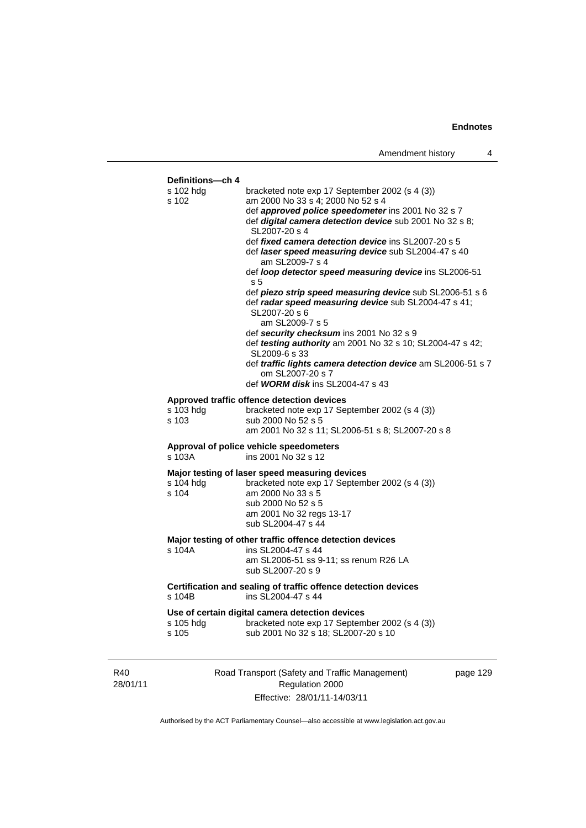

Authorised by the ACT Parliamentary Counsel—also accessible at www.legislation.act.gov.au

Regulation 2000 Effective: 28/01/11-14/03/11

28/01/11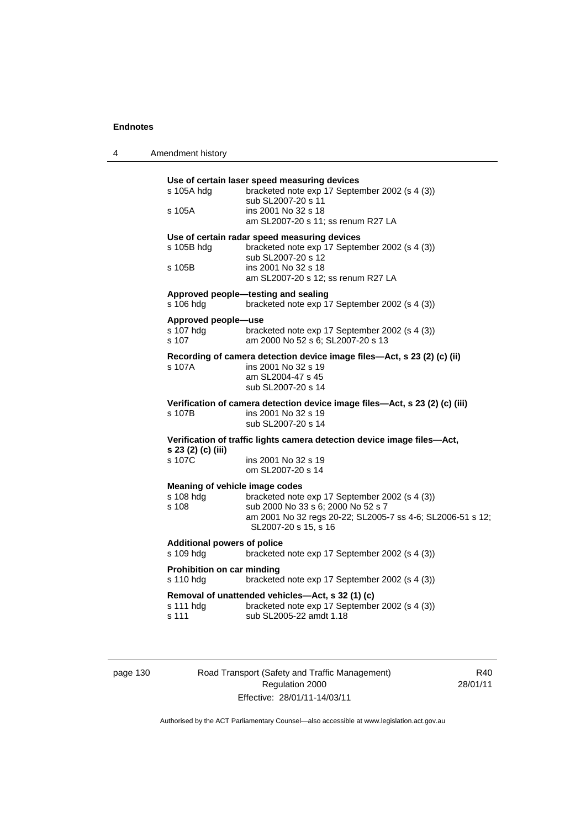4 Amendment history

| s 105A hdg                         | Use of certain laser speed measuring devices<br>bracketed note exp 17 September 2002 (s 4 (3)) |
|------------------------------------|------------------------------------------------------------------------------------------------|
|                                    | sub SL2007-20 s 11                                                                             |
| s 105A                             | ins 2001 No 32 s 18                                                                            |
|                                    | am SL2007-20 s 11; ss renum R27 LA                                                             |
|                                    | Use of certain radar speed measuring devices                                                   |
| s 105B hdg                         | bracketed note exp 17 September 2002 (s 4 (3))<br>sub SL2007-20 s 12                           |
| s 105B                             | ins 2001 No 32 s 18                                                                            |
|                                    | am SL2007-20 s 12; ss renum R27 LA                                                             |
|                                    | Approved people-testing and sealing                                                            |
| s 106 hdg                          | bracketed note exp 17 September 2002 (s 4 (3))                                                 |
| Approved people-use                |                                                                                                |
| s 107 hdg                          | bracketed note exp 17 September 2002 (s 4 (3))                                                 |
| s 107                              | am 2000 No 52 s 6; SL2007-20 s 13                                                              |
|                                    | Recording of camera detection device image files-Act, s 23 (2) (c) (ii)                        |
| s 107A                             | ins 2001 No 32 s 19<br>am SL2004-47 s 45                                                       |
|                                    | sub SL2007-20 s 14                                                                             |
|                                    | Verification of camera detection device image files-Act, s 23 (2) (c) (iii)                    |
| s 107B                             | ins 2001 No 32 s 19                                                                            |
|                                    | sub SL2007-20 s 14                                                                             |
|                                    | Verification of traffic lights camera detection device image files-Act,                        |
| s 23 (2) (c) (iii)<br>s 107C       | ins 2001 No 32 s 19                                                                            |
|                                    | om SL2007-20 s 14                                                                              |
|                                    | Meaning of vehicle image codes                                                                 |
| s 108 hdg                          | bracketed note exp 17 September 2002 (s 4 (3))                                                 |
| s 108                              | sub 2000 No 33 s 6; 2000 No 52 s 7                                                             |
|                                    | am 2001 No 32 regs 20-22; SL2005-7 ss 4-6; SL2006-51 s 12;<br>SL2007-20 s 15, s 16             |
| <b>Additional powers of police</b> |                                                                                                |
| s 109 hda                          | bracketed note exp 17 September 2002 (s 4 (3))                                                 |
| Prohibition on car minding         |                                                                                                |
| s 110 hdg                          | bracketed note exp 17 September 2002 (s 4 (3))                                                 |
|                                    | Removal of unattended vehicles-Act, s 32 (1) (c)                                               |
| s 111 hdg                          | bracketed note exp 17 September 2002 (s 4 (3))                                                 |

page 130 Road Transport (Safety and Traffic Management) Regulation 2000 Effective: 28/01/11-14/03/11

R40 28/01/11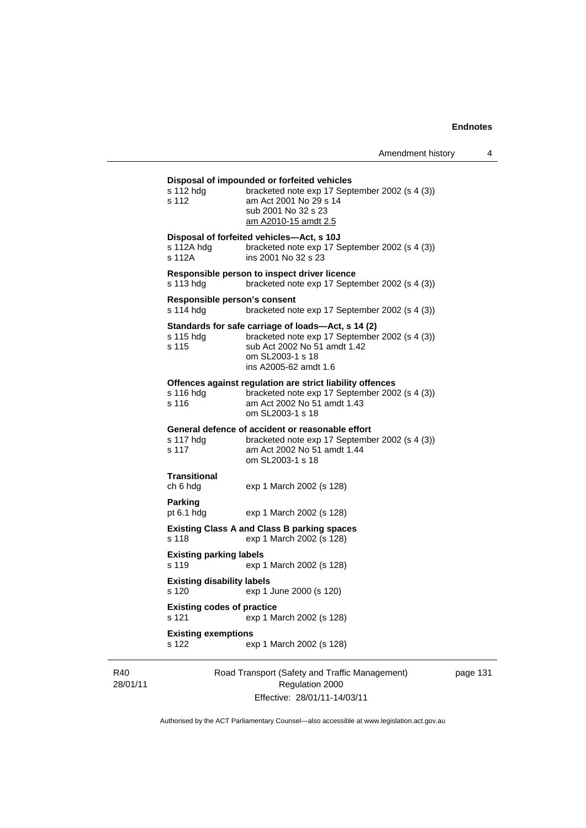### **Disposal of impounded or forfeited vehicles**

| R40<br>28/01/11 |                                            | Road Transport (Safety and Traffic Management)<br>Regulation 2000                                                                                                                 | pag |
|-----------------|--------------------------------------------|-----------------------------------------------------------------------------------------------------------------------------------------------------------------------------------|-----|
|                 | <b>Existing exemptions</b><br>s 122        | exp 1 March 2002 (s 128)                                                                                                                                                          |     |
|                 | <b>Existing codes of practice</b><br>s 121 | exp 1 March 2002 (s 128)                                                                                                                                                          |     |
|                 | <b>Existing disability labels</b><br>s 120 | exp 1 June 2000 (s 120)                                                                                                                                                           |     |
|                 | <b>Existing parking labels</b><br>s 119    | exp 1 March 2002 (s 128)                                                                                                                                                          |     |
|                 | s 118                                      | <b>Existing Class A and Class B parking spaces</b><br>exp 1 March 2002 (s 128)                                                                                                    |     |
|                 | Parking<br>pt $6.1$ hdg                    | exp 1 March 2002 (s 128)                                                                                                                                                          |     |
|                 | <b>Transitional</b><br>ch 6 hdg            | exp 1 March 2002 (s 128)                                                                                                                                                          |     |
|                 | s 117 hdg<br>s 117                         | General defence of accident or reasonable effort<br>bracketed note exp 17 September 2002 (s 4 (3))<br>am Act 2002 No 51 amdt 1.44<br>om SL2003-1 s 18                             |     |
|                 | s 116 hdg<br>s 116                         | Offences against regulation are strict liability offences<br>bracketed note exp 17 September 2002 (s 4 (3))<br>am Act 2002 No 51 amdt 1.43<br>om SL2003-1 s 18                    |     |
|                 | s 115 hdg<br>s 115                         | Standards for safe carriage of loads—Act, s 14 (2)<br>bracketed note exp 17 September 2002 (s 4 (3))<br>sub Act 2002 No 51 amdt 1.42<br>om SL2003-1 s 18<br>ins A2005-62 amdt 1.6 |     |
|                 | Responsible person's consent<br>s 114 hdg  | bracketed note exp 17 September 2002 (s 4 (3))                                                                                                                                    |     |
|                 | s 113 hdg                                  | Responsible person to inspect driver licence<br>bracketed note exp 17 September 2002 (s 4 (3))                                                                                    |     |
|                 | s 112A hdg<br>s 112A                       | Disposal of forfeited vehicles—Act, s 10J<br>bracketed note exp 17 September 2002 (s 4 (3))<br>ins 2001 No 32 s 23                                                                |     |
|                 | s 112 hdg<br>s 112                         | bracketed note exp 17 September 2002 (s 4 (3))<br>am Act 2001 No 29 s 14<br>sub 2001 No 32 s 23<br><u>am A2010-15 amdt 2.5</u>                                                    |     |

Effective: 28/01/11-14/03/11

page 131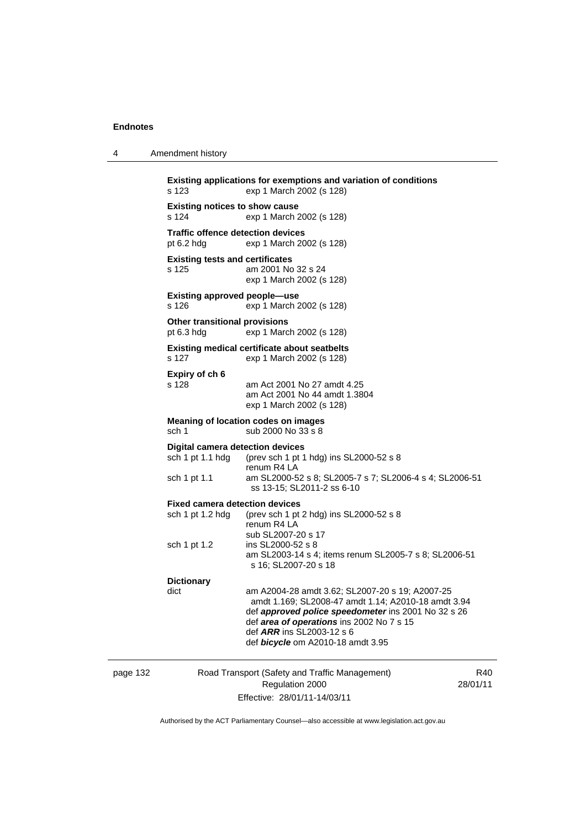|       | <b>Existing applications for e</b> |
|-------|------------------------------------|
| s 123 | exp 1 N                            |

4 Amendment history

**Exemptions and variation of conditions** Aarch 2002 (s 128) **Existing notices to show cause**  s 124 exp 1 March 2002 (s 128) **Traffic offence detection devices**  pt 6.2 hdg exp 1 March 2002 (s 128) **Existing tests and certificates**  s 125 am 2001 No 32 s 24 exp 1 March 2002 (s 128) **Existing approved people—use**  s 126 exp 1 March 2002 (s 128) **Other transitional provisions**  pt 6.3 hdg exp 1 March 2002 (s 128) **Existing medical certificate about seatbelts**  s 127 exp 1 March 2002 (s 128) **Expiry of ch 6**  s 128 am Act 2001 No 27 amdt 4.25 am Act 2001 No 44 amdt 1.3804 exp 1 March 2002 (s 128) **Meaning of location codes on images**  sch 1 sub 2000 No 33 s 8 **Digital camera detection devices**  sch 1 pt 1.1 hdg (prev sch 1 pt 1 hdg) ins SL2000-52 s 8 renum R4 LA<br>sch 1 pt 1.1 am SL2000-5 am SL2000-52 s 8; SL2005-7 s 7; SL2006-4 s 4; SL2006-51 ss 13-15; SL2011-2 ss 6-10 **Fixed camera detection devices**  sch 1 pt 1.2 hdg (prev sch 1 pt 2 hdg) ins SL2000-52 s 8 renum R4 LA sub SL2007-20 s 17<br>sch 1 pt 1.2 ins SL2000-52 s 8 ins SL2000-52 s 8 am SL2003-14 s 4; items renum SL2005-7 s 8; SL2006-51 s 16; SL2007-20 s 18 **Dictionary**  dict am A2004-28 amdt 3.62; SL2007-20 s 19; A2007-25 amdt 1.169; SL2008-47 amdt 1.14; A2010-18 amdt 3.94 def *approved police speedometer* ins 2001 No 32 s 26 def *area of operations* ins 2002 No 7 s 15 def *ARR* ins SL2003-12 s 6 def *bicycle* om A2010-18 amdt 3.95

page 132 Road Transport (Safety and Traffic Management) Regulation 2000 Effective: 28/01/11-14/03/11

R40 28/01/11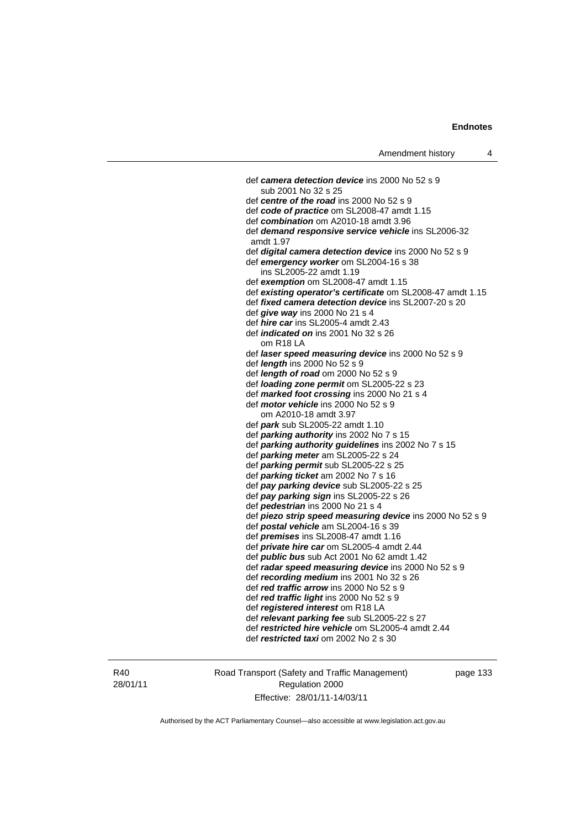def *camera detection device* ins 2000 No 52 s 9 sub 2001 No 32 s 25 def *centre of the road* ins 2000 No 52 s 9 def *code of practice* om SL2008-47 amdt 1.15 def *combination* om A2010-18 amdt 3.96 def *demand responsive service vehicle* ins SL2006-32 amdt 1.97 def *digital camera detection device* ins 2000 No 52 s 9 def *emergency worker* om SL2004-16 s 38 ins SL2005-22 amdt 1.19 def *exemption* om SL2008-47 amdt 1.15 def *existing operator's certificate* om SL2008-47 amdt 1.15 def *fixed camera detection device* ins SL2007-20 s 20 def *give way* ins 2000 No 21 s 4 def *hire car* ins SL2005-4 amdt 2.43 def *indicated on* ins 2001 No 32 s 26 om R18 LA def *laser speed measuring device* ins 2000 No 52 s 9 def *length* ins 2000 No 52 s 9 def *length of road* om 2000 No 52 s 9 def *loading zone permit* om SL2005-22 s 23 def *marked foot crossing* ins 2000 No 21 s 4 def *motor vehicle* ins 2000 No 52 s 9 om A2010-18 amdt 3.97 def *park* sub SL2005-22 amdt 1.10 def *parking authority* ins 2002 No 7 s 15 def *parking authority guidelines* ins 2002 No 7 s 15 def *parking meter* am SL2005-22 s 24 def *parking permit* sub SL2005-22 s 25 def *parking ticket* am 2002 No 7 s 16 def *pay parking device* sub SL2005-22 s 25 def *pay parking sign* ins SL2005-22 s 26 def *pedestrian* ins 2000 No 21 s 4 def *piezo strip speed measuring device* ins 2000 No 52 s 9 def *postal vehicle* am SL2004-16 s 39 def *premises* ins SL2008-47 amdt 1.16 def *private hire car* om SL2005-4 amdt 2.44 def *public bus* sub Act 2001 No 62 amdt 1.42 def *radar speed measuring device* ins 2000 No 52 s 9 def *recording medium* ins 2001 No 32 s 26 def *red traffic arrow* ins 2000 No 52 s 9 def *red traffic light* ins 2000 No 52 s 9 def *registered interest* om R18 LA def *relevant parking fee* sub SL2005-22 s 27 def *restricted hire vehicle* om SL2005-4 amdt 2.44 def *restricted taxi* om 2002 No 2 s 30

R40 28/01/11 Road Transport (Safety and Traffic Management) Regulation 2000 Effective: 28/01/11-14/03/11

page 133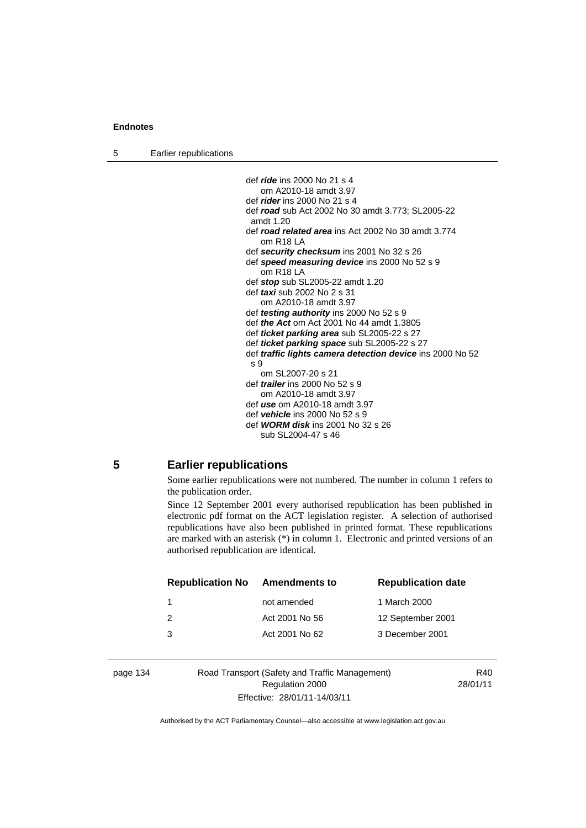5 Earlier republications

```
 def ride ins 2000 No 21 s 4 
   om A2010-18 amdt 3.97 
def rider ins 2000 No 21 s 4 
def road sub Act 2002 No 30 amdt 3.773; SL2005-22 
amdt 1.20 
def road related area ins Act 2002 No 30 amdt 3.774 
   om R18 LA 
def security checksum ins 2001 No 32 s 26 
def speed measuring device ins 2000 No 52 s 9 
   om R18 LA 
def stop sub SL2005-22 amdt 1.20 
def taxi sub 2002 No 2 s 31 
   om A2010-18 amdt 3.97 
def testing authority ins 2000 No 52 s 9 
def the Act om Act 2001 No 44 amdt 1.3805 
def ticket parking area sub SL2005-22 s 27 
def ticket parking space sub SL2005-22 s 27 
def traffic lights camera detection device ins 2000 No 52 
\epsilon 9
   om SL2007-20 s 21 
def trailer ins 2000 No 52 s 9 
   om A2010-18 amdt 3.97 
def use om A2010-18 amdt 3.97 
def vehicle ins 2000 No 52 s 9 
def WORM disk ins 2001 No 32 s 26 
   sub SL2004-47 s 46
```
### **5 Earlier republications**

Some earlier republications were not numbered. The number in column 1 refers to the publication order.

Since 12 September 2001 every authorised republication has been published in electronic pdf format on the ACT legislation register. A selection of authorised republications have also been published in printed format. These republications are marked with an asterisk (\*) in column 1. Electronic and printed versions of an authorised republication are identical.

| <b>Republication No</b> | <b>Amendments to</b> | <b>Republication date</b> |
|-------------------------|----------------------|---------------------------|
|                         | not amended          | 1 March 2000              |
| 2                       | Act 2001 No 56       | 12 September 2001         |
| 3                       | Act 2001 No 62       | 3 December 2001           |
|                         |                      |                           |

page 134 Road Transport (Safety and Traffic Management) Regulation 2000 Effective: 28/01/11-14/03/11

R40 28/01/11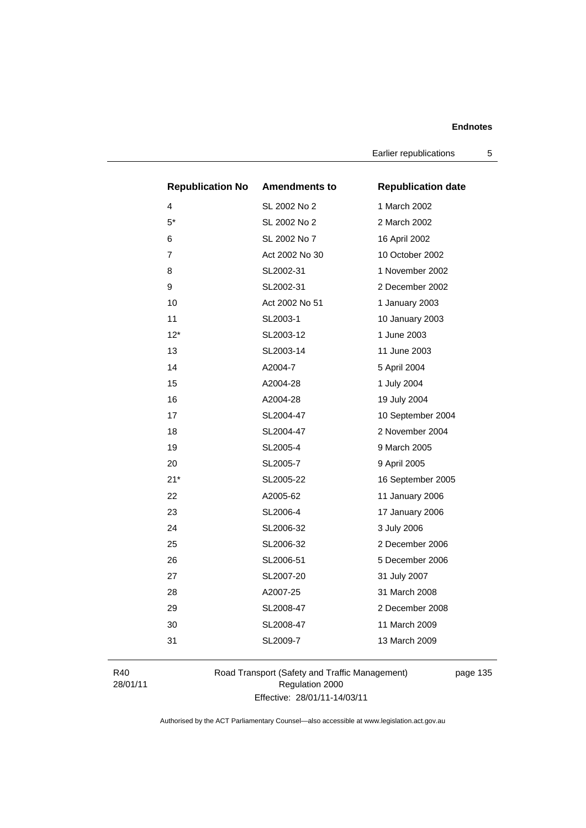Earlier republications 5

|                | <b>Republication No</b> | <b>Amendments to</b> | <b>Republication date</b> |
|----------------|-------------------------|----------------------|---------------------------|
| 4              |                         | SL 2002 No 2         | 1 March 2002              |
| $5^*$          |                         | SL 2002 No 2         | 2 March 2002              |
| 6              |                         | SL 2002 No 7         | 16 April 2002             |
| $\overline{7}$ |                         | Act 2002 No 30       | 10 October 2002           |
| 8              |                         | SL2002-31            | 1 November 2002           |
| 9              |                         | SL2002-31            | 2 December 2002           |
| 10             |                         | Act 2002 No 51       | 1 January 2003            |
| 11             |                         | SL2003-1             | 10 January 2003           |
| $12*$          |                         | SL2003-12            | 1 June 2003               |
| 13             |                         | SL2003-14            | 11 June 2003              |
| 14             |                         | A2004-7              | 5 April 2004              |
| 15             |                         | A2004-28             | 1 July 2004               |
| 16             |                         | A2004-28             | 19 July 2004              |
| 17             |                         | SL2004-47            | 10 September 2004         |
| 18             |                         | SL2004-47            | 2 November 2004           |
| 19             |                         | SL2005-4             | 9 March 2005              |
| 20             |                         | SL2005-7             | 9 April 2005              |
| $21*$          |                         | SL2005-22            | 16 September 2005         |
| 22             |                         | A2005-62             | 11 January 2006           |
| 23             |                         | SL2006-4             | 17 January 2006           |
| 24             |                         | SL2006-32            | 3 July 2006               |
| 25             |                         | SL2006-32            | 2 December 2006           |
| 26             |                         | SL2006-51            | 5 December 2006           |
| 27             |                         | SL2007-20            | 31 July 2007              |
| 28             |                         | A2007-25             | 31 March 2008             |
| 29             |                         | SL2008-47            | 2 December 2008           |
| 30             |                         | SL2008-47            | 11 March 2009             |
| 31             |                         | SL2009-7             | 13 March 2009             |
|                |                         |                      |                           |

R40 28/01/11 Road Transport (Safety and Traffic Management) Regulation 2000 Effective: 28/01/11-14/03/11

page 135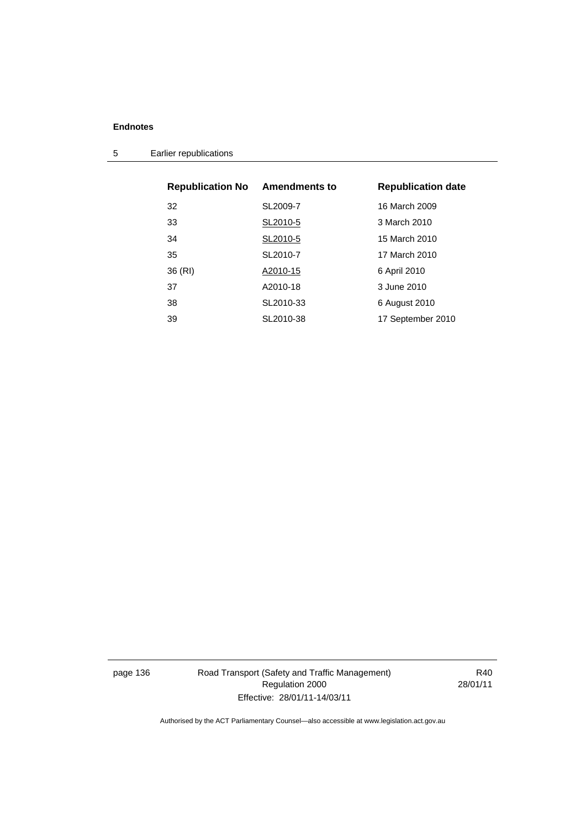5 Earlier republications

| <b>Republication No</b> | <b>Amendments to</b> | <b>Republication date</b> |
|-------------------------|----------------------|---------------------------|
| 32                      | SL2009-7             | 16 March 2009             |
| 33                      | SL2010-5             | 3 March 2010              |
| 34                      | SL2010-5             | 15 March 2010             |
| 35                      | SL2010-7             | 17 March 2010             |
| 36 (RI)                 | A2010-15             | 6 April 2010              |
| 37                      | A2010-18             | 3 June 2010               |
| 38                      | SL2010-33            | 6 August 2010             |
| 39                      | SL2010-38            | 17 September 2010         |

page 136 Road Transport (Safety and Traffic Management) Regulation 2000 Effective: 28/01/11-14/03/11

R40 28/01/11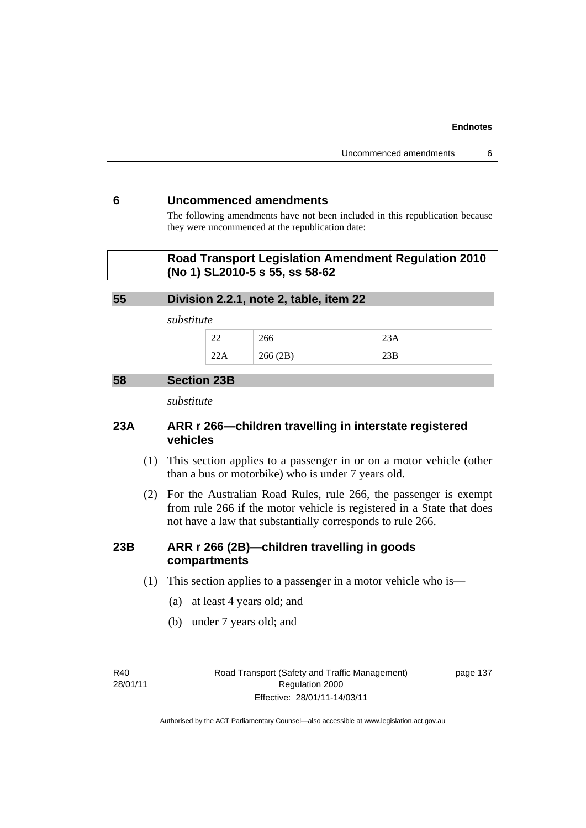### **6 Uncommenced amendments**

The following amendments have not been included in this republication because they were uncommenced at the republication date:

### **Road Transport Legislation Amendment Regulation 2010 (No 1) SL2010-5 s 55, ss 58-62**

### **55 Division 2.2.1, note 2, table, item 22**

*substitute* 

| $\sim$<br>-- | ∠∪∪                |       |
|--------------|--------------------|-------|
|              | 266(2R)<br>200(2D) | ∠لار∠ |

### **58 Section 23B**

*substitute* 

### **23A ARR r 266—children travelling in interstate registered vehicles**

- (1) This section applies to a passenger in or on a motor vehicle (other than a bus or motorbike) who is under 7 years old.
- (2) For the Australian Road Rules, rule 266, the passenger is exempt from rule 266 if the motor vehicle is registered in a State that does not have a law that substantially corresponds to rule 266.

### **23B ARR r 266 (2B)—children travelling in goods compartments**

- (1) This section applies to a passenger in a motor vehicle who is—
	- (a) at least 4 years old; and
	- (b) under 7 years old; and

R40 28/01/11 Road Transport (Safety and Traffic Management) Regulation 2000 Effective: 28/01/11-14/03/11

page 137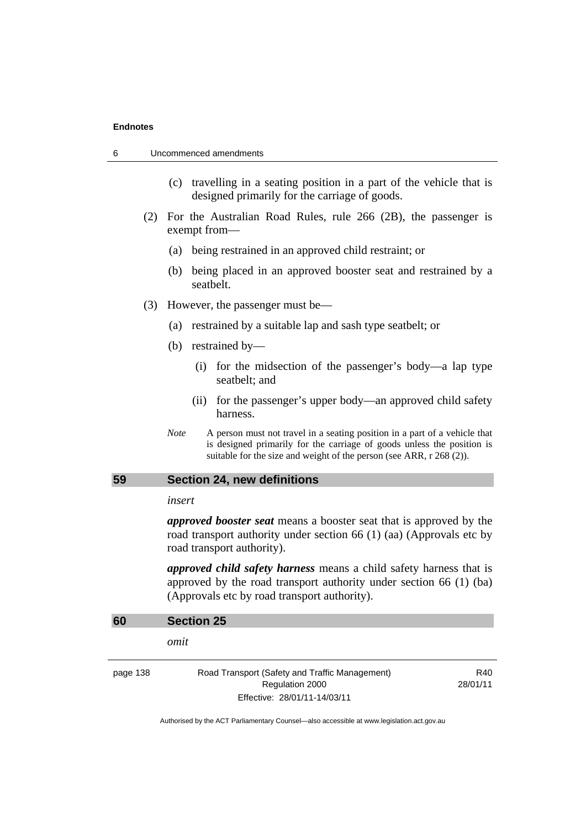| Uncommenced amendments<br>6 |  |
|-----------------------------|--|
|                             |  |

- (c) travelling in a seating position in a part of the vehicle that is designed primarily for the carriage of goods.
- (2) For the Australian Road Rules, rule 266 (2B), the passenger is exempt from—
	- (a) being restrained in an approved child restraint; or
	- (b) being placed in an approved booster seat and restrained by a seatbelt.
- (3) However, the passenger must be—
	- (a) restrained by a suitable lap and sash type seatbelt; or
	- (b) restrained by—
		- (i) for the midsection of the passenger's body—a lap type seatbelt; and
		- (ii) for the passenger's upper body—an approved child safety harness.
	- *Note* A person must not travel in a seating position in a part of a vehicle that is designed primarily for the carriage of goods unless the position is suitable for the size and weight of the person (see ARR, r 268 (2)).

### **59 Section 24, new definitions**

### *insert*

*approved booster seat* means a booster seat that is approved by the road transport authority under section 66 (1) (aa) (Approvals etc by road transport authority).

*approved child safety harness* means a child safety harness that is approved by the road transport authority under section 66 (1) (ba) (Approvals etc by road transport authority).

| 60       | <b>Section 25</b>                                                                                 |                 |
|----------|---------------------------------------------------------------------------------------------------|-----------------|
|          | omit                                                                                              |                 |
| page 138 | Road Transport (Safety and Traffic Management)<br>Regulation 2000<br>Effective: 28/01/11-14/03/11 | R40<br>28/01/11 |
|          |                                                                                                   |                 |